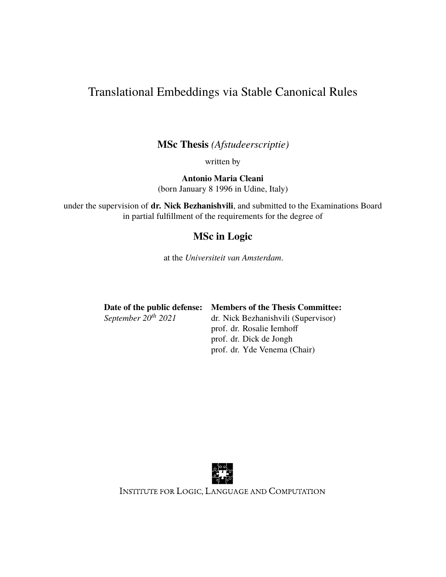# Translational Embeddings via Stable Canonical Rules

**MSc Thesis** *(Afstudeerscriptie)*

written by

**Antonio Maria Cleani** (born January 8 1996 in Udine, Italy)

under the supervision of **dr. Nick Bezhanishvili**, and submitted to the Examinations Board in partial fulfillment of the requirements for the degree of

# **MSc in Logic**

at the *Universiteit van Amsterdam*.

| Date of the public defense: | <b>Members of the Thesis Committee:</b> |
|-----------------------------|-----------------------------------------|
| September $20^{th}$ 2021    | dr. Nick Bezhanishvili (Supervisor)     |
|                             | prof. dr. Rosalie Iemhoff               |
|                             | prof. dr. Dick de Jongh                 |
|                             | prof. dr. Yde Venema (Chair)            |



INSTITUTE FOR LOGIC, LANGUAGE AND COMPUTATION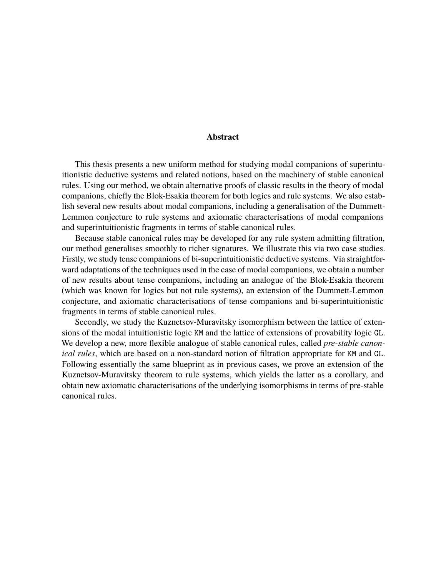## **Abstract**

This thesis presents a new uniform method for studying modal companions of superintuitionistic deductive systems and related notions, based on the machinery of stable canonical rules. Using our method, we obtain alternative proofs of classic results in the theory of modal companions, chiefly the Blok-Esakia theorem for both logics and rule systems. We also establish several new results about modal companions, including a generalisation of the Dummett-Lemmon conjecture to rule systems and axiomatic characterisations of modal companions and superintuitionistic fragments in terms of stable canonical rules.

Because stable canonical rules may be developed for any rule system admitting filtration, our method generalises smoothly to richer signatures. We illustrate this via two case studies. Firstly, we study tense companions of bi-superintuitionistic deductive systems. Via straightforward adaptations of the techniques used in the case of modal companions, we obtain a number of new results about tense companions, including an analogue of the Blok-Esakia theorem (which was known for logics but not rule systems), an extension of the Dummett-Lemmon conjecture, and axiomatic characterisations of tense companions and bi-superintuitionistic fragments in terms of stable canonical rules.

Secondly, we study the Kuznetsov-Muravitsky isomorphism between the lattice of extensions of the modal intuitionistic logic KM and the lattice of extensions of provability logic GL. We develop a new, more flexible analogue of stable canonical rules, called *pre-stable canonical rules*, which are based on a non-standard notion of filtration appropriate for KM and GL. Following essentially the same blueprint as in previous cases, we prove an extension of the Kuznetsov-Muravitsky theorem to rule systems, which yields the latter as a corollary, and obtain new axiomatic characterisations of the underlying isomorphisms in terms of pre-stable canonical rules.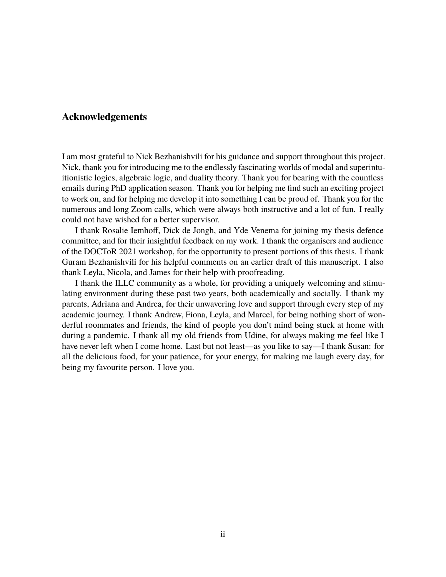## **Acknowledgements**

I am most grateful to Nick Bezhanishvili for his guidance and support throughout this project. Nick, thank you for introducing me to the endlessly fascinating worlds of modal and superintuitionistic logics, algebraic logic, and duality theory. Thank you for bearing with the countless emails during PhD application season. Thank you for helping me find such an exciting project to work on, and for helping me develop it into something I can be proud of. Thank you for the numerous and long Zoom calls, which were always both instructive and a lot of fun. I really could not have wished for a better supervisor.

I thank Rosalie Iemhoff, Dick de Jongh, and Yde Venema for joining my thesis defence committee, and for their insightful feedback on my work. I thank the organisers and audience of the DOCToR 2021 workshop, for the opportunity to present portions of this thesis. I thank Guram Bezhanishvili for his helpful comments on an earlier draft of this manuscript. I also thank Leyla, Nicola, and James for their help with proofreading.

I thank the ILLC community as a whole, for providing a uniquely welcoming and stimulating environment during these past two years, both academically and socially. I thank my parents, Adriana and Andrea, for their unwavering love and support through every step of my academic journey. I thank Andrew, Fiona, Leyla, and Marcel, for being nothing short of wonderful roommates and friends, the kind of people you don't mind being stuck at home with during a pandemic. I thank all my old friends from Udine, for always making me feel like I have never left when I come home. Last but not least—as you like to say—I thank Susan: for all the delicious food, for your patience, for your energy, for making me laugh every day, for being my favourite person. I love you.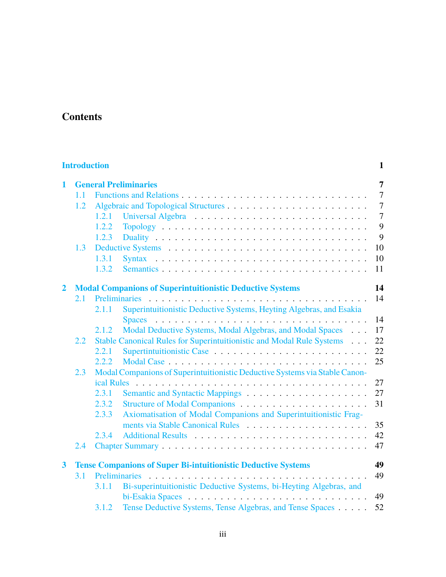# **Contents**

| <b>Introduction</b><br>1          |                                                                                    |       |                                                                       |                |
|-----------------------------------|------------------------------------------------------------------------------------|-------|-----------------------------------------------------------------------|----------------|
| <b>General Preliminaries</b><br>1 |                                                                                    |       |                                                                       | $\overline{7}$ |
|                                   | 1.1                                                                                |       |                                                                       | $\overline{7}$ |
|                                   | 1.2                                                                                |       |                                                                       | $\overline{7}$ |
|                                   |                                                                                    | 1.2.1 |                                                                       | $\overline{7}$ |
|                                   |                                                                                    | 1.2.2 |                                                                       | 9              |
|                                   |                                                                                    | 1.2.3 |                                                                       | 9              |
|                                   | 1.3                                                                                |       |                                                                       | 10             |
|                                   |                                                                                    | 1.3.1 |                                                                       | 10             |
|                                   |                                                                                    | 1.3.2 | Semantics                                                             | 11             |
| $\overline{2}$                    |                                                                                    |       | <b>Modal Companions of Superintuitionistic Deductive Systems</b>      | 14             |
|                                   | 2.1                                                                                |       |                                                                       | 14             |
|                                   |                                                                                    | 2.1.1 | Superintuitionistic Deductive Systems, Heyting Algebras, and Esakia   |                |
|                                   |                                                                                    |       |                                                                       | 14             |
|                                   |                                                                                    | 2.1.2 | Modal Deductive Systems, Modal Algebras, and Modal Spaces             | 17             |
|                                   | 2.2                                                                                |       | Stable Canonical Rules for Superintuitionistic and Modal Rule Systems | 22             |
|                                   |                                                                                    | 2.2.1 |                                                                       | 22             |
|                                   |                                                                                    | 2.2.2 |                                                                       | 25             |
|                                   | Modal Companions of Superintuitionistic Deductive Systems via Stable Canon-<br>2.3 |       |                                                                       |                |
|                                   |                                                                                    |       |                                                                       | 27             |
|                                   |                                                                                    | 2.3.1 |                                                                       | 27             |
|                                   |                                                                                    | 2.3.2 |                                                                       | 31             |
|                                   |                                                                                    | 2.3.3 | Axiomatisation of Modal Companions and Superintuitionistic Frag-      |                |
|                                   |                                                                                    |       |                                                                       | 35             |
|                                   |                                                                                    | 2.3.4 |                                                                       | 42             |
|                                   | 2.4                                                                                |       |                                                                       | 47             |
| $\overline{\mathbf{3}}$           |                                                                                    |       | <b>Tense Companions of Super Bi-intuitionistic Deductive Systems</b>  | 49             |
|                                   | 3.1                                                                                |       |                                                                       | 49             |
|                                   |                                                                                    | 3.1.1 | Bi-superintuitionistic Deductive Systems, bi-Heyting Algebras, and    |                |
|                                   |                                                                                    |       |                                                                       | 49             |
|                                   |                                                                                    | 3.1.2 | Tense Deductive Systems, Tense Algebras, and Tense Spaces             | 52             |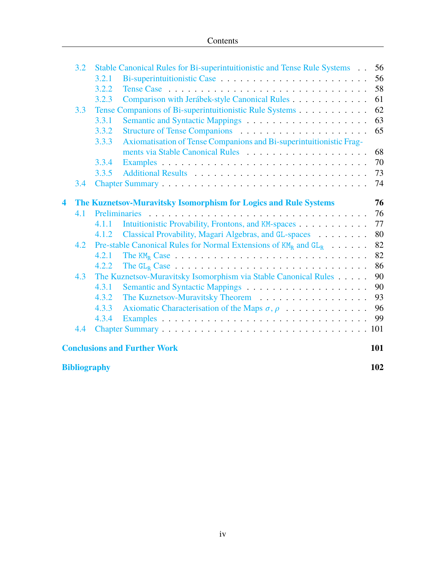|   | 3.2                 |       | Stable Canonical Rules for Bi-superintuitionistic and Tense Rule Systems                       | 56  |
|---|---------------------|-------|------------------------------------------------------------------------------------------------|-----|
|   |                     | 3.2.1 |                                                                                                | 56  |
|   |                     | 3.2.2 |                                                                                                | 58  |
|   |                     | 3.2.3 | Comparison with Jerábek-style Canonical Rules                                                  | 61  |
|   | 3.3                 |       | Tense Companions of Bi-superintuitionistic Rule Systems                                        | 62  |
|   |                     | 3.3.1 |                                                                                                | 63  |
|   |                     | 3.3.2 |                                                                                                | 65  |
|   |                     | 3.3.3 | Axiomatisation of Tense Companions and Bi-superintuitionistic Frag-                            |     |
|   |                     |       |                                                                                                | 68  |
|   |                     | 3.3.4 |                                                                                                | 70  |
|   |                     | 3.3.5 |                                                                                                | 73  |
|   | 3.4                 |       |                                                                                                | 74  |
| 4 |                     |       | The Kuznetsov-Muravitsky Isomorphism for Logics and Rule Systems                               | 76  |
|   | 4.1                 |       |                                                                                                | 76  |
|   |                     | 4.1.1 | Intuitionistic Provability, Frontons, and KM-spaces                                            | 77  |
|   |                     | 4.1.2 | Classical Provability, Magari Algebras, and GL-spaces                                          | 80  |
|   | 4.2                 |       | Pre-stable Canonical Rules for Normal Extensions of $KM_R$ and $GL_R$                          | 82  |
|   |                     | 4.2.1 |                                                                                                | 82  |
|   |                     | 4.2.2 | The $GL_R$ Case $\ldots \ldots \ldots \ldots \ldots \ldots \ldots \ldots \ldots \ldots \ldots$ | 86  |
|   | 4.3                 |       | The Kuznetsov-Muravitsky Isomorphism via Stable Canonical Rules                                | 90  |
|   |                     | 4.3.1 |                                                                                                | 90  |
|   |                     | 4.3.2 |                                                                                                | 93  |
|   |                     | 4.3.3 | Axiomatic Characterisation of the Maps $\sigma, \rho$                                          | 96  |
|   |                     | 4.3.4 |                                                                                                | 99  |
|   | 4.4                 |       |                                                                                                |     |
|   |                     |       | <b>Conclusions and Further Work</b>                                                            | 101 |
|   | <b>Bibliography</b> |       |                                                                                                | 102 |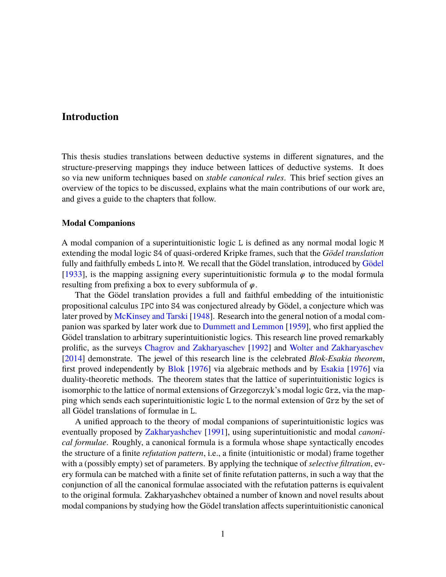# <span id="page-5-0"></span>**Introduction**

This thesis studies translations between deductive systems in different signatures, and the structure-preserving mappings they induce between lattices of deductive systems. It does so via new uniform techniques based on *stable canonical rules*. This brief section gives an overview of the topics to be discussed, explains what the main contributions of our work are, and gives a guide to the chapters that follow.

#### **Modal Companions**

A modal companion of a superintuitionistic logic L is defined as any normal modal logic M extending the modal logic S4 of quasi-ordered Kripke frames, such that the *Gödel translation* fully and faithfully embeds L into M. We recall that the [Gödel](#page-108-0) translation, introduced by Gödel [\[1933\]](#page-108-0), is the mapping assigning every superintuitionistic formula  $\varphi$  to the modal formula resulting from prefixing a box to every subformula of  $\varphi$ .

That the Gödel translation provides a full and faithful embedding of the intuitionistic propositional calculus IPC into S4 was conjectured already by Gödel, a conjecture which was later proved by [McKinsey and Tarski](#page-109-0) [\[1948](#page-109-0)]. Research into the general notion of a modal companion was sparked by later work due to [Dummett and Lemmon](#page-108-1) [\[1959](#page-108-1)], who first applied the Gödel translation to arbitrary superintuitionistic logics. This research line proved remarkably prolific, as the surveys [Chagrov and Zakharyaschev](#page-107-0) [[1992\]](#page-107-0) and [Wolter and Zakharyaschev](#page-110-0) [\[2014\]](#page-110-0) demonstrate. The jewel of this research line is the celebrated *Blok-Esakia theorem*, first proved independently by [Blok](#page-107-1) [[1976\]](#page-107-1) via algebraic methods and by [Esakia](#page-108-2) [[1976](#page-108-2)] via duality-theoretic methods. The theorem states that the lattice of superintuitionistic logics is isomorphic to the lattice of normal extensions of Grzegorczyk's modal logic Grz, via the mapping which sends each superintuitionistic logic L to the normal extension of Grz by the set of all Gödel translations of formulae in L.

A unified approach to the theory of modal companions of superintuitionistic logics was eventually proposed by [Zakharyashchev](#page-110-1) [[1991\]](#page-110-1), using superintuitionistic and modal *canonical formulae*. Roughly, a canonical formula is a formula whose shape syntactically encodes the structure of a finite *refutation pattern*, i.e., a finite (intuitionistic or modal) frame together with a (possibly empty) set of parameters. By applying the technique of *selective filtration*, every formula can be matched with a finite set of finite refutation patterns, in such a way that the conjunction of all the canonical formulae associated with the refutation patterns is equivalent to the original formula. Zakharyashchev obtained a number of known and novel results about modal companions by studying how the Gödel translation affects superintuitionistic canonical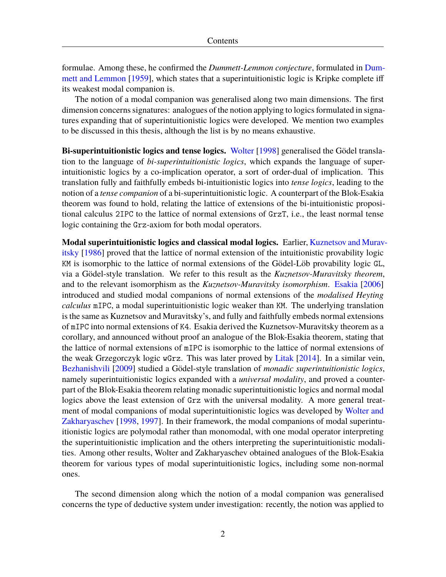formulae. Among these, he confirmed the *Dummett-Lemmon conjecture*, formulated in [Dum](#page-108-1)[mett and Lemmon](#page-108-1) [\[1959](#page-108-1)], which states that a superintuitionistic logic is Kripke complete iff its weakest modal companion is.

The notion of a modal companion was generalised along two main dimensions. The first dimension concerns signatures: analogues of the notion applying to logics formulated in signatures expanding that of superintuitionistic logics were developed. We mention two examples to be discussed in this thesis, although the list is by no means exhaustive.

**Bi-superintuitionistic logics and tense logics.** [Wolter](#page-109-1) [[1998\]](#page-109-1) generalised the Gödel translation to the language of *bi-superintuitionistic logics*, which expands the language of superintuitionistic logics by a co-implication operator, a sort of order-dual of implication. This translation fully and faithfully embeds bi-intuitionistic logics into *tense logics*, leading to the notion of a *tense companion* of a bi-superintuitionistic logic. A counterpart of the Blok-Esakia theorem was found to hold, relating the lattice of extensions of the bi-intuitionistic propositional calculus 2IPC to the lattice of normal extensions of GrzT, i.e., the least normal tense logic containing the Grz-axiom for both modal operators.

**Modal superintuitionistic logics and classical modal logics.** Earlier, [Kuznetsov and Murav](#page-108-3)[itsky](#page-108-3) [[1986](#page-108-3)] proved that the lattice of normal extension of the intuitionistic provability logic KM is isomorphic to the lattice of normal extensions of the Gödel-Löb provability logic GL, via a Gödel-style translation. We refer to this result as the *Kuznetsov-Muravitsky theorem*, and to the relevant isomorphism as the *Kuznetsov-Muravitsky isomorphism*. [Esakia](#page-108-4) [\[2006\]](#page-108-4) introduced and studied modal companions of normal extensions of the *modalised Heyting calculus* mIPC, a modal superintuitionistic logic weaker than KM. The underlying translation is the same as Kuznetsov and Muravitsky's, and fully and faithfully embeds normal extensions of mIPC into normal extensions of K4. Esakia derived the Kuznetsov-Muravitsky theorem as a corollary, and announced without proof an analogue of the Blok-Esakia theorem, stating that the lattice of normal extensions of mIPC is isomorphic to the lattice of normal extensions of the weak Grzegorczyk logic wGrz. This was later proved by [Litak](#page-108-5) [[2014\]](#page-108-5). In a similar vein, [Bezhanishvili](#page-107-2) [\[2009](#page-107-2)] studied a Gödel-style translation of *monadic superintuitionistic logics*, namely superintuitionistic logics expanded with a *universal modality*, and proved a counterpart of the Blok-Esakia theorem relating monadic superintuitionistic logics and normal modal logics above the least extension of Grz with the universal modality. A more general treatment of modal companions of modal superintuitionistic logics was developed by [Wolter and](#page-110-2) [Zakharyaschev](#page-110-2) [[1998,](#page-110-2) [1997](#page-109-2)]. In their framework, the modal companions of modal superintuitionistic logics are polymodal rather than monomodal, with one modal operator interpreting the superintuitionistic implication and the others interpreting the superintuitionistic modalities. Among other results, Wolter and Zakharyaschev obtained analogues of the Blok-Esakia theorem for various types of modal superintuitionistic logics, including some non-normal ones.

The second dimension along which the notion of a modal companion was generalised concerns the type of deductive system under investigation: recently, the notion was applied to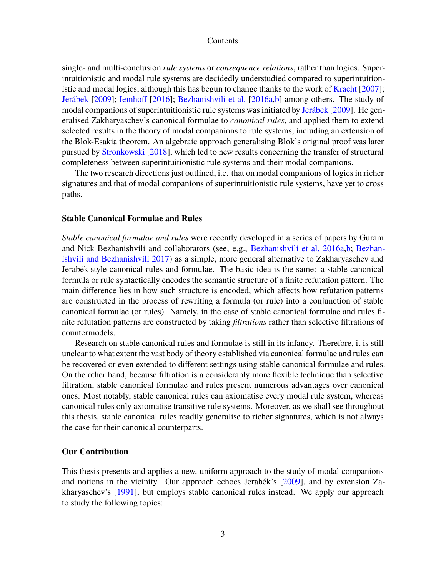single- and multi-conclusion *rule systems* or *consequence relations*, rather than logics. Superintuitionistic and modal rule systems are decidedly understudied compared to superintuitionistic and modal logics, although this has begun to change thanks to the work of [Kracht](#page-108-6) [[2007\]](#page-108-6); [Jerábek](#page-108-7) [\[2009](#page-108-7)]; [Iemhoff](#page-108-8) [\[2016](#page-108-8)]; [Bezhanishvili et al.](#page-107-3) [\[2016a](#page-107-3)[,b](#page-107-4)] among others. The study of modal companions of superintuitionistic rule systems was initiated by [Jerábek](#page-108-7) [\[2009](#page-108-7)]. He generalised Zakharyaschev's canonical formulae to *canonical rules*, and applied them to extend selected results in the theory of modal companions to rule systems, including an extension of the Blok-Esakia theorem. An algebraic approach generalising Blok's original proof was later pursued by [Stronkowski](#page-109-3) [[2018\]](#page-109-3), which led to new results concerning the transfer of structural completeness between superintuitionistic rule systems and their modal companions.

The two research directions just outlined, i.e. that on modal companions of logics in richer signatures and that of modal companions of superintuitionistic rule systems, have yet to cross paths.

#### **Stable Canonical Formulae and Rules**

*Stable canonical formulae and rules* were recently developed in a series of papers by Guram and Nick Bezhanishvili and collaborators (see, e.g., [Bezhanishvili et al.](#page-107-3) [2016a](#page-107-3)[,b](#page-107-4); [Bezhan](#page-107-5)[ishvili and Bezhanishvili](#page-107-5) [2017\)](#page-107-5) as a simple, more general alternative to Zakharyaschev and Jerabék-style canonical rules and formulae. The basic idea is the same: a stable canonical formula or rule syntactically encodes the semantic structure of a finite refutation pattern. The main difference lies in how such structure is encoded, which affects how refutation patterns are constructed in the process of rewriting a formula (or rule) into a conjunction of stable canonical formulae (or rules). Namely, in the case of stable canonical formulae and rules finite refutation patterns are constructed by taking *filtrations* rather than selective filtrations of countermodels.

Research on stable canonical rules and formulae is still in its infancy. Therefore, it is still unclear to what extent the vast body of theory established via canonical formulae and rules can be recovered or even extended to different settings using stable canonical formulae and rules. On the other hand, because filtration is a considerably more flexible technique than selective filtration, stable canonical formulae and rules present numerous advantages over canonical ones. Most notably, stable canonical rules can axiomatise every modal rule system, whereas canonical rules only axiomatise transitive rule systems. Moreover, as we shall see throughout this thesis, stable canonical rules readily generalise to richer signatures, which is not always the case for their canonical counterparts.

#### **Our Contribution**

This thesis presents and applies a new, uniform approach to the study of modal companions and notions in the vicinity. Our approach echoes Jerabék's [[2009](#page-108-7)], and by extension Zakharyaschev's [\[1991](#page-110-1)], but employs stable canonical rules instead. We apply our approach to study the following topics: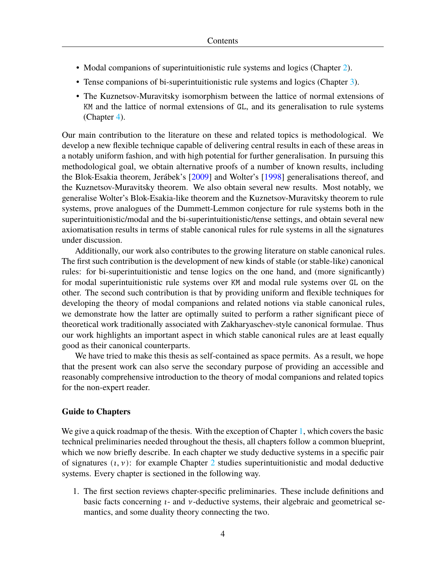- Modal companions of superintuitionistic rule systems and logics (Chapter [2](#page-18-0)).
- Tense companions of bi-superintuitionistic rule systems and logics (Chapter [3\)](#page-53-0).
- The Kuznetsov-Muravitsky isomorphism between the lattice of normal extensions of KM and the lattice of normal extensions of GL, and its generalisation to rule systems (Chapter [4](#page-80-0)).

Our main contribution to the literature on these and related topics is methodological. We develop a new flexible technique capable of delivering central results in each of these areas in a notably uniform fashion, and with high potential for further generalisation. In pursuing this methodological goal, we obtain alternative proofs of a number of known results, including the Blok-Esakia theorem, Jerábek's [[2009\]](#page-108-7) and Wolter's [[1998\]](#page-109-1) generalisations thereof, and the Kuznetsov-Muravitsky theorem. We also obtain several new results. Most notably, we generalise Wolter's Blok-Esakia-like theorem and the Kuznetsov-Muravitsky theorem to rule systems, prove analogues of the Dummett-Lemmon conjecture for rule systems both in the superintuitionistic/modal and the bi-superintuitionistic/tense settings, and obtain several new axiomatisation results in terms of stable canonical rules for rule systems in all the signatures under discussion.

Additionally, our work also contributes to the growing literature on stable canonical rules. The first such contribution is the development of new kinds of stable (or stable-like) canonical rules: for bi-superintuitionistic and tense logics on the one hand, and (more significantly) for modal superintuitionistic rule systems over KM and modal rule systems over GL on the other. The second such contribution is that by providing uniform and flexible techniques for developing the theory of modal companions and related notions via stable canonical rules, we demonstrate how the latter are optimally suited to perform a rather significant piece of theoretical work traditionally associated with Zakharyaschev-style canonical formulae. Thus our work highlights an important aspect in which stable canonical rules are at least equally good as their canonical counterparts.

We have tried to make this thesis as self-contained as space permits. As a result, we hope that the present work can also serve the secondary purpose of providing an accessible and reasonably comprehensive introduction to the theory of modal companions and related topics for the non-expert reader.

#### **Guide to Chapters**

We give a quick roadmap of the thesis. With the exception of Chapter [1](#page-11-0), which covers the basic technical preliminaries needed throughout the thesis, all chapters follow a common blueprint, which we now briefly describe. In each chapter we study deductive systems in a specific pair of signatures  $(i, y)$ : for example Chapter [2](#page-18-0) studies superintuitionistic and modal deductive systems. Every chapter is sectioned in the following way.

1. The first section reviews chapter-specific preliminaries. These include definitions and basic facts concerning  $\nu$ - and  $\nu$ -deductive systems, their algebraic and geometrical semantics, and some duality theory connecting the two.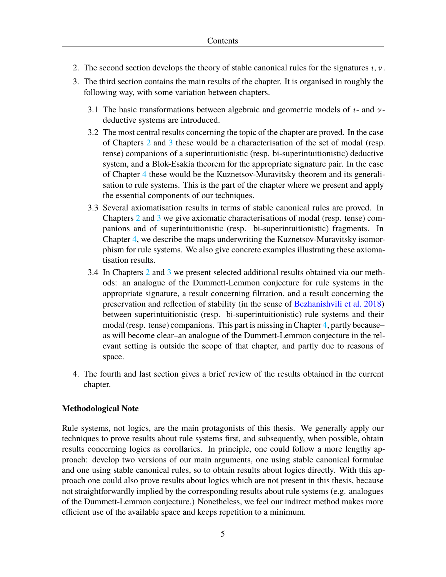- 2. The second section develops the theory of stable canonical rules for the signatures  $i, \nu$ .
- 3. The third section contains the main results of the chapter. It is organised in roughly the following way, with some variation between chapters.
	- 3.1 The basic transformations between algebraic and geometric models of  $\iota$  and  $\nu$ deductive systems are introduced.
	- 3.2 The most central results concerning the topic of the chapter are proved. In the case of Chapters [2](#page-18-0) and [3](#page-53-0) these would be a characterisation of the set of modal (resp. tense) companions of a superintuitionistic (resp. bi-superintuitionistic) deductive system, and a Blok-Esakia theorem for the appropriate signature pair. In the case of Chapter [4](#page-80-0) these would be the Kuznetsov-Muravitsky theorem and its generalisation to rule systems. This is the part of the chapter where we present and apply the essential components of our techniques.
	- 3.3 Several axiomatisation results in terms of stable canonical rules are proved. In Chapters [2](#page-18-0) and [3](#page-53-0) we give axiomatic characterisations of modal (resp. tense) companions and of superintuitionistic (resp. bi-superintuitionistic) fragments. In Chapter [4,](#page-80-0) we describe the maps underwriting the Kuznetsov-Muravitsky isomorphism for rule systems. We also give concrete examples illustrating these axiomatisation results.
	- 3.4 In Chapters [2](#page-18-0) and [3](#page-53-0) we present selected additional results obtained via our methods: an analogue of the Dummett-Lemmon conjecture for rule systems in the appropriate signature, a result concerning filtration, and a result concerning the preservation and reflection of stability (in the sense of [Bezhanishvili et al.](#page-107-6) [2018\)](#page-107-6) between superintuitionistic (resp. bi-superintuitionistic) rule systems and their modal (resp. tense) companions. This part is missing in Chapter [4](#page-80-0), partly because– as will become clear–an analogue of the Dummett-Lemmon conjecture in the relevant setting is outside the scope of that chapter, and partly due to reasons of space.
- 4. The fourth and last section gives a brief review of the results obtained in the current chapter.

# **Methodological Note**

Rule systems, not logics, are the main protagonists of this thesis. We generally apply our techniques to prove results about rule systems first, and subsequently, when possible, obtain results concerning logics as corollaries. In principle, one could follow a more lengthy approach: develop two versions of our main arguments, one using stable canonical formulae and one using stable canonical rules, so to obtain results about logics directly. With this approach one could also prove results about logics which are not present in this thesis, because not straightforwardly implied by the corresponding results about rule systems (e.g. analogues of the Dummett-Lemmon conjecture.) Nonetheless, we feel our indirect method makes more efficient use of the available space and keeps repetition to a minimum.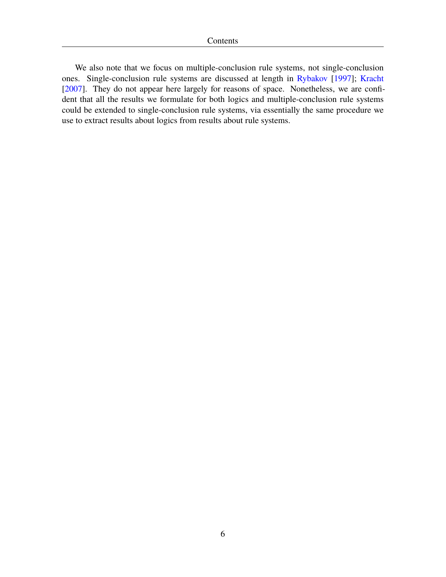We also note that we focus on multiple-conclusion rule systems, not single-conclusion ones. Single-conclusion rule systems are discussed at length in [Rybakov](#page-109-4) [[1997\]](#page-109-4); [Kracht](#page-108-6) [\[2007\]](#page-108-6). They do not appear here largely for reasons of space. Nonetheless, we are confident that all the results we formulate for both logics and multiple-conclusion rule systems could be extended to single-conclusion rule systems, via essentially the same procedure we use to extract results about logics from results about rule systems.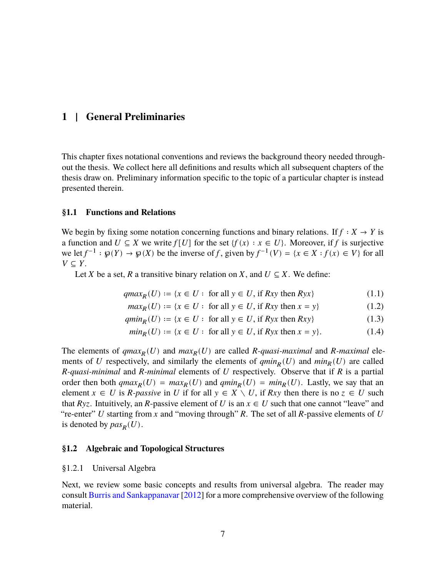# <span id="page-11-0"></span>**1 | General Preliminaries**

This chapter fixes notational conventions and reviews the background theory needed throughout the thesis. We collect here all definitions and results which all subsequent chapters of the thesis draw on. Preliminary information specific to the topic of a particular chapter is instead presented therein.

## <span id="page-11-1"></span>**§1.1 Functions and Relations**

We begin by fixing some notation concerning functions and binary relations. If  $f : X \to Y$  is a function and  $U \subseteq X$  we write  $f[U]$  for the set  $\{f(x) : x \in U\}$ . Moreover, if f is surjective we let  $f^{-1}: \mathfrak{g}(Y) \to \mathfrak{g}(X)$  be the inverse of f, given by  $f^{-1}(V) = \{x \in X : f(x) \in V\}$  for all  $V \subseteq Y$ .

Let *X* be a set, *R* a transitive binary relation on *X*, and  $U \subseteq X$ . We define:

$$
qmaxR(U) := \{x \in U : \text{ for all } y \in U, \text{ if } Rxy \text{ then } Ryx\}
$$
 (1.1)

$$
maxR(U) := \{x \in U : for all y \in U, if Rxy then x = y\}
$$
\n(1.2)

$$
maxR(U) := {x \in U : for all y \in U, if Rxy then x = y}
$$
(1.2)  

$$
qminR(U) := {x \in U : for all y \in U, if Ryx then Rxy}
$$
(1.3)

$$
min_R(U) := \{ x \in U : \text{ for all } y \in U, \text{ if } Ryx \text{ then } x = y \}. \tag{1.4}
$$

The elements of  $qmax_R(U)$  and  $max_R(U)$  are called *R*-quasi-maximal and *R*-maximal elements of U respectively, and similarly the elements of  $qmin_R(U)$  and  $min_R(U)$  are called  $R$ -quasi-minimal and  $R$ -minimal elements of  $U$  respectively. Observe that if  $R$  is a partial order then both  $qmax_R(U) = max_R(U)$  and  $qmin_R(U) = min_R(U)$ . Lastly, we say that an element  $x \in U$  is *R*-passive in U if for all  $y \in X \setminus U$ , if Rxy then there is no  $z \in U$  such that  $Ryz$ . Intuitively, an R-passive element of U is an  $x \in U$  such that one cannot "leave" and "re-enter" U starting from x and "moving through"  $R$ . The set of all  $R$ -passive elements of U is denoted by  $pas_R(U)$ .

## <span id="page-11-2"></span>**§1.2 Algebraic and Topological Structures**

## <span id="page-11-3"></span>§1.2.1 Universal Algebra

Next, we review some basic concepts and results from universal algebra. The reader may consult [Burris and Sankappanavar](#page-107-7) [\[2012](#page-107-7)] for a more comprehensive overview of the following material.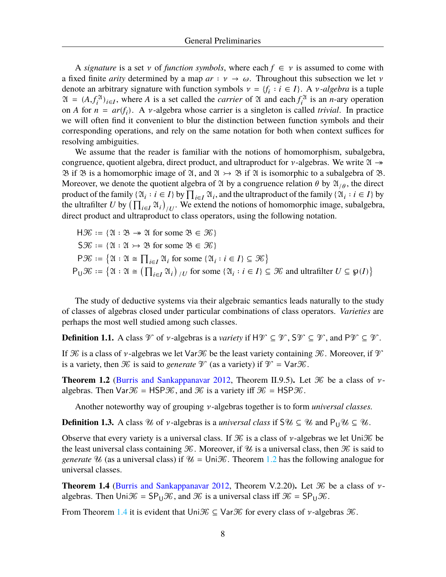A *signature* is a set  $\nu$  of *function symbols*, where each  $f \in \nu$  is assumed to come with a fixed finite *arity* determined by a map  $ar : \nu \to \omega$ . Throughout this subsection we let  $\nu$ denote an arbitrary signature with function symbols  $v = \{f_i : i \in I\}$ . A *v*-algebra is a tuple  $\mathfrak{A} = (A, f_i^{\mathfrak{A}})_{i \in I}$ , where A is a set called the *carrier* of  $\mathfrak A$  and each  $f_i^{\mathfrak{A}}$  is an *n*-ary operation on A for  $n = ar(f_i)$ . A v-algebra whose carrier is a singleton is called *trivial*. In practice we will often find it convenient to blur the distinction between function symbols and their corresponding operations, and rely on the same notation for both when context suffices for resolving ambiguities.

We assume that the reader is familiar with the notions of homomorphism, subalgebra, congruence, quotient algebra, direct product, and ultraproduct for  $\nu$ -algebras. We write  $\mathfrak{A} \rightarrow$  $\mathfrak{B}$  if  $\mathfrak{B}$  is a homomorphic image of  $\mathfrak{A}$ , and  $\mathfrak{A} \rightarrow \mathfrak{B}$  if  $\mathfrak{A}$  is isomorphic to a subalgebra of  $\mathfrak{B}$ . Moreover, we denote the quotient algebra of 24 by a congruence relation  $\theta$  by  $\mathfrak{A}_{/\theta}$ , the direct product of the family  $\{ \mathfrak{A}_i : i \in I \}$  by  $\prod_{i \in I} \mathfrak{A}_i$ , and the ultraproduct of the family  $\{ \mathfrak{A}_i : i \in I \}$  by the ultrafilter U by  $\left(\prod_{i\in I}\mathfrak{A}_i\right)_{/U}$ . We extend the notions of homomorphic image, subalgebra, direct product and ultraproduct to class operators, using the following notation.

 $H\mathcal{K} := \{ \mathfrak{A} : \mathfrak{B} \to \mathfrak{A} \text{ for some } \mathfrak{B} \in \mathcal{K} \}$  $S\mathcal{K} := \{ \mathfrak{A} : \mathfrak{A} \rightarrow \mathfrak{B} \text{ for some } \mathfrak{B} \in \mathcal{K} \}$  $P\mathcal{K} := \{ \mathfrak{A} : \mathfrak{A} \cong \prod_{i \in I} \mathfrak{A}_i \text{ for some } \{ \mathfrak{A}_i : i \in I \} \subseteq \mathcal{K} \}$  $P_U \mathcal{K} := \{ \mathfrak{A} : \mathfrak{A} \cong \left( \prod_{i \in I} \mathfrak{A}_i \right)_{/U} \text{ for some } \{ \mathfrak{A}_i : i \in I \} \subseteq \mathcal{K} \text{ and ultrafilter } U \subseteq \mathfrak{g}(I) \}$ 

The study of deductive systems via their algebraic semantics leads naturally to the study of classes of algebras closed under particular combinations of class operators. *Varieties* are perhaps the most well studied among such classes.

**Definition 1.1.** A class  $\mathcal V$  of *v*-algebras is a *variety* if  $H\mathcal V \subseteq \mathcal V$ ,  $S\mathcal V \subseteq \mathcal V$ , and  $P\mathcal V \subseteq \mathcal V$ .

If  $\mathcal K$  is a class of *v*-algebras we let Var  $\mathcal K$  be the least variety containing  $\mathcal K$ . Moreover, if  $\mathcal V$ is a variety, then  $\mathcal K$  is said to *generate*  $\mathcal V$  (as a variety) if  $\mathcal V = \text{Var}\mathcal K$ .

<span id="page-12-1"></span>**Theorem 1.2** [\(Burris and Sankappanavar](#page-107-7) [2012,](#page-107-7) Theorem II.9.5). Let  $\mathcal K$  be a class of  $\nu$ algebras. Then  $\text{Var}\mathcal{K} = \text{HSP}\mathcal{K}$ , and  $\mathcal{K}$  is a variety iff  $\mathcal{K} = \text{HSP}\mathcal{K}$ .

Another noteworthy way of grouping  $\nu$ -algebras together is to form *universal classes*.

**Definition 1.3.** A class  $\mathcal{U}$  of  $\nu$ -algebras is a *universal class* if  $S\mathcal{U} \subseteq \mathcal{U}$  and  $P_{U}\mathcal{U} \subseteq \mathcal{U}$ .

Observe that every variety is a universal class. If  $\mathcal K$  is a class of  $\nu$ -algebras we let Uni $\mathcal K$  be the least universal class containing  $\mathcal K$ . Moreover, if  $\mathcal U$  is a universal class, then  $\mathcal K$  is said to *generate*  $\mathcal{U}$  (as a universal class) if  $\mathcal{U} = \text{Uni}\mathcal{K}$ . Theorem [1.2](#page-12-1) has the following analogue for universal classes.

<span id="page-12-2"></span>**Theorem 1.4** ([Burris and Sankappanavar](#page-107-7) [2012,](#page-107-7) Theorem V.2.20). Let  $\mathcal K$  be a class of  $\nu$ algebras. Then  $Uni\mathcal{K} = SP_{U}\mathcal{K}$ , and  $\mathcal{K}$  is a universal class iff  $\mathcal{K} = SP_{U}\mathcal{K}$ .

<span id="page-12-0"></span>From Theorem [1.4](#page-12-2) it is evident that Uni  $\mathcal{K} \subseteq \mathsf{Var}\mathcal{K}$  for every class of  $\nu$ -algebras  $\mathcal{K}$ .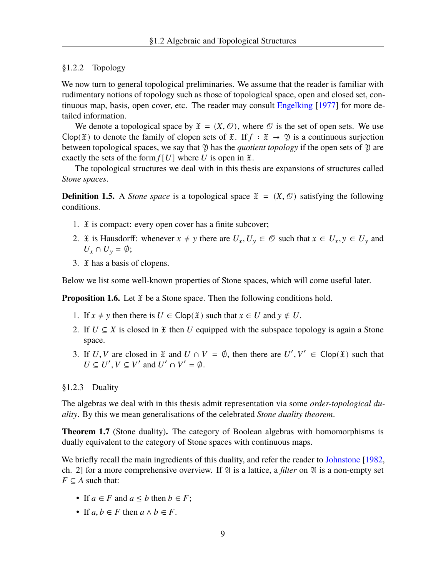## §1.2.2 Topology

We now turn to general topological preliminaries. We assume that the reader is familiar with rudimentary notions of topology such as those of topological space, open and closed set, continuous map, basis, open cover, etc. The reader may consult [Engelking](#page-108-9) [\[1977\]](#page-108-9) for more detailed information.

We denote a topological space by  $\mathfrak{X} = (X, \mathcal{O})$ , where  $\mathcal O$  is the set of open sets. We use Clop( $\mathfrak X$ ) to denote the family of clopen sets of  $\mathfrak X$ . If  $f : \mathfrak X \to \mathfrak Y$  is a continuous surjection between topological spaces, we say that  $\mathfrak Y$  has the *quotient topology* if the open sets of  $\mathfrak Y$  are exactly the sets of the form  $f[U]$  where U is open in  $\mathfrak{X}$ .

The topological structures we deal with in this thesis are expansions of structures called *Stone spaces*.

**Definition 1.5.** A *Stone space* is a topological space  $\mathfrak{X} = (X, \mathcal{O})$  satisfying the following conditions.

- 1.  $\mathfrak X$  is compact: every open cover has a finite subcover;
- 2. *I*f is Hausdorff: whenever  $x \neq y$  there are  $U_x, U_y \in \mathcal{O}$  such that  $x \in U_x, y \in U_y$  and  $U_x \cap U_y = \emptyset;$
- 3. *If* has a basis of clopens.

Below we list some well-known properties of Stone spaces, which will come useful later.

**Proposition 1.6.** Let  $\mathfrak{X}$  be a Stone space. Then the following conditions hold.

- 1. If  $x \neq y$  then there is  $U \in \text{Clop}(\mathfrak{X})$  such that  $x \in U$  and  $y \notin U$ .
- 2. If  $U \subseteq X$  is closed in  $\mathfrak X$  then U equipped with the subspace topology is again a Stone space.
- 3. If U, V are closed in  $\mathfrak X$  and  $U \cap V = \emptyset$ , then there are  $U', V' \in \text{Clop}(\mathfrak X)$  such that  $U \subseteq U', V \subseteq V'$  and  $U' \cap V' = \emptyset$ .

#### <span id="page-13-0"></span>§1.2.3 Duality

The algebras we deal with in this thesis admit representation via some *order-topological duality*. By this we mean generalisations of the celebrated *Stone duality theorem*.

**Theorem 1.7** (Stone duality)**.** The category of Boolean algebras with homomorphisms is dually equivalent to the category of Stone spaces with continuous maps.

We briefly recall the main ingredients of this duality, and refer the reader to [Johnstone](#page-108-10) [[1982](#page-108-10), ch. 2] for a more comprehensive overview. If  $\mathfrak A$  is a lattice, a *filter* on  $\mathfrak A$  is a non-empty set  $F \subseteq A$  such that:

- If  $a \in F$  and  $a \leq b$  then  $b \in F$ ;
- If  $a, b \in F$  then  $a \wedge b \in F$ .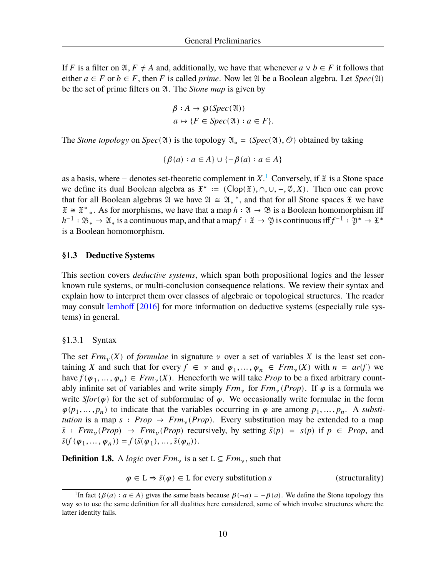If F is a filter on  $\mathfrak{A}, F \neq A$  and, additionally, we have that whenever  $a \vee b \in F$  it follows that either  $a \in F$  or  $b \in F$ , then F is called *prime*. Now let  $\mathfrak A$  be a Boolean algebra. Let  $Spec(\mathfrak A)$ be the set of prime filters on  $\mathfrak A$ . The *Stone map* is given by

$$
\beta : A \to \wp(Spec(\mathfrak{A}))
$$
  

$$
a \mapsto \{F \in Spec(\mathfrak{A}) : a \in F\}.
$$

The *Stone topology* on *Spec*(2) is the topology  $\mathfrak{A}_* = (Spec(\mathfrak{A}), \mathcal{O})$  obtained by taking

$$
\{\beta(a) : a \in A\} \cup \{-\beta(a) : a \in A\}
$$

as a basis, where – denotes set-theoretic complement in  $X<sup>1</sup>$  Conversely, if  $\mathfrak X$  is a Stone space we define its dual Boolean algebra as  $\mathfrak{X}^* := (\text{Clop}(\mathfrak{X}), \cap, \cup, -, \emptyset, X)$ . Then one can prove that for all Boolean algebras  $\mathfrak A$  we have  $\mathfrak A \cong \mathfrak A_*^*$ , and that for all Stone spaces  $\mathfrak X$  we have  $\mathfrak{X} \cong \mathfrak{X}^*$ . As for morphisms, we have that a map  $h : \mathfrak{A} \to \mathfrak{B}$  is a Boolean homomorphism iff  $h^{-1}$  :  $\mathfrak{B}_* \to \mathfrak{A}_*$  is a continuous map, and that a map $f : \mathfrak{X} \to \mathfrak{Y}$  is continuous iff  $f^{-1} : \mathfrak{Y}^* \to \mathfrak{X}^*$ is a Boolean homomorphism.

#### <span id="page-14-0"></span>**§1.3 Deductive Systems**

This section covers *deductive systems*, which span both propositional logics and the lesser known rule systems, or multi-conclusion consequence relations. We review their syntax and explain how to interpret them over classes of algebraic or topological structures. The reader may consult [Iemhoff](#page-108-8) [[2016\]](#page-108-8) for more information on deductive systems (especially rule systems) in general.

#### <span id="page-14-1"></span>§1.3.1 Syntax

The set  $Frm_{v}(X)$  of *formulae* in signature  $v$  over a set of variables X is the least set containing X and such that for every  $f \in \nu$  and  $\varphi_1, ..., \varphi_n \in \mathit{Frm}_{\nu}(X)$  with  $n = \mathit{ar}(f)$  we have  $f(\varphi_1, ..., \varphi_n) \in \text{Frm}_\nu(X)$ . Henceforth we will take *Prop* to be a fixed arbitrary countably infinite set of variables and write simply  $Frm_{\nu}$  for  $Frm_{\nu}(Prop)$ . If  $\varphi$  is a formula we write *Sfor*( $\varphi$ ) for the set of subformulae of  $\varphi$ . We occasionally write formulae in the form  $\varphi(p_1, \ldots, p_n)$  to indicate that the variables occurring in  $\varphi$  are among  $p_1, \ldots, p_n$ . A *substitution* is a map  $s : Prop \rightarrow Frm_{\nu}(Prop)$ . Every substitution may be extended to a map  $\bar{s}$ : *Frm*<sub>v</sub>(*Prop*)  $\rightarrow$  *Frm*<sub>v</sub>(*Prop*) recursively, by setting  $\bar{s}(p) = s(p)$  if  $p \in Prop$ , and  $\bar{s}(f(\varphi_1,\ldots,\varphi_n)) = f(\bar{s}(\varphi_1),\ldots,\bar{s}(\varphi_n)).$ 

**Definition 1.8.** A *logic* over  $Frm_{v}$  is a set  $L \subseteq Frm_{v}$ , such that

 $\varphi \in L \Rightarrow \bar{s}(\varphi) \in L$  for every substitution *s* (structurality)

<sup>&</sup>lt;sup>1</sup>In fact { $\beta$ (*a*) :  $a \in A$ } gives the same basis because  $\beta$ ( $\neg a$ ) =  $-\beta$ (*a*). We define the Stone topology this way so to use the same definition for all dualities here considered, some of which involve structures where the latter identity fails.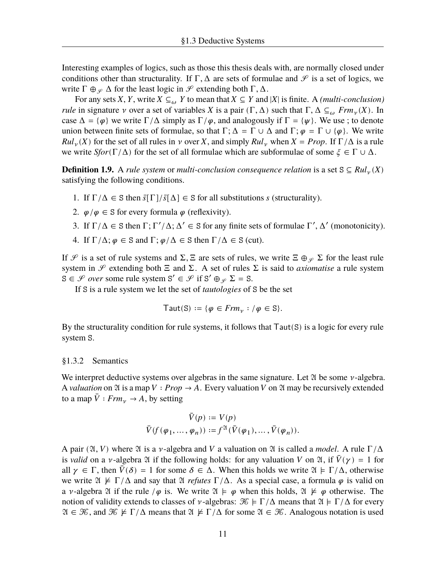Interesting examples of logics, such as those this thesis deals with, are normally closed under conditions other than structurality. If  $\Gamma$ ,  $\Delta$  are sets of formulae and  $\mathcal{S}$  is a set of logics, we write  $\Gamma \oplus_{\varphi} \Delta$  for the least logic in  $\mathscr P$  extending both  $\Gamma, \Delta$ .

For any sets X, Y, write  $X \subseteq_{\omega} Y$  to mean that  $X \subseteq Y$  and |X| is finite. A *(multi-conclusion) rule* in signature v over a set of variables X is a pair  $(\Gamma, \Delta)$  such that  $\Gamma, \Delta \subseteq_{\omega} Frm_{\nu}(X)$ . In case  $\Delta = {\varphi}$  we write  $\Gamma/\Delta$  simply as  $\Gamma/\varphi$ , and analogously if  $\Gamma = {\psi}$ . We use ; to denote union between finite sets of formulae, so that  $\Gamma$ ;  $\Delta = \Gamma \cup \Delta$  and  $\Gamma$ ;  $\varphi = \Gamma \cup {\varphi}$ . We write  $Rul_{\nu}(X)$  for the set of all rules in  $\nu$  over X, and simply  $Rul_{\nu}$  when  $X = Prop$ . If  $\Gamma/\Delta$  is a rule we write *Sfor*( $\Gamma/\Delta$ ) for the set of all formulae which are subformulae of some  $\xi \in \Gamma \cup \Delta$ .

**Definition 1.9.** A *rule system* or *multi-conclusion consequence relation* is a set S ⊆  $Ru_{\nu}(X)$ satisfying the following conditions.

- 1. If  $\Gamma/\Delta \in S$  then  $\bar{s}[\Gamma]/\bar{s}[\Delta] \in S$  for all substitutions *s* (structurality).
- 2.  $\varphi/\varphi \in S$  for every formula  $\varphi$  (reflexivity).
- 3. If  $\Gamma/\Delta \in S$  then  $\Gamma$ ;  $\Gamma'/\Delta$ ;  $\Delta' \in S$  for any finite sets of formulae  $\Gamma', \Delta'$  (monotonicity).
- 4. If  $\Gamma/\Delta$ ;  $\varphi \in S$  and  $\Gamma$ ;  $\varphi/\Delta \in S$  then  $\Gamma/\Delta \in S$  (cut).

If  $\mathcal P$  is a set of rule systems and  $\Sigma$ ,  $\Xi$  are sets of rules, we write  $\Xi \oplus_{\mathcal P} \Sigma$  for the least rule system in  $\mathcal P$  extending both  $\Xi$  and  $\Sigma$ . A set of rules  $\Sigma$  is said to *axiomatise* a rule system  $S \in \mathcal{S}$  over some rule system  $S' \in \mathcal{S}$  if  $S' \oplus_{\mathcal{S}} \Sigma = S$ .

If S is a rule system we let the set of *tautologies* of S be the set

Taut(S) := {
$$
\varphi \in \text{Frm}_\nu : / \varphi \in S
$$
 }.

By the structurality condition for rule systems, it follows that Taut(S) is a logic for every rule system S.

#### <span id="page-15-0"></span>§1.3.2 Semantics

We interpret deductive systems over algebras in the same signature. Let  $\mathfrak A$  be some  $\nu$ -algebra. A *valuation* on  $\mathfrak A$  is a map  $V : Prop \to A$ . Every valuation  $V$  on  $\mathfrak A$  may be recursively extended to a map  $\overline{V}$  *: Frm<sub>v</sub>*  $\rightarrow$  *A*, by setting

$$
\begin{aligned} \bar V(p) &:= V(p) \\ \bar V(f(\varphi_1,\dots,\varphi_n)) &:=& f^{\mathfrak{A}}(\bar V(\varphi_1),\dots,\bar V(\varphi_n)). \end{aligned}
$$

A pair ( $\mathfrak{A}, V$ ) where  $\mathfrak A$  is a  $\nu$ -algebra and V a valuation on  $\mathfrak A$  is called a *model*. A rule  $\Gamma/\Delta$ is *valid* on a *v*-algebra 2*i* if the following holds: for any valuation *V* on 2*i*, if  $\bar{V}(\gamma) = 1$  for all  $\gamma \in \Gamma$ , then  $\bar{V}(\delta) = 1$  for some  $\delta \in \Delta$ . When this holds we write  $\mathfrak{A} \models \Gamma/\Delta$ , otherwise we write  $\mathfrak{A} \not\models \Gamma/\Delta$  and say that  $\mathfrak{A}$  *refutes*  $\Gamma/\Delta$ . As a special case, a formula  $\varphi$  is valid on a v-algebra  $\mathfrak A$  if the rule / $\varphi$  is. We write  $\mathfrak A \models \varphi$  when this holds,  $\mathfrak A \not\models \varphi$  otherwise. The notion of validity extends to classes of v-algebras:  $\mathcal{K} \models \Gamma/\Delta$  means that  $\mathcal{A} \models \Gamma/\Delta$  for every  $\mathfrak{A} \in \mathcal{K}$ , and  $\mathcal{K} \not\models \Gamma/\Delta$  means that  $\mathfrak{A} \not\models \Gamma/\Delta$  for some  $\mathfrak{A} \in \mathcal{K}$ . Analogous notation is used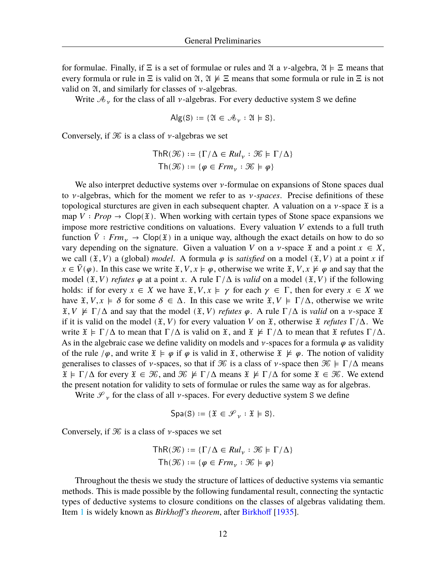for formulae. Finally, if  $\Xi$  is a set of formulae or rules and  $\mathfrak A$  a  $\nu$ -algebra,  $\mathfrak A \models \Xi$  means that every formula or rule in  $\Xi$  is valid on  $\mathfrak{A}, \mathfrak{A} \not\models \Xi$  means that some formula or rule in  $\Xi$  is not valid on  $\mathfrak{A}$ , and similarly for classes of  $\nu$ -algebras.

Write  $\mathcal{A}_{\nu}$  for the class of all  $\nu$ -algebras. For every deductive system S we define

$$
Alg(S) := \{ \mathfrak{A} \in \mathcal{A}_{\nu} : \mathfrak{A} \models S \}.
$$

Conversely, if  $\mathcal K$  is a class of  $\nu$ -algebras we set

$$
\mathsf{ThR}(\mathcal{K}) := \{ \Gamma/\Delta \in \mathit{Rul}_{\nu} : \mathcal{K} \models \Gamma/\Delta \}
$$
\n
$$
\mathsf{Th}(\mathcal{K}) := \{ \varphi \in \mathit{Frm}_{\nu} : \mathcal{K} \models \varphi \}
$$

We also interpret deductive systems over  $\nu$ -formulae on expansions of Stone spaces dual to  $\nu$ -algebras, which for the moment we refer to as  $\nu$ -spaces. Precise definitions of these topological sturctures are given in each subsequent chapter. A valuation on a  $\nu$ -space  $\tilde{x}$  is a map  $V : Prop \rightarrow Clop(\mathfrak{X})$ . When working with certain types of Stone space expansions we impose more restrictive conditions on valuations. Every valuation  $V$  extends to a full truth function  $\overline{V}$  *frm*<sub>y</sub>  $\rightarrow$  Clop( $\hat{x}$ ) in a unique way, although the exact details on how to do so vary depending on the signature. Given a valuation V on a v-space  $\mathfrak X$  and a point  $x \in X$ , we call  $(\mathfrak{X}, V)$  a (global) *model*. A formula  $\varphi$  is *satisfied* on a model  $(\mathfrak{X}, V)$  at a point x if  $x \in \overline{V}(\varphi)$ . In this case we write  $\mathfrak{X}, V, x \models \varphi$ , otherwise we write  $\mathfrak{X}, V, x \not\models \varphi$  and say that the model  $(\mathfrak{X}, V)$  *refutes*  $\varphi$  at a point x. A rule  $\Gamma/\Delta$  is *valid* on a model  $(\mathfrak{X}, V)$  if the following holds: if for every  $x \in X$  we have  $\mathfrak{X}, V, x \models \gamma$  for each  $\gamma \in \Gamma$ , then for every  $x \in X$  we have  $\tilde{x}, V, x \models \delta$  for some  $\delta \in \Delta$ . In this case we write  $\tilde{x}, V \models \Gamma/\Delta$ , otherwise we write  $\mathfrak{X}, V \not\models \Gamma/\Delta$  and say that the model  $(\mathfrak{X}, V)$  *refutes*  $\varphi$ . A rule  $\Gamma/\Delta$  is *valid* on a *v*-space  $\mathfrak{X}$ if it is valid on the model  $(\mathfrak{X}, V)$  for every valuation V on  $\mathfrak{X}$ , otherwise  $\mathfrak{X}$  *refutes*  $\Gamma/\Delta$ . We write  $\mathfrak{X} \models \Gamma/\Delta$  to mean that  $\Gamma/\Delta$  is valid on  $\mathfrak{X}$ , and  $\mathfrak{X} \not\models \Gamma/\Delta$  to mean that  $\mathfrak{X}$  refutes  $\Gamma/\Delta$ . As in the algebraic case we define validity on models and  $\nu$ -spaces for a formula  $\varphi$  as validity of the rule / $\varphi$ , and write  $\mathfrak{X} \models \varphi$  if  $\varphi$  is valid in  $\mathfrak{X}$ , otherwise  $\mathfrak{X} \not\models \varphi$ . The notion of validity generalises to classes of  $\nu$ -spaces, so that if  $\mathcal K$  is a class of  $\nu$ -space then  $\mathcal K \models \Gamma/\Delta$  means  $\mathfrak{X} \models \Gamma/\Delta$  for every  $\mathfrak{X} \in \mathcal{K}$ , and  $\mathcal{K} \not\models \Gamma/\Delta$  means  $\mathfrak{X} \not\models \Gamma/\Delta$  for some  $\mathfrak{X} \in \mathcal{K}$ . We extend the present notation for validity to sets of formulae or rules the same way as for algebras.

Write  $\mathcal{S}_v$  for the class of all  $\nu$ -spaces. For every deductive system S we define

$$
Spa(S) := \{ \mathfrak{X} \in \mathcal{S}_{\nu} : \mathfrak{X} \models S \}.
$$

Conversely, if  $\mathcal K$  is a class of *v*-spaces we set

$$
\mathsf{ThR}(\mathcal{K}) := \{\Gamma/\Delta \in \mathit{Rul}_\nu : \mathcal{K} \models \Gamma/\Delta\}
$$
\n
$$
\mathsf{Th}(\mathcal{K}) := \{\varphi \in \mathit{Frm}_\nu : \mathcal{K} \models \varphi\}
$$

<span id="page-16-0"></span>Throughout the thesis we study the structure of lattices of deductive systems via semantic methods. This is made possible by the following fundamental result, connecting the syntactic types of deductive systems to closure conditions on the classes of algebras validating them. Item [1](#page-17-0) is widely known as *Birkhoff's theorem*, after [Birkhoff](#page-107-8) [[1935\]](#page-107-8).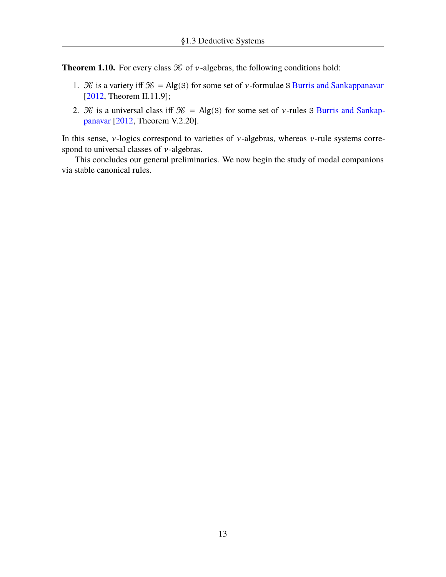**Theorem 1.10.** For every class  $\mathcal K$  of  $\nu$ -algebras, the following conditions hold:

- <span id="page-17-0"></span>1.  $\mathcal K$  is a variety iff  $\mathcal K = Alg(S)$  for some set of  $\nu$ -formulae S [Burris and Sankappanavar](#page-107-7) [[2012,](#page-107-7) Theorem II.11.9];
- 2.  $\mathcal K$  is a universal class iff  $\mathcal K = Alg(S)$  for some set of *v*-rules S [Burris and Sankap](#page-107-7)[panavar](#page-107-7) [\[2012,](#page-107-7) Theorem V.2.20].

In this sense,  $\nu$ -logics correspond to varieties of  $\nu$ -algebras, whereas  $\nu$ -rule systems correspond to universal classes of  $\nu$ -algebras.

This concludes our general preliminaries. We now begin the study of modal companions via stable canonical rules.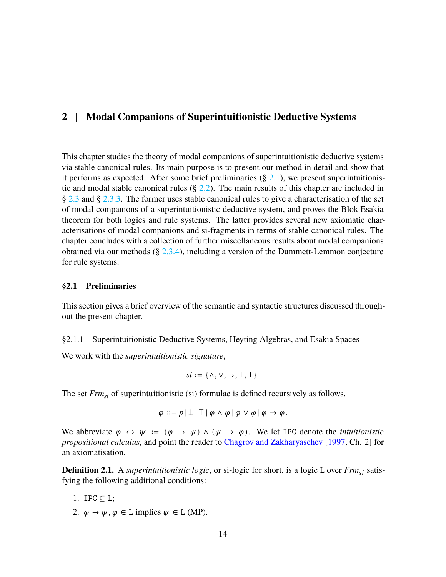# <span id="page-18-0"></span>**2 | Modal Companions of Superintuitionistic Deductive Systems**

This chapter studies the theory of modal companions of superintuitionistic deductive systems via stable canonical rules. Its main purpose is to present our method in detail and show that it performs as expected. After some brief preliminaries  $(\S 2.1)$  $(\S 2.1)$ , we present superintuitionistic and modal stable canonical rules  $(\S$  [2.2\)](#page-25-0). The main results of this chapter are included in § [2.3](#page-31-0) and § [2.3.3.](#page-39-0) The former uses stable canonical rules to give a characterisation of the set of modal companions of a superintuitionistic deductive system, and proves the Blok-Esakia theorem for both logics and rule systems. The latter provides several new axiomatic characterisations of modal companions and si-fragments in terms of stable canonical rules. The chapter concludes with a collection of further miscellaneous results about modal companions obtained via our methods  $(\S 2.3.4)$  $(\S 2.3.4)$ , including a version of the Dummett-Lemmon conjecture for rule systems.

## <span id="page-18-1"></span>**§2.1 Preliminaries**

This section gives a brief overview of the semantic and syntactic structures discussed throughout the present chapter.

<span id="page-18-2"></span>§2.1.1 Superintuitionistic Deductive Systems, Heyting Algebras, and Esakia Spaces

We work with the *superintuitionistic signature*,

$$
si := \{\wedge, \vee, \rightarrow, \bot, \top\}.
$$

The set *Frmsi* of superintuitionistic (si) formulae is defined recursively as follows.

$$
\varphi ::= p \mid \perp \mid \top \mid \varphi \land \varphi \mid \varphi \lor \varphi \mid \varphi \to \varphi.
$$

We abbreviate  $\varphi \leftrightarrow \psi := (\varphi \rightarrow \psi) \land (\psi \rightarrow \varphi)$ . We let IPC denote the *intuitionistic propositional calculus*, and point the reader to [Chagrov and Zakharyaschev](#page-107-9) [\[1997](#page-107-9), Ch. 2] for an axiomatisation.

**Definition 2.1.** A *superintuitionistic logic*, or si-logic for short, is a logic L over  $Frm_{si}$  satisfying the following additional conditions:

- 1. IPC  $\subseteq$  L;
- 2.  $\varphi \to \psi, \varphi \in L$  implies  $\psi \in L$  (MP).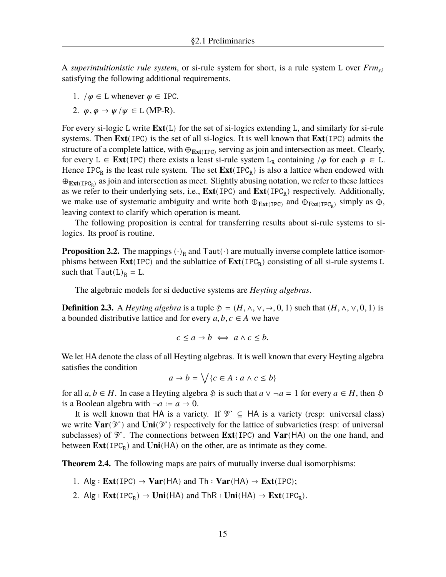A *superintuitionistic rule system*, or si-rule system for short, is a rule system L over *Frm* satisfying the following additional requirements.

- 1.  $/\varphi \in L$  whenever  $\varphi \in \text{IPC}$ .
- 2.  $\varphi$ ,  $\varphi \to \psi / \psi \in L$  (MP-R).

For every si-logic L write **Ext**(L) for the set of si-logics extending L, and similarly for si-rule systems. Then **Ext**(IPC) is the set of all si-logics. It is well known that **Ext**(IPC) admits the structure of a complete lattice, with ⊕**Ext**(IPC) serving as join and intersection as meet. Clearly, for every L  $\in$  **Ext**(IPC) there exists a least si-rule system L<sub>R</sub> containing / $\varphi$  for each  $\varphi \in L$ . Hence  $IPC_R$  is the least rule system. The set  $Ext(IPC_R)$  is also a lattice when endowed with ⊕<sub>Ext(IPC<sub>R</sub>)</sub> as join and intersection as meet. Slightly abusing notation, we refer to these lattices as we refer to their underlying sets, i.e.,  $Ext(IPC)$  and  $Ext(IPC_R)$  respectively. Additionally, we make use of systematic ambiguity and write both  $\oplus_{Ext(IDC)}$  and  $\oplus_{Ext(IDC_R)}$  simply as  $\oplus$ , leaving context to clarify which operation is meant.

The following proposition is central for transferring results about si-rule systems to silogics. Its proof is routine.

<span id="page-19-2"></span>**Proposition 2.2.** The mappings  $(\cdot)_{R}$  and Taut $(\cdot)$  are mutually inverse complete lattice isomorphisms between **Ext**(IPC) and the sublattice of  $\text{Ext}(\text{IPC}_R)$  consisting of all si-rule systems L such that  $Taut(L)<sub>R</sub> = L$ .

The algebraic models for si deductive systems are *Heyting algebras*.

**Definition 2.3.** A *Heyting algebra* is a tuple  $\mathfrak{H} = (H, \wedge, \vee, \rightarrow, 0, 1)$  such that  $(H, \wedge, \vee, 0, 1)$  is a bounded distributive lattice and for every  $a, b, c \in A$  we have

$$
c \le a \to b \iff a \land c \le b.
$$

We let HA denote the class of all Heyting algebras. It is well known that every Heyting algebra satisfies the condition

$$
a \to b = \bigvee \{c \in A : a \land c \le b\}
$$

for all  $a, b \in H$ . In case a Heyting algebra  $\mathfrak{H}$  is such that  $a \vee \neg a = 1$  for every  $a \in H$ , then  $\mathfrak{H}$ is a Boolean algebra with  $\neg a := a \rightarrow 0$ .

It is well known that HA is a variety. If  $\mathcal{V} \subseteq HA$  is a variety (resp: universal class) we write  $\text{Var}(\mathcal{V})$  and  $\text{Uni}(\mathcal{V})$  respectively for the lattice of subvarieties (resp: of universal subclasses) of  $\mathcal V$ . The connections between **Ext**(IPC) and **Var**(HA) on the one hand, and between  $\text{Ext}(\text{IPC}_R)$  and  $\text{Uni}(HA)$  on the other, are as intimate as they come.

<span id="page-19-0"></span>**Theorem 2.4.** The following maps are pairs of mutually inverse dual isomorphisms:

- 1.  $\text{Alg}: \text{Ext}(\text{IPC}) \to \text{Var}(\text{HA})$  and  $\text{Th}: \text{Var}(\text{HA}) \to \text{Ext}(\text{IPC})$ ;
- <span id="page-19-1"></span>2. Alg :  $\text{Ext}(\text{IPC}_R) \to \text{Uni}(HA)$  and  $\text{ThR} : \text{Uni}(HA) \to \text{Ext}(\text{IPC}_R)$ .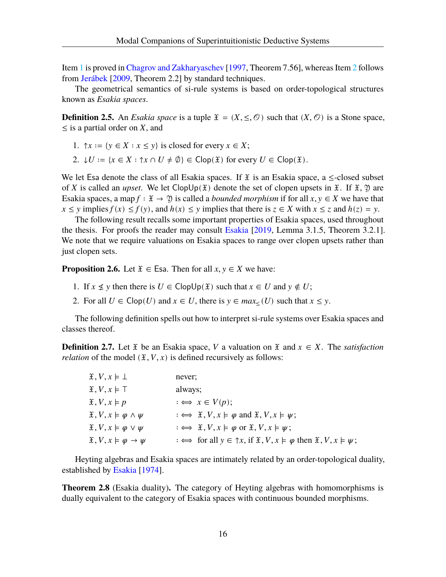Item [1](#page-19-0) is proved in [Chagrov and Zakharyaschev](#page-107-9) [[1997,](#page-107-9) Theorem 7.56], whereas Item [2](#page-19-1) follows from [Jerábek](#page-108-7) [[2009,](#page-108-7) Theorem 2.2] by standard techniques.

The geometrical semantics of si-rule systems is based on order-topological structures known as *Esakia spaces*.

**Definition 2.5.** An *Esakia space* is a tuple  $\mathfrak{X} = (X, \leq, \mathcal{O})$  such that  $(X, \mathcal{O})$  is a Stone space,  $\leq$  is a partial order on X, and

- 1.  $\uparrow x := \{ y \in X : x \leq y \}$  is closed for every  $x \in X$ ;
- 2.  $\downarrow U := \{x \in X : \uparrow x \cap U \neq \emptyset\} \in \mathsf{Clop}(\mathfrak{X})$  for every  $U \in \mathsf{Clop}(\mathfrak{X})$ .

We let Esa denote the class of all Esakia spaces. If  $\tilde{x}$  is an Esakia space, a  $\leq$ -closed subset of X is called an *upset*. We let  $\text{Clop}(\mathfrak{X})$  denote the set of clopen upsets in  $\mathfrak{X}$ . If  $\mathfrak{X}, \mathfrak{Y}$  are Esakia spaces, a map  $f : \mathfrak{X} \to \mathfrak{Y}$  is called a *bounded morphism* if for all  $x, y \in X$  we have that  $x \le y$  implies  $f(x) \le f(y)$ , and  $h(x) \le y$  implies that there is  $z \in X$  with  $x \le z$  and  $h(z) = y$ .

The following result recalls some important properties of Esakia spaces, used throughout the thesis. For proofs the reader may consult [Esakia](#page-108-11) [[2019,](#page-108-11) Lemma 3.1.5, Theorem 3.2.1]. We note that we require valuations on Esakia spaces to range over clopen upsets rather than just clopen sets.

<span id="page-20-0"></span>**Proposition 2.6.** Let  $\mathfrak{X} \in \mathsf{Ess}$ . Then for all  $x, y \in X$  we have:

- 1. If  $x \nleq y$  then there is  $U \in \text{ClopUp}(\mathfrak{X})$  such that  $x \in U$  and  $y \notin U$ ;
- 2. For all  $U \in \text{Clop}(U)$  and  $x \in U$ , there is  $y \in \max_{\leq} (U)$  such that  $x \leq y$ .

The following definition spells out how to interpret si-rule systems over Esakia spaces and classes thereof.

**Definition 2.7.** Let  $\tilde{x}$  be an Esakia space, V a valuation on  $\tilde{x}$  and  $x \in X$ . The *satisfaction relation* of the model  $(\mathfrak{X}, V, x)$  is defined recursively as follows:

| $\mathfrak{X}, V, x \models \bot$                     | never;                                                                                                                      |
|-------------------------------------------------------|-----------------------------------------------------------------------------------------------------------------------------|
| $\mathfrak{X}, V, x \models \top$                     | always;                                                                                                                     |
| $\mathfrak{X}, V, x \models p$                        | $\Rightarrow x \in V(p);$                                                                                                   |
| $\mathfrak{X}, V, x \models \varphi \land \psi$       | $\colon \Longleftrightarrow \mathfrak{X}, V, x \models \varphi \text{ and } \mathfrak{X}, V, x \models \psi;$               |
| $\mathfrak{X}, V, x \models \varphi \lor \psi$        | $\colon \Longleftrightarrow \mathfrak{X}, V, x \models \varphi \text{ or } \mathfrak{X}, V, x \models \psi;$                |
| $\mathfrak{X}, V, x \models \varphi \rightarrow \psi$ | $\Rightarrow$ for all $y \in \uparrow x$ , if $\mathfrak{X}, V, x \models \varphi$ then $\mathfrak{X}, V, x \models \psi$ ; |

Heyting algebras and Esakia spaces are intimately related by an order-topological duality, established by [Esakia](#page-108-12) [\[1974](#page-108-12)].

**Theorem 2.8** (Esakia duality)**.** The category of Heyting algebras with homomorphisms is dually equivalent to the category of Esakia spaces with continuous bounded morphisms.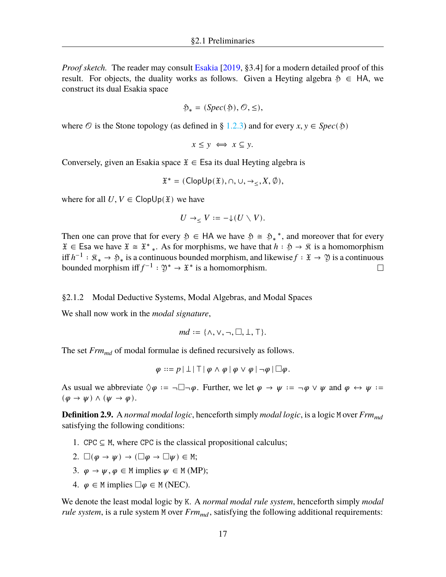*Proof sketch.* The reader may consult [Esakia](#page-108-11) [\[2019](#page-108-11), §3.4] for a modern detailed proof of this result. For objects, the duality works as follows. Given a Heyting algebra  $\mathfrak{H} \in HA$ , we construct its dual Esakia space

$$
\mathfrak{H}_*=(Spec(\mathfrak{H}),\mathcal{O},\leq),
$$

where  $\circled{e}$  is the Stone topology (as defined in § [1.2.3](#page-13-0)) and for every  $x, y \in Spec(\mathfrak{H})$ 

$$
x \le y \iff x \subseteq y.
$$

Conversely, given an Esakia space  $\mathfrak{X} \in \mathsf{Es}$ a its dual Heyting algebra is

$$
\mathfrak{X}^* = (\mathsf{ClopUp}(\mathfrak{X}), \cap, \cup, \rightarrow_{\leq}, X, \emptyset),
$$

where for all  $U, V \in \text{ClopUp}(\mathfrak{X})$  we have

$$
U\to_{\leq} V:=-{\downarrow}(U\smallsetminus V).
$$

Then one can prove that for every  $\mathfrak{H} \in HA$  we have  $\mathfrak{H} \cong \mathfrak{H}^*$ , and moreover that for every  $\mathfrak{X} \in \mathsf{Esa}$  we have  $\mathfrak{X} \cong \mathfrak{X}^*$ . As for morphisms, we have that  $h : \mathfrak{H} \to \mathfrak{K}$  is a homomorphism iff  $h^{-1}$ :  $\mathfrak{K}_* \to \mathfrak{H}_*$  is a continuous bounded morphism, and likewise  $f : \mathfrak{X} \to \mathfrak{Y}$  is a continuous bounded morphism iff  $f^{-1}: \mathfrak{Y}^* \to \mathfrak{X}^*$  is a homomorphism.  $\Box$ 

#### <span id="page-21-0"></span>§2.1.2 Modal Deductive Systems, Modal Algebras, and Modal Spaces

We shall now work in the *modal signature*,

$$
md:=\{\wedge,\vee,\neg,\Box,\bot,\top\}.
$$

The set *Frmmd* of modal formulae is defined recursively as follows.

 $\varphi ::= p | \bot | \top | \varphi \wedge \varphi | \varphi \vee \varphi | \neg \varphi | \Box \varphi.$ 

As usual we abbreviate  $\Diamond \varphi := \neg \Box \neg \varphi$ . Further, we let  $\varphi \rightarrow \psi := \neg \varphi \lor \psi$  and  $\varphi \leftrightarrow \psi :=$  $(\varphi \to \psi) \land (\psi \to \varphi).$ 

**Definition 2.9.** A *normal modal logic*, henceforth simply *modal logic*, is a logic M over *Frm* satisfying the following conditions:

- 1. CPC  $\subseteq$  M, where CPC is the classical propositional calculus;
- 2.  $\square(\varphi \to \psi) \to (\square \varphi \to \square \psi) \in M;$
- 3.  $\varphi \to \psi, \varphi \in M$  implies  $\psi \in M$  (MP);
- 4.  $\varphi \in M$  implies  $\Box \varphi \in M$  (NEC).

We denote the least modal logic by K. A *normal modal rule system*, henceforth simply *modal rule system*, is a rule system M over  $Frm_{md}$ , satisfying the following additional requirements: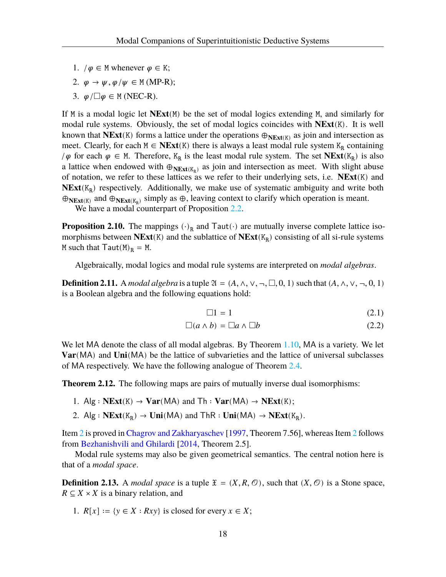- 1.  $/\varphi \in M$  whenever  $\varphi \in K$ ;
- 2.  $\varphi \to \psi$ ,  $\varphi / \psi \in M$  (MP-R);
- 3.  $\varphi/\Box \varphi \in M$  (NEC-R).

If M is a modal logic let **NExt**(M) be the set of modal logics extending M, and similarly for modal rule systems. Obviously, the set of modal logics coincides with **NExt**(K). It is well known that **NExt**(K) forms a lattice under the operations  $\oplus_{N\to\text{Ext}(K)}$  as join and intersection as meet. Clearly, for each  $M \in \mathbf{NExt}(K)$  there is always a least modal rule system  $K_R$  containing / $\varphi$  for each  $\varphi$  ∈ M. Therefore, K<sub>R</sub> is the least modal rule system. The set **NExt**(K<sub>R</sub>) is also a lattice when endowed with  $\bigoplus_{N\in \mathbf{X}t(K_R)}$  as join and intersection as meet. With slight abuse of notation, we refer to these lattices as we refer to their underlying sets, i.e. **NExt**(K) and  $NExt(K_R)$  respectively. Additionally, we make use of systematic ambiguity and write both  $\oplus_{N\to X}$  and  $\oplus_{N\to X}$  (K<sub>R</sub>) simply as  $\oplus$ , leaving context to clarify which operation is meant.

We have a modal counterpart of Proposition [2.2.](#page-19-2)

**Proposition 2.10.** The mappings  $(\cdot)_R$  and Taut $(\cdot)$  are mutually inverse complete lattice isomorphisms between **NExt**(K) and the sublattice of **NExt**(K<sub>R</sub>) consisting of all si-rule systems M such that  $Taut(M)<sub>R</sub> = M$ .

Algebraically, modal logics and modal rule systems are interpreted on *modal algebras*.

**Definition 2.11.** A *modal algebra* is a tuple  $\mathfrak{A} = (A, \wedge, \vee, \neg, \Box, 0, 1)$  such that  $(A, \wedge, \vee, \neg, 0, 1)$ is a Boolean algebra and the following equations hold:

$$
\Box 1 = 1 \tag{2.1}
$$

$$
\Box(a \land b) = \Box a \land \Box b \tag{2.2}
$$

We let MA denote the class of all modal algebras. By Theorem [1.10](#page-16-0), MA is a variety. We let **Var**(MA) and **Uni**(MA) be the lattice of subvarieties and the lattice of universal subclasses of MA respectively. We have the following analogue of Theorem [2.4.](#page-19-1)

**Theorem 2.12.** The following maps are pairs of mutually inverse dual isomorphisms:

- 1. Alg :  $NExt(K) \rightarrow Var(MA)$  and  $Th : Var(MA) \rightarrow NExt(K);$
- <span id="page-22-0"></span>2. Alg :  $NExt(K_R) \rightarrow Uni(MA)$  and  $ThR : Uni(MA) \rightarrow NExt(K_R)$ .

Item [2](#page-22-0) is proved in [Chagrov and Zakharyaschev](#page-107-9) [[1997,](#page-107-9) Theorem 7.56], whereas Item [2](#page-22-0) follows from [Bezhanishvili and Ghilardi](#page-107-10) [\[2014,](#page-107-10) Theorem 2.5].

Modal rule systems may also be given geometrical semantics. The central notion here is that of a *modal space*.

**Definition 2.13.** A *modal space* is a tuple  $\mathfrak{X} = (X, R, \mathcal{O})$ , such that  $(X, \mathcal{O})$  is a Stone space,  $R \subseteq X \times X$  is a binary relation, and

1.  $R[x] := \{ y \in X : Rxy \}$  is closed for every  $x \in X$ ;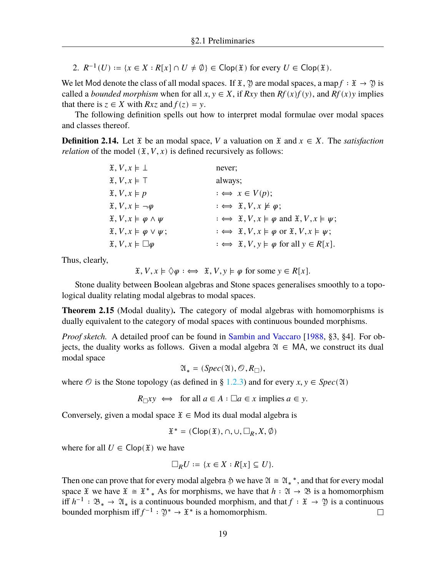2.  $R^{-1}(U) := \{x \in X : R[x] \cap U \neq \emptyset\} \in \text{Clop}(\mathfrak{X})$  for every  $U \in \text{Clop}(\mathfrak{X})$ .

We let Mod denote the class of all modal spaces. If  $\mathfrak{X}, \mathfrak{Y}$  are modal spaces, a map  $f : \mathfrak{X} \to \mathfrak{Y}$  is called a *bounded morphism* when for all  $x, y \in X$ , if  $Rxy$  then  $Rf(x)f(y)$ , and  $Rf(x)y$  implies that there is  $z \in X$  with  $Rxz$  and  $f(z) = y$ .

The following definition spells out how to interpret modal formulae over modal spaces and classes thereof.

**Definition 2.14.** Let  $\tilde{x}$  be an modal space, V a valuation on  $\tilde{x}$  and  $x \in X$ . The *satisfaction relation* of the model  $(\mathfrak{X}, V, x)$  is defined recursively as follows:

| $\mathfrak{X}, V, x \models \bot$               | never;                                                                                                       |
|-------------------------------------------------|--------------------------------------------------------------------------------------------------------------|
| $\mathfrak{X}, V, x \models \top$               | always;                                                                                                      |
| $\mathfrak{X}, V, x \models p$                  | $\Rightarrow x \in V(p);$                                                                                    |
| $\mathfrak{X}, V, x \models \neg \varphi$       | $\colon \iff \mathfrak{X}, V, x \not\models \varphi;$                                                        |
| $\mathfrak{X}, V, x \models \varphi \land \psi$ | $\Rightarrow$ $\mathfrak{X}, V, x \models \varphi$ and $\mathfrak{X}, V, x \models \psi$ ;                   |
| $\mathfrak{X}, V, x \models \varphi \lor \psi;$ | $\colon \Longleftrightarrow \mathfrak{X}, V, x \models \varphi \text{ or } \mathfrak{X}, V, x \models \psi;$ |
| $\mathfrak{X}, V, x \models \Box \varphi$       | $\colon \iff \mathfrak{X}, V, y \models \varphi \text{ for all } y \in R[x].$                                |

Thus, clearly,

 $\mathfrak{X}, V, x \models \Diamond \varphi : \iff \mathfrak{X}, V, y \models \varphi \text{ for some } y \in R[x].$ 

Stone duality between Boolean algebras and Stone spaces generalises smoothly to a topological duality relating modal algebras to modal spaces.

**Theorem 2.15** (Modal duality)**.** The category of modal algebras with homomorphisms is dually equivalent to the category of modal spaces with continuous bounded morphisms.

*Proof sketch.* A detailed proof can be found in [Sambin and Vaccaro](#page-109-5) [\[1988](#page-109-5), §3, §4]. For objects, the duality works as follows. Given a modal algebra  $\mathfrak{A} \in MA$ , we construct its dual modal space

$$
\mathfrak{A}_* = (Spec(\mathfrak{A}), \mathcal{O}, R_{\square}),
$$

where  $\mathcal O$  is the Stone topology (as defined in § [1.2.3](#page-13-0)) and for every  $x, y \in Spec(\mathfrak{A})$ 

$$
R_{\Box} xy \iff \text{ for all } a \in A : \Box a \in x \text{ implies } a \in y.
$$

Conversely, given a modal space  $\mathfrak{X} \in \mathsf{Mod}$  its dual modal algebra is

$$
\mathfrak{X}^*=(\mathsf{Clop}(\mathfrak{X}),\cap,\cup,\square_R,X,\emptyset)
$$

where for all  $U \in \text{Clop}(\mathfrak{X})$  we have

$$
\Box_R U := \{ x \in X : R[x] \subseteq U \}.
$$

Then one can prove that for every modal algebra  $\varphi$  we have  $\mathfrak{A} \cong \mathfrak{A}^*$ , and that for every modal space  $\mathfrak X$  we have  $\mathfrak X \cong \mathfrak X^*$ . As for morphisms, we have that  $h : \mathfrak A \to \mathfrak B$  is a homomorphism iff  $h^{-1}$  :  $\mathfrak{B}_* \to \mathfrak{A}_*$  is a continuous bounded morphism, and that  $f : \mathfrak{X} \to \mathfrak{Y}$  is a continuous bounded morphism iff  $f^{-1}: \mathfrak{Y}^* \to \mathfrak{X}^*$  is a homomorphism.  $\Box$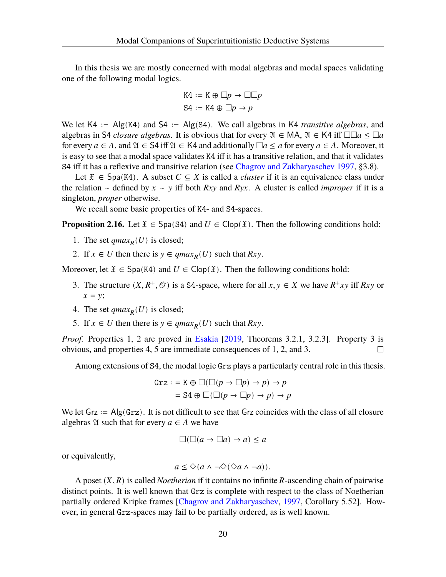In this thesis we are mostly concerned with modal algebras and modal spaces validating one of the following modal logics.

$$
K4 := K \oplus \Box p \to \Box \Box p
$$

$$
S4 := K4 \oplus \Box p \to p
$$

We let K4 ∶= Alg(K4) and S4 ∶= Alg(S4). We call algebras in K4 *transitive algebras*, and algebras in S4 *closure algebras*. It is obvious that for every  $\mathfrak{A} \in MA$ ,  $\mathfrak{A} \in KA$  iff  $\square \square a \leq \square a$ for every  $a \in A$ , and  $\mathfrak{A} \in S4$  iff  $\mathfrak{A} \in K4$  and additionally  $\Box a \le a$  for every  $a \in A$ . Moreover, it is easy to see that a modal space validates K4 iff it has a transitive relation, and that it validates S4 iff it has a reflexive and transitive relation (see [Chagrov and Zakharyaschev](#page-107-9) [1997,](#page-107-9) §3.8).

Let  $\mathfrak{X} \in \text{Spa}(K4)$ . A subset  $C \subseteq X$  is called a *cluster* if it is an equivalence class under the relation  $\sim$  defined by  $x \sim y$  iff both Rxy and Ryx. A cluster is called *improper* if it is a singleton, *proper* otherwise.

We recall some basic properties of K4- and S4-spaces.

<span id="page-24-0"></span>**Proposition 2.16.** Let  $\tilde{x} \in \text{Spa}(S4)$  and  $U \in \text{Clop}(\tilde{x})$ . Then the following conditions hold:

- 1. The set  $qmax_R(U)$  is closed;
- 2. If  $x \in U$  then there is  $y \in qmax_R(U)$  such that  $Rxy$ .

Moreover, let  $\mathfrak{X} \in \mathsf{Spa}(K4)$  and  $U \in \mathsf{Clop}(\mathfrak{X})$ . Then the following conditions hold:

- 3. The structure  $(X, R^+, \mathcal{O})$  is a S4-space, where for all  $x, y \in X$  we have  $R^+xy$  iff  $Rxy$  or  $x = y;$
- 4. The set  $qmax_R(U)$  is closed;
- 5. If  $x \in U$  then there is  $y \in qmax_R(U)$  such that  $Rxy$ .

*Proof.* Properties 1, 2 are proved in [Esakia](#page-108-11) [\[2019,](#page-108-11) Theorems 3.2.1, 3.2.3]. Property 3 is obvious, and properties 4, 5 are immediate consequences of 1, 2, and 3.  $\Box$ 

Among extensions of S4, the modal logic Grz plays a particularly central role in this thesis.

$$
\begin{aligned} \text{Grz}: &= \text{K} \oplus \Box(\Box(p \to \Box p) \to p) \to p \\ &= \text{S4} \oplus \Box(\Box(p \to \Box p) \to p) \to p \end{aligned}
$$

We let  $Grz := Alg(Grz)$ . It is not difficult to see that Grz coincides with the class of all closure algebras  $\mathfrak A$  such that for every  $a \in A$  we have

$$
\Box(\Box(a \to \Box a) \to a) \le a
$$

or equivalently,

$$
a\leq \diamond (a\wedge\neg \diamond (\diamond a\wedge \neg a)).
$$

A poset  $(X, R)$  is called *Noetherian* if it contains no infinite  $R$ -ascending chain of pairwise distinct points. It is well known that Grz is complete with respect to the class of Noetherian partially ordered Kripke frames [\[Chagrov and Zakharyaschev](#page-107-9), [1997,](#page-107-9) Corollary 5.52]. However, in general Grz-spaces may fail to be partially ordered, as is well known.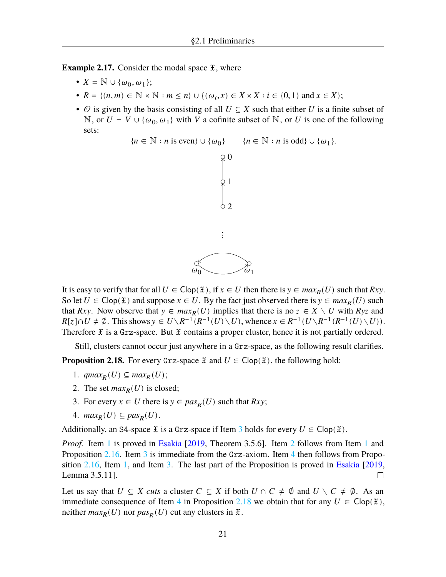**Example 2.17.** Consider the modal space  $\tilde{x}$ , where

- $X = \mathbb{N} \cup \{\omega_0, \omega_1\};$
- $R = \{(n, m) \in \mathbb{N} \times \mathbb{N} : m \le n\} \cup \{(\omega_i, x) \in X \times X : i \in \{0, 1\} \text{ and } x \in X\};$
- $\circ$  is given by the basis consisting of all  $U \subseteq X$  such that either U is a finite subset of N, or  $U = V \cup \{\omega_0, \omega_1\}$  with V a cofinite subset of N, or U is one of the following sets:



It is easy to verify that for all  $U \in \text{Clop}(\mathfrak{X})$ , if  $x \in U$  then there is  $y \in \max_R(U)$  such that  $Rxy$ . So let  $U \in \text{Clop}(\mathfrak{X})$  and suppose  $x \in U$ . By the fact just observed there is  $y \in max_R(U)$  such that Rxy. Now observe that  $y \in max_R(U)$  implies that there is no  $z \in X \setminus U$  with Ryz and  $R[z] \cap U \neq \emptyset$ . This shows  $y \in U \setminus R^{-1}(R^{-1}(U) \setminus U)$ , whence  $x \in R^{-1}(U \setminus R^{-1}(R^{-1}(U) \setminus U))$ . Therefore  $\tilde{x}$  is a Grz-space. But  $\tilde{x}$  contains a proper cluster, hence it is not partially ordered.

Still, clusters cannot occur just anywhere in a Grz-space, as the following result clarifies.

<span id="page-25-5"></span><span id="page-25-2"></span>**Proposition 2.18.** For every Grz-space  $\mathfrak{X}$  and  $U \in \text{Clop}(\mathfrak{X})$ , the following hold:

- 1.  $qmax_R(U) \subseteq max_R(U);$
- <span id="page-25-3"></span>2. The set  $max_R(U)$  is closed;
- <span id="page-25-1"></span>3. For every  $x \in U$  there is  $y \in pas_R(U)$  such that  $Rxy$ ;
- <span id="page-25-4"></span>4.  $max_R(U) \subseteq pas_R(U)$ .

Additionally, an S4-space  $\tilde{x}$  is a Grz-space if Item [3](#page-25-1) holds for every  $U \in \text{Clop}(\tilde{x})$ .

*Proof.* Item [1](#page-25-2) is proved in [Esakia](#page-108-11) [\[2019](#page-108-11), Theorem 3.5.6]. Item [2](#page-25-3) follows from Item 1 and Proposition [2.16](#page-24-0). Item [3](#page-25-1) is immediate from the Grz-axiom. Item [4](#page-25-4) then follows from Proposition [2.16](#page-24-0), Item [1](#page-25-2), and Item [3.](#page-25-1) The last part of the Proposition is proved in [Esakia](#page-108-11) [[2019](#page-108-11), Lemma 3.5.11].  $\Box$ 

<span id="page-25-0"></span>Let us say that  $U \subseteq X$  cuts a cluster  $C \subseteq X$  if both  $U \cap C \neq \emptyset$  and  $U \setminus C \neq \emptyset$ . As an immediate consequence of Item [4](#page-25-4) in Proposition [2.18](#page-25-5) we obtain that for any  $U \in \text{Clop}(\mathfrak{X})$ , neither  $max_R(U)$  nor  $pas_R(U)$  cut any clusters in  $\mathfrak{X}$ .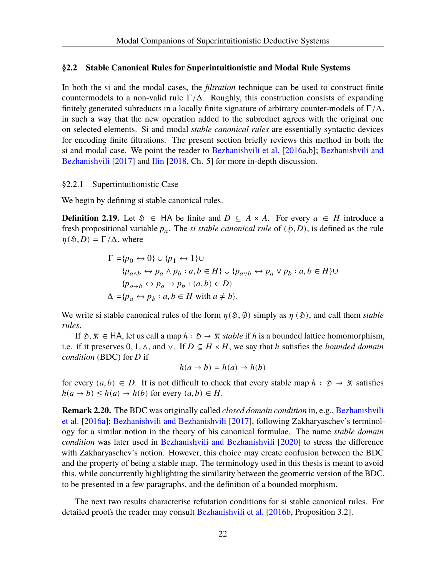## **§2.2 Stable Canonical Rules for Superintuitionistic and Modal Rule Systems**

In both the si and the modal cases, the *filtration* technique can be used to construct finite countermodels to a non-valid rule  $\Gamma/\Delta$ . Roughly, this construction consists of expanding finitely generated subreducts in a locally finite signature of arbitrary counter-models of  $\Gamma/\Delta$ , in such a way that the new operation added to the subreduct agrees with the original one on selected elements. Si and modal *stable canonical rules* are essentially syntactic devices for encoding finite filtrations. The present section briefly reviews this method in both the si and modal case. We point the reader to [Bezhanishvili et al.](#page-107-3) [[2016a,](#page-107-3)[b\]](#page-107-4); [Bezhanishvili and](#page-107-5) [Bezhanishvili](#page-107-5) [[2017\]](#page-107-5) and [Ilin](#page-108-13) [\[2018](#page-108-13), Ch. 5] for more in-depth discussion.

#### <span id="page-26-0"></span>§2.2.1 Supertintuitionistic Case

We begin by defining si stable canonical rules.

**Definition 2.19.** Let  $\mathfrak{H} \in HA$  be finite and  $D \subseteq A \times A$ . For every  $a \in H$  introduce a fresh propositional variable  $p_a$ . The *si stable canonical rule* of  $(\mathfrak{H}, D)$ , is defined as the rule  $\eta(\mathfrak{H}, D) = \Gamma/\Delta$ , where

$$
\Gamma = \{p_0 \leftrightarrow 0\} \cup \{p_1 \leftrightarrow 1\} \cup
$$
  
\n
$$
\{p_{a \land b} \leftrightarrow p_a \land p_b : a, b \in H\} \cup \{p_{a \lor b} \leftrightarrow p_a \lor p_b : a, b \in H\} \cup
$$
  
\n
$$
\{p_{a \to b} \leftrightarrow p_a \to p_b : (a, b) \in D\}
$$
  
\n
$$
\Delta = \{p_a \leftrightarrow p_b : a, b \in H \text{ with } a \neq b\}.
$$

We write si stable canonical rules of the form  $\eta(\xi, \phi)$  simply as  $\eta(\xi)$ , and call them *stable rules*.

If  $\mathfrak{H}, \mathfrak{K} \in HA$ , let us call a map  $h : \mathfrak{H} \to \mathfrak{K}$  stable if h is a bounded lattice homomorphism, i.e. if it preserves 0, 1,  $\wedge$ , and  $\vee$ . If  $D \subseteq H \times H$ , we say that h satisfies the *bounded domain condition* (BDC) for *D* if

$$
h(a \to b) = h(a) \to h(b)
$$

for every  $(a, b) \in D$ . It is not difficult to check that every stable map  $h : \mathfrak{H} \to \mathfrak{K}$  satisfies  $h(a \to b) \leq h(a) \to h(b)$  for every  $(a, b) \in H$ .

**Remark 2.20.** The BDC was originally called *closed domain condition* in, e.g., [Bezhanishvili](#page-107-3) [et al.](#page-107-3) [[2016a\]](#page-107-3); [Bezhanishvili and Bezhanishvili](#page-107-5) [\[2017\]](#page-107-5), following Zakharyaschev's terminology for a similar notion in the theory of his canonical formulae. The name *stable domain condition* was later used in [Bezhanishvili and Bezhanishvili](#page-107-11) [\[2020](#page-107-11)] to stress the difference with Zakharyaschev's notion. However, this choice may create confusion between the BDC and the property of being a stable map. The terminology used in this thesis is meant to avoid this, while concurrently highlighting the similarity between the geometric version of the BDC, to be presented in a few paragraphs, and the definition of a bounded morphism.

<span id="page-26-1"></span>The next two results characterise refutation conditions for si stable canonical rules. For detailed proofs the reader may consult [Bezhanishvili et al.](#page-107-4) [\[2016b](#page-107-4), Proposition 3.2].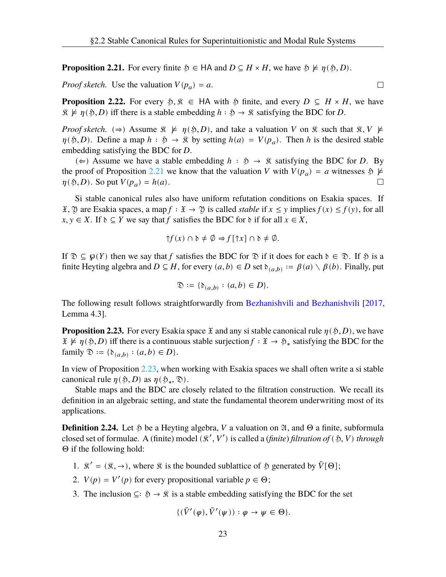**Proposition 2.21.** For every finite  $\mathfrak{H} \in HA$  and  $D \subseteq H \times H$ , we have  $\mathfrak{H} \not\models \eta(\mathfrak{H}, D)$ .

*Proof sketch.* Use the valuation  $V(p_a) = a$ .

<span id="page-27-1"></span>**Proposition 2.22.** For every  $\tilde{\varphi}, \tilde{\mathcal{R}} \in \mathsf{HA}$  with  $\tilde{\varphi}$  finite, and every  $D \subseteq H \times H$ , we have  $\Re \nvDash \eta(\varphi, D)$  iff there is a stable embedding  $h : \varphi \to \Re$  satisfying the BDC for D.

*Proof sketch.* ( $\Rightarrow$ ) Assume  $\Re \not\models \eta(\mathfrak{H}, D)$ , and take a valuation V on  $\Re$  such that  $\Re$ ,  $V \not\models$  $\eta(\S, D)$ . Define a map  $h : \S \to \S$  by setting  $h(a) = V(p_a)$ . Then h is the desired stable embedding satisfying the BDC for *D*.

(←) Assume we have a stable embedding  $h : \mathfrak{H} \to \mathfrak{K}$  satisfying the BDC for D. By the proof of Proposition [2.21](#page-26-1) we know that the valuation V with  $V(p_a) = a$  witnesses  $\mathfrak{H} \not\models$  $\eta(\mathfrak{H}, D)$ . So put  $V(p_a) = h(a)$ .  $\Box$ 

Si stable canonical rules also have uniform refutation conditions on Esakia spaces. If  $\mathfrak{X}, \mathfrak{Y}$  are Esakia spaces, a map  $f : \mathfrak{X} \to \mathfrak{Y}$  is called *stable* if  $x \leq y$  implies  $f(x) \leq f(y)$ , for all  $x, y \in X$ . If  $\delta \subseteq Y$  we say that f satisfies the BDC for  $\delta$  if for all  $x \in X$ ,

$$
\uparrow f(x) \cap \mathfrak{d} \neq \emptyset \Rightarrow f[\uparrow x] \cap \mathfrak{d} \neq \emptyset.
$$

If  $\mathcal{D} \subseteq \varphi(Y)$  then we say that f satisfies the BDC for  $\mathcal{D}$  if it does for each  $\mathcal{D} \in \mathcal{D}$ . If  $\mathcal{D}$  is a finite Heyting algebra and  $D \subseteq H$ , for every  $(a, b) \in D$  set  $\delta_{(a, b)} := \beta(a) \setminus \beta(b)$ . Finally, put

$$
\mathfrak{D} := \{ \mathfrak{d}_{(a,b)} : (a,b) \in D \}.
$$

The following result follows straightforwardly from [Bezhanishvili and Bezhanishvili](#page-107-5) [[2017](#page-107-5), Lemma 4.3].

<span id="page-27-0"></span>**Proposition 2.23.** For every Esakia space  $\tilde{x}$  and any si stable canonical rule  $\eta(\tilde{y}, D)$ , we have  $\mathfrak{X} \not\models \eta(\mathfrak{H}, D)$  iff there is a continuous stable surjection  $f : \mathfrak{X} \to \mathfrak{H}_*$  satisfying the BDC for the family  $\mathfrak{D} := \{ \mathfrak{d}_{(a,b)} : (a,b) \in D \}.$ 

In view of Proposition [2.23,](#page-27-0) when working with Esakia spaces we shall often write a si stable canonical rule  $\eta(\mathfrak{H}, D)$  as  $\eta(\mathfrak{H}_*, \mathfrak{D})$ .

Stable maps and the BDC are closely related to the filtration construction. We recall its definition in an algebraic setting, and state the fundamental theorem underwriting most of its applications.

**Definition 2.24.** Let  $\mathfrak{H}$  be a Heyting algebra, V a valuation on  $\mathfrak{A}$ , and  $\Theta$  a finite, subformula closed set of formulae. A (finite) model ( $\mathcal{R}', V'$ ) is called a (*finite*) *filtration of* ( $\mathfrak{H}, V$ ) *through* Θ if the following hold:

- 1.  $\mathcal{R}' = (\mathcal{R}, \rightarrow)$ , where  $\mathcal{R}$  is the bounded sublattice of  $\mathcal{L}$  generated by  $\bar{V}[\Theta]$ ;
- 2.  $V(p) = V'(p)$  for every propositional variable  $p \in \Theta$ ;
- 3. The inclusion  $\subseteq \mathfrak{H} \to \mathfrak{K}$  is a stable embedding satisfying the BDC for the set

$$
\{(\bar{V}'(\varphi), \bar{V}'(\psi)) : \varphi \to \psi \in \Theta\}.
$$

 $\Box$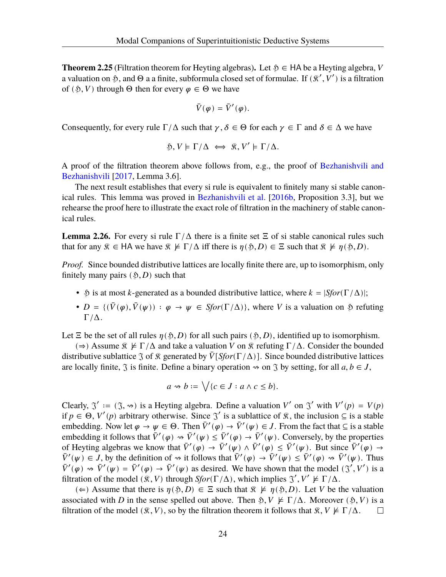**Theorem 2.25** (Filtration theorem for Heyting algebras). Let  $\mathfrak{H} \in HA$  be a Heyting algebra, V a valuation on \$, and  $\Theta$  a a finite, subformula closed set of formulae. If  $(\mathcal{R}', V')$  is a filtration of ( $\mathfrak{H}, V$ ) through  $\Theta$  then for every  $\varphi \in \Theta$  we have

$$
\bar{V}(\varphi) = \bar{V}'(\varphi).
$$

Consequently, for every rule  $\Gamma/\Delta$  such that  $\gamma, \delta \in \Theta$  for each  $\gamma \in \Gamma$  and  $\delta \in \Delta$  we have

$$
\mathfrak{H}, V \models \Gamma/\Delta \iff \mathfrak{K}, V' \models \Gamma/\Delta.
$$

A proof of the filtration theorem above follows from, e.g., the proof of [Bezhanishvili and](#page-107-5) [Bezhanishvili](#page-107-5) [[2017,](#page-107-5) Lemma 3.6].

The next result establishes that every si rule is equivalent to finitely many si stable canonical rules. This lemma was proved in [Bezhanishvili et al.](#page-107-4) [[2016b,](#page-107-4) Proposition 3.3], but we rehearse the proof here to illustrate the exact role of filtration in the machinery of stable canonical rules.

<span id="page-28-0"></span>**Lemma 2.26.** For every si rule  $\Gamma/\Delta$  there is a finite set  $\Xi$  of si stable canonical rules such that for any  $\hat{x} \in HA$  we have  $\hat{x} \not\models \Gamma/\Delta$  iff there is  $\eta(\hat{p}, D) \in \Xi$  such that  $\hat{x} \not\models \eta(\hat{p}, D)$ .

*Proof.* Since bounded distributive lattices are locally finite there are, up to isomorphism, only finitely many pairs  $($  5, D) such that

- $\mathfrak{H}$  is at most *k*-generated as a bounded distributive lattice, where  $k = |Sfor(\Gamma/\Delta)|$ ;
- $D = \{(\bar{V}(\varphi), \bar{V}(\psi)) : \varphi \to \psi \in \text{Sfor}(\Gamma/\Delta)\}\)$ , where V is a valuation on  $\mathfrak H$  refuting  $Γ/Δ.$

Let  $\Xi$  be the set of all rules  $\eta(\xi, D)$  for all such pairs  $(\xi, D)$ , identified up to isomorphism.

 $(\Rightarrow)$  Assume  $\hat{\mathcal{R}} \not\models \Gamma/\Delta$  and take a valuation V on  $\hat{\mathcal{R}}$  refuting  $\Gamma/\Delta$ . Consider the bounded distributive sublattice  $\Im$  of  $\Re$  generated by  $\overline{V}[Sfor(\Gamma/\Delta)]$ . Since bounded distributive lattices are locally finite,  $\Im$  is finite. Define a binary operation  $\rightsquigarrow$  on  $\Im$  by setting, for all  $a, b \in J$ ,

$$
a \rightsquigarrow b := \bigvee \{c \in J : a \wedge c \leq b\}.
$$

Clearly,  $\mathfrak{I}' := (\mathfrak{I}, \rightsquigarrow)$  is a Heyting algebra. Define a valuation V' on  $\mathfrak{I}'$  with  $V'(p) = V(p)$ if  $p \in \Theta$ ,  $V'(p)$  arbitrary otherwise. Since  $\Im'$  is a sublattice of  $\Re$ , the inclusion  $\subseteq$  is a stable embedding. Now let  $\varphi \to \psi \in \Theta$ . Then  $\bar{V}'(\varphi) \to \bar{V}'(\psi) \in J$ . From the fact that  $\subseteq$  is a stable embedding it follows that  $\bar{V}'(\varphi) \rightsquigarrow \bar{V}'(\psi) \leq \bar{V}'(\varphi) \rightarrow \bar{V}'(\psi)$ . Conversely, by the properties of Heyting algebras we know that  $\bar{V}'(\varphi) \to \bar{V}'(\psi) \wedge \bar{V}'(\varphi) \leq \bar{V}'(\psi)$ . But since  $\bar{V}'(\varphi) \to$  $\overline{V}'(\psi) \in J$ , by the definition of  $\rightsquigarrow$  it follows that  $\overline{V}'(\varphi) \rightarrow \overline{V}'(\psi) \leq \overline{V}'(\varphi) \rightsquigarrow \overline{V}'(\psi)$ . Thus  $\overline{V}'(\varphi) \rightsquigarrow \overline{V}'(\psi) = \overline{V}'(\varphi) \rightarrow \overline{V}'(\psi)$  as desired. We have shown that the model  $(\mathfrak{J}', V')$  is a filtration of the model  $(\mathcal{R}, V)$  through  $Sfor(\Gamma/\Delta)$ , which implies  $\mathcal{J}', V' \not\models \Gamma/\Delta$ .

(∈) Assume that there is  $\eta(\mathfrak{H}, D) \in \Xi$  such that  $\mathfrak{R} \not\models \eta(\mathfrak{H}, D)$ . Let V be the valuation associated with D in the sense spelled out above. Then  $\mathfrak{H}, V \not\models \Gamma/\Delta$ . Moreover  $(\mathfrak{H}, V)$  is a filtration of the model  $(\mathcal{R}, V)$ , so by the filtration theorem it follows that  $\mathcal{R}, V \nvDash \Gamma/\Delta$ .  $\Box$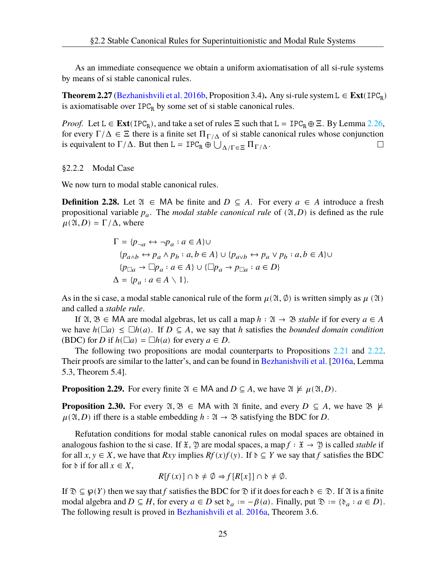As an immediate consequence we obtain a uniform axiomatisation of all si-rule systems by means of si stable canonical rules.

**Theorem 2.27** [\(Bezhanishvili et al.](#page-107-4) [2016b](#page-107-4), Proposition 3.4). Any si-rule system  $L$  ∈  $\text{Ext}(\text{IPC}_R)$ is axiomatisable over  $IPC_R$  by some set of si stable canonical rules.

*Proof.* Let  $L \in \text{Ext}(\text{IPC}_R)$ , and take a set of rules  $\Xi$  such that  $L = \text{IPC}_R \oplus \Xi$ . By Lemma [2.26](#page-28-0), for every  $\Gamma/\Delta \in \Xi$  there is a finite set  $\Pi_{\Gamma/\Delta}$  of si stable canonical rules whose conjunction is equivalent to  $\Gamma/\Delta$ . But then L = IPC<sub>R</sub>  $\oplus \bigcup_{\Delta/\Gamma \in \Xi} \Pi_{\Gamma/\Delta}$ .  $\Box$ 

#### <span id="page-29-0"></span>§2.2.2 Modal Case

We now turn to modal stable canonical rules.

**Definition 2.28.** Let  $\mathfrak{A} \in MA$  be finite and  $D \subseteq A$ . For every  $a \in A$  introduce a fresh propositional variable  $p_a$ . The *modal stable canonical rule* of  $(\mathfrak{A}, D)$  is defined as the rule  $\mu(\mathfrak{A}, D) = \Gamma/\Delta$ , where

$$
\Gamma = \{p_{\neg a} \leftrightarrow \neg p_a : a \in A\} \cup
$$
  
\n
$$
\{p_{a \land b} \leftrightarrow p_a \land p_b : a, b \in A\} \cup \{p_{a \lor b} \leftrightarrow p_a \lor p_b : a, b \in A\} \cup
$$
  
\n
$$
\{p_{\Box a} \rightarrow \Box p_a : a \in A\} \cup \{\Box p_a \rightarrow p_{\Box a} : a \in D\}
$$
  
\n
$$
\Delta = \{p_a : a \in A \setminus 1\}.
$$

As in the si case, a modal stable canonical rule of the form  $\mu(\mathfrak{A}, \phi)$  is written simply as  $\mu(\mathfrak{A})$ and called a *stable rule*.

If  $\mathfrak{A}, \mathfrak{B} \in \mathsf{MA}$  are modal algebras, let us call a map  $h : \mathfrak{A} \to \mathfrak{B}$  stable if for every  $a \in A$ we have  $h(\Box a) \leq \Box h(a)$ . If  $D \subseteq A$ , we say that h satisfies the *bounded domain condition* (BDC) for *D* if  $h(\Box a) = \Box h(a)$  for every  $a \in D$ .

The following two propositions are modal counterparts to Propositions [2.21](#page-26-1) and [2.22](#page-27-1). Their proofs are similar to the latter's, and can be found in [Bezhanishvili et al.](#page-107-3) [[2016a,](#page-107-3) Lemma 5.3, Theorem 5.4].

**Proposition 2.29.** For every finite  $\mathfrak{A} \in MA$  and  $D \subseteq A$ , we have  $\mathfrak{A} \not\models \mu(\mathfrak{A}, D)$ .

**Proposition 2.30.** For every  $\mathfrak{A}, \mathfrak{B} \in M$ A with  $\mathfrak{A}$  finite, and every  $D \subseteq A$ , we have  $\mathfrak{B} \not\models$  $\mu(\mathfrak{A}, D)$  iff there is a stable embedding  $h : \mathfrak{A} \to \mathfrak{B}$  satisfying the BDC for D.

Refutation conditions for modal stable canonical rules on modal spaces are obtained in analogous fashion to the si case. If  $\mathfrak{X}, \mathfrak{Y}$  are modal spaces, a map  $f : \mathfrak{X} \to \mathfrak{Y}$  is called *stable* if for all  $x, y \in X$ , we have that  $Rxy$  implies  $Rf(x)f(y)$ . If  $\delta \subseteq Y$  we say that f satisfies the BDC for  $\delta$  if for all  $x \in X$ ,

$$
R[f(x)] \cap \mathfrak{d} \neq \emptyset \Rightarrow f[R[x]] \cap \mathfrak{d} \neq \emptyset.
$$

<span id="page-29-1"></span>If  $\mathcal{D} \subseteq \mathcal{D}(Y)$  then we say that f satisfies the BDC for  $\mathcal{D}$  if it does for each  $\mathcal{D} \in \mathcal{D}$ . If  $\mathcal{D}$  is a finite modal algebra and  $D \subseteq H$ , for every  $a \in D$  set  $\delta_a := -\beta(a)$ . Finally, put  $\mathfrak{D} := {\delta_a : a \in D}$ . The following result is proved in [Bezhanishvili et al.](#page-107-3) [2016a](#page-107-3), Theorem 3.6.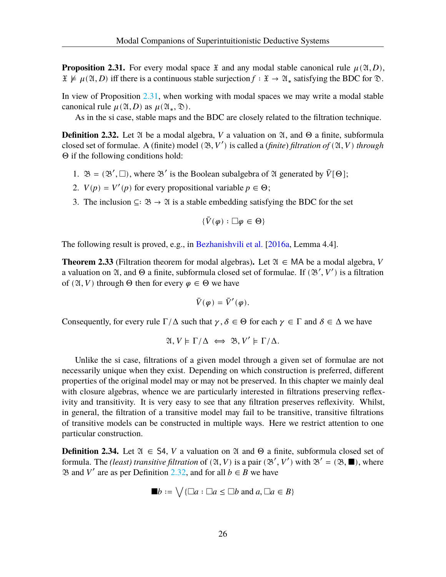**Proposition 2.31.** For every modal space  $\tilde{x}$  and any modal stable canonical rule  $\mu(\mathfrak{A}, D)$ ,  $\mathfrak{X} \not\models \mu(\mathfrak{A}, D)$  iff there is a continuous stable surjection  $f : \mathfrak{X} \to \mathfrak{A}_*$  satisfying the BDC for  $\mathfrak{D}$ .

In view of Proposition [2.31](#page-29-1), when working with modal spaces we may write a modal stable canonical rule  $\mu(\mathfrak{A}, D)$  as  $\mu(\mathfrak{A}_*, \mathfrak{D})$ .

As in the si case, stable maps and the BDC are closely related to the filtration technique.

<span id="page-30-0"></span>**Definition 2.32.** Let  $\mathfrak A$  be a modal algebra,  $V$  a valuation on  $\mathfrak A$ , and  $\Theta$  a finite, subformula closed set of formulae. A (finite) model  $(\mathfrak{B}, V')$  is called a (*finite*) *filtration of*  $(\mathfrak{A}, V)$  *through* Θ if the following conditions hold:

- 1.  $\mathfrak{B} = (\mathfrak{B}', \square)$ , where  $\mathfrak{B}'$  is the Boolean subalgebra of  $\mathfrak{A}$  generated by  $\overline{V}[\Theta]$ ;
- 2.  $V(p) = V'(p)$  for every propositional variable  $p \in \Theta$ ;
- 3. The inclusion ⊆∶  $\mathfrak{B} \rightarrow \mathfrak{A}$  is a stable embedding satisfying the BDC for the set

$$
\{\bar{V}(\varphi): \square\varphi\in \Theta\}
$$

The following result is proved, e.g., in [Bezhanishvili et al.](#page-107-3) [\[2016a](#page-107-3), Lemma 4.4].

**Theorem 2.33** (Filtration theorem for modal algebras). Let  $\mathfrak{A} \in MA$  be a modal algebra, V a valuation on  $\mathfrak A$ , and  $\Theta$  a finite, subformula closed set of formulae. If  $(\mathfrak{B}', V')$  is a filtration of ( $\mathfrak{A}, V$ ) through  $\Theta$  then for every  $\varphi \in \Theta$  we have

$$
\bar{V}(\varphi) = \bar{V}'(\varphi).
$$

Consequently, for every rule  $\Gamma/\Delta$  such that  $\gamma, \delta \in \Theta$  for each  $\gamma \in \Gamma$  and  $\delta \in \Delta$  we have

$$
\mathfrak{A}, V \models \Gamma/\Delta \iff \mathfrak{B}, V' \models \Gamma/\Delta.
$$

Unlike the si case, filtrations of a given model through a given set of formulae are not necessarily unique when they exist. Depending on which construction is preferred, different properties of the original model may or may not be preserved. In this chapter we mainly deal with closure algebras, whence we are particularly interested in filtrations preserving reflexivity and transitivity. It is very easy to see that any filtration preserves reflexivity. Whilst, in general, the filtration of a transitive model may fail to be transitive, transitive filtrations of transitive models can be constructed in multiple ways. Here we restrict attention to one particular construction.

**Definition 2.34.** Let  $\mathfrak{A} \in \mathcal{S}4$ , V a valuation on  $\mathfrak{A}$  and  $\Theta$  a finite, subformula closed set of formula. The *(least) transitive filtration* of  $(\mathfrak{A}, V)$  is a pair  $(\mathfrak{B}', V')$  with  $\mathfrak{B}' = (\mathfrak{B}, \blacksquare)$ , where  $\mathfrak{B}$  and  $V'$  are as per Definition [2.32](#page-30-0), and for all *b* ∈ *B* we have

$$
\blacksquare b := \bigvee \{ \square a : \square a \le \square b \text{ and } a, \square a \in B \}
$$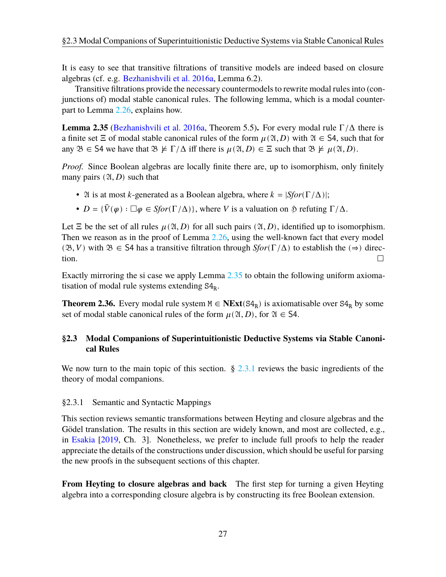It is easy to see that transitive filtrations of transitive models are indeed based on closure algebras (cf. e.g. [Bezhanishvili et al.](#page-107-3) [2016a](#page-107-3), Lemma 6.2).

Transitive filtrations provide the necessary countermodels to rewrite modal rules into (conjunctions of) modal stable canonical rules. The following lemma, which is a modal counterpart to Lemma [2.26,](#page-28-0) explains how.

<span id="page-31-2"></span>**Lemma 2.35** ([Bezhanishvili et al.](#page-107-3) [2016a,](#page-107-3) Theorem 5.5). For every modal rule  $\Gamma/\Delta$  there is a finite set  $\Xi$  of modal stable canonical rules of the form  $\mu(\mathfrak{A}, D)$  with  $\mathfrak{A} \in S_4$ , such that for any  $\mathfrak{B} \in S4$  we have that  $\mathfrak{B} \not\models \Gamma/\Delta$  iff there is  $\mu(\mathfrak{A}, D) \in \Xi$  such that  $\mathfrak{B} \not\models \mu(\mathfrak{A}, D)$ .

*Proof.* Since Boolean algebras are locally finite there are, up to isomorphism, only finitely many pairs  $(2I, D)$  such that

- 24 is at most *k*-generated as a Boolean algebra, where  $k = |Sfor(\Gamma/\Delta)|$ ;
- $D = {\bar{V}(\varphi)} : \Box \varphi \in Sfor(\Gamma/\Delta)$ , where V is a valuation on  $\mathfrak{H}$  refuting  $\Gamma/\Delta$ .

Let  $\Xi$  be the set of all rules  $\mu(\mathfrak{A}, D)$  for all such pairs  $(\mathfrak{A}, D)$ , identified up to isomorphism. Then we reason as in the proof of Lemma [2.26,](#page-28-0) using the well-known fact that every model ( $(\mathfrak{B}, V)$  with  $\mathfrak{B} \in S4$  has a transitive filtration through *Sfor*( $\Gamma/\Delta$ ) to establish the ( $\Rightarrow$ ) direction.  $\Box$ 

Exactly mirroring the si case we apply Lemma [2.35](#page-31-2) to obtain the following uniform axiomatisation of modal rule systems extending  $S4_R$ .

**Theorem 2.36.** Every modal rule system  $M \in \text{NExt}(S4_R)$  is axiomatisable over  $S4_R$  by some set of modal stable canonical rules of the form  $\mu(\mathfrak{A}, D)$ , for  $\mathfrak{A} \in S4$ .

# <span id="page-31-0"></span>**§2.3 Modal Companions of Superintuitionistic Deductive Systems via Stable Canonical Rules**

We now turn to the main topic of this section. § [2.3.1](#page-31-1) reviews the basic ingredients of the theory of modal companions.

# <span id="page-31-1"></span>§2.3.1 Semantic and Syntactic Mappings

This section reviews semantic transformations between Heyting and closure algebras and the Gödel translation. The results in this section are widely known, and most are collected, e.g., in [Esakia](#page-108-11) [[2019,](#page-108-11) Ch. 3]. Nonetheless, we prefer to include full proofs to help the reader appreciate the details of the constructions under discussion, which should be useful for parsing the new proofs in the subsequent sections of this chapter.

**From Heyting to closure algebras and back** The first step for turning a given Heyting algebra into a corresponding closure algebra is by constructing its free Boolean extension.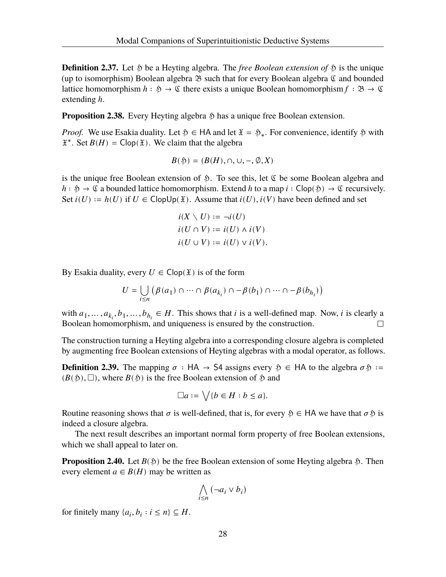**Definition 2.37.** Let  $\hat{p}$  be a Heyting algebra. The *free Boolean extension of*  $\hat{p}$  is the unique (up to isomorphism) Boolean algebra  $\mathfrak B$  such that for every Boolean algebra  $\mathfrak C$  and bounded lattice homomorphism  $h : \mathfrak{H} \to \mathfrak{C}$  there exists a unique Boolean homomorphism  $f : \mathfrak{B} \to \mathfrak{C}$ extending  $h$ .

<span id="page-32-0"></span>**Proposition 2.38.** Every Heyting algebra  $\hat{p}$  has a unique free Boolean extension.

*Proof.* We use Esakia duality. Let  $\delta \in HA$  and let  $\mathfrak{X} = \mathfrak{H}_*$ . For convenience, identify  $\delta$  with  $\mathfrak{X}^*$ . Set  $B(H) = \text{Clop}(\mathfrak{X})$ . We claim that the algebra

$$
B(\mathfrak{H}) = (B(H), \cap, \cup, -, \emptyset, X)
$$

is the unique free Boolean extension of  $\mathfrak{H}$ . To see this, let  $\mathfrak{C}$  be some Boolean algebra and  $h : \mathfrak{H} \to \mathfrak{C}$  a bounded lattice homomorphism. Extend h to a map  $i : \mathsf{Clop}(\mathfrak{H}) \to \mathfrak{C}$  recursively. Set  $i(U) := h(U)$  if  $U \in \text{Clop}(\mathfrak{X})$ . Assume that  $i(U), i(V)$  have been defined and set

$$
i(X \setminus U) := \neg i(U)
$$
  
\n
$$
i(U \cap V) := i(U) \land i(V)
$$
  
\n
$$
i(U \cup V) := i(U) \lor i(V).
$$

By Esakia duality, every  $U \in \text{Clop}(\mathfrak{X})$  is of the form

$$
U = \bigcup_{i \le n} \left( \beta(a_1) \cap \dots \cap \beta(a_{k_i}) \cap \dots \cap \beta(b_1) \cap \dots \cap \dots \cap \beta(b_{h_i}) \right)
$$

with  $a_1, ..., a_{k_i}, b_1, ..., b_{h_i} \in H$ . This shows that *i* is a well-defined map. Now, *i* is clearly a Boolean homomorphism, and uniqueness is ensured by the construction.  $\Box$ 

The construction turning a Heyting algebra into a corresponding closure algebra is completed by augmenting free Boolean extensions of Heyting algebras with a modal operator, as follows.

**Definition 2.39.** The mapping  $\sigma$  : HA  $\rightarrow$  S4 assigns every  $\mathfrak{H} \in$  HA to the algebra  $\sigma \mathfrak{H} :=$  $(B(\mathfrak{H}), \Box)$ , where  $B(\mathfrak{H})$  is the free Boolean extension of  $\mathfrak{H}$  and

$$
\Box a := \bigvee \{ b \in H : b \le a \}.
$$

Routine reasoning shows that  $\sigma$  is well-defined, that is, for every  $\mathfrak{H} \in HA$  we have that  $\sigma \mathfrak{H}$  is indeed a closure algebra.

The next result describes an important normal form property of free Boolean extensions, which we shall appeal to later on.

**Proposition 2.40.** Let  $B(\mathfrak{H})$  be the free Boolean extension of some Heyting algebra  $\mathfrak{H}$ . Then every element  $a \in B(H)$  may be written as

$$
\bigwedge_{i\leq n}(\neg a_i\vee b_i)
$$

for finitely many  $\{a_i, b_i : i \leq n\} \subseteq H$ .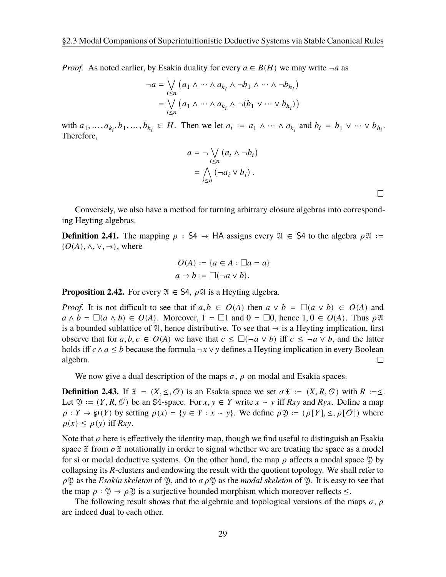*Proof.* As noted earlier, by Esakia duality for every  $a \in B(H)$  we may write  $\neg a$  as

$$
\neg a = \bigvee_{i \le n} (a_1 \land \dots \land a_{k_i} \land \neg b_1 \land \dots \land \neg b_{h_i})
$$

$$
= \bigvee_{i \le n} (a_1 \land \dots \land a_{k_i} \land \neg (b_1 \lor \dots \lor b_{h_i}))
$$

with  $a_1, \ldots, a_{k_i}, b_1, \ldots, b_{h_i} \in H$ . Then we let  $a_i := a_1 \wedge \cdots \wedge a_{k_i}$  and  $b_i = b_1 \vee \cdots \vee b_{h_i}$ . Therefore,

$$
a = \neg \bigvee_{i \leq n} (a_i \land \neg b_i)
$$

$$
= \bigwedge_{i \leq n} (\neg a_i \lor b_i).
$$

 $\Box$ 

Conversely, we also have a method for turning arbitrary closure algebras into corresponding Heyting algebras.

**Definition 2.41.** The mapping  $\rho$  : S4 → HA assigns every  $\mathfrak{A} \in$  S4 to the algebra  $\rho \mathfrak{A} :=$  $(O(A), \wedge, \vee, \rightarrow)$ , where

$$
O(A) := \{a \in A : \Box a = a\}
$$

$$
a \to b := \Box(\neg a \lor b).
$$

**Proposition 2.42.** For every  $\mathfrak{A} \in S4$ ,  $\rho \mathfrak{A}$  is a Heyting algebra.

*Proof.* It is not difficult to see that if  $a, b \in O(A)$  then  $a \vee b = \Box(a \vee b) \in O(A)$  and  $a \wedge b = \Box(a \wedge b) \in O(A)$ . Moreover,  $1 = \Box 1$  and  $0 = \Box 0$ , hence  $1, 0 \in O(A)$ . Thus  $\rho \mathfrak{A}$ is a bounded sublattice of  $\mathfrak{A}$ , hence distributive. To see that  $\rightarrow$  is a Heyting implication, first observe that for  $a, b, c \in O(A)$  we have that  $c \le \Box(\neg a \lor b)$  iff  $c \le \neg a \lor b$ , and the latter holds iff  $c \land a \leq b$  because the formula  $\neg x \lor y$  defines a Heyting implication in every Boolean algebra.  $\Box$ 

We now give a dual description of the maps  $\sigma$ ,  $\rho$  on modal and Esakia spaces.

**Definition 2.43.** If  $\mathfrak{X} = (X, \leq, \mathcal{O})$  is an Esakia space we set  $\sigma \mathfrak{X} := (X, R, \mathcal{O})$  with  $R := \leq$ . Let  $\mathfrak{Y} := (Y, R, \mathcal{O})$  be an S4-space. For  $x, y \in Y$  write  $x \sim y$  iff  $Rxy$  and  $Ryx$ . Define a map  $\rho: Y \to \mathfrak{g}(Y)$  by setting  $\rho(x) = \{y \in Y : x \sim y\}$ . We define  $\rho \mathfrak{Y} := (\rho[Y], \leq, \rho[\mathcal{O}])$  where  $\rho(x) \leq \rho(y)$  iff  $Rxy$ .

Note that  $\sigma$  here is effectively the identity map, though we find useful to distinguish an Esakia space  $\tilde{x}$  from  $\sigma \tilde{x}$  notationally in order to signal whether we are treating the space as a model for si or modal deductive systems. On the other hand, the map  $\rho$  affects a modal space  $\mathfrak{Y}$  by collapsing its R-clusters and endowing the result with the quotient topology. We shall refer to  $\rho$  \?) as the *Esakia skeleton* of \?), and to  $\sigma \rho$  \?) as the *modal skeleton* of \?. It is easy to see that the map  $\rho : \mathfrak{Y} \to \rho \mathfrak{Y}$  is a surjective bounded morphism which moreover reflects  $\leq$ .

<span id="page-33-0"></span>The following result shows that the algebraic and topological versions of the maps  $\sigma$ ,  $\rho$ are indeed dual to each other.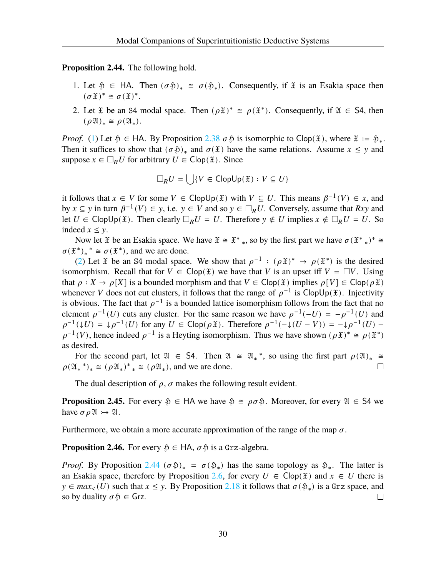<span id="page-34-0"></span>**Proposition 2.44.** The following hold.

- 1. Let  $\mathfrak{H} \in HA$ . Then  $(\sigma \mathfrak{H})_* \cong \sigma(\mathfrak{H}_*)$ . Consequently, if  $\mathfrak{X}$  is an Esakia space then  $(\sigma \mathfrak{X})^* \cong \sigma(\mathfrak{X})^*.$
- <span id="page-34-1"></span>2. Let  $\tilde{x}$  be an S4 modal space. Then  $(\rho \tilde{x})^* \cong \rho(\tilde{x}^*)$ . Consequently, if  $\mathfrak{A} \in S4$ , then  $(\rho \mathfrak{A})_* \cong \rho(\mathfrak{A}_*).$

*Proof.* ([1\)](#page-34-0) Let  $\mathfrak{H} \in \mathsf{HA}$ . By Proposition [2.38](#page-32-0)  $\sigma \mathfrak{H}$  is isomorphic to Clop( $\mathfrak{X}$ ), where  $\mathfrak{X} := \mathfrak{H}_*$ . Then it suffices to show that  $(\sigma \mathfrak{H})_*$  and  $\sigma(\mathfrak{X})$  have the same relations. Assume  $x \le y$  and suppose  $x \in \Box_R U$  for arbitrary  $U \in \text{Clop}(\mathfrak{X})$ . Since

$$
\Box_R U = \bigcup \{ V \in \mathsf{ClopUp}(\mathfrak{X}) : V \subseteq U \}
$$

it follows that  $x \in V$  for some  $V \in \text{ClopUp}(\mathfrak{X})$  with  $V \subseteq U$ . This means  $\beta^{-1}(V) \in \mathfrak{X}$ , and by  $x \subseteq y$  in turn  $\beta^{-1}(V) \in y$ , i.e.  $y \in V$  and so  $y \in \Box_R U$ . Conversely, assume that  $Rxy$  and let  $U \in \text{ClopUp}(\mathfrak{X})$ . Then clearly  $\Box_R U = U$ . Therefore  $y \notin U$  implies  $x \notin \Box_R U = U$ . So indeed  $x \leq y$ .

Now let  $\mathfrak X$  be an Esakia space. We have  $\mathfrak X \cong \mathfrak X^*$ , so by the first part we have  $\sigma(\mathfrak X^*)^* \cong$  $\sigma(\mathfrak{X}^*)_* \triangleq \sigma(\mathfrak{X}^*)$ , and we are done.

([2\)](#page-34-1) Let  $\mathfrak X$  be an S4 modal space. We show that  $\rho^{-1}$  :  $(\rho \mathfrak X)^* \to \rho(\mathfrak X^*)$  is the desired isomorphism. Recall that for  $V \in \text{Clop}(\mathfrak{X})$  we have that V is an upset iff  $V = \Box V$ . Using that  $\rho: X \to \rho[X]$  is a bounded morphism and that  $V \in \text{Clop}(\mathfrak{X})$  implies  $\rho[V] \in \text{Clop}(\rho \mathfrak{X})$ whenever V does not cut clusters, it follows that the range of  $\rho^{-1}$  is ClopUp( $\tilde{x}$ ). Injectivity is obvious. The fact that  $\rho^{-1}$  is a bounded lattice isomorphism follows from the fact that no element  $\rho^{-1}(U)$  cuts any cluster. For the same reason we have  $\rho^{-1}(-U) = -\rho^{-1}(U)$  and  $\rho^{-1}(\downarrow U) = \downarrow \rho^{-1}(U)$  for any  $U \in \text{Clop}(\rho \mathfrak{X})$ . Therefore  $\rho^{-1}(-\downarrow (U - V)) = -\downarrow \rho^{-1}(U)$  $\rho^{-1}(V)$ , hence indeed  $\rho^{-1}$  is a Heyting isomorphism. Thus we have shown  $(\rho \mathfrak{X})^* \cong \rho(\mathfrak{X}^*)$ as desired.

For the second part, let  $\mathfrak{A} \in S4$ . Then  $\mathfrak{A} \cong \mathfrak{A}^*$ , so using the first part  $\rho(\mathfrak{A})_* \cong$  $\rho(\mathfrak{A}_*)_* \cong (\rho \mathfrak{A}_*)^* \cong (\rho \mathfrak{A}_*)$ , and we are done.  $\Box$ 

The dual description of  $\rho$ ,  $\sigma$  makes the following result evident.

**Proposition 2.45.** For every  $\mathfrak{H} \in HA$  we have  $\mathfrak{H} \cong \rho \sigma \mathfrak{H}$ . Moreover, for every  $\mathfrak{A} \in SA$  we have  $\sigma \rho \mathfrak{A} \rightarrow \mathfrak{A}$ .

Furthermore, we obtain a more accurate approximation of the range of the map  $\sigma$ .

**Proposition 2.46.** For every  $\mathfrak{H} \in HA$ ,  $\sigma \mathfrak{H}$  is a Grz-algebra.

*Proof.* By Proposition [2.44](#page-33-0) ( $\sigma$  $\mathfrak{H}_* = \sigma(\mathfrak{H}_*)$ ) has the same topology as  $\mathfrak{H}_*$ . The latter is an Esakia space, therefore by Proposition [2.6,](#page-20-0) for every  $U \in \text{Clop}(\mathfrak{X})$  and  $x \in U$  there is y ∈  $max<sub>≤</sub>(U)$  such that  $x \le y$ . By Proposition [2.18](#page-25-5) it follows that  $\sigma(\mathfrak{H}_*)$  is a Grz space, and so by duality  $\sigma$   $\mathfrak{H} \in$  Grz.  $\Box$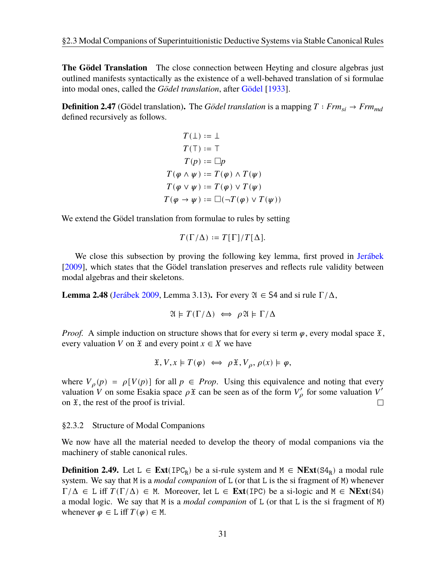**The Gödel Translation** The close connection between Heyting and closure algebras just outlined manifests syntactically as the existence of a well-behaved translation of si formulae into modal ones, called the *Gödel translation*, after [Gödel](#page-108-0) [[1933\]](#page-108-0).

**Definition 2.47** (Gödel translation). The *Gödel translation* is a mapping  $T : Frm_{si} \rightarrow Frm_{md}$ defined recursively as follows.

$$
T(\bot) := \bot
$$
  
\n
$$
T(\top) := \top
$$
  
\n
$$
T(p) := \square p
$$
  
\n
$$
T(\varphi \land \psi) := T(\varphi) \land T(\psi)
$$
  
\n
$$
T(\varphi \lor \psi) := T(\varphi) \lor T(\psi)
$$
  
\n
$$
T(\varphi \to \psi) := \square(\neg T(\varphi) \lor T(\psi))
$$

We extend the Gödel translation from formulae to rules by setting

$$
T(\Gamma/\Delta) := T[\Gamma]/T[\Delta].
$$

We close this subsection by proving the following key lemma, first proved in [Jerábek](#page-108-7) [\[2009\]](#page-108-7), which states that the Gödel translation preserves and reflects rule validity between modal algebras and their skeletons.

**Lemma 2.48** [\(Jerábek](#page-108-7) [2009,](#page-108-7) Lemma 3.13). For every  $\mathfrak{A} \in S4$  and si rule  $\Gamma/\Delta$ ,

$$
\mathfrak{A} \models T(\Gamma/\Delta) \iff \rho \mathfrak{A} \models \Gamma/\Delta
$$

*Proof.* A simple induction on structure shows that for every si term  $\varphi$ , every modal space  $\tilde{x}$ , every valuation V on  $\mathfrak X$  and every point  $x \in X$  we have

$$
\mathfrak{X}, V, x \models T(\varphi) \iff \rho \mathfrak{X}, V_{\rho}, \rho(x) \models \varphi,
$$

where  $V_{\rho}(p) = \rho[V(p)]$  for all  $p \in Prop$ . Using this equivalence and noting that every valuation V on some Esakia space  $\rho \mathfrak{X}$  can be seen as of the form  $V'_{\rho}$  for some valuation V' on  $\mathfrak{X}$ , the rest of the proof is trivial. П

#### <span id="page-35-0"></span>§2.3.2 Structure of Modal Companions

We now have all the material needed to develop the theory of modal companions via the machinery of stable canonical rules.

**Definition 2.49.** Let L ∈  $\text{Ext}(\text{IPC}_R)$  be a si-rule system and M ∈  $\text{NExt}(S4_R)$  a modal rule system. We say that M is a *modal companion* of L (or that L is the si fragment of M) whenever  $\Gamma/\Delta \in L$  iff  $T(\Gamma/\Delta) \in M$ . Moreover, let  $L \in \text{Ext}(\text{IPC})$  be a si-logic and  $M \in \text{NExt}(S4)$ a modal logic. We say that M is a *modal companion* of L (or that L is the si fragment of M) whenever  $\varphi \in L$  iff  $T(\varphi) \in M$ .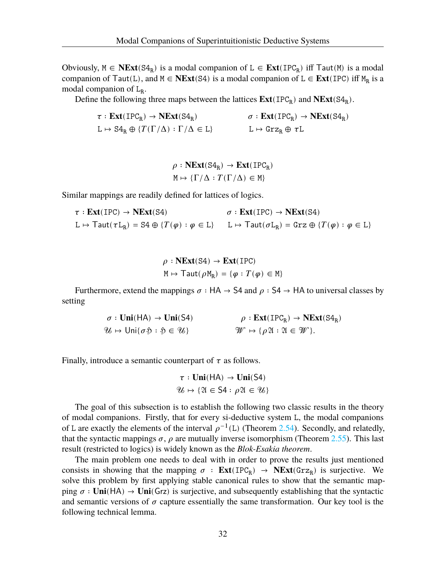Obviously,  $M \in \mathbf{NExt}(\mathbf{S4}_{R})$  is a modal companion of  $L \in \mathbf{Ext}(\mathbf{IPC}_{R})$  iff  $\mathsf{Taut}(M)$  is a modal companion of  $Taut(L)$ , and  $M \in \mathbf{NExt}(S4)$  is a modal companion of  $L \in \mathbf{Ext}(IPC)$  iff  $M_R$  is a modal companion of L<sub>R</sub>.

Define the following three maps between the lattices  $\text{Ext}(\text{IPC}_R)$  and  $\text{NExt}(S4_R)$ .

$$
\begin{aligned}\n\tau: \mathbf{Ext}(\mathrm{IPC}_R) &\rightarrow \mathbf{NExt}(\mathrm{S4}_R) &&\sigma: \mathbf{Ext}(\mathrm{IPC}_R) \rightarrow \mathbf{NExt}(\mathrm{S4}_R) \\
\mathrm{L} &\mapsto \mathrm{S4}_R \oplus \{T(\Gamma/\Delta) : \Gamma/\Delta \in \mathrm{L}\} &&\mathrm{L} \mapsto \mathrm{Grz}_R \oplus \tau\mathrm{L}\n\end{aligned}
$$

 $\rho : \text{NExt}(\text{S4}_R) \to \text{Ext}(\text{IPC}_R)$  $M \mapsto {\{\Gamma/\Delta : T(\Gamma/\Delta) \in M\}}$ 

Similar mappings are readily defined for lattices of logics.

$$
\tau : \text{Ext}(\text{IPC}) \to \text{NExt}(\text{S4}) \qquad \sigma : \text{Ext}(\text{IPC}) \to \text{NExt}(\text{S4})
$$
\n
$$
L \mapsto \text{Taut}(\tau L_R) = \text{S4} \oplus \{T(\varphi) : \varphi \in L\} \qquad L \mapsto \text{Taut}(\sigma L_R) = \text{Grz} \oplus \{T(\varphi) : \varphi \in L\}
$$

$$
\rho : \mathbf{NExt}(\mathbf{S4}) \to \mathbf{Ext}(\mathbf{IPC})
$$
  

$$
\mathbf{M} \mapsto \mathsf{Taut}(\rho \mathbf{M}_{\mathbf{R}}) = \{ \varphi : T(\varphi) \in \mathbf{M} \}
$$

Furthermore, extend the mappings  $\sigma$ : HA  $\rightarrow$  S4 and  $\rho$ : S4  $\rightarrow$  HA to universal classes by setting

$$
\sigma: \text{Uni}(\text{HA}) \to \text{Uni}(\text{SA}) \qquad \rho: \text{Ext}(\text{IPC}_R) \to \text{NExt}(\text{SA}_R)
$$
  

$$
\mathcal{U} \mapsto \text{Uni}\{\sigma \mathfrak{D} : \mathfrak{D} \in \mathcal{U}\} \qquad \mathcal{W} \mapsto \{\rho \mathfrak{A} : \mathfrak{A} \in \mathcal{W}\}.
$$

Finally, introduce a semantic counterpart of  $\tau$  as follows.

$$
\tau: Uni(HA) \to Uni(S4)
$$

$$
\mathcal{U} \mapsto \{ \mathfrak{A} \in S4 : \rho \mathfrak{A} \in \mathcal{U} \}
$$

The goal of this subsection is to establish the following two classic results in the theory of modal companions. Firstly, that for every si-deductive system L, the modal companions of L are exactly the elements of the interval  $\rho^{-1}(L)$  (Theorem [2.54\)](#page-38-0). Secondly, and relatedly, that the syntactic mappings  $\sigma$ ,  $\rho$  are mutually inverse isomorphism (Theorem [2.55\)](#page-39-0). This last result (restricted to logics) is widely known as the *Blok-Esakia theorem*.

<span id="page-36-0"></span>The main problem one needs to deal with in order to prove the results just mentioned consists in showing that the mapping  $\sigma$  :  $\text{Ext}(\text{IPC}_R) \rightarrow \text{NExt}(\text{Grz}_R)$  is surjective. We solve this problem by first applying stable canonical rules to show that the semantic mapping  $\sigma : \text{Uni}(HA) \to \text{Uni}(Grz)$  is surjective, and subsequently establishing that the syntactic and semantic versions of  $\sigma$  capture essentially the same transformation. Our key tool is the following technical lemma.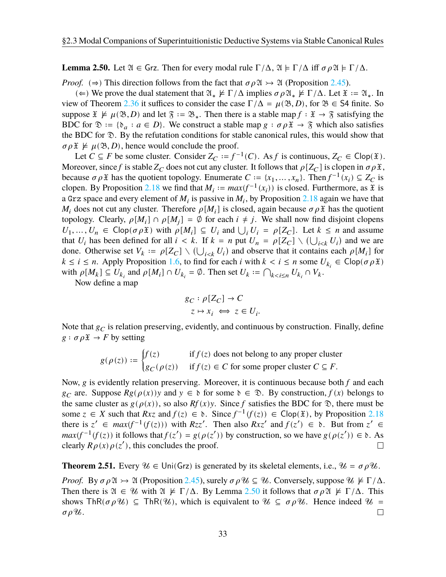**Lemma 2.50.** Let  $\mathfrak{A} \in \mathsf{Grz}$ . Then for every modal rule  $\Gamma/\Delta$ ,  $\mathfrak{A} \models \Gamma/\Delta$  iff  $\sigma \rho \mathfrak{A} \models \Gamma/\Delta$ .

*Proof.* ( $\Rightarrow$ ) This direction follows from the fact that  $\sigma \rho \mathfrak{A} \rightarrow \mathfrak{A}$  (Proposition [2.45\)](#page-34-0).

(∈) We prove the dual statement that  $\mathfrak{A}_* \not\models \Gamma/\Delta$  implies  $\sigma \rho \mathfrak{A}_* \not\models \Gamma/\Delta$ . Let  $\mathfrak{X} := \mathfrak{A}_*$ . In view of Theorem [2.36](#page-31-0) it suffices to consider the case  $\Gamma/\Delta = \mu(\mathfrak{B}, D)$ , for  $\mathfrak{B} \in$  S4 finite. So suppose  $\mathfrak{X} \not\models \mu(\mathfrak{B}, D)$  and let  $\mathfrak{F} := \mathfrak{B}_*$ . Then there is a stable map  $f : \mathfrak{X} \to \mathfrak{F}$  satisfying the BDC for  $\mathcal{D} := \{ \mathfrak{d}_a : a \in D \}$ . We construct a stable map  $g : \sigma \rho \mathfrak{X} \to \mathfrak{F}$  which also satisfies the BDC for  $\mathcal{D}$ . By the refutation conditions for stable canonical rules, this would show that  $\sigma \rho \mathfrak{X} \not\models \mu(\mathfrak{B}, D)$ , hence would conclude the proof.

Let  $C \subseteq F$  be some cluster. Consider  $Z_C := f^{-1}(C)$ . As f is continuous,  $Z_C \in \text{Clop}(\mathfrak{X})$ . Moreover, since f is stable  $Z_C$  does not cut any cluster. It follows that  $\rho[Z_C]$  is clopen in  $\sigma \rho \mathfrak{X}$ , because  $\sigma \rho \mathfrak{X}$  has the quotient topology. Enumerate  $C := \{x_1, \dots, x_n\}$ . Then  $f^{-1}(x_i) \subseteq Z_C$  is clopen. By Proposition [2.18](#page-25-0) we find that  $M_i := max(f^{-1}(x_i))$  is closed. Furthermore, as  $\mathfrak X$  is a Grz space and every element of  $M_i$  is passive in  $M_i$ , by Proposition [2.18](#page-25-0) again we have that  $M_i$  does not cut any cluster. Therefore  $\rho[M_i]$  is closed, again because  $\sigma \rho \mathfrak{X}$  has the quotient topology. Clearly,  $\rho[M_i] \cap \rho[M_j] = \emptyset$  for each  $i \neq j$ . We shall now find disjoint clopens  $U_1, ..., U_n \in \text{Clop}(\sigma \rho \mathfrak{X})$  with  $\rho[M_i] \subseteq U_i$  and  $\bigcup_i U_i = \rho[Z_C]$ . Let  $k \leq n$  and assume that  $U_i$  has been defined for all  $i < k$ . If  $k = n$  put  $U_n = \rho[Z_C] \setminus (\bigcup_{i < k} U_i)$  and we are done. Otherwise set  $V_k := \rho[Z_C] \setminus (\bigcup_{i \le k} U_i)$  and observe that it contains each  $\rho[M_i]$  for  $k \le i \le n$ . Apply Proposition [1.6,](#page-13-0) to find for each *i* with  $k < i \le n$  some  $U_{k_i} \in \text{Clop}(\sigma \rho \mathfrak{X})$ with  $\rho[M_k] \subseteq U_{k_i}$  and  $\rho[M_i] \cap U_{k_i} = \emptyset$ . Then set  $U_k := \bigcap_{k < i \leq n} U_{k_i} \cap V_k$ .

Now define a map

$$
g_C: \rho[Z_C] \to C
$$
  

$$
z \mapsto x_i \iff z \in U_i.
$$

Note that  $g_C$  is relation preserving, evidently, and continuous by construction. Finally, define  $g : \sigma \rho \mathfrak{X} \to F$  by setting

$$
g(\rho(z)) := \begin{cases} f(z) & \text{if } f(z) \text{ does not belong to any proper cluster} \\ g_C(\rho(z)) & \text{if } f(z) \in C \text{ for some proper cluster } C \subseteq F. \end{cases}
$$

Now,  $g$  is evidently relation preserving. Moreover, it is continuous because both  $f$  and each  $g_C$  are. Suppose  $Rg(\rho(x))$  and  $y \in \mathfrak{d}$  for some  $\mathfrak{d} \in \mathfrak{D}$ . By construction,  $f(x)$  belongs to the same cluster as  $g(\rho(x))$ , so also  $Rf(x)y$ . Since f satisfies the BDC for  $\mathcal{D}$ , there must be some  $z \in X$  such that  $Rxz$  and  $f(z) \in \mathfrak{d}$ . Since  $f^{-1}(f(z)) \in \text{Clop}(\mathfrak{X})$ , by Proposition [2.18](#page-25-0) there is  $z' \in max(f^{-1}(f(z)))$  with  $Rzz'$ . Then also  $Rxz'$  and  $f(z') \in \mathfrak{d}$ . But from  $z' \in$  $max(f^{-1}(f(z))$  it follows that  $f(z') = g(\rho(z'))$  by construction, so we have  $g(\rho(z')) \in \mathfrak{d}$ . As clearly  $R\rho(x)\rho(z')$ , this concludes the proof.  $\Box$ 

<span id="page-37-0"></span>**Theorem 2.51.** Every  $\mathcal{U} \in \text{Uni}(Grz)$  is generated by its skeletal elements, i.e.,  $\mathcal{U} = \sigma \rho \mathcal{U}$ .

*Proof.* By  $\sigma \rho \mathfrak{A} \rightarrow \mathfrak{A}$  (Proposition [2.45](#page-34-0)), surely  $\sigma \rho \mathcal{U} \subseteq \mathcal{U}$ . Conversely, suppose  $\mathcal{U} \not\models \Gamma/\Delta$ . Then there is  $\mathfrak{A} \in \mathcal{U}$  with  $\mathfrak{A} \not\models \Gamma/\Delta$ . By Lemma [2.50](#page-36-0) it follows that  $\sigma \rho \mathfrak{A} \not\models \Gamma/\Delta$ . This shows ThR( $\sigma \rho \mathcal{U}$ )  $\subseteq$  ThR( $\mathcal{U}$ ), which is equivalent to  $\mathcal{U} \subseteq \sigma \rho \mathcal{U}$ . Hence indeed  $\mathcal{U} =$  $\Box$  $\sigma \rho \mathcal{U}$ .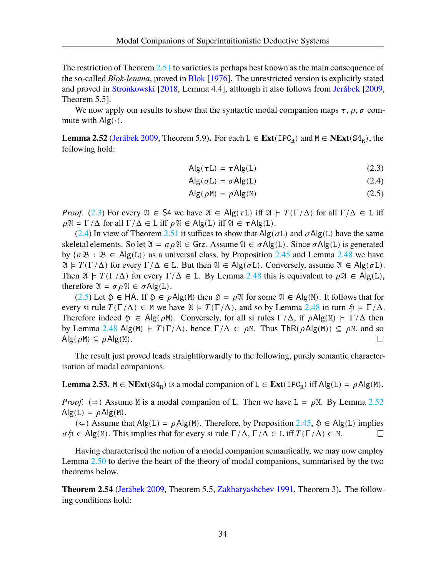The restriction of Theorem [2.51](#page-37-0) to varieties is perhaps best known as the main consequence of the so-called *Blok-lemma*, proved in [Blok](#page-107-0) [[1976](#page-107-0)]. The unrestricted version is explicitly stated and proved in [Stronkowski](#page-109-0) [\[2018](#page-109-0), Lemma 4.4], although it also follows from [Jerábek](#page-108-0) [[2009](#page-108-0), Theorem 5.5].

We now apply our results to show that the syntactic modal companion maps  $\tau$ ,  $\rho$ ,  $\sigma$  commute with  $\text{Alg}(\cdot)$ .

<span id="page-38-4"></span>**Lemma 2.52** [\(Jerábek](#page-108-0) [2009](#page-108-0), Theorem 5.9). For each  $L \in \text{Ext}(\text{IPC}_R)$  and  $M \in \text{NExt}(S4_R)$ , the following hold:

$$
Alg(\tau L) = \tau Alg(L) \qquad (2.3)
$$

<span id="page-38-2"></span><span id="page-38-1"></span>
$$
Alg(\sigma L) = \sigma Alg(L)
$$
 (2.4)

<span id="page-38-3"></span>
$$
Alg(\rho M) = \rho Alg(M)
$$
 (2.5)

*Proof.* ([2.3\)](#page-38-1) For every  $\mathfrak{A} \in S4$  we have  $\mathfrak{A} \in Alg(\tau L)$  iff  $\mathfrak{A} \models T(\Gamma/\Delta)$  for all  $\Gamma/\Delta \in L$  iff  $\rho \mathfrak{A} \models \Gamma/\Delta$  for all  $\Gamma/\Delta \in L$  iff  $\rho \mathfrak{A} \in Alg(L)$  iff  $\mathfrak{A} \in \tau Alg(L)$ .

([2.4\)](#page-38-2) In view of Theorem [2.51](#page-37-0) it suffices to show that  $\text{Alg}(\sigma L)$  and  $\sigma \text{Alg}(L)$  have the same skeletal elements. So let  $\mathfrak{A} = \sigma \rho \mathfrak{A} \in \mathsf{Grz}$ . Assume  $\mathfrak{A} \in \sigma \mathsf{Alg}(L)$ . Since  $\sigma \mathsf{Alg}(L)$  is generated by  ${\sigma \mathfrak{B} : \mathfrak{B} \in \mathsf{Alg}(L)}$  as a universal class, by Proposition [2.45](#page-34-0) and Lemma [2.48](#page-35-0) we have  $\mathfrak{A} \models T(\Gamma/\Delta)$  for every  $\Gamma/\Delta \in L$ . But then  $\mathfrak{A} \in \mathrm{Alg}(\sigma L)$ . Conversely, assume  $\mathfrak{A} \in \mathrm{Alg}(\sigma L)$ . Then  $\mathfrak{A} \models T(\Gamma/\Delta)$  for every  $\Gamma/\Delta \in L$ . By Lemma [2.48](#page-35-0) this is equivalent to  $\rho \mathfrak{A} \in Alg(L)$ , therefore  $\mathfrak{A} = \sigma \rho \mathfrak{A} \in \sigma \mathsf{Alg}(L)$ .

([2.5\)](#page-38-3) Let  $\mathfrak{H} \in HA$ . If  $\mathfrak{H} \in \rho Alg(M)$  then  $\mathfrak{H} = \rho \mathfrak{A}$  for some  $\mathfrak{A} \in Alg(M)$ . It follows that for every si rule  $T(\Gamma/\Delta) \in M$  we have  $\mathfrak{A} \models T(\Gamma/\Delta)$ , and so by Lemma [2.48](#page-35-0) in turn  $\mathfrak{H} \models \Gamma/\Delta$ . Therefore indeed  $\mathfrak{H} \in \mathsf{Alg}(\rho \mathsf{M})$ . Conversely, for all si rules  $\Gamma/\Delta$ , if  $\rho \mathsf{Alg}(\mathsf{M}) \models \Gamma/\Delta$  then by Lemma [2.48](#page-35-0) Alg(M)  $\models T(\Gamma/\Delta)$ , hence  $\Gamma/\Delta \in \rho M$ . Thus ThR( $\rho$ Alg(M))  $\subseteq \rho M$ , and so  $\text{Alg}(\rho M) \subseteq \rho \text{Alg}(M)$ .  $\Box$ 

The result just proved leads straightforwardly to the following, purely semantic characterisation of modal companions.

<span id="page-38-5"></span>**Lemma 2.53.**  $M \in \text{NExt}(S4_R)$  is a modal companion of L ∈  $\text{Ext}(IPC_R)$  iff  $Alg(L) = \rho Alg(M)$ .

*Proof.* ( $\Rightarrow$ ) Assume M is a modal companion of L. Then we have L =  $\rho$ M. By Lemma [2.52](#page-38-4)  $\text{Alg}(L) = \rho \text{Alg}(M)$ .

(∈) Assume that Alg(L) =  $\rho$ Alg(M). Therefore, by Proposition [2.45](#page-34-0),  $\delta$  ∈ Alg(L) implies  $\sigma$   $\mathfrak{D} \in \mathsf{Alg}(M)$ . This implies that for every si rule  $\Gamma/\Delta$ ,  $\Gamma/\Delta \in L$  iff  $T(\Gamma/\Delta) \in M$ .  $\Box$ 

Having characterised the notion of a modal companion semantically, we may now employ Lemma [2.50](#page-36-0) to derive the heart of the theory of modal companions, summarised by the two theorems below.

<span id="page-38-0"></span>**Theorem 2.54** [\(Jerábek](#page-108-0) [2009,](#page-108-0) Theorem 5.5, [Zakharyashchev](#page-110-0) [1991](#page-110-0), Theorem 3)**.** The following conditions hold: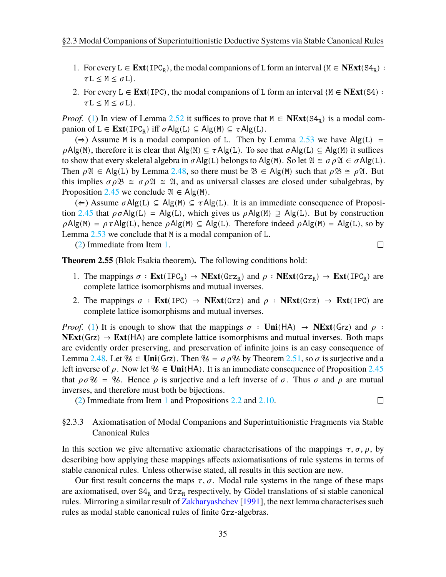- <span id="page-39-1"></span>1. For every  $L \in \text{Ext}(\text{IPC}_R)$ , the modal companions of L form an interval { $M \in \text{NExt}(S4_R)$  :  $\tau L \leq M \leq \sigma L$ .
- <span id="page-39-2"></span>2. For every  $L \in \text{Ext}(\text{IPC})$ , the modal companions of L form an interval  $\{M \in \text{Next}(S4) :$  $\tau L \leq M \leq \sigma L$ .

*Proof.* ([1\)](#page-39-1) In view of Lemma [2.52](#page-38-4) it suffices to prove that  $M \in \mathbf{NExt}(S4_R)$  is a modal companion of  $L \in \text{Ext}(\text{IPC}_R)$  iff  $\sigma \text{Alg}(L) \subseteq \text{Alg}(M) \subseteq \tau \text{Alg}(L)$ .

(⇒) Assume M is a modal companion of L. Then by Lemma [2.53](#page-38-5) we have Alg(L) =  $\rho$ Alg(M), therefore it is clear that Alg(M)  $\subseteq \tau$ Alg(L). To see that  $\sigma$ Alg(L)  $\subseteq$  Alg(M) it suffices to show that every skeletal algebra in  $\sigma$ Alg(L) belongs to Alg(M). So let  $\mathfrak{A} \cong \sigma \rho \mathfrak{A} \in \sigma$ Alg(L). Then  $\rho \mathfrak{A} \in \mathrm{Alg}(L)$  by Lemma [2.48,](#page-35-0) so there must be  $\mathfrak{B} \in \mathrm{Alg}(M)$  such that  $\rho \mathfrak{B} \cong \rho \mathfrak{A}$ . But this implies  $\sigma \rho \mathfrak{B} \cong \sigma \rho \mathfrak{A} \cong \mathfrak{A}$ , and as universal classes are closed under subalgebras, by Proposition [2.45](#page-34-0) we conclude  $\mathfrak{A} \in \mathsf{Alg}(\mathsf{M})$ .

(∈) Assume  $σAlg(L) ⊆ Alg(M) ⊆ τAlg(L)$ . It is an immediate consequence of Proposi-tion [2.45](#page-34-0) that  $\rho \sigma \text{Alg}(L) = \text{Alg}(L)$ , which gives us  $\rho \text{Alg}(M) \supseteq \text{Alg}(L)$ . But by construction  $\rho$ Alg(M) =  $\rho \tau$ Alg(L), hence  $\rho$ Alg(M)  $\subseteq$  Alg(L). Therefore indeed  $\rho$ Alg(M) = Alg(L), so by Lemma [2.53](#page-38-5) we conclude that M is a modal companion of L.

([2\)](#page-39-2) Immediate from Item [1](#page-39-1).

 $\Box$ 

 $\Box$ 

<span id="page-39-3"></span><span id="page-39-0"></span>**Theorem 2.55** (Blok Esakia theorem)**.** The following conditions hold:

- 1. The mappings  $\sigma : \text{Ext}(\text{IPC}_R) \to \text{NExt}(\text{Grz}_R)$  and  $\rho : \text{NExt}(\text{Grz}_R) \to \text{Ext}(\text{IPC}_R)$  are complete lattice isomorphisms and mutual inverses.
- <span id="page-39-4"></span>2. The mappings  $\sigma$  : **Ext**(IPC)  $\rightarrow$  **NExt**(Grz) and  $\rho$  : **NExt**(Grz)  $\rightarrow$  **Ext**(IPC) are complete lattice isomorphisms and mutual inverses.

*Proof.* ([1\)](#page-39-3) It is enough to show that the mappings  $\sigma :$  **Uni**(HA)  $\rightarrow$  **NExt**(Grz) and  $\rho$ :  $NExt(Grz) \rightarrow Ext(HA)$  are complete lattice isomorphisms and mutual inverses. Both maps are evidently order preserving, and preservation of infinite joins is an easy consequence of Lemma [2.48.](#page-35-0) Let  $\mathcal{U} \in \text{Uni}(Grz)$ . Then  $\mathcal{U} = \sigma \rho \mathcal{U}$  by Theorem [2.51,](#page-37-0) so  $\sigma$  is surjective and a left inverse of  $\rho$ . Now let  $\mathcal{U} \in \text{Uni}(HA)$ . It is an immediate consequence of Proposition [2.45](#page-34-0) that  $\rho \sigma \mathcal{U} = \mathcal{U}$ . Hence  $\rho$  is surjective and a left inverse of  $\sigma$ . Thus  $\sigma$  and  $\rho$  are mutual inverses, and therefore must both be bijections.

([2\)](#page-39-4) Immediate from Item [1](#page-39-3) and Propositions [2.2](#page-19-0) and [2.10](#page-22-0).

## §2.3.3 Axiomatisation of Modal Companions and Superintuitionistic Fragments via Stable Canonical Rules

In this section we give alternative axiomatic characterisations of the mappings  $\tau$ ,  $\sigma$ ,  $\rho$ , by describing how applying these mappings affects axiomatisations of rule systems in terms of stable canonical rules. Unless otherwise stated, all results in this section are new.

Our first result concerns the maps  $\tau$ ,  $\sigma$ . Modal rule systems in the range of these maps are axiomatised, over  $S4_R$  and  $Grz_R$  respectively, by Gödel translations of si stable canonical rules. Mirroring a similar result of [Zakharyashchev](#page-110-0) [[1991](#page-110-0)], the next lemma characterises such rules as modal stable canonical rules of finite Grz-algebras.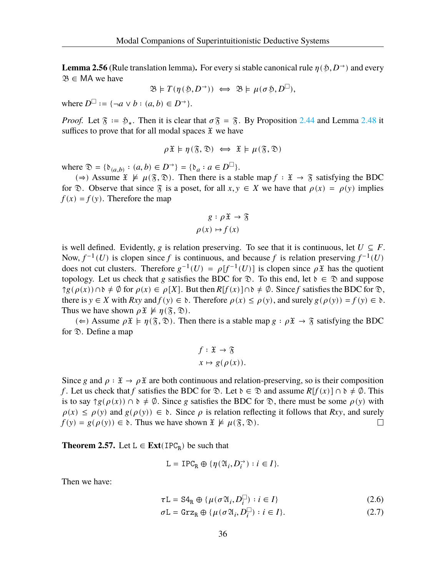**Lemma 2.56** (Rule translation lemma). For every si stable canonical rule  $\eta(\mathfrak{H}, D^{\rightarrow})$  and every  $\mathfrak{B} \in \mathsf{MA}$  we have

 $\mathfrak{B} \models T(\eta(\mathfrak{H}, D^{\rightarrow})) \iff \mathfrak{B} \models \mu(\sigma \mathfrak{H}, D^{\square}),$ 

where  $D^{\square}$  := { $\neg a \vee b : (a, b) \in D^{\rightarrow}$  }.

*Proof.* Let  $\mathfrak{F} := \mathfrak{H}_*$ . Then it is clear that  $\sigma \mathfrak{F} = \mathfrak{F}$ . By Proposition [2.44](#page-33-0) and Lemma [2.48](#page-35-0) it suffices to prove that for all modal spaces  $\mathfrak X$  we have

$$
\rho \mathfrak{X} \models \eta(\mathfrak{F}, \mathfrak{D}) \iff \mathfrak{X} \models \mu(\mathfrak{F}, \mathfrak{D})
$$

where  $\mathfrak{D} = {\mathfrak{b}}_{(a,b)} : (a,b) \in D^{\rightarrow} = {\mathfrak{b}}_a : a \in D^{\square}$ .

(⇒) Assume  $\mathfrak{X} \not\models \mu(\mathfrak{F}, \mathfrak{D})$ . Then there is a stable map  $f : \mathfrak{X} \rightarrow \mathfrak{F}$  satisfying the BDC for  $\mathcal{D}$ . Observe that since  $\mathcal{F}$  is a poset, for all  $x, y \in X$  we have that  $\rho(x) = \rho(y)$  implies  $f(x) = f(y)$ . Therefore the map

$$
g: \rho \mathfrak{X} \to \mathfrak{F}
$$

$$
\rho(x) \mapsto f(x)
$$

is well defined. Evidently, g is relation preserving. To see that it is continuous, let  $U \subseteq F$ . Now,  $f^{-1}(U)$  is clopen since f is continuous, and because f is relation preserving  $f^{-1}(U)$ does not cut clusters. Therefore  $g^{-1}(U) = \rho[f^{-1}(U)]$  is clopen since  $\rho \mathfrak{X}$  has the quotient topology. Let us check that g satisfies the BDC for  $\mathcal{D}$ . To this end, let  $\delta \in \mathcal{D}$  and suppose  $\gamma g(\rho(x)) \cap \delta \neq \emptyset$  for  $\rho(x) \in \rho[X]$ . But then  $R[f(x)] \cap \delta \neq \emptyset$ . Since f satisfies the BDC for  $\mathfrak{D}$ , there is  $y \in X$  with  $Rxy$  and  $f(y) \in \mathfrak{d}$ . Therefore  $\rho(x) \le \rho(y)$ , and surely  $g(\rho(y)) = f(y) \in \mathfrak{d}$ . Thus we have shown  $\rho \mathfrak{X} \not\models \eta(\mathfrak{F}, \mathfrak{D})$ .

(∈) Assume  $\rho \tilde{x} \models \eta(\tilde{S}, \tilde{\mathcal{D}})$ . Then there is a stable map  $g : \rho \tilde{x} \to \tilde{S}$  satisfying the BDC for  $\mathcal{D}$ . Define a map

$$
f: \mathfrak{X} \to \mathfrak{F}
$$

$$
x \mapsto g(\rho(x)).
$$

Since g and  $\rho : \mathfrak{X} \to \rho \mathfrak{X}$  are both continuous and relation-preserving, so is their composition f. Let us check that f satisfies the BDC for  $\mathcal{D}$ . Let  $\mathfrak{d} \in \mathcal{D}$  and assume  $R[f(x)] \cap \mathfrak{d} \neq \emptyset$ . This is to say  $\gamma g(\rho(x)) \cap b \neq \emptyset$ . Since g satisfies the BDC for  $\mathcal{D}$ , there must be some  $\rho(y)$  with  $\rho(x) \leq \rho(y)$  and  $g(\rho(y)) \in \mathfrak{d}$ . Since  $\rho$  is relation reflecting it follows that  $Rxy$ , and surely  $f(y) = g(\rho(y)) \in \mathfrak{d}$ . Thus we have shown  $\mathfrak{X} \not\models \mu(\mathfrak{F}, \mathfrak{D})$ .  $\Box$ 

<span id="page-40-1"></span>**Theorem 2.57.** Let  $L \in \text{Ext}(\text{IPC}_R)$  be such that

<span id="page-40-0"></span>
$$
\mathbf{L}=\text{IPC}_\text{R}\oplus\{\eta(\mathfrak{A}_i,D_i^\rightarrow):i\in I\}.
$$

Then we have:

$$
\tau \mathcal{L} = \mathbf{S} \mathbf{4}_{\mathbb{R}} \oplus \{ \mu(\sigma \mathfrak{A}_{i}, D_{i}^{\square}) : i \in I \}
$$
 (2.6)

$$
\sigma \mathcal{L} = \text{Grz}_{\mathcal{R}} \oplus \{ \mu(\sigma \mathfrak{A}_i, D_i^{\square}) : i \in I \}. \tag{2.7}
$$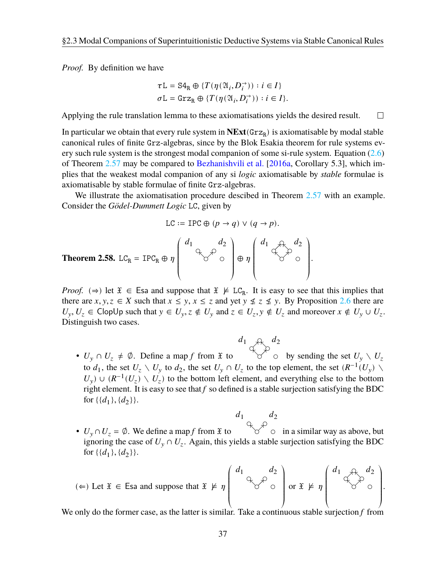*Proof.* By definition we have

$$
\begin{aligned} &\tau\mathbf{L}=\mathrm{S4_R}\oplus\{T(\eta(\mathfrak{A}_i,D_i^{\rightarrow})) : i\in I\} \\ &\sigma\mathbf{L}=\mathrm{Grz_R}\oplus\{T(\eta(\mathfrak{A}_i,D_i^{\rightarrow})) : i\in I\}. \end{aligned}
$$

Applying the rule translation lemma to these axiomatisations yields the desired result.  $\Box$ 

In particular we obtain that every rule system in  $NExt(Grz_R)$  is axiomatisable by modal stable canonical rules of finite Grz-algebras, since by the Blok Esakia theorem for rule systems every such rule system is the strongest modal companion of some si-rule system. Equation  $(2.6)$  $(2.6)$ of Theorem [2.57](#page-40-1) may be compared to [Bezhanishvili et al.](#page-107-1) [[2016a](#page-107-1), Corollary 5.3], which implies that the weakest modal companion of any si *logic* axiomatisable by *stable* formulae is axiomatisable by stable formulae of finite Grz-algebras.

We illustrate the axiomatisation procedure descibed in Theorem [2.57](#page-40-1) with an example. Consider the *Gödel-Dummett Logic* LC, given by

$$
LC := IPC \oplus (p \to q) \lor (q \to p).
$$

**Theorem 2.58.** 
$$
LC_R = IPC_R \oplus \eta \begin{pmatrix} d_1 & d_2 \\ & \searrow & \circ \\ & & \circ \end{pmatrix} \oplus \eta \begin{pmatrix} d_1 & d_2 & d_2 \\ & & \circ & \circ \\ & & & \circ \end{pmatrix}.
$$

*Proof.* ( $\Rightarrow$ ) let  $\mathfrak{X} \in \mathsf{Esa}$  and suppose that  $\mathfrak{X} \not\models LC_R$ . It is easy to see that this implies that there are  $x, y, z \in X$  such that  $x \le y, x \le z$  and yet  $y \not\le z \not\le y$ . By Proposition [2.6](#page-20-0) there are  $U_y, U_z \in \text{ClopUp such that } y \in U_y, z \notin U_y \text{ and } z \in U_z, y \notin U_z \text{ and moreover } x \notin U_y \cup U_z.$ Distinguish two cases.

$$
d_1 \underset{\bigtriangleup}{\longrightarrow} d_2
$$

•  $U_y \cap U_z \neq \emptyset$ . Define a map f from  $\mathfrak X$  to  $\forall$  o by sending the set  $U_y \setminus U_z$ to  $d_1$ , the set  $U_z \setminus U_y$  to  $d_2$ , the set  $U_y \cap U_z$  to the top element, the set  $(R^{-1}(U_y) \setminus$  $U_y$ ) ∪ ( $R^{-1}(U_z) \setminus U_z$ ) to the bottom left element, and everything else to the bottom right element. It is easy to see that  $f$  so defined is a stable surjection satisfying the BDC for  $\{\{d_1\}, \{d_2\}\}.$ 

$$
d_1 \qquad d_2
$$

•  $U_y \cap U_z = \emptyset$ . We define a map f from  $\mathfrak{X}$  to  $\forall$  o in a similar way as above, but ignoring the case of  $U_y \cap U_z$ . Again, this yields a stable surjection satisfying the BDC for  $\{\{d_1\}, \{d_2\}\}.$ 

$$
(\Leftarrow) \text{ Let } \mathfrak{X} \in \text{ Esa and suppose that } \mathfrak{X} \not\models \eta \begin{pmatrix} d_1 & & d_2 \\ & & & \\ & & & \end{pmatrix} \text{ or } \mathfrak{X} \not\models \eta \begin{pmatrix} d_1 & & & d_2 \\ & & & & \\ & & & & \end{pmatrix}.
$$

We only do the former case, as the latter is similar. Take a continuous stable surjection  $f$  from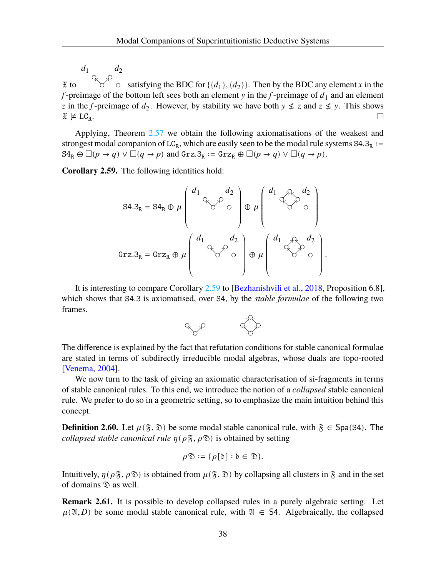$d_1$   $d_2$  $\mathfrak X$  to satisfying the BDC for  $\{\{d_1\}, \{d_2\}\}\$ . Then by the BDC any element x in the f-preimage of the bottom left sees both an element  $y$  in the  $f$ -preimage of  $d_1$  and an element z in the *f*-preimage of  $d_2$ . However, by stability we have both  $y \nleq z$  and  $z \nleq y$ . This shows  $\mathfrak{X} \not\models \mathrm{LC_R}.$  $\Box$ 

Applying, Theorem [2.57](#page-40-1) we obtain the following axiomatisations of the weakest and strongest modal companion of  $LC_R$ , which are easily seen to be the modal rule systems  $S4.3_R :=$  $\text{S4}_R \oplus \Box(p \to q) \lor \Box(q \to p)$  and  $\text{Grz.3}_R := \text{Grz}_R \oplus \Box(p \to q) \lor \Box(q \to p)$ .

<span id="page-42-0"></span>**Corollary 2.59.** The following identities hold:

$$
S4.3R = S4R \oplus \mu \begin{pmatrix} d_1 & d_2 \\ & \searrow & \circ \\ & & \circ \end{pmatrix} \oplus \mu \begin{pmatrix} d_1 & d_2 \\ & & \searrow & \circ \\ & & & \circ \end{pmatrix}
$$
  
Grz.3<sub>R</sub> = Grz<sub>R</sub> \oplus \mu \begin{pmatrix} d\_1 & d\_2 \\ & & \searrow & \circ \\ & & & \circ \end{pmatrix} \oplus \mu \begin{pmatrix} d\_1 & d\_2 \\ & & \searrow & d\_2 \\ & & & \circ \end{pmatrix}.

It is interesting to compare Corollary [2.59](#page-42-0) to [[Bezhanishvili et al.](#page-107-2), [2018,](#page-107-2) Proposition 6.8], which shows that S4.3 is axiomatised, over S4, by the *stable formulae* of the following two frames.



The difference is explained by the fact that refutation conditions for stable canonical formulae are stated in terms of subdirectly irreducible modal algebras, whose duals are topo-rooted [\[Venema,](#page-109-1) [2004\]](#page-109-1).

We now turn to the task of giving an axiomatic characterisation of si-fragments in terms of stable canonical rules. To this end, we introduce the notion of a *collapsed* stable canonical rule. We prefer to do so in a geometric setting, so to emphasize the main intuition behind this concept.

**Definition 2.60.** Let  $\mu(\mathfrak{F}, \mathfrak{D})$  be some modal stable canonical rule, with  $\mathfrak{F} \in \text{Spa}(S4)$ . The *collapsed stable canonical rule*  $\eta(\rho \mathfrak{F}, \rho \mathfrak{D})$  is obtained by setting

$$
\rho \mathfrak{D} := \{ \rho[\mathfrak{d}] : \mathfrak{d} \in \mathfrak{D} \}.
$$

Intuitively,  $\eta(\rho \tilde{\mathfrak{F}}, \rho \tilde{\mathfrak{D}})$  is obtained from  $\mu(\tilde{\mathfrak{F}}, \tilde{\mathfrak{D}})$  by collapsing all clusters in  $\tilde{\mathfrak{F}}$  and in the set of domains  $\mathcal{D}$  as well.

**Remark 2.61.** It is possible to develop collapsed rules in a purely algebraic setting. Let  $\mu(\mathfrak{A}, D)$  be some modal stable canonical rule, with  $\mathfrak{A} \in S4$ . Algebraically, the collapsed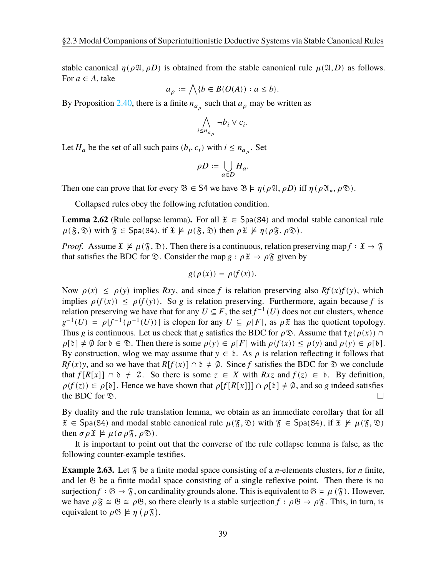stable canonical  $\eta(\rho \mathfrak{A}, \rho D)$  is obtained from the stable canonical rule  $\mu(\mathfrak{A}, D)$  as follows. For  $a \in A$ , take

$$
a_{\rho} := \bigwedge \{ b \in B(O(A)) : a \le b \}.
$$

By Proposition [2.40](#page-32-0), there is a finite  $n_{a_{\rho}}$  such that  $a_{\rho}$  may be written as

$$
\bigwedge_{i \leq n_{a_\rho}} \neg b_i \vee c_i
$$

.

Let  $H_a$  be the set of all such pairs  $(b_i, c_i)$  with  $i \leq n_{a_{\rho}}$ . Set

$$
\rho D := \bigcup_{a \in D} H_a.
$$

Then one can prove that for every  $\mathfrak{B} \in S4$  we have  $\mathfrak{B} \models \eta(\rho \mathfrak{A}, \rho D)$  iff  $\eta(\rho \mathfrak{A}_*, \rho \mathfrak{D})$ .

Collapsed rules obey the following refutation condition.

**Lemma 2.62** (Rule collapse lemma). For all  $\mathfrak{X} \in \text{Spa}(S4)$  and modal stable canonical rule  $\mu(\mathfrak{F}, \mathfrak{D})$  with  $\mathfrak{F} \in \mathsf{Spa}(S4)$ , if  $\mathfrak{X} \not\models \mu(\mathfrak{F}, \mathfrak{D})$  then  $\rho \mathfrak{X} \not\models \eta(\rho \mathfrak{F}, \rho \mathfrak{D})$ .

*Proof.* Assume  $\mathfrak{X} \not\models \mu(\mathfrak{F}, \mathfrak{D})$ . Then there is a continuous, relation preserving map  $f : \mathfrak{X} \to \mathfrak{F}$ that satisfies the BDC for  $\mathcal{D}$ . Consider the map  $g : \rho \mathcal{X} \to \rho \mathcal{X}$  given by

$$
g(\rho(x)) = \rho(f(x)).
$$

Now  $\rho(x) \leq \rho(y)$  implies Rxy, and since f is relation preserving also Rf(x)f(y), which implies  $\rho(f(x)) \leq \rho(f(y))$ . So *g* is relation preserving. Furthermore, again because f is relation preserving we have that for any  $U \subseteq F$ , the set  $f^{-1}(U)$  does not cut clusters, whence  $g^{-1}(U) = \rho[f^{-1}(\rho^{-1}(U))]$  is clopen for any  $U \subseteq \rho[F]$ , as  $\rho \mathfrak{X}$  has the quotient topology. Thus g is continuous. Let us check that g satisfies the BDC for  $\rho \mathfrak{D}$ . Assume that  $\gamma g(\rho(x)) \cap$  $\rho[\delta] \neq \emptyset$  for  $\delta \in \mathcal{D}$ . Then there is some  $\rho(y) \in \rho[F]$  with  $\rho(f(x)) \leq \rho(y)$  and  $\rho(y) \in \rho[\delta]$ . By construction, wlog we may assume that  $y \in \delta$ . As  $\rho$  is relation reflecting it follows that  $Rf(x)y$ , and so we have that  $R[f(x)] \cap \delta \neq \emptyset$ . Since f satisfies the BDC for  $\mathcal D$  we conclude that  $f[R[x]] \cap \delta \neq \emptyset$ . So there is some  $z \in X$  with  $Rxz$  and  $f(z) \in \delta$ . By definition,  $\rho(f(z)) \in \rho[\delta]$ . Hence we have shown that  $\rho[f[R[x]]] \cap \rho[\delta] \neq \emptyset$ , and so g indeed satisfies the BDC for  $\mathcal{D}$ .  $\Box$ 

By duality and the rule translation lemma, we obtain as an immediate corollary that for all  $\mathfrak{X} \in \text{Spa(S4)}$  and modal stable canonical rule  $\mu(\mathfrak{F}, \mathfrak{D})$  with  $\mathfrak{F} \in \text{Spa(S4)}$ , if  $\mathfrak{X} \not\models \mu(\mathfrak{F}, \mathfrak{D})$ then  $\sigma \rho \mathfrak{X} \not\models \mu (\sigma \rho \mathfrak{F}, \rho \mathfrak{D}).$ 

It is important to point out that the converse of the rule collapse lemma is false, as the following counter-example testifies.

**Example 2.63.** Let  $\tilde{\chi}$  be a finite modal space consisting of a *n*-elements clusters, for *n* finite, and let  $\mathfrak B$  be a finite modal space consisting of a single reflexive point. Then there is no surjection  $f : \mathfrak{G} \to \mathfrak{F}$ , on cardinality grounds alone. This is equivalent to  $\mathfrak{G} \models \mu(\mathfrak{F})$ . However, we have  $\rho \tilde{s} \cong \mathfrak{G} \cong \rho \mathfrak{G}$ , so there clearly is a stable surjection  $f : \rho \mathfrak{G} \to \rho \tilde{s}$ . This, in turn, is equivalent to  $\rho \mathfrak{G} \not\models \eta$  ( $\rho \mathfrak{F}$ ).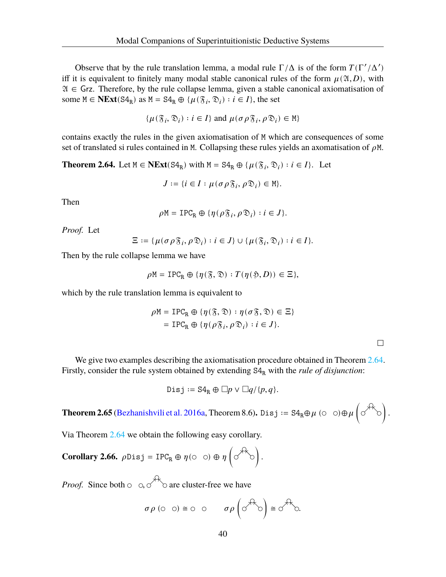Observe that by the rule translation lemma, a modal rule  $\Gamma/\Delta$  is of the form  $T(\Gamma'/\Delta')$ iff it is equivalent to finitely many modal stable canonical rules of the form  $\mu(\mathfrak{A}, D)$ , with  $\mathfrak{A} \in$  Grz. Therefore, by the rule collapse lemma, given a stable canonical axiomatisation of some  $M \in \mathbf{NExt}(\mathbf{S4}_R)$  as  $M = \mathbf{S4}_R \oplus \{ \mu(\mathfrak{F}_i, \mathfrak{D}_i) : i \in I \}$ , the set

$$
\{\mu(\mathfrak{F}_i, \mathfrak{D}_i) : i \in I\} \text{ and } \mu(\sigma \rho \mathfrak{F}_i, \rho \mathfrak{D}_i) \in \mathbb{M}\}
$$

contains exactly the rules in the given axiomatisation of M which are consequences of some set of translated si rules contained in M. Collapsing these rules yields an axomatisation of  $\rho$ M.

<span id="page-44-0"></span>**Theorem 2.64.** Let  $M \in \text{NExt}(S4_R)$  with  $M = S4_R \oplus {\mu(\mathfrak{F}_i, \mathfrak{D}_i) : i \in I}$ . Let

$$
J := \{i \in I : \mu(\sigma \rho \mathfrak{F}_i, \rho \mathfrak{D}_i) \in \mathbb{M}\}.
$$

Then

$$
\rho \mathbb{M} = \text{IPC}_{\text{R}} \oplus \{ \eta(\rho \mathfrak{F}_i, \rho \mathfrak{D}_i) : i \in J \}.
$$

*Proof.* Let

$$
\Xi:=\{\mu(\sigma\rho\mathfrak{F}_i,\rho\mathfrak{D}_i):i\in J\}\cup\{\mu(\mathfrak{F}_i,\mathfrak{D}_i):i\in I\}.
$$

Then by the rule collapse lemma we have

$$
\rho M = \text{IPC}_R \oplus \{ \eta(\mathfrak{F}, \mathfrak{D}) : T(\eta(\mathfrak{H}, D)) \in \Xi \},
$$

which by the rule translation lemma is equivalent to

$$
\rho M = \text{IPC}_{R} \oplus \{ \eta(\mathfrak{F}, \mathfrak{D}) : \eta(\sigma \mathfrak{F}, \mathfrak{D}) \in \Xi \}
$$
  
= 
$$
\text{IPC}_{R} \oplus \{ \eta(\rho \mathfrak{F}_{i}, \rho \mathfrak{D}_{i}) : i \in J \}.
$$

 $\Box$ 

We give two examples describing the axiomatisation procedure obtained in Theorem [2.64](#page-44-0). Firstly, consider the rule system obtained by extending  $S4<sub>R</sub>$  with the *rule of disjunction*:

$$
Disj := S4_R \oplus \Box p \vee \Box q/\{p,q\}.
$$

**Theorem 2.65** [\(Bezhanishvili et al.](#page-107-1) [2016a](#page-107-1), Theorem 8.6). Disj :=  $S4_R \oplus \mu$  ( $\circ$   $\circ$ ) $\oplus \mu$   $\circ$   $\circ^{\#}$ 

Via Theorem [2.64](#page-44-0) we obtain the following easy corollary.

**Corollary 2.66.**  $\rho$ Disj = IPC<sub>R</sub>  $\oplus$   $\eta$  ( $\circ$   $\circ$ )  $\oplus$   $\eta$   $\left(\circ \stackrel{\leftrightarrow}{\circ} \circ\right)$ .

*Proof.* Since both  $\circ$   $\circ$ ,  $\circ$   $\circ$  are cluster-free we have

$$
\sigma \rho
$$
 (0 0)  $\cong$  0 0  $\sigma \rho$  ( $\sigma$ <sup>4k</sup>0)  $\cong$   $\sigma$ <sup>4k</sup>0.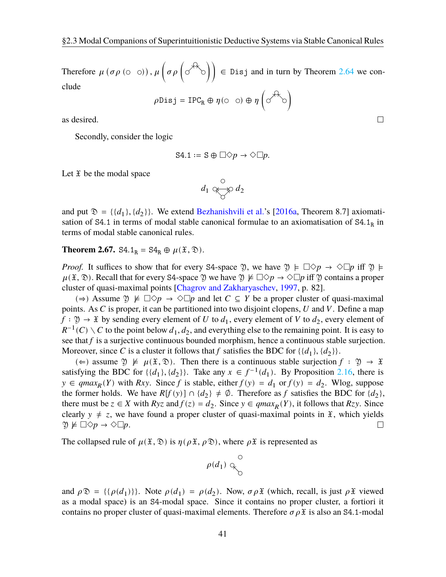Therefore  $\mu$  ( $\sigma \rho$  ( $\circ$   $\circ$ )),  $\mu$  ( $\sigma \rho$  ( $\circ$ <sup>{{A}</sup> $\circ$ ))  $\in$  Disj and in turn by Theorem [2.64](#page-44-0) we conclude

 $\rho$ Disj = IPC<sub>R</sub>  $\oplus$   $\eta$ ( $\circ$   $\circ$ )  $\oplus$   $\eta$   $\circ$ <sup>( $\circ$ </sup> $\circ$ )

as desired.

Secondly, consider the logic

$$
\mathsf{S4.1} \coloneqq \mathsf{S} \oplus \Box \Diamond p \rightarrow \Diamond \Box p.
$$

Let  $\mathfrak X$  be the modal space

$$
d_1 \underset{\bigcirc}{\otimes} d_2
$$

and put  $\mathfrak{D} = \{ \{d_1\}, \{d_2\} \}$ . We extend [Bezhanishvili et al.'](#page-107-1)s [\[2016a,](#page-107-1) Theorem 8.7] axiomatisation of  $S4.1$  in terms of modal stable canonical formulae to an axiomatisation of  $S4.1<sub>R</sub>$  in terms of modal stable canonical rules.

#### **Theorem 2.67.** S4.1<sub>R</sub> = S4<sub>R</sub>  $\oplus$   $\mu(\mathfrak{X}, \mathfrak{D})$ .

*Proof.* It suffices to show that for every S4-space 9, we have  $\mathfrak{Y} \models \Box \Diamond p \rightarrow \Diamond \Box p$  iff  $\mathfrak{Y} \models$  $\mu(\mathfrak{X}, \mathfrak{D})$ . Recall that for every S4-space  $\mathfrak{Y}$  we have  $\mathfrak{Y} \not\models \Box \Diamond p \rightarrow \Diamond \Box p$  iff  $\mathfrak{Y}$  contains a proper cluster of quasi-maximal points [[Chagrov and Zakharyaschev,](#page-107-3) [1997,](#page-107-3) p. 82].

(⇒) Assume  $\mathfrak{Y} \not\vDash \Box \Diamond p \rightarrow \Diamond \Box p$  and let  $C \subseteq Y$  be a proper cluster of quasi-maximal points. As  $C$  is proper, it can be partitioned into two disjoint clopens,  $U$  and  $V$ . Define a map  $f: \mathfrak{Y} \to \mathfrak{X}$  by sending every element of U to  $d_1$ , every element of V to  $d_2$ , every element of  $R^{-1}(C) \setminus C$  to the point below  $d_1, d_2$ , and everything else to the remaining point. It is easy to see that  $f$  is a surjective continuous bounded morphism, hence a continuous stable surjection. Moreover, since C is a cluster it follows that f satisfies the BDC for  $\{\{d_1\}, \{d_2\}\}\.$ 

(∈) assume  $\mathfrak{Y} \not\models \mu(\mathfrak{X}, \mathfrak{D})$ . Then there is a continuous stable surjection  $f : \mathfrak{Y} \rightarrow \mathfrak{X}$ satisfying the BDC for  $\{\{d_1\}, \{d_2\}\}\$ . Take any  $x \in f^{-1}(d_1)$ . By Proposition [2.16,](#page-24-0) there is  $y \in qmax_R(Y)$  with Rxy. Since f is stable, either  $f(y) = d_1$  or  $f(y) = d_2$ . Wlog, suppose the former holds. We have  $R[f(y)] \cap \{d_2\} \neq \emptyset$ . Therefore as f satisfies the BDC for  $\{d_2\}$ , there must be  $z \in X$  with  $Ryz$  and  $f(z) = d_2$ . Since  $y \in qmax_R(Y)$ , it follows that  $Rzy$ . Since clearly  $y \neq z$ , we have found a proper cluster of quasi-maximal points in  $\tilde{x}$ , which yields  $\mathfrak{Y} \not\models \Box \Diamond p \rightarrow \Diamond \Box p.$  $\Box$ 

The collapsed rule of  $\mu(\mathfrak{X}, \mathfrak{D})$  is  $\eta(\rho \mathfrak{X}, \rho \mathfrak{D})$ , where  $\rho \mathfrak{X}$  is represented as

$$
\rho(d_1) \downarrow^{\circlearrowleft}_{\circlearrowright}
$$

and  $\rho \mathfrak{D} = \{ \{\rho(d_1)\}\}\.$  Note  $\rho(d_1) = \rho(d_2)$ . Now,  $\sigma \rho \mathfrak{X}$  (which, recall, is just  $\rho \mathfrak{X}$  viewed as a modal space) is an S4-modal space. Since it contains no proper cluster, a fortiori it contains no proper cluster of quasi-maximal elements. Therefore  $\sigma \rho \mathfrak{X}$  is also an S4.1-modal

 $\Box$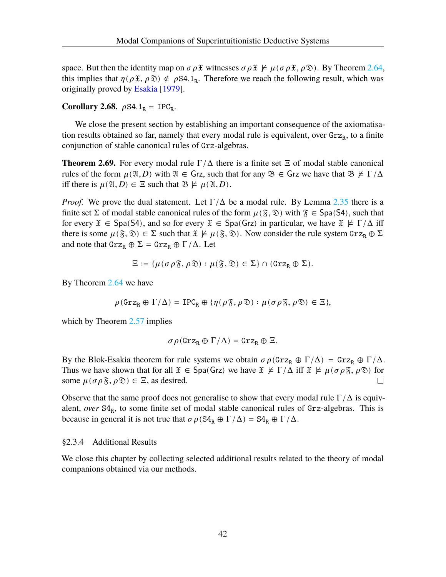space. But then the identity map on  $\sigma \rho \tilde{x}$  witnesses  $\sigma \rho \tilde{x} \not\models \mu (\sigma \rho \tilde{x}, \rho \tilde{x})$ . By Theorem [2.64](#page-44-0), this implies that  $\eta(\rho \mathfrak{X}, \rho \mathfrak{D}) \notin \rho \mathfrak{S}4.1_R$ . Therefore we reach the following result, which was originally proved by [Esakia](#page-108-1) [\[1979](#page-108-1)].

**Corollary 2.68.**  $\rho S4.1_R = IPC_R$ .

We close the present section by establishing an important consequence of the axiomatisation results obtained so far, namely that every modal rule is equivalent, over  $\text{Grz}_R$ , to a finite conjunction of stable canonical rules of Grz-algebras.

<span id="page-46-0"></span>**Theorem 2.69.** For every modal rule  $\Gamma/\Delta$  there is a finite set  $\Xi$  of modal stable canonical rules of the form  $\mu(\mathfrak{A}, D)$  with  $\mathfrak{A} \in \mathsf{Grz}$ , such that for any  $\mathfrak{B} \in \mathsf{Grz}$  we have that  $\mathfrak{B} \not\models \Gamma/\Delta$ iff there is  $\mu(\mathfrak{A}, D) \in \Xi$  such that  $\mathfrak{B} \not\models \mu(\mathfrak{A}, D)$ .

*Proof.* We prove the dual statement. Let  $\Gamma/\Delta$  be a modal rule. By Lemma [2.35](#page-31-1) there is a finite set  $\Sigma$  of modal stable canonical rules of the form  $\mu(\mathfrak{F}, \mathfrak{D})$  with  $\mathfrak{F} \in \mathsf{Spa}(S4)$ , such that for every  $\mathfrak{X} \in \text{Spa}(S4)$ , and so for every  $\mathfrak{X} \in \text{Spa}(Grz)$  in particular, we have  $\mathfrak{X} \not\models \Gamma/\Delta$  iff there is some  $\mu(\mathfrak{F}, \mathfrak{D}) \in \Sigma$  such that  $\mathfrak{X} \not\models \mu(\mathfrak{F}, \mathfrak{D})$ . Now consider the rule system  $\text{Grz}_R \oplus \Sigma$ and note that  $\text{Grz}_R \oplus \Sigma = \text{Grz}_R \oplus \Gamma/\Delta$ . Let

$$
\Xi:=\{\mu(\sigma\rho\mathfrak{F},\rho\mathfrak{D}):\mu(\mathfrak{F},\mathfrak{D})\in\Sigma\}\cap(\text{Grz}_R\oplus\Sigma).
$$

By Theorem [2.64](#page-44-0) we have

$$
\rho(\text{Grz}_R \oplus \Gamma/\Delta) = \text{IPC}_R \oplus \{ \eta(\rho \mathfrak{F}, \rho \mathfrak{D}) : \mu(\sigma \rho \mathfrak{F}, \rho \mathfrak{D}) \in \Xi \},
$$

which by Theorem [2.57](#page-40-1) implies

$$
\sigma\,\rho({\tt Grz}_R\oplus\Gamma/\Delta)={\tt Grz}_R\oplus\Xi.
$$

By the Blok-Esakia theorem for rule systems we obtain  $\sigma \rho$ (Grz<sub>R</sub> ⊕  $\Gamma/\Delta$ ) = Grz<sub>R</sub> ⊕  $\Gamma/\Delta$ . Thus we have shown that for all  $\mathfrak{X} \in \text{Spa}(Grz)$  we have  $\mathfrak{X} \not\models \Gamma/\Delta$  iff  $\mathfrak{X} \not\models \mu(\sigma \rho \mathfrak{F}, \rho \mathfrak{D})$  for some  $\mu(\sigma \rho \mathcal{F}, \rho \mathcal{D}) \in \Xi$ , as desired.  $\Box$ 

Observe that the same proof does not generalise to show that every modal rule  $\Gamma/\Delta$  is equivalent, *over* S4<sub>R</sub>, to some finite set of modal stable canonical rules of Grz-algebras. This is because in general it is not true that  $\sigma \rho (S4_R \oplus \Gamma/\Delta) = S4_R \oplus \Gamma/\Delta$ .

#### <span id="page-46-1"></span>§2.3.4 Additional Results

We close this chapter by collecting selected additional results related to the theory of modal companions obtained via our methods.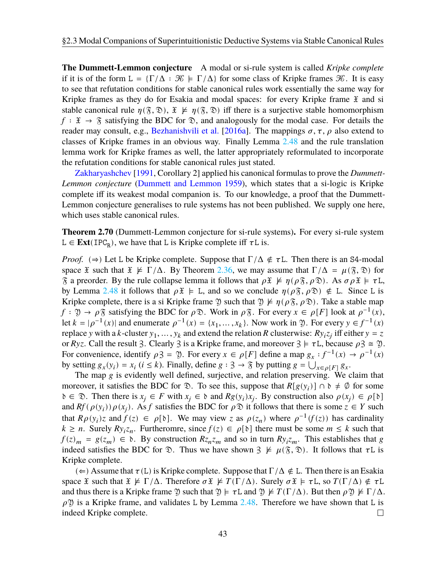**The Dummett-Lemmon conjecture** A modal or si-rule system is called *Kripke complete* if it is of the form  $L = \{\Gamma/\Delta : \mathcal{K} \models \Gamma/\Delta\}$  for some class of Kripke frames  $\mathcal{K}$ . It is easy to see that refutation conditions for stable canonical rules work essentially the same way for Kripke frames as they do for Esakia and modal spaces: for every Kripke frame  $\tilde{x}$  and si stable canonical rule  $\eta(\mathfrak{F}, \mathfrak{D}), \mathfrak{X} \not\models \eta(\mathfrak{F}, \mathfrak{D})$  iff there is a surjective stable homomorphism  $f : \mathfrak{X} \to \mathfrak{F}$  satisfying the BDC for  $\mathfrak{D}$ , and analogously for the modal case. For details the reader may consult, e.g., [Bezhanishvili et al.](#page-107-1) [\[2016a\]](#page-107-1). The mappings  $\sigma$ ,  $\tau$ ,  $\rho$  also extend to classes of Kripke frames in an obvious way. Finally Lemma [2.48](#page-35-0) and the rule translation lemma work for Kripke frames as well, the latter appropriately reformulated to incorporate the refutation conditions for stable canonical rules just stated.

[Zakharyashchev](#page-110-0) [\[1991,](#page-110-0) Corollary 2] applied his canonical formulas to prove the *Dummett-Lemmon conjecture* [\(Dummett and Lemmon](#page-108-2) [1959](#page-108-2)), which states that a si-logic is Kripke complete iff its weakest modal companion is. To our knowledge, a proof that the Dummett-Lemmon conjecture generalises to rule systems has not been published. We supply one here, which uses stable canonical rules.

<span id="page-47-0"></span>**Theorem 2.70** (Dummett-Lemmon conjecture for si-rule systems)**.** For every si-rule system  $L \in \text{Ext}(\text{IPC}_R)$ , we have that L is Kripke complete iff  $\tau L$  is.

*Proof.* ( $\Rightarrow$ ) Let L be Kripke complete. Suppose that  $\Gamma/\Delta \notin \tau L$ . Then there is an S4-modal space  $\mathfrak X$  such that  $\mathfrak X \nvDash \Gamma/\Delta$ . By Theorem [2.36](#page-31-0), we may assume that  $\Gamma/\Delta = \mu(\mathfrak{F}, \mathfrak{D})$  for  $\mathcal{R}$  a preorder. By the rule collapse lemma it follows that  $\rho \mathcal{X} \not\models \eta(\rho \mathcal{R}, \rho \mathcal{D})$ . As  $\sigma \rho \mathcal{X} \models \tau L$ , by Lemma [2.48](#page-35-0) it follows that  $\rho \mathfrak{X} \models L$ , and so we conclude  $\eta(\rho \mathfrak{F}, \rho \mathfrak{D}) \notin L$ . Since L is Kripke complete, there is a si Kripke frame  $\mathfrak{Y}$  such that  $\mathfrak{Y} \not\models \eta(\rho \mathfrak{F}, \rho \mathfrak{D})$ . Take a stable map  $f: \mathfrak{Y} \to \rho \mathfrak{F}$  satisfying the BDC for  $\rho \mathfrak{D}$ . Work in  $\rho \mathfrak{F}$ . For every  $x \in \rho[F]$  look at  $\rho^{-1}(x)$ , let  $k = |\rho^{-1}(x)|$  and enumerate  $\rho^{-1}(x) = \{x_1, \dots, x_k\}$ . Now work in  $\mathfrak{Y}$ . For every  $y \in f^{-1}(x)$ replace y with a k-cluster  $y_1, \dots, y_k$  and extend the relation R clusterwise:  $R y_i z_j$  iff either  $y = z$ or Ryz. Call the result 3. Clearly 3 is a Kripke frame, and moreover  $3 \models \tau L$ , because  $\rho \geq \mathfrak{D}$ . For convenience, identify  $\rho \geq 0$ . For every  $x \in \rho[F]$  define a map  $g_x : f^{-1}(x) \to \rho^{-1}(x)$ by setting  $g_x(y_i) = x_i$   $(i \le k)$ . Finally, define  $g : \mathcal{F} \to \mathcal{F}$  by putting  $g = \bigcup_{x \in \rho[F]} g_x$ .

The map  $g$  is evidently well defined, surjective, and relation preserving. We claim that moreover, it satisfies the BDC for  $\mathcal{D}$ . To see this, suppose that  $R[g(y_i)] \cap \mathcal{D} \neq \emptyset$  for some  $\delta \in \mathcal{D}$ . Then there is  $x_j \in F$  with  $x_j \in \delta$  and  $Rg(y_i)x_j$ . By construction also  $\rho(x_j) \in \rho[\delta]$ and  $Rf(\rho(y_i))\rho(x_j)$ . As f satisfies the BDC for  $\rho \mathfrak{D}$  it follows that there is some  $z \in Y$  such that  $R \rho(y_i)$ z and  $f(z) \in \rho[\delta]$ . We may view z as  $\rho(z_n)$  where  $\rho^{-1}(f(z))$  has cardinality  $k \geq n$ . Surely  $Ry_iz_n$ . Furtheromre, since  $f(z) \in \rho[\delta]$  there must be some  $m \leq k$  such that  $f(z)_m = g(z_m) \in \mathfrak{d}$ . By construction  $Rz_n z_m$  and so in turn  $Ry_i z_m$ . This establishes that g indeed satisfies the BDC for  $\mathcal{D}$ . Thus we have shown  $\beta \not\models \mu(\mathcal{F}, \mathcal{D})$ . It follows that  $\tau L$  is Kripke complete.

 $(\Leftarrow)$  Assume that  $\tau(L)$  is Kripke complete. Suppose that  $\Gamma/\Delta \notin L$ . Then there is an Esakia space  $\tilde{x}$  such that  $\tilde{x} \not\models \Gamma/\Delta$ . Therefore  $\sigma \tilde{x} \not\models T(\Gamma/\Delta)$ . Surely  $\sigma \tilde{x} \models \tau L$ , so  $T(\Gamma/\Delta) \notin \tau L$ and thus there is a Kripke frame  $\mathfrak{Y}$  such that  $\mathfrak{Y} \models \tau L$  and  $\mathfrak{Y} \not\models T(\Gamma/\Delta)$ . But then  $\rho \mathfrak{Y} \not\models \Gamma/\Delta$ .  $\rho$  is a Kripke frame, and validates L by Lemma [2.48](#page-35-0). Therefore we have shown that L is indeed Kripke complete.  $\Box$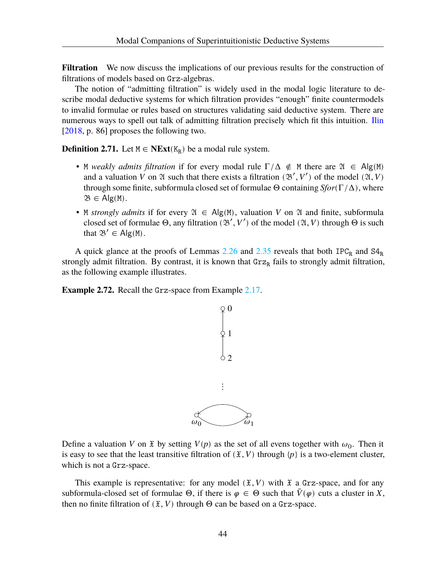**Filtration** We now discuss the implications of our previous results for the construction of filtrations of models based on Grz-algebras.

The notion of "admitting filtration" is widely used in the modal logic literature to describe modal deductive systems for which filtration provides "enough" finite countermodels to invalid formulae or rules based on structures validating said deductive system. There are numerous ways to spell out talk of admitting filtration precisely which fit this intuition. [Ilin](#page-108-3) [\[2018,](#page-108-3) p. 86] proposes the following two.

<span id="page-48-0"></span>**Definition 2.71.** Let  $M \in \mathbf{NExt}(K_R)$  be a modal rule system.

- M *weakly admits filtration* if for every modal rule  $\Gamma/\Delta \notin M$  there are  $\mathfrak{A} \in Alg(M)$ and a valuation V on  $\mathfrak A$  such that there exists a filtration  $(\mathfrak B', V')$  of the model  $(\mathfrak A, V)$ through some finite, subformula closed set of formulae Θ containing *Sfor*(Γ/Δ), where  $\mathfrak{B} \in \mathsf{Alg}(\mathsf{M}).$
- M *strongly admits* if for every  $\mathfrak{A} \in \mathsf{Alg}(\mathsf{M})$ , valuation V on  $\mathfrak A$  and finite, subformula closed set of formulae  $\Theta$ , any filtration  $(\mathfrak{B}', V')$  of the model  $(\mathfrak{A}, V)$  through  $\Theta$  is such that  $\mathfrak{B}' \in \mathsf{Alg}(\mathbb{M})$ .

A quick glance at the proofs of Lemmas  $2.26$  and  $2.35$  reveals that both  $IPC_R$  and  $S4_R$ strongly admit filtration. By contrast, it is known that  $\text{Grz}_R$  fails to strongly admit filtration, as the following example illustrates.

**Example 2.72.** Recall the Grz-space from Example [2.17](#page-24-1).



Define a valuation V on  $\mathfrak X$  by setting  $V(p)$  as the set of all evens together with  $\omega_0$ . Then it is easy to see that the least transitive filtration of  $(\mathfrak{X}, V)$  through  $\{p\}$  is a two-element cluster, which is not a Grz-space.

This example is representative: for any model  $(\mathfrak{X}, V)$  with  $\mathfrak{X}$  a Grz-space, and for any subformula-closed set of formulae  $\Theta$ , if there is  $\varphi \in \Theta$  such that  $\overline{V}(\varphi)$  cuts a cluster in X, then no finite filtration of  $(\mathfrak{X}, V)$  through  $\Theta$  can be based on a Grz-space.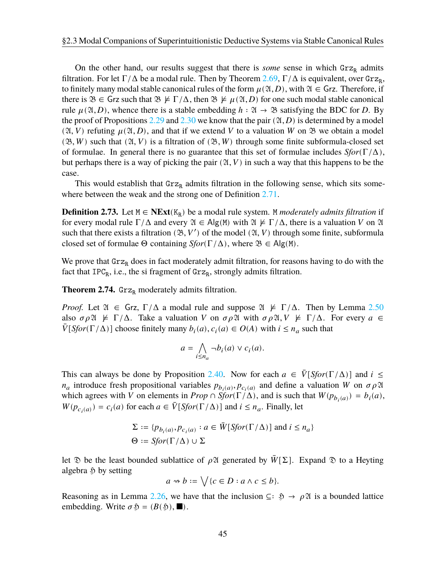On the other hand, our results suggest that there is *some* sense in which  $\text{Grz}_R$  admits filtration. For let  $\Gamma/\Delta$  be a modal rule. Then by Theorem [2.69](#page-46-0),  $\Gamma/\Delta$  is equivalent, over  $\text{Grz}_R$ , to finitely many modal stable canonical rules of the form  $\mu(\mathfrak{A}, D)$ , with  $\mathfrak{A} \in \mathsf{Grz}$ . Therefore, if there is  $\mathfrak{B} \in \mathsf{Grz}$  such that  $\mathfrak{B} \not\models \Gamma/\Delta$ , then  $\mathfrak{B} \not\models \mu(\mathfrak{A}, D)$  for one such modal stable canonical rule  $\mu(\mathfrak{A}, D)$ , whence there is a stable embedding  $h : \mathfrak{A} \to \mathfrak{B}$  satisfying the BDC for D. By the proof of Propositions [2.29](#page-29-0) and [2.30](#page-29-1) we know that the pair  $(\mathfrak{A}, D)$  is determined by a model  $(\mathfrak{A}, V)$  refuting  $\mu(\mathfrak{A}, D)$ , and that if we extend V to a valuation W on  $\mathfrak{B}$  we obtain a model  $(\mathfrak{B}, W)$  such that  $(\mathfrak{A}, V)$  is a filtration of  $(\mathfrak{B}, W)$  through some finite subformula-closed set of formulae. In general there is no guarantee that this set of formulae includes *Sfor*(Γ/Δ), but perhaps there is a way of picking the pair  $(\mathfrak{A}, V)$  in such a way that this happens to be the case.

This would establish that  $Grz_R$  admits filtration in the following sense, which sits somewhere between the weak and the strong one of Definition [2.71.](#page-48-0)

**Definition 2.73.** Let  $M$  ∈ **NExt**( $K_R$ ) be a modal rule system. M *moderately admits filtration* if for every modal rule  $\Gamma/\Delta$  and every  $\mathfrak{A} \in \mathsf{Alg}(\mathsf{M})$  with  $\mathfrak{A} \not\models \Gamma/\Delta$ , there is a valuation V on  $\mathfrak{A}$ such that there exists a filtration  $(\mathfrak{B}, V')$  of the model  $(\mathfrak{A}, V)$  through some finite, subformula closed set of formulae  $\Theta$  containing *Sfor*( $\Gamma/\Delta$ ), where  $\mathfrak{B} \in \mathsf{Alg}(\mathsf{M})$ .

We prove that  $\text{Grz}_R$  does in fact moderately admit filtration, for reasons having to do with the fact that  $IPC_R$ , i.e., the si fragment of  $Grz_R$ , strongly admits filtration.

<span id="page-49-0"></span>**Theorem 2.74.** Grz<sub>R</sub> moderately admits filtration.

*Proof.* Let  $\mathfrak{A} \in \mathsf{Grz}, \Gamma/\Delta$  a modal rule and suppose  $\mathfrak{A} \not\models \Gamma/\Delta$ . Then by Lemma [2.50](#page-36-0) also  $\sigma \rho \mathfrak{A} \not\models \Gamma/\Delta$ . Take a valuation V on  $\sigma \rho \mathfrak{A}$  with  $\sigma \rho \mathfrak{A}$ ,  $V \not\models \Gamma/\Delta$ . For every  $a \in$  $\overline{V}[Sfor(\Gamma/\Delta)]$  choose finitely many  $b_i(a), c_i(a) \in O(A)$  with  $i \leq n_a$  such that

$$
a = \bigwedge_{i \le n_a} \neg b_i(a) \lor c_i(a).
$$

This can always be done by Proposition [2.40](#page-32-0). Now for each  $a \in \overline{V}[Sfor(\Gamma/\Delta)]$  and  $i \leq$  $n_a$  introduce fresh propositional variables  $p_{b_i(a)}, p_{c_i(a)}$  and define a valuation W on  $\sigma \rho \mathfrak{A}$ which agrees with V on elements in *Prop*  $\cap$  *Sfor*( $\Gamma/\Delta$ ), and is such that  $W(p_{b_i(a)}) = b_i(a)$ ,  $W(p_{c_i(a)}) = c_i(a)$  for each  $a \in \overline{V}[Sfor(\Gamma/\Delta)]$  and  $i \leq n_a$ . Finally, let

$$
\Sigma := \{ p_{b_i(a)}, p_{c_i(a)} : a \in \overline{W}[Sfor(\Gamma/\Delta)] \text{ and } i \le n_a \}
$$
  

$$
\Theta := Sfor(\Gamma/\Delta) \cup \Sigma
$$

let  $\mathcal D$  be the least bounded sublattice of  $\rho \mathfrak A$  generated by  $\bar W[\Sigma]$ . Expand  $\mathcal D$  to a Heyting algebra  $\delta$  by setting

$$
a \rightsquigarrow b := \bigvee \{c \in D : a \wedge c \le b\}.
$$

Reasoning as in Lemma [2.26](#page-28-0), we have that the inclusion  $\subseteq: \mathfrak{H} \to \rho \mathfrak{A}$  is a bounded lattice embedding. Write  $\sigma \mathfrak{H} = (B(\mathfrak{H}), \blacksquare)$ .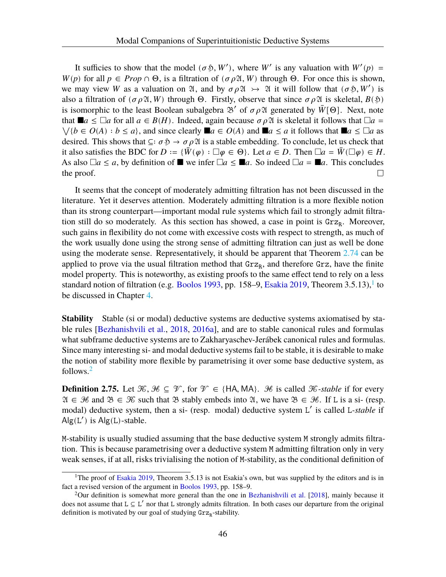It sufficies to show that the model ( $\sigma$  \$, W'), where W' is any valuation with  $W'(p)$  =  $W(p)$  for all  $p \in Prop \cap \Theta$ , is a filtration of  $(\sigma \rho \mathfrak{A}, W)$  through  $\Theta$ . For once this is shown, we may view W as a valuation on  $\mathfrak{A}$ , and by  $\sigma \rho \mathfrak{A} \rightarrow \mathfrak{A}$  it will follow that  $(\sigma \mathfrak{H}, W')$  is also a filtration of  $(\sigma \rho \mathfrak{A}, W)$  through Θ. Firstly, observe that since  $\sigma \rho \mathfrak{A}$  is skeletal,  $B(\mathfrak{H})$ is isomorphic to the least Boolean subalgebra  $\mathcal{B}'$  of  $\sigma \rho \mathcal{A}$  generated by  $\bar{W}[\Theta]$ . Next, note that  $\blacksquare a \leq \square a$  for all  $a \in B(H)$ . Indeed, again because  $\sigma \rho \mathfrak{A}$  is skeletal it follows that  $\square a =$  $\forall \{b \in O(A) : b \le a\}$ , and since clearly  $\blacksquare a \in O(A)$  and  $\blacksquare a \le a$  it follows that  $\blacksquare a \le \square a$  as desired. This shows that  $\subseteq : \sigma \circ \rightarrow \sigma \circ \mathfrak{A}$  is a stable embedding. To conclude, let us check that it also satisfies the BDC for  $D := {\overline{W}(\varphi) : \Box \varphi \in \Theta}$ . Let  $a \in D$ . Then  $\Box a = \overline{W}(\Box \varphi) \in H$ . As also  $\Box a \le a$ , by definition of  $\Box$  we infer  $\Box a \le \Box a$ . So indeed  $\Box a = \Box a$ . This concludes the proof.  $\Box$ 

It seems that the concept of moderately admitting filtration has not been discussed in the literature. Yet it deserves attention. Moderately admitting filtration is a more flexible notion than its strong counterpart—important modal rule systems which fail to strongly admit filtration still do so moderately. As this section has showed, a case in point is  $\text{Grz}_R$ . Moreover, such gains in flexibility do not come with excessive costs with respect to strength, as much of the work usually done using the strong sense of admitting filtration can just as well be done using the moderate sense. Representatively, it should be apparent that Theorem [2.74](#page-49-0) can be applied to prove via the usual filtration method that  $Grz_R$ , and therefore  $Grz$ , have the finite model property. This is noteworthy, as existing proofs to the same effect tend to rely on a less standard notion of filtration (e.g. [Boolos](#page-107-4) [1993](#page-107-4), pp. 158–9, [Esakia](#page-108-4) [2019,](#page-108-4) Theorem 3.5.13),<sup>1</sup> to be discussed in Chapter [4](#page-80-0).

**Stability** Stable (si or modal) deductive systems are deductive systems axiomatised by stable rules [\[Bezhanishvili et al.](#page-107-2), [2018,](#page-107-2) [2016a\]](#page-107-1), and are to stable canonical rules and formulas what subframe deductive systems are to Zakharyaschev-Jerábek canonical rules and formulas. Since many interesting si- and modal deductive systems fail to be stable, it is desirable to make the notion of stability more flexible by parametrising it over some base deductive system, as follows.2

**Definition 2.75.** Let  $\mathcal{K}, \mathcal{H} \subseteq \mathcal{V}$ , for  $\mathcal{V} \in \{HA, MA\}$ . *He* is called  $\mathcal{K}$ -stable if for every  $\mathfrak{A} \in \mathcal{H}$  and  $\mathfrak{B} \in \mathcal{K}$  such that  $\mathfrak{B}$  stably embeds into  $\mathfrak{A}$ , we have  $\mathfrak{B} \in \mathcal{H}$ . If L is a si- (resp. modal) deductive system, then a si- (resp. modal) deductive system L' is called L-stable if Alg(L') is Alg(L)-stable.

M-stability is usually studied assuming that the base deductive system M strongly admits filtration. This is because parametrising over a deductive system M admitting filtration only in very weak senses, if at all, risks trivialising the notion of M-stability, as the conditional definition of

<sup>&</sup>lt;sup>1</sup>The proof of [Esakia](#page-108-4) [2019,](#page-108-4) Theorem 3.5.13 is not Esakia's own, but was supplied by the editors and is in fact a revised version of the argument in [Boolos](#page-107-4) [1993,](#page-107-4) pp. 158–9.

<sup>&</sup>lt;sup>2</sup>Our definition is somewhat more general than the one in [Bezhanishvili et al.](#page-107-2) [\[2018](#page-107-2)], mainly because it does not assume that  $L \subseteq L'$  nor that L strongly admits filtration. In both cases our departure from the original definition is motivated by our goal of studying  $\text{Grz}_R\text{-stability}.$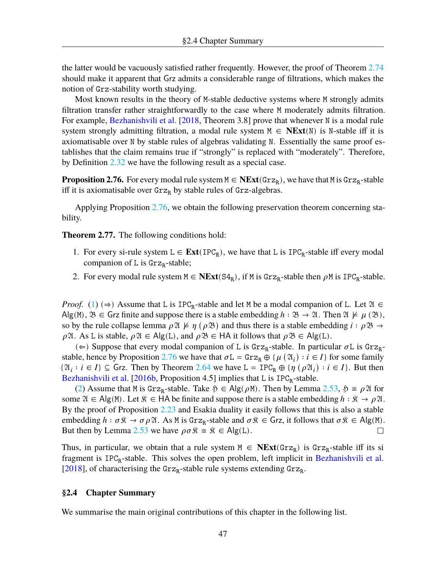the latter would be vacuously satisfied rather frequently. However, the proof of Theorem [2.74](#page-49-0) should make it apparent that Grz admits a considerable range of filtrations, which makes the notion of Grz-stability worth studying.

Most known results in the theory of M-stable deductive systems where M strongly admits filtration transfer rather straightforwardly to the case where M moderately admits filtration. For example, [Bezhanishvili et al.](#page-107-2) [\[2018](#page-107-2), Theorem 3.8] prove that whenever N is a modal rule system strongly admitting filtration, a modal rule system  $M \in \mathbf{NExt}(N)$  is N-stable iff it is axiomatisable over N by stable rules of algebras validating N. Essentially the same proof establishes that the claim remains true if "strongly" is replaced with "moderately". Therefore, by Definition [2.32](#page-30-0) we have the following result as a special case.

<span id="page-51-0"></span>**Proposition 2.76.** For every modal rule system  $M \in \text{NExt}(\text{Grz}_R)$ , we have that M is  $\text{Grz}_R$ -stable iff it is axiomatisable over  $Grz<sub>R</sub>$  by stable rules of  $Grz$ -algebras.

Applying Proposition [2.76,](#page-51-0) we obtain the following preservation theorem concerning stability.

<span id="page-51-1"></span>**Theorem 2.77.** The following conditions hold:

- 1. For every si-rule system  $L \in Ext(\text{IPC}_R)$ , we have that L is  $\text{IPC}_R$ -stable iff every modal companion of L is Grz<sub>R</sub>-stable;
- <span id="page-51-2"></span>2. For every modal rule system  $M \in \text{NExt}(S4_R)$ , if M is Grz<sub>R</sub>-stable then  $\rho M$  is IPC<sub>R</sub>-stable.

*Proof.* ([1\)](#page-51-1) ( $\Rightarrow$ ) Assume that L is IPC<sub>R</sub>-stable and let M be a modal companion of L. Let  $\mathfrak{A} \in$ Alg(M),  $\mathfrak{B} \in \mathsf{Grz}$  finite and suppose there is a stable embedding  $h : \mathfrak{B} \to \mathfrak{A}$ . Then  $\mathfrak{A} \not\models \mu(\mathfrak{B})$ , so by the rule collapse lemma  $\rho \mathfrak{A} \not\models \eta (\rho \mathfrak{B})$  and thus there is a stable embedding  $i : \rho \mathfrak{B} \rightarrow$  $\rho$  21. As L is stable,  $\rho$  21  $\in$  Alg(L), and  $\rho$  33  $\in$  HA it follows that  $\rho$  33  $\in$  Alg(L).

(  $\Leftarrow$  ) Suppose that every modal companion of L is Grz<sub>R</sub>-stable. In particular  $\sigma$ L is Grz<sub>R</sub>-stable, hence by Proposition [2.76](#page-51-0) we have that  $\sigma L = \text{Grz}_R \oplus \{\mu (\mathfrak{A}_i) : i \in I\}$  for some family  $\{\mathfrak{A}_i : i \in I\} \subseteq$  Grz. Then by Theorem [2.64](#page-44-0) we have L = IPC<sub>R</sub>  $\oplus \{\eta (\rho \mathfrak{A}_i) : i \in I\}$ . But then [Bezhanishvili et al.](#page-107-5) [[2016b,](#page-107-5) Proposition 4.5] implies that  $L$  is  $IPC_R$ -stable.

([2\)](#page-51-2) Assume that M is Grz<sub>R</sub>-stable. Take  $\mathfrak{H} \in \mathsf{Alg}(\rho \mathbb{M})$ . Then by Lemma [2.53](#page-38-5),  $\mathfrak{H} \cong \rho \mathfrak{A}$  for some  $\mathfrak{A} \in \mathsf{Alg}(M)$ . Let  $\mathfrak{K} \in \mathsf{HA}$  be finite and suppose there is a stable embedding  $h : \mathfrak{K} \to \rho \mathfrak{A}$ . By the proof of Proposition [2.23](#page-27-0) and Esakia duality it easily follows that this is also a stable embedding  $h : \sigma \mathcal{R} \to \sigma \rho \mathcal{Q}$ . As M is Grz<sub>R</sub>-stable and  $\sigma \mathcal{R} \in \mathsf{Grz}$ , it follows that  $\sigma \mathcal{R} \in \mathsf{Alg}(\mathsf{M})$ . But then by Lemma [2.53](#page-38-5) we have  $\rho \sigma \hat{\mathbf{x}} \cong \hat{\mathbf{x}} \in \mathsf{Alg}(\mathsf{L}).$  $\Box$ 

Thus, in particular, we obtain that a rule system  $M \in \mathbf{NExt}(\mathbb{G}rz_R)$  is  $\mathbb{G}rz_R$ -stable iff its si fragment is IPC<sub>R</sub>-stable. This solves the open problem, left implicit in [Bezhanishvili et al.](#page-107-2) [\[2018\]](#page-107-2), of characterising the  $\text{Grz}_R$ -stable rule systems extending  $\text{Grz}_R$ .

## **§2.4 Chapter Summary**

We summarise the main original contributions of this chapter in the following list.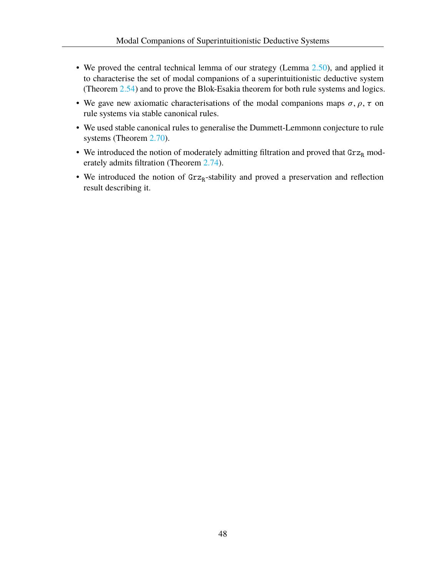- We proved the central technical lemma of our strategy (Lemma [2.50](#page-36-0)), and applied it to characterise the set of modal companions of a superintuitionistic deductive system (Theorem [2.54](#page-38-0)) and to prove the Blok-Esakia theorem for both rule systems and logics.
- We gave new axiomatic characterisations of the modal companions maps  $\sigma$ ,  $\rho$ ,  $\tau$  on rule systems via stable canonical rules.
- We used stable canonical rules to generalise the Dummett-Lemmonn conjecture to rule systems (Theorem [2.70](#page-47-0)).
- We introduced the notion of moderately admitting filtration and proved that  $\text{Grz}_R$  moderately admits filtration (Theorem [2.74](#page-49-0)).
- We introduced the notion of  $Grz_R$ -stability and proved a preservation and reflection result describing it.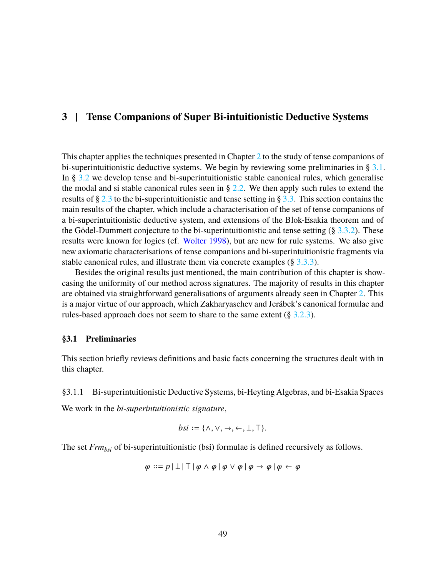# **3 | Tense Companions of Super Bi-intuitionistic Deductive Systems**

This chapter applies the techniques presented in Chapter [2](#page-18-0) to the study of tense companions of bi-superintuitionistic deductive systems. We begin by reviewing some preliminaries in  $\S 3.1$  $\S 3.1$ . In § [3.2](#page-60-0) we develop tense and bi-superintuitionistic stable canonical rules, which generalise the modal and si stable canonical rules seen in  $\S 2.2$ . We then apply such rules to extend the results of § [2.3](#page-31-2) to the bi-superintuitionistic and tense setting in § [3.3](#page-66-0). This section contains the main results of the chapter, which include a characterisation of the set of tense companions of a bi-superintuitionistic deductive system, and extensions of the Blok-Esakia theorem and of the Gödel-Dummett conjecture to the bi-superintuitionistic and tense setting  $(\S 3.3.2)$  $(\S 3.3.2)$ . These results were known for logics (cf. [Wolter](#page-109-2) [1998\)](#page-109-2), but are new for rule systems. We also give new axiomatic characterisations of tense companions and bi-superintuitionistic fragments via stable canonical rules, and illustrate them via concrete examples (§ [3.3.3](#page-71-0)).

Besides the original results just mentioned, the main contribution of this chapter is showcasing the uniformity of our method across signatures. The majority of results in this chapter are obtained via straightforward generalisations of arguments already seen in Chapter [2.](#page-18-0) This is a major virtue of our approach, which Zakharyaschev and Jerábek's canonical formulae and rules-based approach does not seem to share to the same extent (§ [3.2.3\)](#page-64-0).

#### <span id="page-53-0"></span>**§3.1 Preliminaries**

This section briefly reviews definitions and basic facts concerning the structures dealt with in this chapter.

## §3.1.1 Bi-superintuitionistic Deductive Systems, bi-Heyting Algebras, and bi-Esakia Spaces

We work in the *bi-superintuitionistic signature*,

*bsi* := 
$$
\{\land, \lor, \rightarrow, \leftarrow, \bot, \top\}
$$
.

The set *Frmbsi* of bi-superintuitionistic (bsi) formulae is defined recursively as follows.

$$
\varphi ::= p \mid \perp \mid \top \mid \varphi \land \varphi \mid \varphi \lor \varphi \mid \varphi \rightarrow \varphi \mid \varphi \leftarrow \varphi
$$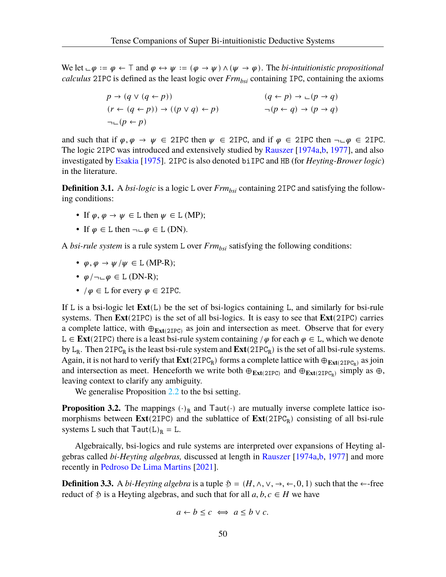We let  $\bot \varphi := \varphi \leftarrow \top$  and  $\varphi \leftrightarrow \psi := (\varphi \rightarrow \psi) \land (\psi \rightarrow \varphi)$ . The *bi-intuitionistic propositional calculus* 2IPC is defined as the least logic over *Frmbsi* containing IPC, containing the axioms

$$
p \to (q \lor (q \leftarrow p))
$$
  
\n
$$
(r \leftarrow (q \leftarrow p)) \to ((p \lor q) \leftarrow p)
$$
  
\n
$$
\neg (p \leftarrow q) \to (p \rightarrow q)
$$
  
\n
$$
\neg (p \leftarrow q) \to (p \rightarrow q)
$$
  
\n
$$
\neg (p \leftarrow q) \to (p \rightarrow q)
$$

and such that if  $\varphi, \varphi \to \psi \in 2\text{IPC}$  then  $\psi \in 2\text{IPC}$ , and if  $\varphi \in 2\text{IPC}$  then  $\neg \Box \varphi \in 2\text{IPC}$ . The logic 2IPC was introduced and extensively studied by [Rauszer](#page-109-3) [[1974a,](#page-109-3)[b,](#page-109-4) [1977\]](#page-109-5), and also investigated by [Esakia](#page-108-5) [[1975\]](#page-108-5). 2IPC is also denoted biIPC and HB (for *Heyting-Brower logic*) in the literature.

**Definition 3.1.** A *bsi-logic* is a logic L over *Frm*<sub>*bsi*</sub> containing 2IPC and satisfying the following conditions:

- If  $\varphi, \varphi \to \psi \in L$  then  $\psi \in L$  (MP);
- If  $\varphi \in L$  then  $\neg \Box \varphi \in L$  (DN).

A *bsi-rule system* is a rule system L over *Frmbsi* satisfying the following conditions:

- $\varphi, \varphi \to \psi/\psi \in L$  (MP-R);
- $\varphi/\neg \Box \varphi \in L$  (DN-R);
- $/\varphi \in L$  for every  $\varphi \in 2IPC$ .

If L is a bsi-logic let **Ext**(L) be the set of bsi-logics containing L, and similarly for bsi-rule systems. Then **Ext**(2IPC) is the set of all bsi-logics. It is easy to see that **Ext**(2IPC) carries a complete lattice, with  $\oplus_{\text{Ext}(2IPC)}$  as join and intersection as meet. Observe that for every L ∈ **Ext**(2IPC) there is a least bsi-rule system containing / $\varphi$  for each  $\varphi$  ∈ L, which we denote by  $L_R$ . Then  $2IPC_R$  is the least bsi-rule system and  $Ext(2IPC_R)$  is the set of all bsi-rule systems. Again, it is not hard to verify that  $Ext(2IPC_R)$  forms a complete lattice with  $\oplus_{Ext(2IPC_R)}$  as join and intersection as meet. Henceforth we write both  $\oplus_{Ext(2IPC)}$  and  $\oplus_{Ext(2IPC_R)}$  simply as  $\oplus$ , leaving context to clarify any ambiguity.

We generalise Proposition [2.2](#page-19-0) to the bsi setting.

<span id="page-54-0"></span>**Proposition 3.2.** The mappings  $(\cdot)_{R}$  and Taut $(\cdot)$  are mutually inverse complete lattice isomorphisms between  $Ext(2IPC)$  and the sublattice of  $Ext(2IPC_R)$  consisting of all bsi-rule systems L such that  $Taut(L)<sub>R</sub> = L$ .

Algebraically, bsi-logics and rule systems are interpreted over expansions of Heyting algebras called *bi-Heyting algebras,* discussed at length in [Rauszer](#page-109-3) [\[1974a](#page-109-3)[,b](#page-109-4), [1977](#page-109-5)] and more recently in [Pedroso De Lima Martins](#page-109-6) [\[2021](#page-109-6)].

**Definition 3.3.** A *bi-Heyting algebra* is a tuple  $\mathfrak{H} = (H, \wedge, \vee, \rightarrow, \leftarrow, 0, 1)$  such that the  $\leftarrow$ -free reduct of  $\mathfrak{H}$  is a Heyting algebras, and such that for all  $a, b, c \in H$  we have

$$
a \leftarrow b \leq c \iff a \leq b \lor c.
$$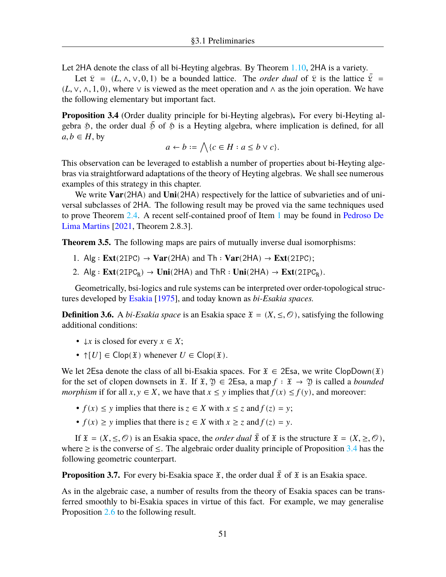Let 2HA denote the class of all bi-Heyting algebras. By Theorem [1.10](#page-16-0), 2HA is a variety.

Let  $\mathcal{L} = (L, \wedge, \vee, 0, 1)$  be a bounded lattice. The *order dual* of  $\mathcal{L}$  is the lattice  $\overline{\mathcal{L}}$  =  $(L, \vee, \wedge, 1, 0)$ , where  $\vee$  is viewed as the meet operation and  $\wedge$  as the join operation. We have the following elementary but important fact.

<span id="page-55-1"></span>**Proposition 3.4** (Order duality principle for bi-Heyting algebras)**.** For every bi-Heyting algebra  $\mathfrak{H}$ , the order dual  $\bar{\mathfrak{H}}$  of  $\mathfrak{H}$  is a Heyting algebra, where implication is defined, for all  $a, b \in H$ , by

$$
a \leftarrow b := \bigwedge \{c \in H : a \le b \vee c\}.
$$

This observation can be leveraged to establish a number of properties about bi-Heyting algebras via straightforward adaptations of the theory of Heyting algebras. We shall see numerous examples of this strategy in this chapter.

We write **Var**(2HA) and **Uni**(2HA) respectively for the lattice of subvarieties and of universal subclasses of 2HA. The following result may be proved via the same techniques used to prove Theorem [2.4.](#page-19-1) A recent self-contained proof of Item [1](#page-55-0) may be found in [Pedroso De](#page-109-6) [Lima Martins](#page-109-6) [[2021,](#page-109-6) Theorem 2.8.3].

<span id="page-55-0"></span>**Theorem 3.5.** The following maps are pairs of mutually inverse dual isomorphisms:

- 1. Alg  $: Ext(2IPC) \rightarrow Var(2HA)$  and  $Th : Var(2HA) \rightarrow Ext(2IPC)$ ;
- 2. Alg :  $\text{Ext}(2IPC_R) \rightarrow \text{Uni}(2HA)$  and  $\text{ThR} : \text{Uni}(2HA) \rightarrow \text{Ext}(2IPC_R)$ .

Geometrically, bsi-logics and rule systems can be interpreted over order-topological structures developed by [Esakia](#page-108-5) [\[1975](#page-108-5)], and today known as *bi-Esakia spaces.*

**Definition 3.6.** A *bi-Esakia space* is an Esakia space  $\mathfrak{X} = (X, \leq, \mathcal{O})$ , satisfying the following additional conditions:

- $\downarrow x$  is closed for every  $x \in X$ ;
- $\uparrow$  [U]  $\in$  Clop( $\mathfrak{X}$ ) whenever  $U \in \text{Clop}(\mathfrak{X})$ .

We let 2Esa denote the class of all bi-Esakia spaces. For  $\mathfrak{X} \in 2E$ sa, we write ClopDown( $\mathfrak{X}$ ) for the set of clopen downsets in  $\mathfrak{X}$ . If  $\mathfrak{X}, \mathfrak{Y} \in 2\mathsf{Esa}$ , a map  $f : \mathfrak{X} \to \mathfrak{Y}$  is called a *bounded morphism* if for all  $x, y \in X$ , we have that  $x \leq y$  implies that  $f(x) \leq f(y)$ , and moreover:

- $f(x) \leq y$  implies that there is  $z \in X$  with  $x \leq z$  and  $f(z) = y$ ;
- $f(x) \ge y$  implies that there is  $z \in X$  with  $x \ge z$  and  $f(z) = y$ .

If  $\mathfrak{X} = (X, \leq, \mathcal{O})$  is an Esakia space, the *order dual*  $\overline{\mathfrak{X}}$  of  $\mathfrak{X}$  is the structure  $\mathfrak{X} = (X, \geq, \mathcal{O})$ , where  $\geq$  is the converse of  $\leq$ . The algebraic order duality principle of Proposition [3.4](#page-55-1) has the following geometric counterpart.

**Proposition 3.7.** For every bi-Esakia space  $\tilde{x}$ , the order dual  $\tilde{x}$  of  $\tilde{x}$  is an Esakia space.

As in the algebraic case, a number of results from the theory of Esakia spaces can be transferred smoothly to bi-Esakia spaces in virtue of this fact. For example, we may generalise Proposition [2.6](#page-20-0) to the following result.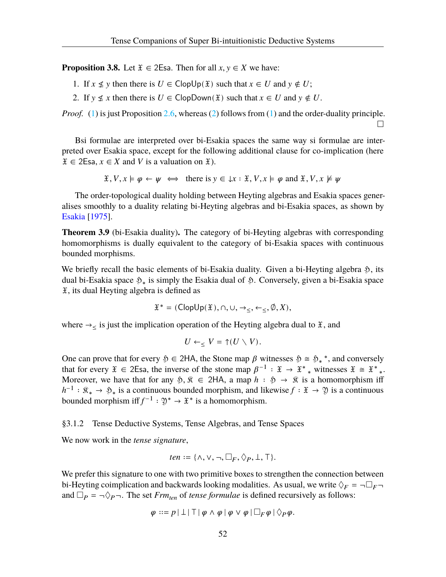<span id="page-56-0"></span>**Proposition 3.8.** Let  $\mathfrak{X} \in 2\mathbb{E}$  and  $\mathfrak{S}$ . Then for all  $x, y \in X$  we have:

- 1. If  $x \nleq y$  then there is  $U \in \text{ClopUp}(\mathfrak{X})$  such that  $x \in U$  and  $y \notin U$ ;
- <span id="page-56-1"></span>2. If  $y \nleq x$  then there is  $U \in \text{ClopDown}(\mathfrak{X})$  such that  $x \in U$  and  $y \notin U$ .

*Proof.* ([1\)](#page-56-0) is just Proposition [2.6,](#page-20-0) whereas ([2\)](#page-56-1) follows from (1) and the order-duality principle.  $\Box$ 

Bsi formulae are interpreted over bi-Esakia spaces the same way si formulae are interpreted over Esakia space, except for the following additional clause for co-implication (here  $\mathfrak{X} \in 2\mathsf{Esa}, x \in X$  and V is a valuation on  $\mathfrak{X}$ ).

$$
\mathfrak{X}, V, x \models \varphi \leftarrow \psi \iff \text{there is } y \in \downarrow x : \mathfrak{X}, V, x \models \varphi \text{ and } \mathfrak{X}, V, x \not\models \psi
$$

The order-topological duality holding between Heyting algebras and Esakia spaces generalises smoothly to a duality relating bi-Heyting algebras and bi-Esakia spaces, as shown by [Esakia](#page-108-5) [[1975\]](#page-108-5).

**Theorem 3.9** (bi-Esakia duality)**.** The category of bi-Heyting algebras with corresponding homomorphisms is dually equivalent to the category of bi-Esakia spaces with continuous bounded morphisms.

We briefly recall the basic elements of bi-Esakia duality. Given a bi-Heyting algebra ℌ, its dual bi-Esakia space ℌ<sup>∗</sup> is simply the Esakia dual of ℌ. Conversely, given a bi-Esakia space  $\mathfrak X$ , its dual Heyting algebra is defined as

$$
\mathfrak{X}^*=(\mathsf{ClopUp}(\mathfrak{X}),\cap,\cup,\rightarrow_\leq,\leftarrow_\leq,\emptyset,X),
$$

where  $\rightarrow$  s is just the implication operation of the Heyting algebra dual to  $\tilde{x}$ , and

$$
U \leftarrow_{\leq} V = \mathop{\uparrow} (U \smallsetminus V).
$$

One can prove that for every  $\varphi \in 2HA$ , the Stone map  $\beta$  witnesses  $\varphi \cong \varphi$ <sup>\*</sup>, and conversely that for every  $\mathfrak{X} \in 2\mathsf{E}$ sa, the inverse of the stone map  $\beta^{-1} : \mathfrak{X} \to \mathfrak{X}^*$  witnesses  $\mathfrak{X} \cong \mathfrak{X}^*$ . Moreover, we have that for any  $\mathfrak{H}, \mathfrak{K} \in 2HA$ , a map  $h : \mathfrak{H} \to \mathfrak{K}$  is a homomorphism iff  $h^{-1}$ :  $\mathfrak{K}_* \to \mathfrak{H}_*$  is a continuous bounded morphism, and likewise  $f : \mathfrak{X} \to \mathfrak{Y}$  is a continuous bounded morphism iff  $f^{-1}: \mathfrak{Y}^* \to \mathfrak{X}^*$  is a homomorphism.

#### §3.1.2 Tense Deductive Systems, Tense Algebras, and Tense Spaces

We now work in the *tense signature*,

*ten* := {
$$
\land
$$
,  $\lor$ ,  $\neg$ ,  $\Box_F$ ,  $\Diamond_P$ ,  $\bot$ ,  $\top$ }.

We prefer this signature to one with two primitive boxes to strengthen the connection between bi-Heyting coimplication and backwards looking modalities. As usual, we write  $\Diamond_F = \neg \Box_F \neg$ and  $\Box_P = \neg \Diamond_P \neg$ . The set *Frm*<sub>ten</sub> of *tense formulae* is defined recursively as follows:

$$
\varphi ::= p \mid \perp \mid \top \mid \varphi \wedge \varphi \mid \varphi \vee \varphi \mid \Box_F \varphi \mid \Diamond_P \varphi.
$$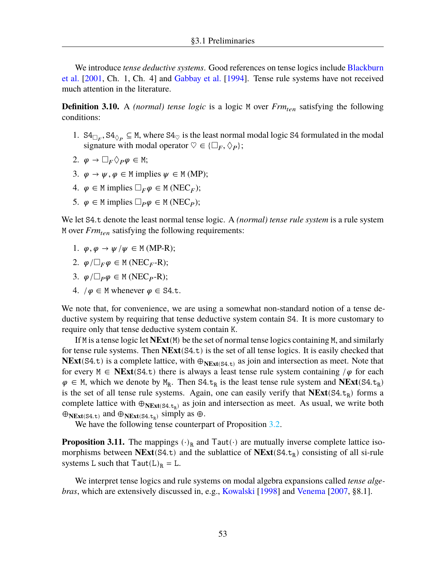We introduce *tense deductive systems*. Good references on tense logics include [Blackburn](#page-107-6) [et al.](#page-107-6) [\[2001](#page-107-6), Ch. 1, Ch. 4] and [Gabbay et al.](#page-108-6) [\[1994](#page-108-6)]. Tense rule systems have not received much attention in the literature.

**Definition 3.10.** A *(normal) tense logic* is a logic M over  $Frm_{ten}$  satisfying the following conditions:

- 1.  $S4_{\Box_F}$ ,  $S4_{\Diamond_P} \subseteq M$ , where  $S4_{\heartsuit}$  is the least normal modal logic S4 formulated in the modal signature with modal operator  $\heartsuit \in \{\Box_F, \Diamond_P\};$
- 2.  $\varphi \to \Box_F \Diamond_P \varphi \in M;$
- 3.  $\varphi \to \psi$ ,  $\varphi \in M$  implies  $\psi \in M$  (MP);
- 4.  $\varphi \in M$  implies  $\Box_F \varphi \in M(NEC_F);$
- 5.  $\varphi \in M$  implies  $\Box_P \varphi \in M(NEC_P);$

We let S4.t denote the least normal tense logic. A *(normal) tense rule system* is a rule system M over *Frm* satisfying the following requirements:

- 1.  $\varphi, \varphi \to \psi / \psi \in M$  (MP-R);
- 2.  $\varphi/\Box_F \varphi \in M(NEC_F-R);$
- 3.  $\varphi/\Box_p \varphi \in M(NEC_P-R);$
- 4.  $/\varphi \in M$  whenever  $\varphi \in S4$ .t.

We note that, for convenience, we are using a somewhat non-standard notion of a tense deductive system by requiring that tense deductive system contain S4. It is more customary to require only that tense deductive system contain K.

If M is a tense logic let **NExt**(M) be the set of normal tense logics containing M, and similarly for tense rule systems. Then **NExt**(S4.t) is the set of all tense logics. It is easily checked that **NExt**(S4.t) is a complete lattice, with  $\oplus_{NExt(S4,t)}$  as join and intersection as meet. Note that for every  $M \in \text{NExt}(S4,t)$  there is always a least tense rule system containing / $\varphi$  for each  $\varphi \in M$ , which we denote by  $M_R$ . Then S4.t<sub>R</sub> is the least tense rule system and **NExt**(S4.t<sub>R</sub>) is the set of all tense rule systems. Again, one can easily verify that  $NExt(S4, t_R)$  forms a complete lattice with  $\oplus_{N\to\text{Ext}(S4,t_R)}$  as join and intersection as meet. As usual, we write both  $\bigoplus_{N\in \mathbf{X}^t(S4, t)}$  and  $\bigoplus_{N\in \mathbf{X}^t(S4, t_R)}$  simply as  $\bigoplus$ .

We have the following tense counterpart of Proposition [3.2](#page-54-0).

<span id="page-57-0"></span>**Proposition 3.11.** The mappings  $(\cdot)_{R}$  and Taut $(\cdot)$  are mutually inverse complete lattice isomorphisms between  $NExt(S4.t)$  and the sublattice of  $NExt(S4.t_R)$  consisting of all si-rule systems L such that  $Taut(L)<sub>R</sub> = L$ .

We interpret tense logics and rule systems on modal algebra expansions called *tense algebras*, which are extensively discussed in, e.g., [Kowalski](#page-108-7) [[1998\]](#page-108-7) and [Venema](#page-109-7) [[2007,](#page-109-7) §8.1].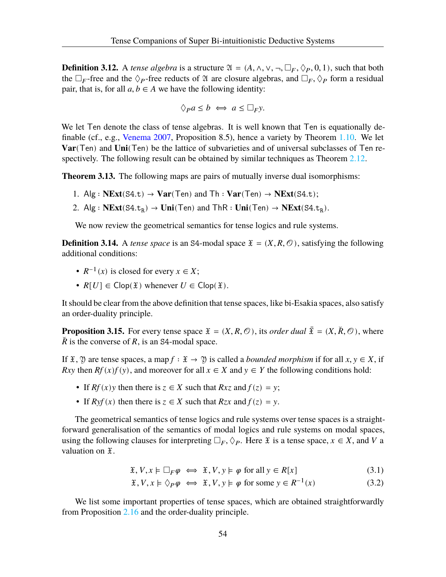**Definition 3.12.** A *tense algebra* is a structure  $\mathfrak{A} = (A, \wedge, \vee, \neg, \Box_F, \Diamond_P, 0, 1)$ , such that both the  $\Box_F$ -free and the  $\Diamond_P$ -free reducts of  $\mathfrak A$  are closure algebras, and  $\Box_F$ ,  $\Diamond_P$  form a residual pair, that is, for all  $a, b \in A$  we have the following identity:

$$
\Diamond_{P}a \leq b \iff a \leq \Box_{F}y.
$$

We let Ten denote the class of tense algebras. It is well known that Ten is equationally definable (cf., e.g., [Venema](#page-109-7) [2007,](#page-109-7) Proposition 8.5), hence a variety by Theorem [1.10.](#page-16-0) We let **Var**(Ten) and **Uni**(Ten) be the lattice of subvarieties and of universal subclasses of Ten respectively. The following result can be obtained by similar techniques as Theorem [2.12](#page-22-1).

**Theorem 3.13.** The following maps are pairs of mutually inverse dual isomorphisms:

- 1. Alg :  $NExt(S4.t) \rightarrow Var(Ten)$  and  $Th : Var(Ten) \rightarrow NExt(S4.t);$
- 2. Alg :  $NExt(S4.t_R)$  → **Uni**(Ten) and ThR : **Uni**(Ten) →  $NExt(S4.t_R)$ .

We now review the geometrical semantics for tense logics and rule systems.

**Definition 3.14.** A *tense space* is an S4-modal space  $\mathfrak{X} = (X, R, \mathcal{O})$ , satisfying the following additional conditions:

- $R^{-1}(x)$  is closed for every  $x \in X$ ;
- $R[U] \in \text{Clop}(\mathfrak{X})$  whenever  $U \in \text{Clop}(\mathfrak{X})$ .

It should be clear from the above definition that tense spaces, like bi-Esakia spaces, also satisfy an order-duality principle.

**Proposition 3.15.** For every tense space  $\mathfrak{X} = (X, R, \mathcal{O})$ , its *order dual*  $\bar{\mathfrak{X}} = (X, \bar{R}, \mathcal{O})$ , where  $\check{R}$  is the converse of R, is an S4-modal space.

If  $\mathfrak{X}, \mathfrak{Y}$  are tense spaces, a map  $f : \mathfrak{X} \to \mathfrak{Y}$  is called a *bounded morphism* if for all  $x, y \in X$ , if Rxy then  $Rf(x)f(y)$ , and moreover for all  $x \in X$  and  $y \in Y$  the following conditions hold:

- If  $Rf(x)y$  then there is  $z \in X$  such that  $Rxz$  and  $f(z) = y$ ;
- If  $R\nu f(x)$  then there is  $z \in X$  such that  $Rzx$  and  $f(z) = \nu$ .

The geometrical semantics of tense logics and rule systems over tense spaces is a straightforward generalisation of the semantics of modal logics and rule systems on modal spaces, using the following clauses for interpreting  $\Box_F$ ,  $\Diamond_P$ . Here  $\mathfrak X$  is a tense space,  $x \in X$ , and V a valuation on  $\mathfrak{X}.$ 

$$
\mathfrak{X}, V, x \models \Box_F \varphi \iff \mathfrak{X}, V, y \models \varphi \text{ for all } y \in R[x] \tag{3.1}
$$

$$
\mathfrak{X}, V, x \models \Diamond_P \varphi \iff \mathfrak{X}, V, y \models \varphi \text{ for some } y \in R^{-1}(x) \tag{3.2}
$$

We list some important properties of tense spaces, which are obtained straightforwardly from Proposition [2.16](#page-24-0) and the order-duality principle.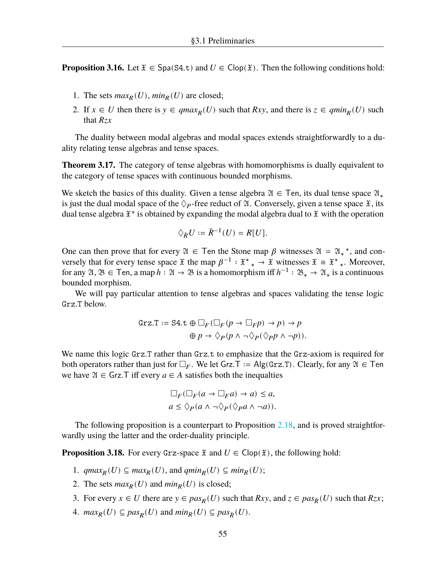**Proposition 3.16.** Let  $\tilde{x} \in \text{Spa}(S4,t)$  and  $U \in \text{Clop}(\tilde{x})$ . Then the following conditions hold:

- 1. The sets  $max_R(U)$ ,  $min_R(U)$  are closed;
- 2. If  $x \in U$  then there is  $y \in qmax_R(U)$  such that  $Rxy$ , and there is  $z \in qmin_R(U)$  such that  $Rzx$

The duality between modal algebras and modal spaces extends straightforwardly to a duality relating tense algebras and tense spaces.

**Theorem 3.17.** The category of tense algebras with homomorphisms is dually equivalent to the category of tense spaces with continuous bounded morphisms.

We sketch the basics of this duality. Given a tense algebra  $\mathfrak{A} \in \mathsf{T}$ en, its dual tense space  $\mathfrak{A}_*$ is just the dual modal space of the  $\Diamond_{P}$ -free reduct of  $\mathfrak{A}$ . Conversely, given a tense space  $\mathfrak{X}$ , its dual tense algebra  $\mathfrak{X}^*$  is obtained by expanding the modal algebra dual to  $\mathfrak{X}$  with the operation

$$
\Diamond_{\breve{R}} U := \breve{R}^{-1}(U) = R[U].
$$

One can then prove that for every  $\mathfrak{A} \in \mathsf{T}$ en the Stone map  $\beta$  witnesses  $\mathfrak{A} = \mathfrak{A}_*^*$ , and conversely that for every tense space  $\mathfrak X$  the map  $\beta^{-1} : \mathfrak X^* * \to \mathfrak X$  witnesses  $\mathfrak X \cong \mathfrak X^* *$ . Moreover, for any  $\mathfrak{A}, \mathfrak{B} \in \mathsf{T}$ en, a map  $h : \mathfrak{A} \to \mathfrak{B}$  is a homomorphism iff  $h^{-1} : \mathfrak{B}_* \to \mathfrak{A}_*$  is a continuous bounded morphism.

We will pay particular attention to tense algebras and spaces validating the tense logic Grz.T below.

$$
\begin{aligned} \text{Grz.} \mathsf{T} &:= \mathsf{S4}.\mathsf{t} \oplus \Box_F (\Box_F (p \to \Box_F p) \to p) \to p \\ \oplus p &\to \Diamond_P (p \land \neg \Diamond_P (\Diamond_P p \land \neg p)). \end{aligned}
$$

We name this logic Grz.T rather than Grz.t to emphasize that the Grz-axiom is required for both operators rather than just for  $\Box_F$ . We let Grz.T := Alg(Grz.T). Clearly, for any  $\mathfrak{A} \in \mathsf{T}$ en we have  $\mathfrak{A} \in \mathsf{Grz}$ . T iff every  $a \in A$  satisfies both the inequalties

$$
\Box_F(\Box_F(a \to \Box_F a) \to a) \le a,
$$
  

$$
a \le \Diamond_P(a \land \neg \Diamond_P(\Diamond_P a \land \neg a)).
$$

The following proposition is a counterpart to Proposition [2.18](#page-25-0), and is proved straightforwardly using the latter and the order-duality principle.

<span id="page-59-2"></span>**Proposition 3.18.** For every Grz-space  $\mathfrak{X}$  and  $U \in \text{Clop}(\mathfrak{X})$ , the following hold:

- 1.  $qmax_R(U) \subseteq max_R(U)$ , and  $qmin_R(U) \subseteq min_R(U)$ ;
- 2. The sets  $max_R(U)$  and  $min_R(U)$  is closed;
- <span id="page-59-0"></span>3. For every  $x \in U$  there are  $y \in pas_R(U)$  such that  $Rxy$ , and  $z \in pas_{\tilde{R}}(U)$  such that  $Rzx$ ;
- <span id="page-59-1"></span>4.  $max_R(U) \subseteq pas_R(U)$  and  $min_R(U) \subseteq pas_{\check{R}}(U)$ .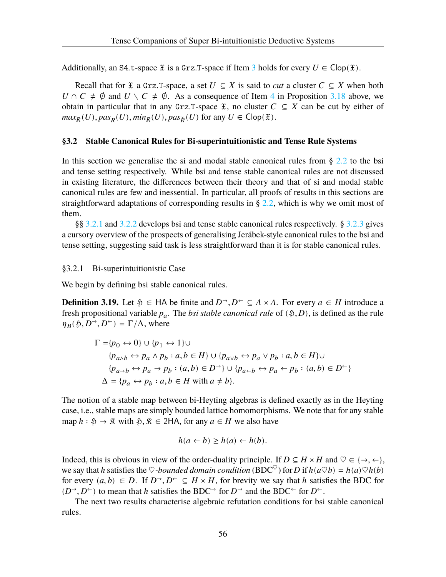Additionally, an S4.t-space  $\tilde{x}$  is a Grz.T-space if Item [3](#page-59-0) holds for every  $U \in \text{Clop}(\tilde{x})$ .

Recall that for  $\tilde{x}$  a Grz.T-space, a set  $U \subseteq X$  is said to *cut* a cluster  $C \subseteq X$  when both  $U \cap C \neq \emptyset$  and  $U \setminus C \neq \emptyset$ . As a consequence of Item [4](#page-59-1) in Proposition [3.18](#page-59-2) above, we obtain in particular that in any Grz.T-space  $\tilde{x}$ , no cluster  $C \subseteq X$  can be cut by either of  $max_R(U), pas_R(U), min_R(U), pas_{\breve{R}}(U)$  for any  $U \in \text{Clop}(\mathfrak{X})$ .

#### <span id="page-60-0"></span>**§3.2 Stable Canonical Rules for Bi-superintuitionistic and Tense Rule Systems**

In this section we generalise the si and modal stable canonical rules from § [2.2](#page-25-1) to the bsi and tense setting respectively. While bsi and tense stable canonical rules are not discussed in existing literature, the differences between their theory and that of si and modal stable canonical rules are few and inessential. In particular, all proofs of results in this sections are straightforward adaptations of corresponding results in  $\S 2.2$  $\S 2.2$ , which is why we omit most of them.

§§ [3.2.1](#page-60-1) and [3.2.2](#page-62-0) develops bsi and tense stable canonical rules respectively. § [3.2.3](#page-64-0) gives a cursory overview of the prospects of generalising Jerábek-style canonical rules to the bsi and tense setting, suggesting said task is less straightforward than it is for stable canonical rules.

### <span id="page-60-1"></span>§3.2.1 Bi-superintuitionistic Case

We begin by defining bsi stable canonical rules.

**Definition 3.19.** Let  $\mathfrak{H} \in \mathsf{HA}$  be finite and  $D^{\rightarrow}, D^{\leftarrow} \subseteq A \times A$ . For every  $a \in H$  introduce a fresh propositional variable  $p_a$ . The *bsi stable canonical rule* of  $(\mathfrak{H}, D)$ , is defined as the rule  $\eta_B(\mathfrak{H}, D^{\rightarrow}, D^{\leftarrow}) = \Gamma/\Delta$ , where

$$
\Gamma = \{p_0 \leftrightarrow 0\} \cup \{p_1 \leftrightarrow 1\} \cup
$$
  
\n
$$
\{p_{a \land b} \leftrightarrow p_a \land p_b : a, b \in H\} \cup \{p_{a \lor b} \leftrightarrow p_a \lor p_b : a, b \in H\} \cup
$$
  
\n
$$
\{p_{a \to b} \leftrightarrow p_a \to p_b : (a, b) \in D^{\to}\} \cup \{p_{a \leftarrow b} \leftrightarrow p_a \leftarrow p_b : (a, b) \in D^{\gets}\}
$$
  
\n
$$
\Delta = \{p_a \leftrightarrow p_b : a, b \in H \text{ with } a \neq b\}.
$$

The notion of a stable map between bi-Heyting algebras is defined exactly as in the Heyting case, i.e., stable maps are simply bounded lattice homomorphisms. We note that for any stable map  $h : \mathfrak{H} \to \mathfrak{K}$  with  $\mathfrak{H}, \mathfrak{K} \in 2HA$ , for any  $a \in H$  we also have

$$
h(a \leftarrow b) \ge h(a) \leftarrow h(b).
$$

Indeed, this is obvious in view of the order-duality principle. If  $D \subseteq H \times H$  and  $\heartsuit \in \{\rightarrow, \leftarrow\}$ , we say that h satisfies the  $\heartsuit$ *-bounded domain condition* (BDC<sup> $\heartsuit$ </sup>) for D if  $h(a \heartsuit b) = h(a) \heartsuit h(b)$ for every  $(a, b) \in D$ . If  $D^{\rightarrow}$ ,  $D^{\leftarrow} \subseteq H \times H$ , for brevity we say that h satisfies the BDC for  $(D^{\rightarrow}, D^{\leftarrow})$  to mean that h satisfies the BDC<sup> $\rightarrow$ </sup> for  $D^{\rightarrow}$  and the BDC<sup> $\leftarrow$ </sup> for  $D^{\leftarrow}$ .

The next two results characterise algebraic refutation conditions for bsi stable canonical rules.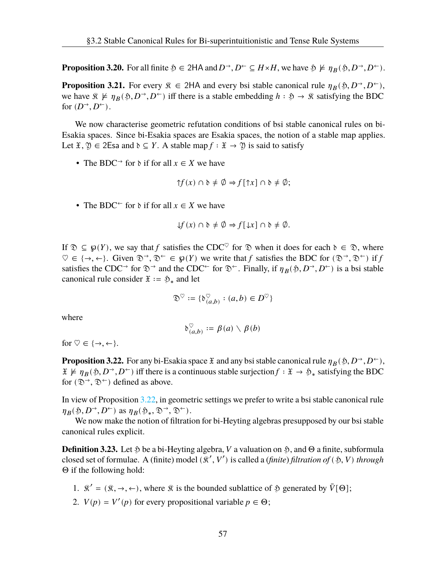**Proposition 3.20.** For all finite  $\mathfrak{H} \in 2HA$  and  $D^{\rightarrow}, D^{\leftarrow} \subseteq H \times H$ , we have  $\mathfrak{H} \not\models \eta_B(\mathfrak{H}, D^{\rightarrow}, D^{\leftarrow})$ .

**Proposition 3.21.** For every  $\hat{x} \in 2HA$  and every bsi stable canonical rule  $\eta_B(\hat{y}, D^{\rightarrow}, D^{\leftarrow})$ , we have  $\hat{x} \not\models \eta_B(\hat{y}, D^{\rightarrow}, D^{\leftarrow})$  iff there is a stable embedding  $h : \hat{y} \rightarrow \hat{x}$  satisfying the BDC for  $(D^{\rightarrow}, D^{\leftarrow})$ .

We now characterise geometric refutation conditions of bsi stable canonical rules on bi-Esakia spaces. Since bi-Esakia spaces are Esakia spaces, the notion of a stable map applies. Let  $\mathfrak{X}, \mathfrak{Y} \in 2$ Esa and  $\mathfrak{d} \subseteq Y$ . A stable map  $f : \mathfrak{X} \to \mathfrak{Y}$  is said to satisfy

• The BDC<sup>→</sup> for  $\delta$  if for all  $x \in X$  we have

$$
\uparrow f(x) \cap \mathfrak{d} \neq \emptyset \Rightarrow f[\uparrow x] \cap \mathfrak{d} \neq \emptyset;
$$

• The BDC<sup> $\leftarrow$ </sup> for  $\delta$  if for all  $x \in X$  we have

$$
\downarrow f(x) \cap \mathfrak{d} \neq \emptyset \Rightarrow f[\downarrow x] \cap \mathfrak{d} \neq \emptyset.
$$

If  $\mathcal{D} \subseteq \mathcal{D}(Y)$ , we say that f satisfies the CDC<sup> $\heartsuit$ </sup> for  $\mathcal{D}$  when it does for each  $\delta \in \mathcal{D}$ , where  $\heartsuit \in \{\rightarrow, \leftarrow\}$ . Given  $\mathfrak{D}^{\rightarrow}, \mathfrak{D}^{\leftarrow} \in \wp(Y)$  we write that f satisfies the BDC for  $(\mathfrak{D}^{\rightarrow}, \mathfrak{D}^{\leftarrow})$  if f satisfies the CDC<sup>→</sup> for  $\mathfrak{D}^{\rightarrow}$  and the CDC<sup>←</sup> for  $\mathfrak{D}^{\leftarrow}$ . Finally, if  $\eta_B(\mathfrak{H}, D^{\rightarrow}, D^{\leftarrow})$  is a bsi stable canonical rule consider  $\mathfrak{X} := \mathfrak{H}_*$  and let

$$
\mathfrak{D}^\heartsuit := \{ \mathfrak{d}_{(a,b)}^\heartsuit : (a,b) \in D^\heartsuit \}
$$

where

$$
\mathfrak{d}_{(a,b)}^{\heartsuit} := \beta(a) \setminus \beta(b)
$$

<span id="page-61-0"></span>for  $\heartsuit \in \{\rightarrow, \leftarrow\}$ .

**Proposition 3.22.** For any bi-Esakia space  $\mathfrak X$  and any bsi stable canonical rule  $\eta_B(\mathfrak H, D^{\rightarrow}, D^{\leftarrow})$ ,  $\mathfrak{X} \not\models \eta_B(\mathfrak{H}, D^{\rightarrow}, D^{\leftarrow})$  iff there is a continuous stable surjection  $f : \mathfrak{X} \to \mathfrak{H}_*$  satisfying the BDC for  $(\mathfrak{D}^{\rightarrow}, \mathfrak{D}^{\leftarrow})$  defined as above.

In view of Proposition [3.22,](#page-61-0) in geometric settings we prefer to write a bsi stable canonical rule  $\eta_B(\mathfrak{H}, D^{\rightarrow}, D^{\leftarrow})$  as  $\eta_B(\mathfrak{H}_*, \mathfrak{D}^{\rightarrow}, \mathfrak{D}^{\leftarrow})$ .

We now make the notion of filtration for bi-Heyting algebras presupposed by our bsi stable canonical rules explicit.

**Definition 3.23.** Let  $\mathfrak{H}$  be a bi-Heyting algebra, V a valuation on  $\mathfrak{H}$ , and  $\Theta$  a finite, subformula closed set of formulae. A (finite) model ( $\mathcal{R}', V'$ ) is called a (*finite*) *filtration of* ( $\mathfrak{H}, V$ ) *through* Θ if the following hold:

- 1.  $\mathbb{R}' = (\mathbb{R}, \rightarrow, \leftarrow)$ , where  $\mathbb{R}$  is the bounded sublattice of  $\mathbb{R}$  generated by  $\bar{V}[\Theta]$ ;
- 2.  $V(p) = V'(p)$  for every propositional variable  $p \in \Theta$ ;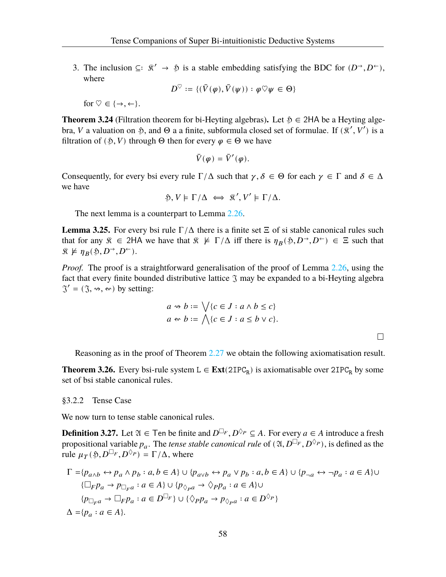3. The inclusion ⊆∶  $\hat{\mathcal{R}}' \rightarrow \hat{\mathcal{P}}$  is a stable embedding satisfying the BDC for  $(D^{\rightarrow}, D^{\leftarrow})$ , where

$$
D^{\heartsuit} := \{(\bar{V}(\varphi), \bar{V}(\psi)) : \varphi \heartsuit \psi \in \Theta\}
$$

for  $\heartsuit \in \{\rightarrow, \leftarrow\}.$ 

**Theorem 3.24** (Filtration theorem for bi-Heyting algebras)**.** Let ℌ ∈ 2HA be a Heyting algebra, *V* a valuation on  $\mathfrak{H}$ , and  $\Theta$  a a finite, subformula closed set of formulae. If  $(\mathfrak{K}', V')$  is a filtration of ( $\mathfrak{H}, V$ ) through  $\Theta$  then for every  $\varphi \in \Theta$  we have

$$
\bar{V}(\varphi) = \bar{V}'(\varphi).
$$

Consequently, for every bsi every rule  $\Gamma/\Delta$  such that  $\gamma, \delta \in \Theta$  for each  $\gamma \in \Gamma$  and  $\delta \in \Delta$ we have

$$
\mathfrak{H}, V \models \Gamma/\Delta \iff \mathfrak{K}', V' \models \Gamma/\Delta.
$$

The next lemma is a counterpart to Lemma [2.26](#page-28-0).

**Lemma 3.25.** For every bsi rule  $\Gamma/\Delta$  there is a finite set  $\Xi$  of si stable canonical rules such that for any  $\hat{x} \in 2H$ A we have that  $\hat{x} \not\models \Gamma/\Delta$  iff there is  $\eta_B(\hat{y}, D^{\rightarrow}, D^{\leftarrow}) \in \Xi$  such that  $\mathfrak{K} \not\models \eta_B(\mathfrak{H}, D^{\rightarrow}, D^{\leftarrow}).$ 

*Proof.* The proof is a straightforward generalisation of the proof of Lemma [2.26](#page-28-0), using the fact that every finite bounded distributive lattice  $\Im$  may be expanded to a bi-Heyting algebra  $\mathfrak{I}' = (\mathfrak{I}, \mathfrak{w}, \mathfrak{w})$  by setting:

$$
a \rightsquigarrow b := \bigvee \{c \in J : a \wedge b \le c\}
$$
  

$$
a \rightsquigarrow b := \bigwedge \{c \in J : a \le b \vee c\}.
$$

 $\Box$ 

Reasoning as in the proof of Theorem [2.27](#page-29-2) we obtain the following axiomatisation result.

**Theorem 3.26.** Every bsi-rule system  $L \in Ext(2IPC_R)$  is axiomatisable over  $2IPC_R$  by some set of bsi stable canonical rules.

#### <span id="page-62-0"></span>§3.2.2 Tense Case

We now turn to tense stable canonical rules.

**Definition 3.27.** Let  $\mathfrak{A} \in \mathsf{T}$ en be finite and  $D^{\Box_F}, D^{\Diamond_P} \subseteq A$ . For every  $a \in A$  introduce a fresh propositional variable  $p_a$ . The *tense stable canonical rule* of  $(2l, D^{\Box_F}, D^{\Diamond_P})$ , is defined as the rule  $\mu_{T}(\mathfrak{H}, D^{\Box_{F}}, D^{\Diamond_{P}}) = \Gamma/\Delta$ , where

$$
\Gamma = \{p_{a \land b} \leftrightarrow p_a \land p_b : a, b \in A\} \cup \{p_{a \lor b} \leftrightarrow p_a \lor p_b : a, b \in A\} \cup \{p_{\neg a} \leftrightarrow \neg p_a : a \in A\} \cup \{\Box_F p_a \to p_{\Box_F a} : a \in A\} \cup \{p_{\Diamond_P a} \to \Diamond_P p_a : a \in A\} \cup \{\Box_F p_a \to \Box_F p_a : a \in D^{\Box_F}\} \cup \{\Diamond_P p_a \to p_{\Diamond_P a} : a \in D^{\Diamond_P}\}\
$$
\n
$$
\Delta = \{p_a : a \in A\}.
$$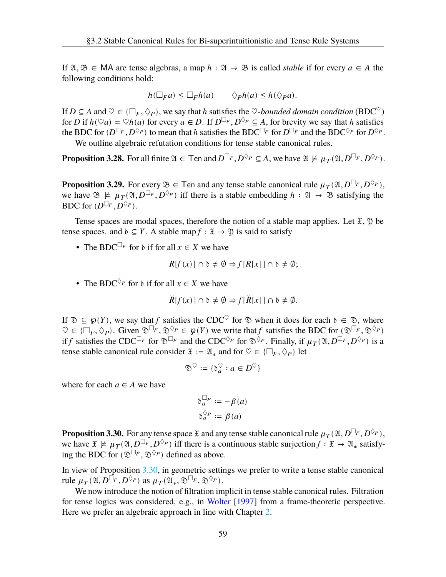If  $\mathfrak{A}, \mathfrak{B} \in \mathsf{MA}$  are tense algebras, a map  $h : \mathfrak{A} \to \mathfrak{B}$  is called *stable* if for every  $a \in A$  the following conditions hold:

$$
h(\Box_F a) \le \Box_F h(a) \qquad \Diamond_P h(a) \le h(\Diamond_P a).
$$

If  $D \subseteq A$  and  $\heartsuit \in \{\Box_F, \Diamond_P\}$ , we say that h satisfies the  $\heartsuit$ -bounded domain condition (BDC<sup> $\heartsuit$ </sup>) for *D* if  $h(\nabla a) = \nabla h(a)$  for every  $a \in D$ . If  $D^{\square_F}, D^{\lozenge_P} \subseteq A$ , for brevity we say that *h* satisfies the BDC for  $(D^{\Box_F}, D^{\Diamond_P})$  to mean that h satisfies the BDC $^{\Box_F}$  for  $D^{\Box_F}$  and the BDC $^{\Diamond_P}$  for  $D^{\Diamond_P}$ .

We outline algebraic refutation conditions for tense stable canonical rules.

**Proposition 3.28.** For all finite  $\mathfrak{A} \in \mathsf{T}$ en and  $D^{\square_F}, D^{\lozenge_P} \subseteq A$ , we have  $\mathfrak{A} \not\models \mu_T(\mathfrak{A}, D^{\square_F}, D^{\lozenge_P})$ .

**Proposition 3.29.** For every  $\mathfrak{B} \in \mathsf{T}$ en and any tense stable canonical rule  $\mu_T(\mathfrak{A}, D^{\Box_F}, D^{\Diamond_P}),$ we have  $\mathfrak{B} \not\models \mu_T(\mathfrak{A}, D^{\square_F}, D^{\lozenge_P})$  iff there is a stable embedding  $h : \mathfrak{A} \to \mathfrak{B}$  satisfying the BDC for  $(D^{\Box_F}, D^{\Diamond_P}).$ 

Tense spaces are modal spaces, therefore the notion of a stable map applies. Let  $\mathfrak{X}, \mathfrak{Y}$  be tense spaces. and  $\delta \subseteq Y$ . A stable map  $f : \mathfrak{X} \to \mathfrak{Y}$  is said to satisfy

• The BDC<sup> $\Box_F$ </sup> for  $\delta$  if for all  $x \in X$  we have

$$
R[f(x)] \cap \mathfrak{d} \neq \emptyset \Rightarrow f[R[x]] \cap \mathfrak{d} \neq \emptyset;
$$

• The BDC<sup> $\Diamond$ *P*</sup> for  $\Diamond$  if for all  $x \in X$  we have

$$
\breve{R}[f(x)] \cap \mathfrak{d} \neq \emptyset \Rightarrow f[\breve{R}[x]] \cap \mathfrak{d} \neq \emptyset.
$$

If  $\mathcal{D} \subseteq \varphi(Y)$ , we say that f satisfies the CDC<sup> $\heartsuit$ </sup> for  $\mathcal{D}$  when it does for each  $\delta \in \mathcal{D}$ , where  $\heartsuit \in \{\Box_F, \Diamond_P\}$ . Given  $\mathfrak{D}^{\Box_F}, \mathfrak{D}^{\Diamond_P} \in \wp(Y)$  we write that f satisfies the BDC for  $(\mathfrak{D}^{\Box_F}, \mathfrak{D}^{\Diamond_P})$ if f satisfies the CDC<sup> $\Box_F$ </sup> for  $\mathfrak{D}^{\Box_F}$  and the CDC<sup> $\Diamond_P$ </sup> for  $\mathfrak{D}^{\Diamond_P}$ . Finally, if  $\mu_T(\mathfrak{A}, D^{\Box_F}, D^{\Diamond_P})$  is a tense stable canonical rule consider  $\mathfrak{X} := \mathfrak{A}_*$  and for  $\heartsuit \in \{\Box_F, \Diamond_P\}$  let

$$
\mathfrak{D}^\heartsuit:=\{\mathfrak{d}^\heartsuit_a:a\in D^\heartsuit\}
$$

where for each  $a \in A$  we have

$$
\delta_a^{\Box_F} := -\beta(a)
$$

$$
\delta_a^{\Diamond_P} := \beta(a)
$$

<span id="page-63-0"></span>**Proposition 3.30.** For any tense space  $\mathfrak X$  and any tense stable canonical rule  $\mu_{\mathcal T}(\mathfrak A, D^{\Box_F}, D^{\Diamond_P}),$ we have  $\mathfrak{X} \not\models \mu_T(\mathfrak{A}, D^{\Box_F}, D^{\Diamond_P})$  iff there is a continuous stable surjection  $f : \mathfrak{X} \to \mathfrak{A}_*$  satisfying the BDC for  $(\mathfrak{D}^{\square_F}, \mathfrak{D}^{\lozenge_P})$  defined as above.

In view of Proposition [3.30](#page-63-0), in geometric settings we prefer to write a tense stable canonical rule  $\mu_T(\mathfrak{A}, D^{\square_F}, D^{\lozenge_P})$  as  $\mu_T(\mathfrak{A}_*, \mathfrak{D}^{\square_F}, \mathfrak{D}^{\lozenge_P}).$ 

We now introduce the notion of filtration implicit in tense stable canonical rules. Filtration for tense logics was considered, e.g., in [Wolter](#page-109-8) [[1997\]](#page-109-8) from a frame-theoretic perspective. Here we prefer an algebraic approach in line with Chapter [2.](#page-18-0)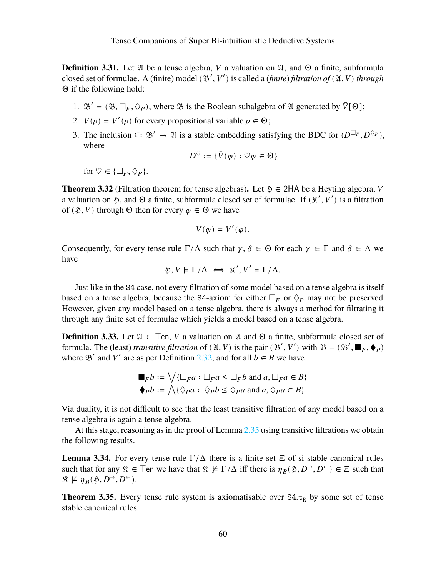**Definition 3.31.** Let  $\mathfrak A$  be a tense algebra,  $V$  a valuation on  $\mathfrak A$ , and  $\Theta$  a finite, subformula closed set of formulae. A (finite) model  $(\mathcal{B}', V')$  is called a *(finite) filtration of*  $(\mathcal{A}, V)$  *through* Θ if the following hold:

- 1.  $\mathfrak{B}' = (\mathfrak{B}, \Box_F, \Diamond_P)$ , where  $\mathfrak{B}$  is the Boolean subalgebra of  $\mathfrak{A}$  generated by  $\bar{V}[\Theta]$ ;
- 2.  $V(p) = V'(p)$  for every propositional variable  $p \in \Theta$ ;
- 3. The inclusion ⊆:  $\mathfrak{B}' \to \mathfrak{A}$  is a stable embedding satisfying the BDC for  $(D^{\Box_F}, D^{\Diamond_P}),$ where

$$
D^{\heartsuit} := \{ \bar{V}(\varphi) : \heartsuit \varphi \in \Theta \}
$$

for  $\heartsuit \in \{\Box_F, \Diamond_P\}.$ 

**Theorem 3.32** (Filtration theorem for tense algebras). Let  $\mathfrak{H} \in 2HA$  be a Heyting algebra, V a valuation on \$, and  $\Theta$  a finite, subformula closed set of formulae. If  $(\mathcal{R}', V')$  is a filtration of ( $\mathfrak{H}, V$ ) through  $\Theta$  then for every  $\varphi \in \Theta$  we have

$$
\bar{V}(\varphi) = \bar{V}'(\varphi).
$$

Consequently, for every tense rule  $\Gamma/\Delta$  such that  $\gamma, \delta \in \Theta$  for each  $\gamma \in \Gamma$  and  $\delta \in \Delta$  we have

$$
\mathfrak{H}, V \models \Gamma/\Delta \iff \mathfrak{K}', V' \models \Gamma/\Delta.
$$

Just like in the S4 case, not every filtration of some model based on a tense algebra is itself based on a tense algebra, because the S4-axiom for either  $\Box_F$  or  $\diamondsuit_P$  may not be preserved. However, given any model based on a tense algebra, there is always a method for filtrating it through any finite set of formulae which yields a model based on a tense algebra.

**Definition 3.33.** Let  $\mathfrak{A} \in \mathsf{T}$ en, *V* a valuation on  $\mathfrak{A}$  and  $\Theta$  a finite, subformula closed set of formula. The (least) *transitive filtration* of  $(2\mathfrak{c}, V)$  is the pair  $(3', V')$  with  $\mathfrak{B} = (3', \blacksquare_F, \blacklozenge_P)$ where  $\mathfrak{B}'$  and  $V'$  are as per Definition [2.32](#page-30-0), and for all  $b \in B$  we have

$$
\blacksquare_F b := \bigvee \{\square_F a : \square_F a \le \square_F b \text{ and } a, \square_F a \in B\}
$$
  
\n
$$
\blacklozenge_P b := \bigwedge \{\lozenge_P a : \lozenge_P b \le \lozenge_P a \text{ and } a, \lozenge_P a \in B\}
$$

Via duality, it is not difficult to see that the least transitive filtration of any model based on a tense algebra is again a tense algebra.

At this stage, reasoning as in the proof of Lemma [2.35](#page-31-1) using transitive filtrations we obtain the following results.

**Lemma 3.34.** For every tense rule  $\Gamma/\Delta$  there is a finite set  $\Xi$  of si stable canonical rules such that for any  $\hat{x} \in \text{Ten}$  we have that  $\hat{x} \not\models \Gamma/\Delta$  iff there is  $\eta_B(\hat{y}, D^{\rightarrow}, D^{\leftarrow}) \in \Xi$  such that  $\mathfrak{R} \not\models \eta_B(\mathfrak{H}, D^{\rightarrow}, D^{\leftarrow}).$ 

<span id="page-64-1"></span><span id="page-64-0"></span>**Theorem 3.35.** Every tense rule system is axiomatisable over  $S4.t_R$  by some set of tense stable canonical rules.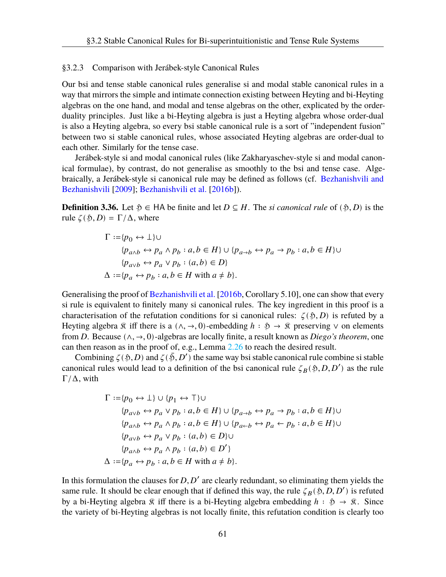#### §3.2.3 Comparison with Jerábek-style Canonical Rules

Our bsi and tense stable canonical rules generalise si and modal stable canonical rules in a way that mirrors the simple and intimate connection existing between Heyting and bi-Heyting algebras on the one hand, and modal and tense algebras on the other, explicated by the orderduality principles. Just like a bi-Heyting algebra is just a Heyting algebra whose order-dual is also a Heyting algebra, so every bsi stable canonical rule is a sort of "independent fusion" between two si stable canonical rules, whose associated Heyting algebras are order-dual to each other. Similarly for the tense case.

Jerábek-style si and modal canonical rules (like Zakharyaschev-style si and modal canonical formulae), by contrast, do not generalise as smoothly to the bsi and tense case. Algebraically, a Jerábek-style si canonical rule may be defined as follows (cf. [Bezhanishvili and](#page-107-7) [Bezhanishvili](#page-107-7) [[2009\]](#page-107-7); [Bezhanishvili et al.](#page-107-5) [[2016b\]](#page-107-5)).

**Definition 3.36.** Let  $\mathfrak{H} \in \mathsf{HA}$  be finite and let  $D \subseteq H$ . The *si canonical rule* of  $(\mathfrak{H}, D)$  is the rule  $\zeta(\mathfrak{H}, D) = \Gamma/\Delta$ , where

$$
\Gamma := \{p_0 \leftrightarrow \bot\} \cup
$$
  
\n
$$
\{p_{a \wedge b} \leftrightarrow p_a \wedge p_b : a, b \in H\} \cup \{p_{a \to b} \leftrightarrow p_a \to p_b : a, b \in H\} \cup
$$
  
\n
$$
\{p_{a \vee b} \leftrightarrow p_a \vee p_b : (a, b) \in D\}
$$
  
\n
$$
\Delta := \{p_a \leftrightarrow p_b : a, b \in H \text{ with } a \neq b\}.
$$

Generalising the proof of [Bezhanishvili et al.](#page-107-5) [\[2016b,](#page-107-5) Corollary 5.10], one can show that every si rule is equivalent to finitely many si canonical rules. The key ingredient in this proof is a characterisation of the refutation conditions for si canonical rules:  $\zeta(\mathfrak{H}, D)$  is refuted by a Heyting algebra  $\hat{\mathcal{R}}$  iff there is a  $(\wedge, \rightarrow, 0)$ -embedding  $h : \hat{\mathcal{P}} \rightarrow \hat{\mathcal{R}}$  preserving  $\vee$  on elements from D. Because  $(\wedge, \rightarrow, 0)$ -algebras are locally finite, a result known as *Diego's theorem*, one can then reason as in the proof of, e.g., Lemma [2.26](#page-28-0) to reach the desired result.

Combining  $\zeta(\xi, D)$  and  $\zeta(\xi, D')$  the same way bsi stable canonical rule combine si stable canonical rules would lead to a definition of the bsi canonical rule  $\zeta_B(\mathfrak{H}, D, D')$  as the rule  $\Gamma/\Delta$ , with

$$
\Gamma := \{p_0 \leftrightarrow \bot\} \cup \{p_1 \leftrightarrow \top\} \cup
$$
  
\n
$$
\{p_{a \lor b} \leftrightarrow p_a \lor p_b : a, b \in H\} \cup \{p_{a \to b} \leftrightarrow p_a \to p_b : a, b \in H\} \cup
$$
  
\n
$$
\{p_{a \land b} \leftrightarrow p_a \land p_b : a, b \in H\} \cup \{p_{a \leftarrow b} \leftrightarrow p_a \leftarrow p_b : a, b \in H\} \cup
$$
  
\n
$$
\{p_{a \lor b} \leftrightarrow p_a \lor p_b : (a, b) \in D\} \cup
$$
  
\n
$$
\{p_{a \land b} \leftrightarrow p_a \land p_b : (a, b) \in D'\}
$$
  
\n
$$
\Delta := \{p_a \leftrightarrow p_b : a, b \in H \text{ with } a \neq b\}.
$$

In this formulation the clauses for  $D, D'$  are clearly redundant, so eliminating them yields the same rule. It should be clear enough that if defined this way, the rule  $\zeta_B(\mathfrak{H}, D, D')$  is refuted by a bi-Heyting algebra  $\hat{x}$  iff there is a bi-Heyting algebra embedding  $h : \hat{y} \to \hat{x}$ . Since the variety of bi-Heyting algebras is not locally finite, this refutation condition is clearly too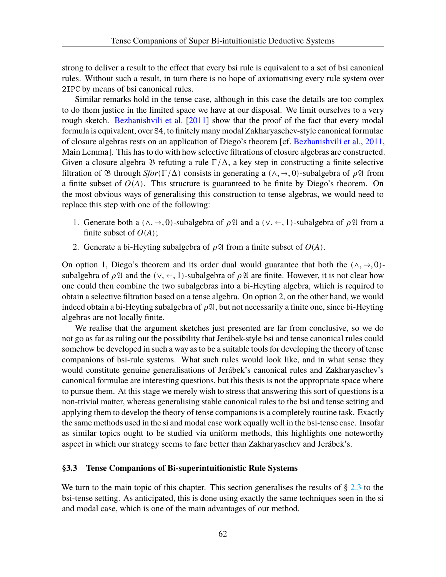strong to deliver a result to the effect that every bsi rule is equivalent to a set of bsi canonical rules. Without such a result, in turn there is no hope of axiomatising every rule system over 2IPC by means of bsi canonical rules.

Similar remarks hold in the tense case, although in this case the details are too complex to do them justice in the limited space we have at our disposal. We limit ourselves to a very rough sketch. [Bezhanishvili et al.](#page-107-8) [\[2011](#page-107-8)] show that the proof of the fact that every modal formula is equivalent, over S4, to finitely many modal Zakharyaschev-style canonical formulae of closure algebras rests on an application of Diego's theorem [cf. [Bezhanishvili et al.](#page-107-8), [2011](#page-107-8), Main Lemma]. This has to do with how selective filtrations of closure algebras are constructed. Given a closure algebra  $\mathfrak B$  refuting a rule  $\Gamma/\Delta$ , a key step in constructing a finite selective filtration of  $\mathfrak B$  through *Sfor*(Γ/Δ) consists in generating a ( $\wedge$ ,  $\rightarrow$ , 0)-subalgebra of  $\rho \mathfrak A$  from a finite subset of  $O(A)$ . This structure is guaranteed to be finite by Diego's theorem. On the most obvious ways of generalising this construction to tense algebras, we would need to replace this step with one of the following:

- 1. Generate both a (∧, →, 0)-subalgebra of  $\rho \mathfrak{A}$  and a (∨, ←, 1)-subalgebra of  $\rho \mathfrak{A}$  from a finite subset of  $O(A)$ ;
- 2. Generate a bi-Heyting subalgebra of  $\rho \mathfrak{A}$  from a finite subset of  $O(A)$ .

On option 1, Diego's theorem and its order dual would guarantee that both the  $(\wedge, \rightarrow, 0)$ subalgebra of  $\rho$  24 and the ( $\vee, \leftarrow, 1$ )-subalgebra of  $\rho$  24 are finite. However, it is not clear how one could then combine the two subalgebras into a bi-Heyting algebra, which is required to obtain a selective filtration based on a tense algebra. On option 2, on the other hand, we would indeed obtain a bi-Heyting subalgebra of  $\rho \mathfrak{A}$ , but not necessarily a finite one, since bi-Heyting algebras are not locally finite.

We realise that the argument sketches just presented are far from conclusive, so we do not go as far as ruling out the possibility that Jerábek-style bsi and tense canonical rules could somehow be developed in such a way as to be a suitable tools for developing the theory of tense companions of bsi-rule systems. What such rules would look like, and in what sense they would constitute genuine generalisations of Jerábek's canonical rules and Zakharyaschev's canonical formulae are interesting questions, but this thesis is not the appropriate space where to pursue them. At this stage we merely wish to stress that answering this sort of questions is a non-trivial matter, whereas generalising stable canonical rules to the bsi and tense setting and applying them to develop the theory of tense companions is a completely routine task. Exactly the same methods used in the si and modal case work equally well in the bsi-tense case. Insofar as similar topics ought to be studied via uniform methods, this highlights one noteworthy aspect in which our strategy seems to fare better than Zakharyaschev and Jerábek's.

## <span id="page-66-0"></span>**§3.3 Tense Companions of Bi-superintuitionistic Rule Systems**

We turn to the main topic of this chapter. This section generalises the results of § [2.3](#page-31-2) to the bsi-tense setting. As anticipated, this is done using exactly the same techniques seen in the si and modal case, which is one of the main advantages of our method.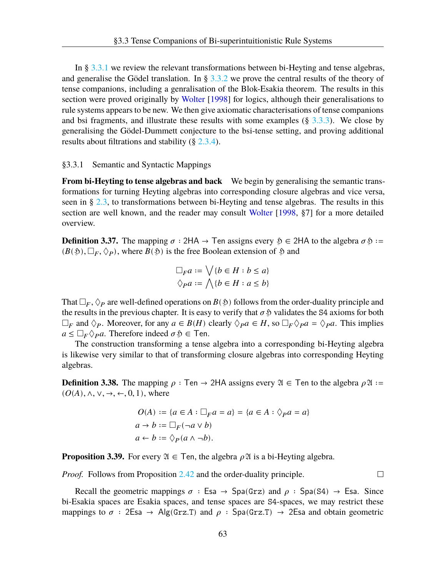In § [3.3.1](#page-67-0) we review the relevant transformations between bi-Heyting and tense algebras, and generalise the Gödel translation. In §  $3.3.2$  we prove the central results of the theory of tense companions, including a genralisation of the Blok-Esakia theorem. The results in this section were proved originally by [Wolter](#page-109-2) [[1998\]](#page-109-2) for logics, although their generalisations to rule systems appears to be new. We then give axiomatic characterisations of tense companions and bsi fragments, and illustrate these results with some examples  $(\S$  [3.3.3\)](#page-71-0). We close by generalising the Gödel-Dummett conjecture to the bsi-tense setting, and proving additional results about filtrations and stability (§ [2.3.4](#page-46-1)).

#### <span id="page-67-0"></span>§3.3.1 Semantic and Syntactic Mappings

**From bi-Heyting to tense algebras and back** We begin by generalising the semantic transformations for turning Heyting algebras into corresponding closure algebras and vice versa, seen in § [2.3](#page-31-2), to transformations between bi-Heyting and tense algebras. The results in this section are well known, and the reader may consult [Wolter](#page-109-2) [\[1998](#page-109-2), §7] for a more detailed overview.

**Definition 3.37.** The mapping  $\sigma$  : 2HA  $\rightarrow$  Ten assigns every  $\tilde{\mathcal{D}} \in$  2HA to the algebra  $\sigma \tilde{\mathcal{D}} :=$  $(B(\mathfrak{H}), \Box_F, \Diamond_P)$ , where  $B(\mathfrak{H})$  is the free Boolean extension of  $\mathfrak{H}$  and

$$
\Box_F a := \bigvee \{b \in H : b \le a\}
$$
  

$$
\Diamond_P a := \bigwedge \{b \in H : a \le b\}
$$

That  $\Box_F$ ,  $\Diamond_P$  are well-defined operations on  $B(\mathfrak{H})$  follows from the order-duality principle and the results in the previous chapter. It is easy to verify that  $\sigma$   $\delta$  validates the S4 axioms for both  $\Box_F$  and  $\Diamond_P$ . Moreover, for any  $a \in B(H)$  clearly  $\Diamond_P a \in H$ , so  $\Box_F \Diamond_P a = \Diamond_P a$ . This implies  $a \leq \Box_F \Diamond_P a$ . Therefore indeed  $\sigma \mathfrak{H} \in \mathsf{Ten}$ .

The construction transforming a tense algebra into a corresponding bi-Heyting algebra is likewise very similar to that of transforming closure algebras into corresponding Heyting algebras.

**Definition 3.38.** The mapping  $\rho$  : Ten → 2HA assigns every  $\mathfrak{A} \in \mathsf{T}$ en to the algebra  $\rho \mathfrak{A} :=$  $(O(A), \wedge, \vee, \rightarrow, \leftarrow, 0, 1)$ , where

$$
O(A) := \{a \in A : \Box_F a = a\} = \{a \in A : \Diamond_P a = a\}
$$
  

$$
a \to b := \Box_F (\neg a \lor b)
$$
  

$$
a \leftarrow b := \Diamond_P (a \land \neg b).
$$

**Proposition 3.39.** For every  $\mathfrak{A} \in \mathsf{T}$ en, the algebra  $\rho \mathfrak{A}$  is a bi-Heyting algebra.

*Proof.* Follows from Proposition [2.42](#page-33-1) and the order-duality principle.

Recall the geometric mappings  $\sigma$ : Esa  $\rightarrow$  Spa(Grz) and  $\rho$ : Spa(S4)  $\rightarrow$  Esa. Since bi-Esakia spaces are Esakia spaces, and tense spaces are S4-spaces, we may restrict these mappings to  $\sigma$  : 2Esa  $\rightarrow$  Alg(Grz.T) and  $\rho$  : Spa(Grz.T)  $\rightarrow$  2Esa and obtain geometric

 $\Box$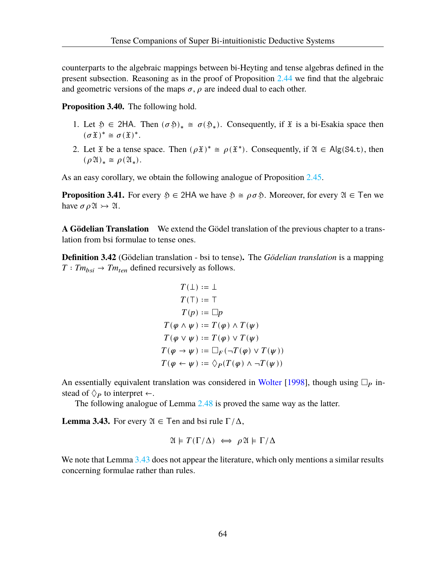counterparts to the algebraic mappings between bi-Heyting and tense algebras defined in the present subsection. Reasoning as in the proof of Proposition [2.44](#page-33-0) we find that the algebraic and geometric versions of the maps  $\sigma$ ,  $\rho$  are indeed dual to each other.

**Proposition 3.40.** The following hold.

- 1. Let  $\mathfrak{H} \in 2H$ A. Then  $(\sigma \mathfrak{H})_* \cong \sigma(\mathfrak{H}_*)$ . Consequently, if  $\mathfrak{X}$  is a bi-Esakia space then  $(\sigma \mathfrak{X})^* \cong \sigma(\mathfrak{X})^*.$
- 2. Let  $\tilde{x}$  be a tense space. Then  $(\rho \tilde{x})^* \cong \rho(\tilde{x}^*)$ . Consequently, if  $\mathfrak{A} \in \mathsf{Alg}(\mathsf{S4.t})$ , then  $(\rho \mathfrak{A})_* \cong \rho(\mathfrak{A}_*).$

<span id="page-68-2"></span>As an easy corollary, we obtain the following analogue of Proposition [2.45.](#page-34-0)

**Proposition 3.41.** For every  $\mathfrak{H} \in 2HA$  we have  $\mathfrak{H} \cong \rho \sigma \mathfrak{H}$ . Moreover, for every  $\mathfrak{A} \in \mathsf{T}$ en we have  $\sigma \rho \mathfrak{A} \rightarrow \mathfrak{A}$ .

**A Gödelian Translation** We extend the Gödel translation of the previous chapter to a translation from bsi formulae to tense ones.

**Definition 3.42** (Gödelian translation - bsi to tense)**.** The *Gödelian translation* is a mapping  $T: Tm_{hsi} \to Tm_{ten}$  defined recursively as follows.

$$
T(\bot) := \bot
$$
  
\n
$$
T(\top) := \top
$$
  
\n
$$
T(p) := \square p
$$
  
\n
$$
T(\varphi \land \psi) := T(\varphi) \land T(\psi)
$$
  
\n
$$
T(\varphi \lor \psi) := T(\varphi) \lor T(\psi)
$$
  
\n
$$
T(\varphi \to \psi) := \square_F(\neg T(\varphi) \lor T(\psi))
$$
  
\n
$$
T(\varphi \leftarrow \psi) := \diamondsuit_P(T(\varphi) \land \neg T(\psi))
$$

An essentially equivalent translation was considered in [Wolter](#page-109-2) [[1998\]](#page-109-2), though using  $\Box_p$  instead of  $\Diamond_{P}$  to interpret  $\leftarrow$ .

The following analogue of Lemma [2.48](#page-35-0) is proved the same way as the latter.

<span id="page-68-1"></span>**Lemma 3.43.** For every  $\mathfrak{A} \in \mathsf{T}$ en and bsi rule  $\Gamma/\Delta$ ,

$$
\mathfrak{A} \models T(\Gamma/\Delta) \iff \rho \mathfrak{A} \models \Gamma/\Delta
$$

<span id="page-68-0"></span>We note that Lemma [3.43](#page-68-1) does not appear the literature, which only mentions a similar results concerning formulae rather than rules.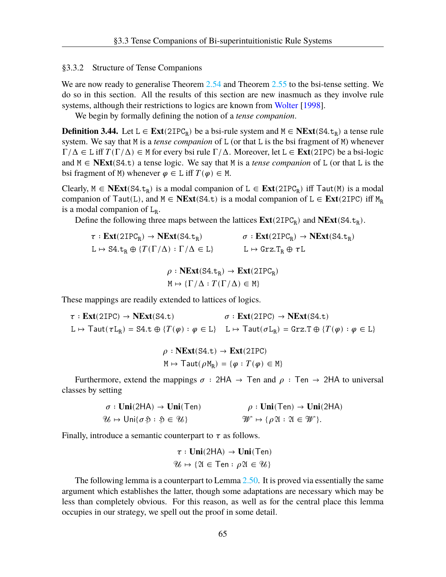## §3.3.2 Structure of Tense Companions

We are now ready to generalise Theorem [2.54](#page-38-0) and Theorem [2.55](#page-39-0) to the bsi-tense setting. We do so in this section. All the results of this section are new inasmuch as they involve rule systems, although their restrictions to logics are known from [Wolter](#page-109-2) [\[1998](#page-109-2)].

We begin by formally defining the notion of a *tense companion*.

**Definition 3.44.** Let L ∈  $\text{Ext}(2IPC_R)$  be a bsi-rule system and M ∈  $\text{NExt}(S4.t_R)$  a tense rule system. We say that M is a *tense companion* of L (or that L is the bsi fragment of M) whenever  $\Gamma/\Delta \in L$  iff  $T(\Gamma/\Delta) \in M$  for every bsi rule  $\Gamma/\Delta$ . Moreover, let  $L \in \text{Ext}(2IPC)$  be a bsi-logic and M ∈ **NExt**(S4.t) a tense logic. We say that M is a *tense companion* of L (or that L is the bsi fragment of M) whenever  $\varphi \in L$  iff  $T(\varphi) \in M$ .

Clearly,  $M$  ∈ **NExt**(S4.t<sub>R</sub>) is a modal companion of L ∈ **Ext**(2IPC<sub>R</sub>) iff Taut(M) is a modal companion of Taut(L), and  $M \in \mathbf{NExt}(S4,t)$  is a modal companion of  $L \in \mathbf{Ext}(2IPC)$  iff  $M_R$ is a modal companion of  $L_R$ .

Define the following three maps between the lattices  $\text{Ext}(2IPC_R)$  and  $\text{NExt}(S4.t_R)$ .

 $\tau : \text{Ext}(2IPC_R) \to \text{NExt}(S4.t_R)$   $\sigma : \text{Ext}(2IPC_R) \to \text{NExt}(S4.t_R)$  $L \mapsto S4.t_R \oplus \{T(\Gamma/\Delta) : \Gamma/\Delta \in L\}$   $L \mapsto \text{Grz.}T_R \oplus \tau L$ 

$$
\rho : \mathbf{NExt}(\mathbf{S4}.\mathsf{t}_{\mathsf{R}}) \to \mathbf{Ext}(\mathbf{2IPC}_{\mathsf{R}})
$$

$$
\mathsf{M} \mapsto \{ \Gamma/\Delta : T(\Gamma/\Delta) \in \mathsf{M} \}
$$

These mappings are readily extended to lattices of logics.

$$
\tau : \text{Ext}(2IPC) \to \text{NExt}(S4.t) \qquad \sigma : \text{Ext}(2IPC) \to \text{NExt}(S4.t)
$$
\n
$$
L \mapsto \text{Taut}(\tau L_R) = S4.t \oplus \{T(\varphi) : \varphi \in L\} \qquad L \mapsto \text{Taut}(\sigma L_R) = \text{Grz.T} \oplus \{T(\varphi) : \varphi \in L\}
$$

$$
\rho : \mathbf{NExt}(\mathbf{S4}.\mathbf{t}) \to \mathbf{Ext}(\mathbf{2IPC})
$$

$$
\mathbf{M} \mapsto \mathsf{Taut}(\rho \mathbf{M}_{\mathbf{R}}) = \{ \varphi : T(\varphi) \in \mathbf{M} \}
$$

Furthermore, extend the mappings  $\sigma$  : 2HA  $\rightarrow$  Ten and  $\rho$  : Ten  $\rightarrow$  2HA to universal classes by setting

$$
\sigma: \text{Uni}(2HA) \to \text{Uni}(Ten) \qquad \rho: \text{Uni}(Ten) \to \text{Uni}(2HA)
$$
  

$$
\mathcal{U} \mapsto \text{Uni}\{\sigma \mathfrak{H}: \mathfrak{H} \in \mathcal{U}\}
$$
  

$$
\mathcal{W} \mapsto \{\rho \mathfrak{A}: \mathfrak{A} \in \mathcal{W}\}.
$$

Finally, introduce a semantic counterpart to  $\tau$  as follows.

 $\tau : \text{Uni}(2HA) \rightarrow \text{Uni}(Ten)$  $\mathcal{U} \mapsto \{ \mathfrak{A} \in \mathsf{Ten} : \rho \mathfrak{A} \in \mathcal{U} \}$ 

<span id="page-69-0"></span>The following lemma is a counterpart to Lemma [2.50](#page-36-0). It is proved via essentially the same argument which establishes the latter, though some adaptations are necessary which may be less than completely obvious. For this reason, as well as for the central place this lemma occupies in our strategy, we spell out the proof in some detail.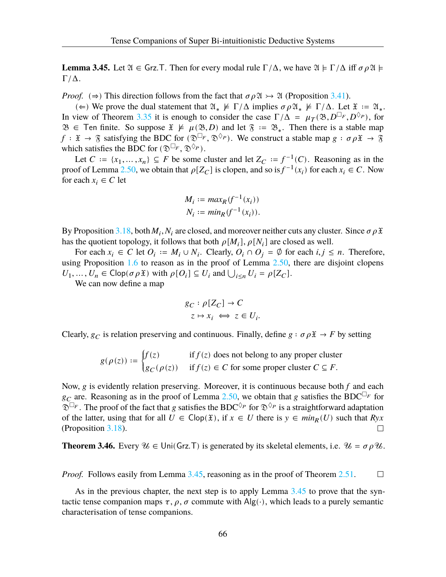**Lemma 3.45.** Let  $\mathfrak{A} \in \mathsf{Grz}$ . Then for every modal rule  $\Gamma/\Delta$ , we have  $\mathfrak{A} \models \Gamma/\Delta$  iff  $\sigma \rho \mathfrak{A} \models$  $\Gamma/\Delta$ .

*Proof.* ( $\Rightarrow$ ) This direction follows from the fact that  $\sigma \rho \mathfrak{A} \rightarrow \mathfrak{A}$  (Proposition [3.41\)](#page-68-2).

(∈) We prove the dual statement that  $\mathfrak{A}_* \not\models \Gamma/\Delta$  implies  $\sigma \rho \mathfrak{A}_* \not\models \Gamma/\Delta$ . Let  $\mathfrak{X} := \mathfrak{A}_*$ . In view of Theorem [3.35](#page-64-1) it is enough to consider the case  $\Gamma/\Delta = \mu_T(\mathfrak{B}, D^{\Box_F}, D^{\Diamond_P})$ , for  $\mathfrak{B}$  ∈ Ten finite. So suppose  $\mathfrak{X} \not\models \mu(\mathfrak{B}, D)$  and let  $\mathfrak{F} := \mathfrak{B}_*$ . Then there is a stable map  $f: \mathfrak{X} \to \mathfrak{F}$  satisfying the BDC for  $(\mathfrak{D}^{\square_F}, \mathfrak{D}^{\lozenge_P})$ . We construct a stable map  $g: \sigma \rho \mathfrak{X} \to \mathfrak{F}$ which satisfies the BDC for  $(\mathfrak{D}^{\square_F}, \mathfrak{D}^{\lozenge_P}).$ 

Let  $C := \{x_1, ..., x_n\} \subseteq F$  be some cluster and let  $Z_C := f^{-1}(C)$ . Reasoning as in the proof of Lemma [2.50](#page-36-0), we obtain that  $\rho[Z_C]$  is clopen, and so is  $f^{-1}(x_i)$  for each  $x_i \in C$ . Now for each  $x_i \in C$  let

$$
M_i := \max_R(f^{-1}(x_i))
$$
  

$$
N_i := \min_R(f^{-1}(x_i)).
$$

By Proposition [3.18,](#page-59-2) both  $M_i$ ,  $N_i$  are closed, and moreover neither cuts any cluster. Since  $\sigma \rho \mathfrak{X}$ has the quotient topology, it follows that both  $\rho[M_i], \rho[N_i]$  are closed as well.

For each  $x_i \in C$  let  $O_i := M_i \cup N_i$ . Clearly,  $O_i \cap O_j = \emptyset$  for each  $i, j \leq n$ . Therefore, using Proposition  $1.6$  to reason as in the proof of Lemma  $2.50$ , there are disjoint clopens  $U_1, ..., U_n \in \text{Clop}(\sigma \rho \mathfrak{X})$  with  $\rho[0_i] \subseteq U_i$  and  $\bigcup_{i \leq n} U_i = \rho[Z_C].$ 

We can now define a map

$$
g_C: \rho[Z_C] \to C
$$
  

$$
z \mapsto x_i \iff z \in U_i.
$$

Clearly,  $g_C$  is relation preserving and continuous. Finally, define  $g : \sigma \rho \mathfrak{X} \to F$  by setting

$$
g(\rho(z)) := \begin{cases} f(z) & \text{if } f(z) \text{ does not belong to any proper cluster} \\ g_C(\rho(z)) & \text{if } f(z) \in C \text{ for some proper cluster } C \subseteq F. \end{cases}
$$

Now,  $g$  is evidently relation preserving. Moreover, it is continuous because both  $f$  and each  $g_C$  are. Reasoning as in the proof of Lemma [2.50,](#page-36-0) we obtain that g satisfies the BDC<sup> $\Box_F$ </sup> for  $\widetilde{\mathfrak{D}} \square_F$ . The proof of the fact that g satisfies the BDC<sup> $\Diamond_P$ </sup> for  $\mathfrak{D}^{\Diamond_P}$  is a straightforward adaptation of the latter, using that for all  $U \in \text{Clop}(\mathfrak{X})$ , if  $x \in U$  there is  $y \in min_R(U)$  such that  $Ryx$ (Proposition [3.18\)](#page-59-2).  $\Box$ 

<span id="page-70-0"></span>**Theorem 3.46.** Every  $\mathcal{U} \in \text{Uni}(Grz,T)$  is generated by its skeletal elements, i.e.  $\mathcal{U} = \sigma \rho \mathcal{U}$ .

*Proof.* Follows easily from Lemma [3.45,](#page-69-0) reasoning as in the proof of Theorem [2.51.](#page-37-0)  $\Box$ 

As in the previous chapter, the next step is to apply Lemma [3.45](#page-69-0) to prove that the syntactic tense companion maps  $\tau$ ,  $\rho$ ,  $\sigma$  commute with Alg(⋅), which leads to a purely semantic characterisation of tense companions.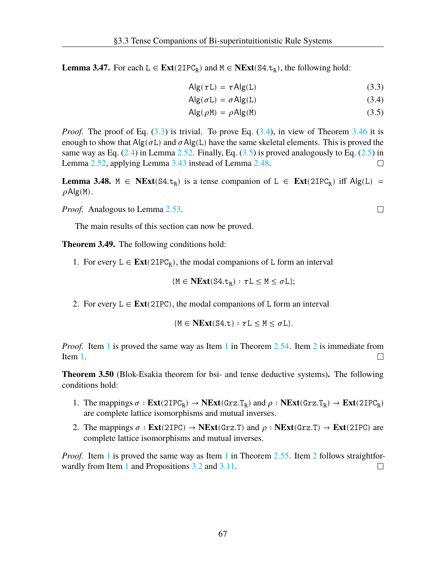**Lemma 3.47.** For each  $L \in \text{Ext}(2IPC_R)$  and  $M \in \text{NExt}(S4, t_R)$ , the following hold:

$$
Alg(\tau L) = \tau Alg(L) \tag{3.3}
$$

$$
Alg(\sigma L) = \sigma Alg(L)
$$
 (3.4)

$$
Alg(\rho M) = \rho Alg(M)
$$
 (3.5)

*Proof.* The proof of Eq. ([3.3\)](#page-71-1) is trivial. To prove Eq. [\(3.4\)](#page-71-2), in view of Theorem [3.46](#page-70-0) it is enough to show that  $\text{Alg}(\sigma L)$  and  $\sigma \text{Alg}(L)$  have the same skeletal elements. This is proved the same way as Eq.  $(2.4)$  $(2.4)$  in Lemma [2.52](#page-38-4). Finally, Eq.  $(3.5)$  $(3.5)$  is proved analogously to Eq.  $(2.5)$  $(2.5)$  in Lemma [2.52](#page-38-4), applying Lemma [3.43](#page-68-1) instead of Lemma [2.48](#page-35-0).  $\Box$ 

**Lemma 3.48.**  $M \in \text{NExt}(S4, t_R)$  is a tense companion of  $L \in \text{Ext}(2IPC_R)$  iff  $Alg(L)$  $\rho$ Alg(M).

*Proof.* Analogous to Lemma [2.53](#page-38-5).

The main results of this section can now be proved.

<span id="page-71-4"></span>**Theorem 3.49.** The following conditions hold:

1. For every  $L \in \text{Ext}(2IPC_R)$ , the modal companions of L form an interval

$$
\{M\in \textbf{NExt}(\text{S4.t}_R):\tau L\leq M\leq \sigma L\};
$$

<span id="page-71-5"></span>2. For every  $L \in \text{Ext}(2IPC)$ , the modal companions of L form an interval

$$
\{M \in \mathbf{NExt}(\mathbf{S4}.\mathtt{t}) : \tau L \leq M \leq \sigma L\}.
$$

*Proof.* Item [1](#page-39-1) is proved the same way as Item 1 in Theorem [2.54](#page-38-0). Item [2](#page-71-5) is immediate from Item [1.](#page-71-4)  $\Box$ 

**Theorem 3.50** (Blok-Esakia theorem for bsi- and tense deductive systems)**.** The following conditions hold:

- <span id="page-71-6"></span>1. The mappings  $\sigma : \text{Ext}(2IPC_R) \to \text{NExt}(Grz.T_R)$  and  $\rho : \text{NExt}(Grz.T_R) \to \text{Ext}(2IPC_R)$ are complete lattice isomorphisms and mutual inverses.
- <span id="page-71-7"></span>2. The mappings  $\sigma$  **:**  $\text{Ext}(2IPC) \rightarrow \text{NExt}(Grz.T)$  and  $\rho$  **:**  $\text{NExt}(Grz.T) \rightarrow \text{Ext}(2IPC)$  are complete lattice isomorphisms and mutual inverses.

<span id="page-71-0"></span>*Proof.* Item [1](#page-39-3) is proved the same way as Item 1 in Theorem [2.55.](#page-39-0) Item [2](#page-71-7) follows straightfor-wardly from Item [1](#page-71-6) and Propositions [3.2](#page-54-0) and [3.11](#page-57-0).  $\Box$ 

<span id="page-71-3"></span><span id="page-71-2"></span><span id="page-71-1"></span> $\Box$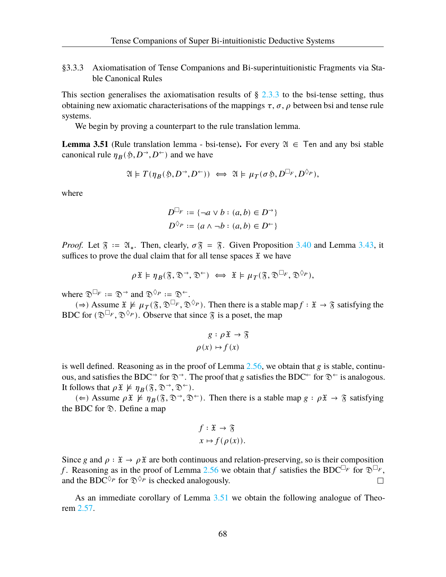§3.3.3 Axiomatisation of Tense Companions and Bi-superintuitionistic Fragments via Stable Canonical Rules

This section generalises the axiomatisation results of  $\S$  [2.3.3](#page-39-0) to the bsi-tense setting, thus obtaining new axiomatic characterisations of the mappings  $\tau$ ,  $\sigma$ ,  $\rho$  between bsi and tense rule systems.

We begin by proving a counterpart to the rule translation lemma.

<span id="page-72-0"></span>**Lemma 3.51** (Rule translation lemma - bsi-tense). For every  $\mathfrak{A} \in \mathcal{T}$  en and any bsi stable canonical rule  $\eta_B(\mathfrak{H}, D^{\rightarrow}, D^{\leftarrow})$  and we have

$$
\mathfrak{A}\models T(\eta_B(\mathfrak{H},D^{\rightarrow},D^{\leftarrow}))\iff \mathfrak{A}\models \mu_T(\sigma\mathfrak{H},D^{\Box_F},D^{\Diamond_P}),
$$

where

$$
D^{\Box_F} := \{ \neg a \lor b : (a, b) \in D^{\rightarrow} \}
$$
  

$$
D^{\Diamond_P} := \{ a \land \neg b : (a, b) \in D^{\leftarrow} \}
$$

*Proof.* Let  $\mathfrak{F} := \mathfrak{A}_*$ . Then, clearly,  $\sigma \mathfrak{F} = \mathfrak{F}$ . Given Proposition [3.40](#page-68-0) and Lemma [3.43](#page-68-1), it suffices to prove the dual claim that for all tense spaces  $\mathfrak X$  we have

$$
\rho \mathfrak{X} \models \eta_B(\mathfrak{F}, \mathfrak{D}^{\rightarrow}, \mathfrak{D}^{\leftarrow}) \iff \mathfrak{X} \models \mu_T(\mathfrak{F}, \mathfrak{D}^{\Box_F}, \mathfrak{D}^{\Diamond_P}),
$$

where  $\mathfrak{D}^{\square_F} := \mathfrak{D}^{\rightarrow}$  and  $\mathfrak{D}^{\lozenge_P} := \mathfrak{D}^{\leftarrow}$ .

(⇒) Assume  $\mathfrak{X} \not\models \mu_T(\mathfrak{F}, \mathfrak{D}^{\Box_F}, \mathfrak{D}^{\Diamond_P})$ . Then there is a stable map  $f : \mathfrak{X} \to \mathfrak{F}$  satisfying the BDC for  $(\mathfrak{D}^{\square_F}, \mathfrak{D}^{\lozenge_P})$ . Observe that since  $\mathfrak{F}$  is a poset, the map

$$
g: \rho \mathfrak{X} \to \mathfrak{F}
$$

$$
\rho(x) \mapsto f(x)
$$

is well defined. Reasoning as in the proof of Lemma [2.56](#page-39-1), we obtain that  $g$  is stable, continuous, and satisfies the BDC<sup>→</sup> for  $\mathcal{D}^{\rightarrow}$ . The proof that g satisfies the BDC<sup>←</sup> for  $\mathcal{D}^{\leftarrow}$  is analogous. It follows that  $\rho \mathfrak{X} \not\models \eta_B(\mathfrak{F}, \mathfrak{D}^{\rightarrow}, \mathfrak{D}^{\leftarrow}).$ 

(∈) Assume  $\rho \mathfrak{X} \not\models \eta_B(\mathfrak{F}, \mathfrak{D}^{\rightarrow}, \mathfrak{D}^{\leftarrow})$ . Then there is a stable map  $g : \rho \mathfrak{X} \rightarrow \mathfrak{F}$  satisfying the BDC for  $\mathcal D$ . Define a map

$$
f: \mathfrak{X} \to \mathfrak{F}
$$

$$
x \mapsto f(\rho(x)).
$$

Since g and  $\rho : \mathfrak{X} \to \rho \mathfrak{X}$  are both continuous and relation-preserving, so is their composition f. Reasoning as in the proof of Lemma [2.56](#page-39-1) we obtain that f satisfies the BDC<sup> $\Box_F$ </sup> for  $\mathfrak{D}^{\Box_F}$ , and the BDC<sup> $\diamond_{P}$ </sup> for  $\mathfrak{D}^{\diamondsuit_{P}}$  is checked analogously.  $\Box$ 

<span id="page-72-1"></span>As an immediate corollary of Lemma [3.51](#page-72-0) we obtain the following analogue of Theorem [2.57.](#page-40-0)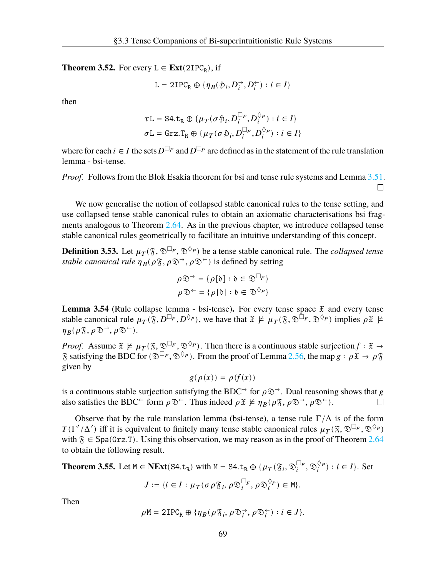**Theorem 3.52.** For every  $L \in \text{Ext}(2IPC_R)$ , if

$$
\mathtt{L}=\mathtt{2IPC}_\mathtt{R}\oplus\{\eta_B(\mathfrak{H}_i, D_i^{\rightarrow}, D_i^{\leftarrow}):i\in I\}
$$

then

$$
\tau L = S4. t_R \oplus \{ \mu_T(\sigma \mathfrak{H}_i, D_i^{\Box_F}, D_i^{\Diamond_P}) : i \in I \}
$$
  

$$
\sigma L = \text{Grz} . T_R \oplus \{ \mu_T(\sigma \mathfrak{H}_i, D_i^{\Box_F}, D_i^{\Diamond_P}) : i \in I \}
$$

where for each  $i \in I$  the sets  $D^{\Box_F}$  and  $D^{\Box_P}$  are defined as in the statement of the rule translation lemma - bsi-tense.

*Proof.* Follows from the Blok Esakia theorem for bsi and tense rule systems and Lemma [3.51](#page-72-0).  $\Box$ 

We now generalise the notion of collapsed stable canonical rules to the tense setting, and use collapsed tense stable canonical rules to obtain an axiomatic characterisations bsi fragments analogous to Theorem [2.64.](#page-44-0) As in the previous chapter, we introduce collapsed tense stable canonical rules geometrically to facilitate an intuitive understanding of this concept.

**Definition 3.53.** Let  $\mu_{T}(\mathfrak{F}, \mathfrak{D}^{\Box_F}, \mathfrak{D}^{\Diamond_P})$  be a tense stable canonical rule. The *collapsed tense stable canonical rule*  $\eta_B(\rho \mathfrak{F}, \rho \mathfrak{D}^{\rightarrow}, \rho \mathfrak{D}^{\leftarrow})$  is defined by setting

$$
\rho \mathfrak{D}^{\rightarrow} = {\rho[\mathfrak{b}] : \mathfrak{b} \in \mathfrak{D}^{\square_F}}
$$

$$
\rho \mathfrak{D}^{\leftarrow} = {\rho[\mathfrak{b}] : \mathfrak{b} \in \mathfrak{D}^{\lozenge_P}}
$$

**Lemma 3.54** (Rule collapse lemma - bsi-tense). For every tense space  $\tilde{x}$  and every tense stable canonical rule  $\mu_{T}(\mathfrak{F}, D^{\Box_{F}}, D^{\Diamond_{P}})$ , we have that  $\mathfrak{X} \not\models \mu_{T}(\mathfrak{F}, \mathfrak{D}^{\Box_{F}}, \mathfrak{D}^{\Diamond_{P}})$  implies  $\rho \mathfrak{X} \not\models$  $\eta_B(\rho\mathfrak{F}, \rho\mathfrak{D}^{\rightarrow}, \rho\mathfrak{D}^{\leftarrow}).$ 

*Proof.* Assume  $\mathfrak{X} \not\models \mu_T(\mathfrak{F}, \mathfrak{D}^{\Box_F}, \mathfrak{D}^{\Diamond_P})$ . Then there is a continuous stable surjection  $f : \mathfrak{X} \rightarrow$  $\mathcal S$  satisfying the BDC for ( $\mathcal D^{\Box_F}, \mathcal D^{\Diamond_P}$ ). From the proof of Lemma [2.56,](#page-39-1) the map  $g : \rho \mathcal X \to \rho \mathcal S$ given by

$$
g(\rho(x)) = \rho(f(x))
$$

is a continuous stable surjection satisfying the BDC $\rightarrow$  for  $\rho \mathfrak{D} \rightarrow$ . Dual reasoning shows that g also satisfies the BDC<sup>←</sup> form  $\rho \mathfrak{D}^{\leftarrow}$ . Thus indeed  $\rho \mathfrak{X} \not\models \eta_B(\rho \mathfrak{F}, \rho \mathfrak{D}^{\rightarrow}, \rho \mathfrak{D}^{\leftarrow})$ . П

Observe that by the rule translation lemma (bsi-tense), a tense rule  $\Gamma/\Delta$  is of the form  $T(\Gamma'/\Delta')$  iff it is equivalent to finitely many tense stable canonical rules  $\mu_T(\mathfrak{F}, \mathfrak{D}^{\Box_F}, \mathfrak{D}^{\Diamond_P})$ with  $\mathfrak{F} \in \text{Spa}(Grz.T)$ . Using this observation, we may reason as in the proof of Theorem [2.64](#page-44-0) to obtain the following result.

<span id="page-73-0"></span>**Theorem 3.55.** Let 
$$
M \in \text{NExt}(\text{S4.t}_R)
$$
 with  $M = \text{S4.t}_R \oplus \{\mu_T(\mathfrak{F}_i, \mathfrak{D}_i^{\Box_F}, \mathfrak{D}_i^{\Diamond_P}) : i \in I\}$ . Set

$$
J := \{ i \in I : \mu_T(\sigma \rho \mathfrak{F}_i, \rho \mathfrak{D}_i^{\Box_F}, \rho \mathfrak{D}_i^{\Diamond_P}) \in M \}.
$$

Then

$$
\rho \mathtt{M}=\mathtt{2IPC_R}\oplus \{\eta_B(\rho\mathfrak{F}_i,\rho\mathfrak{D}_i^{\rightarrow},\rho\mathfrak{D}_i^{\leftarrow}):i\in J\}.
$$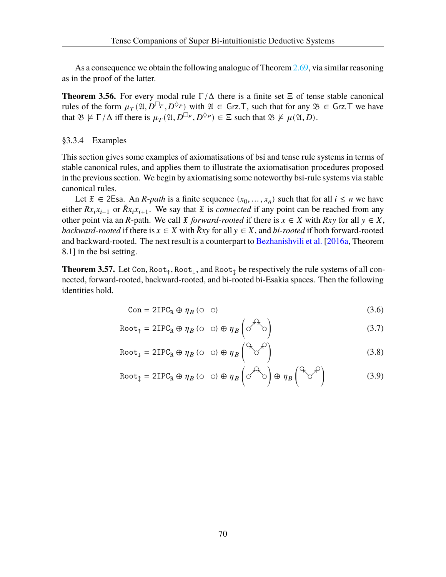As a consequence we obtain the following analogue of Theorem [2.69](#page-46-0), via similar reasoning as in the proof of the latter.

<span id="page-74-4"></span>**Theorem 3.56.** For every modal rule  $\Gamma/\Delta$  there is a finite set  $\Xi$  of tense stable canonical rules of the form  $\mu_{\mathcal{T}}(\mathfrak{A}, D^{\square_F}, D^{\lozenge_P})$  with  $\mathfrak{A} \in \mathsf{Grz}$ . T, such that for any  $\mathfrak{B} \in \mathsf{Grz}$ . T we have that  $\mathfrak{B} \not\models \Gamma/\Delta$  iff there is  $\mu_T(\mathfrak{A}, D^{\square_F}, D^{\lozenge_P}) \in \Xi$  such that  $\mathfrak{B} \not\models \mu(\mathfrak{A}, D)$ .

# §3.3.4 Examples

This section gives some examples of axiomatisations of bsi and tense rule systems in terms of stable canonical rules, and applies them to illustrate the axiomatisation procedures proposed in the previous section. We begin by axiomatising some noteworthy bsi-rule systems via stable canonical rules.

Let  $\mathfrak{X} \in 2\mathsf{E}$ sa. An *R*-path is a finite sequence  $(x_0, \dots, x_n)$  such that for all  $i \leq n$  we have either  $Rx_ix_{i+1}$  or  $\breve{R}x_ix_{i+1}$ . We say that  $\breve{x}$  is *connected* if any point can be reached from any other point via an R-path. We call  $\tilde{x}$  forward-rooted if there is  $x \in X$  with  $Rxy$  for all  $y \in X$ , *backward-rooted* if there is  $x \in X$  with  $\overline{R}xy$  for all  $y \in X$ , and *bi-rooted* if both forward-rooted and backward-rooted. The next result is a counterpart to [Bezhanishvili et al.](#page-107-0) [\[2016a](#page-107-0), Theorem 8.1] in the bsi setting.

**Theorem 3.57.** Let Con,  $Root_{\uparrow}$ ,  $Root_{\downarrow}$ , and  $Root_{\uparrow}$  be respectively the rule systems of all connected, forward-rooted, backward-rooted, and bi-rooted bi-Esakia spaces. Then the following identities hold.

<span id="page-74-3"></span><span id="page-74-2"></span><span id="page-74-1"></span><span id="page-74-0"></span>
$$
Con = 2IPC_R \oplus \eta_B \ (\odot \ \odot) \tag{3.6}
$$

$$
\text{Root}_{\uparrow} = 2\text{IPC}_{\text{R}} \oplus \eta_B \text{ (} \circ \text{ } \circ \text{)} \oplus \eta_B \text{ (} \circ \text{?} \circ \text{)} \tag{3.7}
$$

$$
\text{Root}_{\downarrow} = 2\text{IPC}_{\text{R}} \oplus \eta_B \text{ (} \circ \text{ )} \oplus \eta_B \text{ (}^{\text{Q}} \text{)} \tag{3.8}
$$

$$
\text{Root}_{\updownarrow} = 2\text{IPC}_{\text{R}} \oplus \eta_B \text{ (} \circ \text{ )} \oplus \eta_B \text{ (} \circ \text{ } \mathcal{A}^{\wedge} \circ \text{)} \oplus \eta_B \text{ (} \circ \text{ } \mathcal{A}^{\text{}} \text{)}
$$
 (3.9)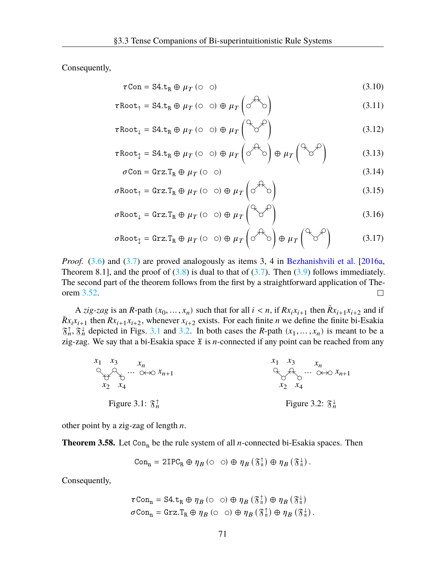Consequently,

$$
\tau \text{Con} = \text{S4.t}_R \oplus \mu_T \ (\text{O} \ \text{O}) \tag{3.10}
$$

$$
\tau \text{Root}_{\uparrow} = \text{S4.t}_{\text{R}} \oplus \mu_{T} \ (\circ \ \circ) \oplus \mu_{T} \left( \circ^{\text{AA}} \circ \right) \tag{3.11}
$$

$$
\tau \text{Root}_{\downarrow} = \text{S4.t}_{\text{R}} \oplus \mu_T \ (\text{O} \ \text{O}) \oplus \mu_T \begin{pmatrix} \alpha & \beta \\ \beta & \gamma \end{pmatrix} \tag{3.12}
$$

$$
\tau \text{Root}_{\updownarrow} = \text{S4.t}_{\text{R}} \oplus \mu_{T} \text{ (} \circ \text{ )} \oplus \mu_{T} \text{ (} \circ \text{ } \mathcal{F} \text{)}
$$
\n
$$
\oplus \mu_{T} \text{ (} \circ \text{ } \mathcal{F} \text{)}
$$
\n
$$
\qquad \qquad (3.13)
$$

$$
\sigma \text{Con} = \text{Grz} \cdot \text{T}_{\text{R}} \oplus \mu_{T} \text{ (} \circ \text{ )}
$$
 (3.14)

$$
\sigma \text{Root}_{\uparrow} = \text{Grz}.\text{T}_{\text{R}} \oplus \mu_{T} \ (\circ \ \circ) \oplus \mu_{T} \left( \circ^{\mathcal{H}_{\text{R}}}\circ\right) \tag{3.15}
$$

$$
\sigma \text{Root}_{\downarrow} = \text{Grz}.\text{T}_{\text{R}} \oplus \mu_{T} \ (\text{O} \ \text{O}) \oplus \mu_{T} \begin{pmatrix} \text{O}_{\text{C}} \text{O}^{\text{O}} \\ \text{O}^{\text{O}} \end{pmatrix} \tag{3.16}
$$

$$
\sigma \text{Root}_{\updownarrow} = \text{Grz}.\text{T}_{\text{R}} \oplus \mu_{T} \ (\text{O} \ \text{O}) \oplus \mu_{T} \left(\text{O}^{\text{O} \times \text{O}}\right) \oplus \mu_{T} \left(\text{O}^{\text{O} \times \text{O}}\right) \tag{3.17}
$$

*Proof.* ([3.6\)](#page-74-0) and [\(3.7](#page-74-1)) are proved analogously as items 3, 4 in [Bezhanishvili et al.](#page-107-0) [\[2016a](#page-107-0), Theorem 8.1], and the proof of  $(3.8)$  $(3.8)$  is dual to that of  $(3.7)$  $(3.7)$ . Then  $(3.9)$  $(3.9)$  follows immediately. The second part of the theorem follows from the first by a straightforward application of Theorem [3.52.](#page-72-1)  $\Box$ 

A *zig-zag* is an R-path  $(x_0, ..., x_n)$  such that for all  $i < n$ , if  $Rx_ix_{i+1}$  then  $\breve{R}x_{i+1}x_{i+2}$  and if  $\tilde{R}x_i x_{i+1}$  then  $Rx_{i+1}x_{i+2}$ , whenever  $x_{i+2}$  exists. For each finite *n* we define the finite bi-Esakia  $\mathfrak{F}_n^{\uparrow}$ ,  $\mathfrak{F}_n^{\downarrow}$  depicted in Figs. [3.1](#page-75-0) and [3.2.](#page-75-0) In both cases the *R*-path  $(x_1, ..., x_n)$  is meant to be a zig-zag. We say that a bi-Esakia space  $\tilde{x}$  is *n*-connected if any point can be reached from any

<span id="page-75-0"></span>

other point by a zig-zag of length  $n$ .

**Theorem 3.58.** Let Con<sub>n</sub> be the rule system of all *n*-connected bi-Esakia spaces. Then

$$
\text{Con}_{n} = 2\text{IPC}_{R} \oplus \eta_B \; (\circ \hspace{0.1in} \circlearrowleft) \oplus \eta_B \left( \mathfrak{F}_{n}^{\uparrow} \right) \oplus \eta_B \left( \mathfrak{F}_{n}^{\downarrow} \right).
$$

Consequently,

$$
\tau \text{Con}_{n} = \text{S4.t}_{R} \oplus \eta_{B} (\circ \circ) \oplus \eta_{B} (\mathfrak{F}_{n}^{\uparrow}) \oplus \eta_{B} (\mathfrak{F}_{n}^{\downarrow})
$$

$$
\sigma \text{Con}_{n} = \text{Grz.T}_{R} \oplus \eta_{B} (\circ \circ) \oplus \eta_{B} (\mathfrak{F}_{n}^{\uparrow}) \oplus \eta_{B} (\mathfrak{F}_{n}^{\downarrow}).
$$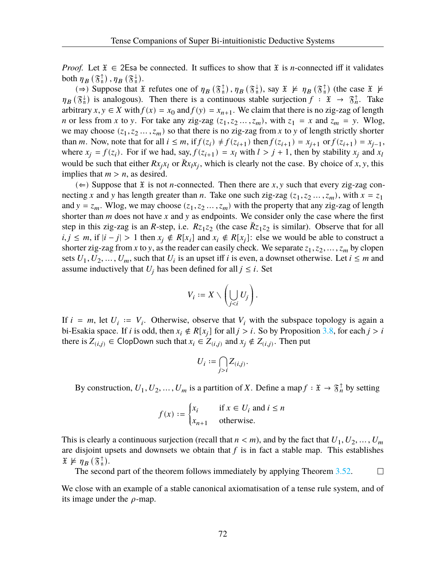*Proof.* Let  $\tilde{x} \in 2$ Esa be connected. It suffices to show that  $\tilde{x}$  is *n*-connected iff it validates both  $\eta_B(\mathfrak{F}^{\uparrow}_{\mathfrak{n}})$ ,  $\eta_B(\mathfrak{F}^{\downarrow}_{\mathfrak{n}})$ .

( $\Rightarrow$ ) Suppose that  $\mathfrak X$  refutes one of  $\eta_B(\mathfrak F_n^{\uparrow})$ ,  $\eta_B(\mathfrak F_n^{\downarrow})$ , say  $\mathfrak X \not\models \eta_B(\mathfrak F_n^{\uparrow})$  (the case  $\mathfrak X \not\models \eta_B(\mathfrak F_n^{\uparrow})$ )  $\eta_B(\mathfrak{F}_n^{\downarrow})$  is analogous). Then there is a continuous stable surjection  $f : \mathfrak{X} \to \mathfrak{F}_n^{\uparrow}$ . Take arbitrary  $x, y \in X$  with  $f(x) = x_0$  and  $f(y) = x_{n+1}$ . We claim that there is no zig-zag of length *n* or less from *x* to *y*. For take any zig-zag  $(z_1, z_2, ..., z_m)$ , with  $z_1 = x$  and  $z_m = y$ . Wlog, we may choose  $(z_1, z_2, ..., z_m)$  so that there is no zig-zag from x to y of length strictly shorter than *m*. Now, note that for all  $i \leq m$ , if  $f(z_i) \neq f(z_{i+1})$  then  $f(z_{i+1}) = x_{j+1}$  or  $f(z_{i+1}) = x_{j-1}$ , where  $x_j = f(z_i)$ . For if we had, say,  $f(z_{i+1}) = x_i$  with  $l > j + 1$ , then by stability  $x_j$  and  $x_l$ would be such that either  $Rx_jx_l$  or  $\breve{R}x_lx_j$ , which is clearly not the case. By choice of x, y, this implies that  $m > n$ , as desired.

(∈) Suppose that  $\mathfrak X$  is not *n*-connected. Then there are x, y such that every zig-zag connecting x and y has length greater than n. Take one such zig-zag  $(z_1, z_2, ..., z_m)$ , with  $x = z_1$ and  $y = z_m$ . Wlog, we may choose  $(z_1, z_2, ..., z_m)$  with the property that any zig-zag of length shorter than  $m$  does not have  $x$  and  $y$  as endpoints. We consider only the case where the first step in this zig-zag is an R-step, i.e.  $Rz_1z_2$  (the case  $\tilde{R}z_1z_2$  is similar). Observe that for all  $i, j \leq m$ , if  $|i - j| > 1$  then  $x_j \notin R[x_i]$  and  $x_i \notin R[x_j]$ : else we would be able to construct a shorter zig-zag from x to y, as the reader can easily check. We separate  $z_1, z_2, \dots, z_m$  by clopen sets  $U_1, U_2, ..., U_m$ , such that  $U_i$  is an upset iff *i* is even, a downset otherwise. Let  $i \leq m$  and assume inductively that  $U_i$  has been defined for all  $j \leq i$ . Set

$$
V_i := X \setminus \left(\bigcup_{j
$$

If  $i = m$ , let  $U_i := V_i$ . Otherwise, observe that  $V_i$  with the subspace topology is again a bi-Esakia space. If *i* is odd, then  $x_i \notin R[x_j]$  for all  $j > i$ . So by Proposition [3.8,](#page-55-0) for each  $j > i$ there is  $Z_{(i,j)} \in \text{ClopDown}$  such that  $x_i \in Z_{(i,j)}$  and  $x_j \notin Z_{(i,j)}$ . Then put

$$
U_i:=\bigcap_{j>i}Z_{(i,j)}.
$$

By construction,  $U_1, U_2, ..., U_m$  is a partition of X. Define a map  $f : \mathfrak{X} \to \mathfrak{F}_n^{\uparrow}$  by setting

$$
f(x) := \begin{cases} x_i & \text{if } x \in U_i \text{ and } i \le n \\ x_{n+1} & \text{otherwise.} \end{cases}
$$

This is clearly a continuous surjection (recall that  $n < m$ ), and by the fact that  $U_1, U_2, ..., U_m$ are disjoint upsets and downsets we obtain that  $f$  is in fact a stable map. This establishes  $\mathfrak{X} \not\models \eta_B(\mathfrak{F}_\mathfrak{n}^\uparrow).$ 

The second part of the theorem follows immediately by applying Theorem [3.52.](#page-72-1) □

We close with an example of a stable canonical axiomatisation of a tense rule system, and of its image under the  $\rho$ -map.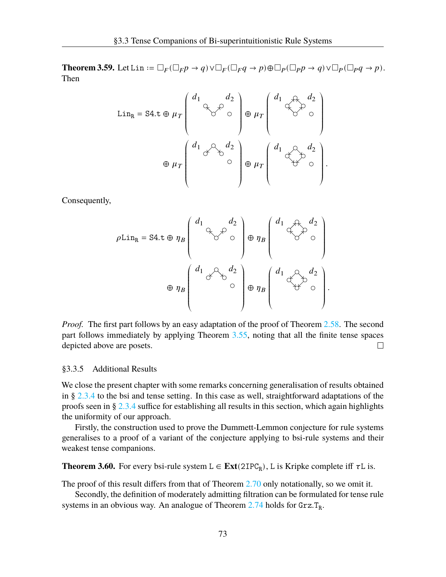**Theorem 3.59.** Let Lin :=  $\Box_F(\Box_F p \to q) \lor \Box_F(\Box_F q \to p) \oplus \Box_P(\Box_p p \to q) \lor \Box_P(\Box_p q \to p)$ . Then

$$
\text{Lin}_{\text{R}} = \text{S4.t} \oplus \mu_{T} \begin{pmatrix} d_{1} & d_{2} \\ 0 & d_{3} \\ 0 & 0 \end{pmatrix} \oplus \mu_{T} \begin{pmatrix} d_{1} & d_{2} \\ 0 & d_{3} \\ 0 & 0 \end{pmatrix}
$$

$$
\oplus \mu_{T} \begin{pmatrix} d_{1} & d_{3} & d_{2} \\ 0 & 0 & 0 \\ 0 & 0 & 0 \end{pmatrix} \oplus \mu_{T} \begin{pmatrix} d_{1} & d_{3} & d_{2} \\ 0 & 0 & 0 \\ 0 & 0 & 0 \end{pmatrix}.
$$

Consequently,

$$
\rho \text{Lin}_{\text{R}} = \text{S4.t} \oplus \eta_B \begin{pmatrix} d_1 & d_2 \\ & \searrow & \circ \\ & & \circ \end{pmatrix} \oplus \eta_B \begin{pmatrix} d_1 & \searrow & d_2 \\ & & \searrow & \circ \\ & & & \circ \end{pmatrix}
$$

$$
\oplus \eta_B \begin{pmatrix} d_1 & \searrow & d_2 \\ & & \circ & \circ \\ & & & \circ \end{pmatrix} \oplus \eta_B \begin{pmatrix} d_1 & \searrow & d_2 \\ & & \searrow & \circ \\ & & & \circ \end{pmatrix}
$$

.

*Proof.* The first part follows by an easy adaptation of the proof of Theorem [2.58.](#page-41-0) The second part follows immediately by applying Theorem [3.55,](#page-73-0) noting that all the finite tense spaces depicted above are posets.  $\Box$ 

#### §3.3.5 Additional Results

We close the present chapter with some remarks concerning generalisation of results obtained in § [2.3.4](#page-46-1) to the bsi and tense setting. In this case as well, straightforward adaptations of the proofs seen in § [2.3.4](#page-46-1) suffice for establishing all results in this section, which again highlights the uniformity of our approach.

Firstly, the construction used to prove the Dummett-Lemmon conjecture for rule systems generalises to a proof of a variant of the conjecture applying to bsi-rule systems and their weakest tense companions.

**Theorem 3.60.** For every bsi-rule system  $L \in Ext(2IPC_R)$ , L is Kripke complete iff  $\tau L$  is.

The proof of this result differs from that of Theorem [2.70](#page-47-0) only notationally, so we omit it.

Secondly, the definition of moderately admitting filtration can be formulated for tense rule systems in an obvious way. An analogue of Theorem  $2.74$  holds for  $Grz.T_R$ .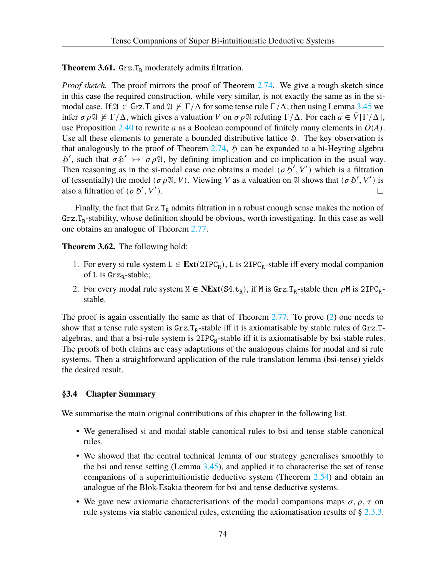**Theorem 3.61.** Grz.T<sub>R</sub> moderately admits filtration.

*Proof sketch.* The proof mirrors the proof of Theorem [2.74.](#page-49-0) We give a rough sketch since in this case the required construction, while very similar, is not exactly the same as in the simodal case. If  $\mathfrak{A} \in \mathsf{Grz}$ . T and  $\mathfrak{A} \not\models \Gamma/\Delta$  for some tense rule  $\Gamma/\Delta$ , then using Lemma [3.45](#page-69-0) we infer  $\sigma \rho \mathfrak{A} \not\models \Gamma/\Delta$ , which gives a valuation V on  $\sigma \rho \mathfrak{A}$  refuting  $\Gamma/\Delta$ . For each  $a \in \overline{V}[\Gamma/\Delta]$ , use Proposition [2.40](#page-32-0) to rewrite *a* as a Boolean compound of finitely many elements in  $O(A)$ . Use all these elements to generate a bounded distributive lattice ℌ. The key observation is that analogously to the proof of Theorem  $2.74$ ,  $\ddot{\phi}$  can be expanded to a bi-Heyting algebra  $\mathfrak{H}'$ , such that  $\sigma \mathfrak{H}' \rightarrow \sigma \rho \mathfrak{A}$ , by defining implication and co-implication in the usual way. Then reasoning as in the si-modal case one obtains a model ( $\sigma$  \$', V') which is a filtration of (essentially) the model ( $\sigma \rho \mathfrak{A}, V$ ). Viewing V as a valuation on  $\mathfrak A$  shows that ( $\sigma \mathfrak{H}', V'$ ) is also a filtration of  $(\sigma \mathcal{L}', V')$ .  $\Box$ 

Finally, the fact that  $Grz.T_R$  admits filtration in a robust enough sense makes the notion of  $Grz.T_R$ -stability, whose definition should be obvious, worth investigating. In this case as well one obtains an analogue of Theorem [2.77](#page-51-0).

**Theorem 3.62.** The following hold:

- 1. For every si rule system  $L \in \text{Ext}(2IPC_R)$ , L is  $2IPC_R$ -stable iff every modal companion of L is  $\text{Grz}_R\text{-stable}$ ;
- <span id="page-78-0"></span>2. For every modal rule system  $M \in \text{NExt}(S4.t_R)$ , if M is Grz.T<sub>R</sub>-stable then  $\rho M$  is 2IPC<sub>R</sub>stable.

The proof is again essentially the same as that of Theorem [2.77.](#page-51-0) To prove [\(2](#page-78-0)) one needs to show that a tense rule system is  $Grz.T_R$ -stable iff it is axiomatisable by stable rules of  $Grz.T$ algebras, and that a bsi-rule system is  $2IPC<sub>R</sub>$ -stable iff it is axiomatisable by bsi stable rules. The proofs of both claims are easy adaptations of the analogous claims for modal and si rule systems. Then a straightforward application of the rule translation lemma (bsi-tense) yields the desired result.

# **§3.4 Chapter Summary**

We summarise the main original contributions of this chapter in the following list.

- We generalised si and modal stable canonical rules to bsi and tense stable canonical rules.
- We showed that the central technical lemma of our strategy generalises smoothly to the bsi and tense setting (Lemma [3.45\)](#page-69-0), and applied it to characterise the set of tense companions of a superintuitionistic deductive system (Theorem [2.54\)](#page-38-0) and obtain an analogue of the Blok-Esakia theorem for bsi and tense deductive systems.
- We gave new axiomatic characterisations of the modal companions maps  $\sigma$ ,  $\rho$ ,  $\tau$  on rule systems via stable canonical rules, extending the axiomatisation results of § [2.3.3](#page-39-0).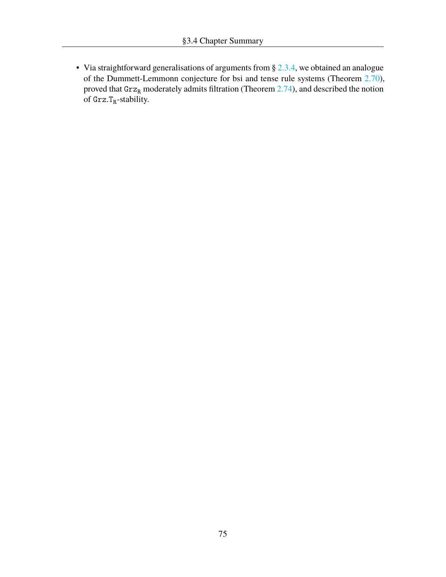• Via straightforward generalisations of arguments from § [2.3.4](#page-46-1), we obtained an analogue of the Dummett-Lemmonn conjecture for bsi and tense rule systems (Theorem [2.70](#page-47-0)), proved that  $Grz_R$  moderately admits filtration (Theorem [2.74](#page-49-0)), and described the notion of  $\text{Grz,T}_R\text{-stability.}$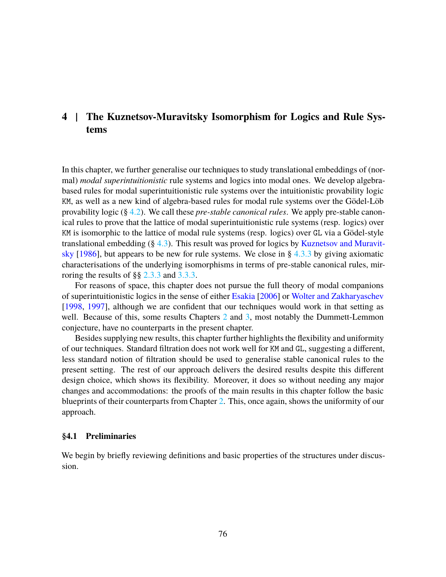# **4 | The Kuznetsov-Muravitsky Isomorphism for Logics and Rule Systems**

In this chapter, we further generalise our techniques to study translational embeddings of (normal) *modal superintuitionistic* rule systems and logics into modal ones. We develop algebrabased rules for modal superintuitionistic rule systems over the intuitionistic provability logic KM, as well as a new kind of algebra-based rules for modal rule systems over the Gödel-Löb provability logic (§ [4.2](#page-86-0)). We call these *pre-stable canonical rules*. We apply pre-stable canonical rules to prove that the lattice of modal superintuitionistic rule systems (resp. logics) over KM is isomorphic to the lattice of modal rule systems (resp. logics) over GL via a Gödel-style translational embedding  $(\S 4.3)$  $(\S 4.3)$ . This result was proved for logics by [Kuznetsov and Muravit](#page-108-0)[sky](#page-108-0) [[1986\]](#page-108-0), but appears to be new for rule systems. We close in § [4.3.3](#page-99-0) by giving axiomatic characterisations of the underlying isomorphisms in terms of pre-stable canonical rules, mirroring the results of §§ [2.3.3](#page-39-0) and [3.3.3](#page-71-0).

For reasons of space, this chapter does not pursue the full theory of modal companions of superintuitionistic logics in the sense of either [Esakia](#page-108-1) [\[2006\]](#page-108-1) or [Wolter and Zakharyaschev](#page-110-0) [\[1998,](#page-110-0) [1997\]](#page-109-0), although we are confident that our techniques would work in that setting as well. Because of this, some results Chapters [2](#page-18-0) and [3](#page-53-0), most notably the Dummett-Lemmon conjecture, have no counterparts in the present chapter.

Besides supplying new results, this chapter further highlights the flexibility and uniformity of our techniques. Standard filtration does not work well for KM and GL, suggesting a different, less standard notion of filtration should be used to generalise stable canonical rules to the present setting. The rest of our approach delivers the desired results despite this different design choice, which shows its flexibility. Moreover, it does so without needing any major changes and accommodations: the proofs of the main results in this chapter follow the basic blueprints of their counterparts from Chapter [2.](#page-18-0) This, once again, shows the uniformity of our approach.

#### **§4.1 Preliminaries**

We begin by briefly reviewing definitions and basic properties of the structures under discussion.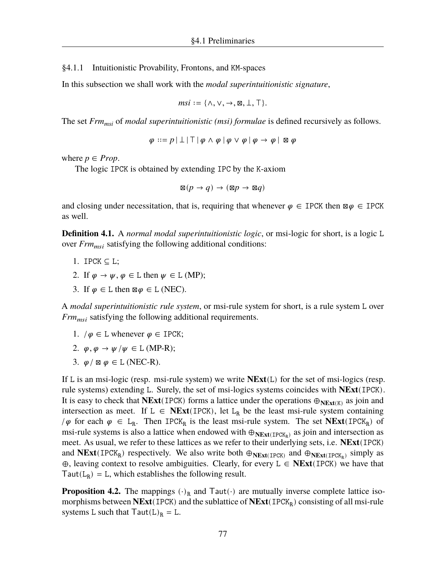§4.1.1 Intuitionistic Provability, Frontons, and KM-spaces

In this subsection we shall work with the *modal superintuitionistic signature*,

$$
msi := \{\wedge, \vee, \rightarrow, \boxtimes, \perp, \top\}.
$$

The set *Frmmsi* of *modal superintuitionistic (msi) formulae* is defined recursively as follows.

 $\varphi ::= p | \bot | \top | \varphi \wedge \varphi | \varphi \vee \varphi | \varphi \rightarrow \varphi | \boxtimes \varphi$ 

where  $p \in Prop$ .

The logic IPCK is obtained by extending IPC by the K-axiom

$$
\boxtimes (p \to q) \to (\boxtimes p \to \boxtimes q)
$$

and closing under necessitation, that is, requiring that whenever  $\varphi \in \text{IPCK}$  then  $\boxtimes \varphi \in \text{IPCK}$ as well.

**Definition 4.1.** A *normal modal superintuitionistic logic*, or msi-logic for short, is a logic L over  $Frm_{msi}$  satisfying the following additional conditions:

- 1. IPCK  $\subset L$ :
- 2. If  $\varphi \to \psi, \varphi \in L$  then  $\psi \in L$  (MP);
- 3. If  $\varphi \in L$  then  $\boxtimes \varphi \in L$  (NEC).

A *modal superintuitionistic rule system*, or msi-rule system for short, is a rule system L over  $Frm_{msi}$  satisfying the following additional requirements.

- 1.  $/\varphi \in L$  whenever  $\varphi \in \text{IPCK}$ ;
- 2.  $\varphi$ ,  $\varphi \to \psi / \psi \in L$  (MP-R);
- 3.  $\varphi / \boxtimes \varphi \in L$  (NEC-R).

If L is an msi-logic (resp. msi-rule system) we write **NExt**(L) for the set of msi-logics (resp. rule systems) extending L. Surely, the set of msi-logics systems coincides with **NExt**(IPCK). It is easy to check that **NExt**(IPCK) forms a lattice under the operations  $\oplus_{N\to\mathbf{Ext}(K)}$  as join and intersection as meet. If  $L \in \text{NExt}(\text{IPCK})$ , let  $L_R$  be the least msi-rule system containing  $/\varphi$  for each  $\varphi \in L_R$ . Then IPCK<sub>R</sub> is the least msi-rule system. The set **NExt**(IPCK<sub>R</sub>) of msi-rule systems is also a lattice when endowed with  $\oplus_{N\to\text{Ext}(\text{IPCK}_R)}$  as join and intersection as meet. As usual, we refer to these lattices as we refer to their underlying sets, i.e. **NExt**(IPCK) and  $NExt(IPCK_R)$  respectively. We also write both  $\oplus_{NExt(IPCK)}$  and  $\oplus_{NExt(IPCK_R)}$  simply as ⊕, leaving context to resolve ambiguities. Clearly, for every L ∈ **NExt**(IPCK) we have that Taut( $L_R$ ) = L, which establishes the following result.

<span id="page-81-0"></span>**Proposition 4.2.** The mappings  $(\cdot)_{R}$  and Taut $(\cdot)$  are mutually inverse complete lattice isomorphisms between NExt(IPCK) and the sublattice of NExt(IPCK<sub>R</sub>) consisting of all msi-rule systems L such that  $Taut(L)<sub>R</sub> = L$ .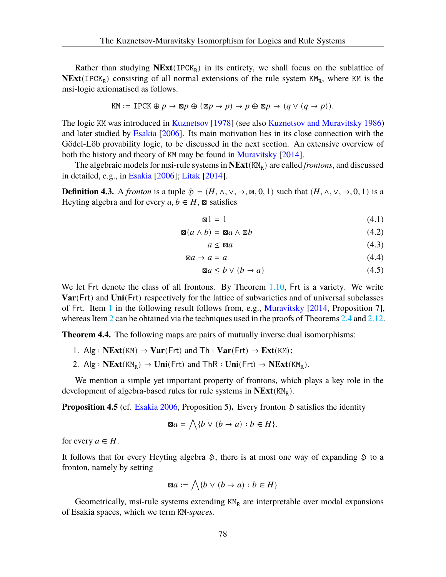Rather than studying NExt(IPCK<sub>R</sub>) in its entirety, we shall focus on the sublattice of  $NExt(IPCK<sub>R</sub>)$  consisting of all normal extensions of the rule system  $KM<sub>R</sub>$ , where KM is the msi-logic axiomatised as follows.

$$
KM := \text{IPCK} \oplus p \to \boxtimes p \oplus (\boxtimes p \to p) \to p \oplus \boxtimes p \to (q \lor (q \to p)).
$$

The logic KM was introduced in [Kuznetsov](#page-108-2) [\[1978](#page-108-2)] (see also [Kuznetsov and Muravitsky](#page-108-0) [1986\)](#page-108-0) and later studied by [Esakia](#page-108-1) [\[2006](#page-108-1)]. Its main motivation lies in its close connection with the Gödel-Löb provability logic, to be discussed in the next section. An extensive overview of both the history and theory of KM may be found in [Muravitsky](#page-109-1) [\[2014](#page-109-1)].

The algebraic models for msi-rule systems in  $NExt(KM_R)$  are called *frontons*, and discussed in detailed, e.g., in [Esakia](#page-108-1) [[2006](#page-108-1)]; [Litak](#page-108-3) [[2014\]](#page-108-3).

**Definition 4.3.** A *fronton* is a tuple  $\mathfrak{H} = (H, \wedge, \vee, \rightarrow, \mathbb{Z}, 0, 1)$  such that  $(H, \wedge, \vee, \rightarrow, 0, 1)$  is a Heyting algebra and for every  $a, b \in H$ ,  $\boxtimes$  satisfies

$$
\mathbf{I} = 1 \tag{4.1}
$$

$$
\mathbb{Z}(a \wedge b) = \mathbb{Z}a \wedge \mathbb{Z}b \tag{4.2}
$$

$$
a \le \boxtimes a \tag{4.3}
$$

$$
\boxtimes a \to a = a \tag{4.4}
$$

$$
\boxtimes a \le b \lor (b \to a) \tag{4.5}
$$

We let Frt denote the class of all frontons. By Theorem [1.10](#page-16-0), Frt is a variety. We write **Var**(Frt) and **Uni**(Frt) respectively for the lattice of subvarieties and of universal subclasses of Frt. Item [1](#page-82-0) in the following result follows from, e.g., [Muravitsky](#page-109-1) [[2014,](#page-109-1) Proposition 7], whereas Item [2](#page-82-1) can be obtained via the techniques used in the proofs of Theorems [2.4](#page-19-0) and [2.12](#page-22-0).

<span id="page-82-0"></span>**Theorem 4.4.** The following maps are pairs of mutually inverse dual isomorphisms:

- 1. Alg :  $NExt(KM) \rightarrow Var(Frt)$  and  $Th : Var(Frt) \rightarrow Ext(KM);$
- <span id="page-82-1"></span>2. Alg :  $NExt(KM_R) \rightarrow Uni(Frt)$  and  $ThR: Uni(Frt) \rightarrow NExt(KM_R)$ .

We mention a simple yet important property of frontons, which plays a key role in the development of algebra-based rules for rule systems in **NExt**(KM<sub>R</sub>).

<span id="page-82-2"></span>**Proposition 4.5** (cf. [Esakia](#page-108-1) [2006,](#page-108-1) Proposition 5). Every fronton  $\mathfrak{H}$  satisfies the identity

$$
\boxtimes a = \bigwedge \{b \lor (b \rightarrow a) : b \in H\}.
$$

for every  $a \in H$ .

It follows that for every Heyting algebra  $\mathfrak{H}$ , there is at most one way of expanding  $\mathfrak{H}$  to a fronton, namely by setting

$$
\boxtimes a := \bigwedge \{ b \lor (b \to a) : b \in H \}
$$

<span id="page-82-3"></span>Geometrically, msi-rule systems extending  $KM_R$  are interpretable over modal expansions of Esakia spaces, which we term KM*-spaces.*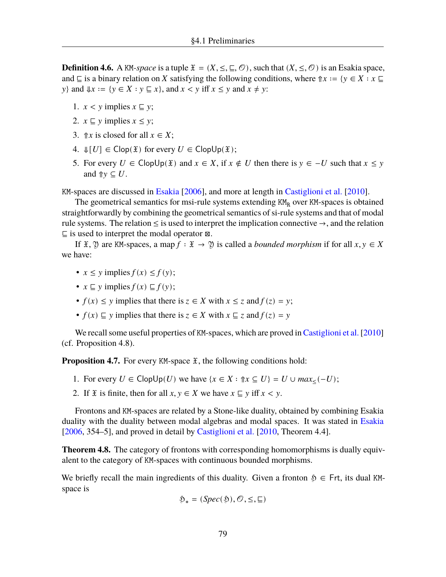**Definition 4.6.** A KM-space is a tuple  $\mathfrak{X} = (X, \leq, \subseteq, \mathcal{O})$ , such that  $(X, \leq, \mathcal{O})$  is an Esakia space, and  $\subseteq$  is a binary relation on X satisfying the following conditions, where  $\Uparrow x := \{y \in X : x \sqsubseteq$  $y$ } and  $\Downarrow x := \{ y \in X : y \sqsubseteq x \}$ , and  $x < y$  iff  $x \le y$  and  $x \ne y$ :

- 1.  $x < y$  implies  $x \subseteq y$ ;
- 2.  $x \subseteq y$  implies  $x \le y$ ;
- 3.  $\mathcal{T}x$  is closed for all  $x \in X$ ;
- 4.  $\mathcal{F}[U] \in \text{Clop}(\mathcal{X})$  for every  $U \in \text{Clop}(\mathcal{X})$ ;
- 5. For every  $U \in \text{Clop}(\mathfrak{X})$  and  $x \in X$ , if  $x \notin U$  then there is  $y \in -U$  such that  $x \le y$ and  $\Uparrow y \subseteq U$ .

KM-spaces are discussed in [Esakia](#page-108-1) [\[2006\]](#page-108-1), and more at length in [Castiglioni et al.](#page-107-1) [\[2010\]](#page-107-1).

The geometrical semantics for msi-rule systems extending  $KM_R$  over KM-spaces is obtained straightforwardly by combining the geometrical semantics of si-rule systems and that of modal rule systems. The relation  $\leq$  is used to interpret the implication connective  $\rightarrow$ , and the relation ⊑ is used to interpret the modal operator ⊠.

If  $\mathfrak{X}, \mathfrak{Y}$  are KM-spaces, a map  $f : \mathfrak{X} \to \mathfrak{Y}$  is called a *bounded morphism* if for all  $x, y \in X$ we have:

- $x \leq y$  implies  $f(x) \leq f(y)$ ;
- $x \sqsubseteq y$  implies  $f(x) \sqsubseteq f(y)$ ;
- $f(x) \le y$  implies that there is  $z \in X$  with  $x \le z$  and  $f(z) = y$ ;
- $f(x) \sqsubseteq y$  implies that there is  $z \in X$  with  $x \sqsubseteq z$  and  $f(z) = y$

We recall some useful properties of KM-spaces, which are proved in [Castiglioni et al.](#page-107-1) [\[2010\]](#page-107-1) (cf. Proposition 4.8).

<span id="page-83-0"></span>**Proposition 4.7.** For every KM-space  $\mathfrak{X}$ , the following conditions hold:

- 1. For every  $U \in \text{Clop}\cup U$  we have  $\{x \in X : \text{fix} \subseteq U\} = U \cup \text{max}_{\leq}(U)$ ;
- 2. If  $\mathfrak X$  is finite, then for all  $x, y \in X$  we have  $x \subseteq y$  iff  $x < y$ .

Frontons and KM-spaces are related by a Stone-like duality, obtained by combining Esakia duality with the duality between modal algebras and modal spaces. It was stated in [Esakia](#page-108-1) [\[2006,](#page-108-1) 354–5], and proved in detail by [Castiglioni et al.](#page-107-1) [\[2010](#page-107-1), Theorem 4.4].

<span id="page-83-1"></span>**Theorem 4.8.** The category of frontons with corresponding homomorphisms is dually equivalent to the category of KM-spaces with continuous bounded morphisms.

We briefly recall the main ingredients of this duality. Given a fronton  $\mathfrak{H} \in$  Frt, its dual KMspace is

$$
\mathfrak{H}_*=(Spec(\mathfrak{H}),\mathcal{O},\leq,\sqsubseteq)
$$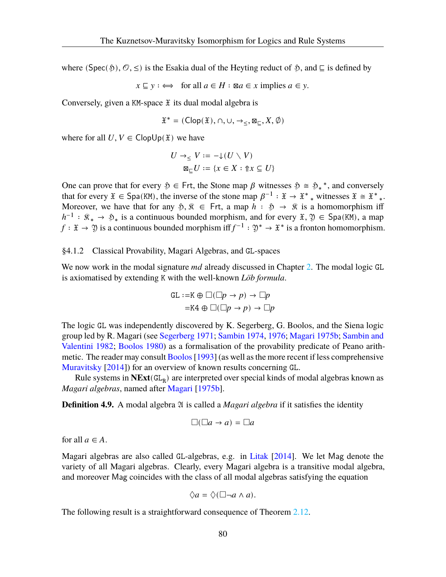where (Spec( $\mathfrak{H}, \mathcal{O}, \leq$ ) is the Esakia dual of the Heyting reduct of  $\mathfrak{H},$  and  $\sqsubseteq$  is defined by

$$
x \sqsubseteq y : \iff
$$
 for all  $a \in H : \mathbb{Z}a \in x$  implies  $a \in y$ .

Conversely, given a KM-space  $\mathfrak X$  its dual modal algebra is

$$
\mathfrak{X}^*=(\mathsf{Clop}(\mathfrak{X}),\cap,\cup,\rightarrow_\leq,\boxtimes_\sqsubseteq,X,\emptyset)
$$

where for all  $U, V \in \text{ClopUp}(\mathfrak{X})$  we have

$$
U \to_{\leq} V := -\downarrow (U \setminus V)
$$

$$
\boxtimes_{\sqsubseteq} U := \{x \in X : \Uparrow x \subseteq U\}
$$

One can prove that for every  $\varphi \in \text{Frt}$ , the Stone map  $\beta$  witnesses  $\varphi \cong \varphi$ <sup>\*</sup>, and conversely that for every  $\mathfrak{X} \in \mathsf{Spa}(\mathsf{KM})$ , the inverse of the stone map  $\beta^{-1} : \mathfrak{X} \to \mathfrak{X}^*$  witnesses  $\mathfrak{X} \cong \mathfrak{X}^*$ . Moreover, we have that for any  $\varphi, \hat{x} \in \text{Frt}$ , a map  $h : \hat{p} \to \hat{x}$  is a homomorphism iff  $h^{-1}$ :  $\mathcal{R}_* \to \mathcal{R}_*$  is a continuous bounded morphism, and for every  $\mathfrak{X}, \mathfrak{Y} \in \mathsf{Spa}(\mathsf{KM})$ , a map  $f: \mathfrak{X} \to \mathfrak{Y}$  is a continuous bounded morphism iff  $f^{-1}: \mathfrak{Y}^* \to \mathfrak{X}^*$  is a fronton homomorphism.

# §4.1.2 Classical Provability, Magari Algebras, and GL-spaces

We now work in the modal signature  $md$  already discussed in Chapter [2.](#page-18-0) The modal logic GL is axiomatised by extending K with the well-known *Löb formula*.

$$
\begin{aligned} \text{GL} &:= \text{K} \oplus \Box(\Box p \to p) \to \Box p \\ &= \text{K4} \oplus \Box(\Box p \to p) \to \Box p \end{aligned}
$$

The logic GL was independently discovered by K. Segerberg, G. Boolos, and the Siena logic group led by R. Magari (see [Segerberg](#page-109-2) [1971;](#page-109-2) [Sambin](#page-109-3) [1974,](#page-109-3) [1976;](#page-109-4) [Magari](#page-108-4) [1975b;](#page-108-4) [Sambin and](#page-109-5) [Valentini](#page-109-5) [1982;](#page-109-5) [Boolos](#page-107-2) [1980](#page-107-2)) as a formalisation of the provability predicate of Peano arithmetic. The reader may consult Boolos [1993] (as well as the more recent if less comprehensive [Muravitsky](#page-109-1) [[2014\]](#page-109-1)) for an overview of known results concerning GL.

Rule systems in  $NExt(GL_R)$  are interpreted over special kinds of modal algebras known as *Magari algebras*, named after [Magari](#page-108-4) [[1975b\]](#page-108-4).

**Definition 4.9.** A modal algebra 2 is called a *Magari algebra* if it satisfies the identity

$$
\Box(\Box a \to a) = \Box a
$$

for all  $a \in A$ .

Magari algebras are also called GL-algebras, e.g. in [Litak](#page-108-3) [[2014](#page-108-3)]. We let Mag denote the variety of all Magari algebras. Clearly, every Magari algebra is a transitive modal algebra, and moreover Mag coincides with the class of all modal algebras satisfying the equation

$$
\Diamond a = \Diamond (\Box \neg a \land a).
$$

The following result is a straightforward consequence of Theorem [2.12.](#page-22-0)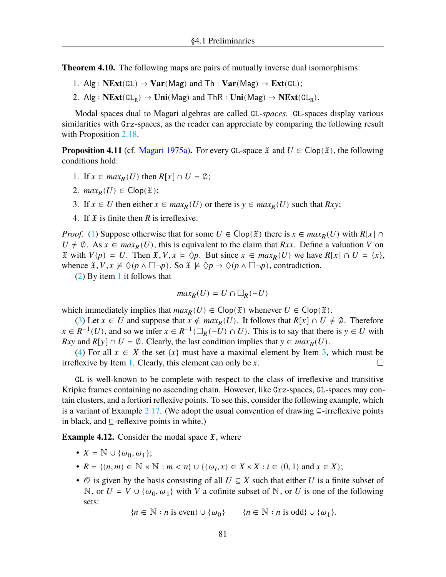**Theorem 4.10.** The following maps are pairs of mutually inverse dual isomorphisms:

- 1.  $\text{Alg}: \text{NExt}(\text{GL}) \to \text{Var}(\text{Mag})$  and  $\text{Th}: \text{Var}(\text{Mag}) \to \text{Ext}(\text{GL})$ ;
- 2. Alg :  $NExt(GL_R) \to Uni(Mag)$  and  $ThR: Uni(Mag) \to NExt(GL_R)$ .

Modal spaces dual to Magari algebras are called GL*-spaces*. GL-spaces display various similarities with Grz-spaces, as the reader can appreciate by comparing the following result with Proposition [2.18.](#page-25-0)

<span id="page-85-4"></span>**Proposition 4.11** (cf. [Magari](#page-108-5) [1975a](#page-108-5)). For every GL-space  $\tilde{x}$  and  $U \in \text{Clop}(\tilde{x})$ , the following conditions hold:

- <span id="page-85-0"></span>1. If  $x \in max_R(U)$  then  $R[x] \cap U = \emptyset$ ;
- <span id="page-85-1"></span>2.  $max_R(U) \in \text{Clop}(\mathfrak{X});$
- <span id="page-85-2"></span>3. If  $x \in U$  then either  $x \in max_R(U)$  or there is  $y \in max_R(U)$  such that  $Rxy$ ;
- <span id="page-85-3"></span>4. If  $\mathfrak X$  is finite then  $R$  is irreflexive.

*Proof.* ([1\)](#page-85-0) Suppose otherwise that for some  $U \in \text{Clop}(\mathfrak{X})$  there is  $x \in \max_R(U)$  with  $R[x] \cap$  $U \neq \emptyset$ . As  $x \in max_R(U)$ , this is equivalent to the claim that Rxx. Define a valuation V on  $\mathfrak X$  with  $V(p) = U$ . Then  $\mathfrak X, V, x \models \Diamond p$ . But since  $x \in max_R(U)$  we have  $R[x] \cap U = \{x\},\$ whence  $\mathfrak{X}, V, x \not\vDash \Diamond (p \land \Box \neg p)$ . So  $\mathfrak{X} \not\vDash \Diamond p \rightarrow \Diamond (p \land \Box \neg p)$ , contradiction.

([2\)](#page-85-1) By item [1](#page-85-0) it follows that

$$
max_R(U)=U\cap \square_R(-U)
$$

which immediately implies that  $max_R(U) \in Clop(\mathfrak{X})$  whenever  $U \in Clop(\mathfrak{X})$ .

([3\)](#page-85-2) Let  $x \in U$  and suppose that  $x \notin max_R(U)$ . It follows that  $R[x] \cap U \neq \emptyset$ . Therefore  $x \in R^{-1}(U)$ , and so we infer  $x \in R^{-1}(\square_R(-U) \cap U)$ . This is to say that there is  $y \in U$  with  $Rxy$  and  $R[y] \cap U = \emptyset$ . Clearly, the last condition implies that  $y \in max_R(U)$ .

([4\)](#page-85-3) For all  $x \in X$  the set  $\{x\}$  must have a maximal element by Item [3](#page-85-2), which must be irreflexive by Item [1](#page-85-0). Clearly, this element can only be  $x$ .  $\Box$ 

GL is well-known to be complete with respect to the class of irreflexive and transitive Kripke frames containing no ascending chain. However, like Grz-spaces, GL-spaces may contain clusters, and a fortiori reflexive points. To see this, consider the following example, which is a variant of Example [2.17](#page-24-0). (We adopt the usual convention of drawing  $\subseteq$ -irreflexive points in black, and ⊑-reflexive points in white.)

**Example 4.12.** Consider the modal space  $\tilde{x}$ , where

- $X = \mathbb{N} \cup {\omega_0, \omega_1};$
- $R = \{(n, m) \in \mathbb{N} \times \mathbb{N} : m < n\} \cup \{(\omega_i, x) \in X \times X : i \in \{0, 1\} \text{ and } x \in X\};$
- $\circ$  is given by the basis consisting of all  $U \subseteq X$  such that either U is a finite subset of N, or  $U = V \cup \{\omega_0, \omega_1\}$  with V a cofinite subset of N, or U is one of the following sets:

 ${n \in \mathbb{N} : n \text{ is even}} \cup {\omega_0}$   ${n \in \mathbb{N} : n \text{ is odd}} \cup {\omega_1}.$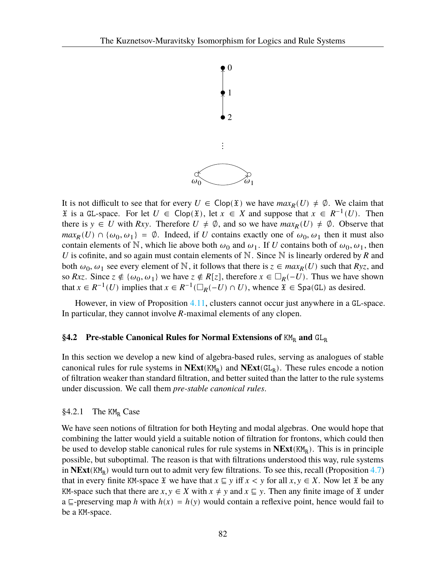

It is not difficult to see that for every  $U \in \text{Clop}(\mathfrak{X})$  we have  $max_R(U) \neq \emptyset$ . We claim that  $\tilde{x}$  is a GL-space. For let  $U \in \text{Clop}(\tilde{x})$ , let  $x \in X$  and suppose that  $x \in R^{-1}(U)$ . Then there is  $y \in U$  with Rxy. Therefore  $U \neq \emptyset$ , and so we have  $max_R(U) \neq \emptyset$ . Observe that  $max_R(U) \cap {\omega_0, \omega_1} = \emptyset$ . Indeed, if U contains exactly one of  $\omega_0, \omega_1$  then it must also contain elements of N, which lie above both  $\omega_0$  and  $\omega_1$ . If U contains both of  $\omega_0$ ,  $\omega_1$ , then U is cofinite, and so again must contain elements of  $\mathbb N$ . Since  $\mathbb N$  is linearly ordered by R and both  $\omega_0$ ,  $\omega_1$  see every element of N, it follows that there is  $z \in max_R(U)$  such that  $Ryz$ , and so Rxz. Since  $z \notin {\omega_0, \omega_1}$  we have  $z \notin R[z]$ , therefore  $x \in \Box_R(-U)$ . Thus we have shown that  $x \in R^{-1}(U)$  implies that  $x \in R^{-1}(\square_R(-U) \cap U)$ , whence  $\mathfrak{X} \in \text{Spa}(\mathbb{G})$  as desired.

However, in view of Proposition [4.11](#page-85-4), clusters cannot occur just anywhere in a GL-space. In particular, they cannot involve *-maximal elements of any clopen.* 

# <span id="page-86-0"></span>**§4.2** Pre-stable Canonical Rules for Normal Extensions of KM<sub>R</sub> and GL<sub>R</sub>

In this section we develop a new kind of algebra-based rules, serving as analogues of stable canonical rules for rule systems in  $NExt(KM_R)$  and  $NExt(GL_R)$ . These rules encode a notion of filtration weaker than standard filtration, and better suited than the latter to the rule systems under discussion. We call them *pre-stable canonical rules*.

### §4.2.1 The  $KM_R$  Case

We have seen notions of filtration for both Heyting and modal algebras. One would hope that combining the latter would yield a suitable notion of filtration for frontons, which could then be used to develop stable canonical rules for rule systems in  $NExt(KM_R)$ . This is in principle possible, but suboptimal. The reason is that with filtrations understood this way, rule systems in **NExt**(KM<sub>R</sub>) would turn out to admit very few filtrations. To see this, recall (Proposition [4.7\)](#page-83-0) that in every finite KM-space  $\mathfrak X$  we have that  $x \subseteq y$  iff  $x < y$  for all  $x, y \in X$ . Now let  $\mathfrak X$  be any KM-space such that there are  $x, y \in X$  with  $x \neq y$  and  $x \subseteq y$ . Then any finite image of  $\mathfrak X$  under a ⊑-preserving map h with  $h(x) = h(y)$  would contain a reflexive point, hence would fail to be a KM-space.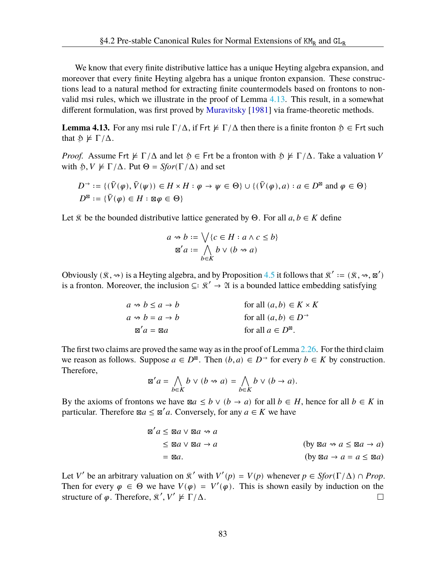We know that every finite distributive lattice has a unique Heyting algebra expansion, and moreover that every finite Heyting algebra has a unique fronton expansion. These constructions lead to a natural method for extracting finite countermodels based on frontons to nonvalid msi rules, which we illustrate in the proof of Lemma [4.13](#page-87-0). This result, in a somewhat different formulation, was first proved by [Muravitsky](#page-109-6) [[1981\]](#page-109-6) via frame-theoretic methods.

<span id="page-87-0"></span>**Lemma 4.13.** For any msi rule  $\Gamma/\Delta$ , if Frt  $\nvdash \Gamma/\Delta$  then there is a finite fronton  $\mathfrak{H} \in \mathsf{F}$ rt such that  $\mathfrak{H} \not\models \Gamma/\Delta$ .

*Proof.* Assume Frt  $\nvdash \Gamma/\Delta$  and let  $\mathfrak{H} \in \mathsf{Frt}$  be a fronton with  $\mathfrak{H} \not\models \Gamma/\Delta$ . Take a valuation V with  $\mathfrak{H}, V \not\models \Gamma/\Delta$ . Put  $\Theta = Sfor(\Gamma/\Delta)$  and set

$$
D^{\rightarrow} := \{ (\bar{V}(\varphi), \bar{V}(\psi)) \in H \times H : \varphi \to \psi \in \Theta \} \cup \{ (\bar{V}(\varphi), a) : a \in D^{\boxtimes} \text{ and } \varphi \in \Theta \}
$$
  

$$
D^{\boxtimes} := \{ \bar{V}(\varphi) \in H : \boxtimes \varphi \in \Theta \}
$$

Let  $\hat{\mathcal{R}}$  be the bounded distributive lattice generated by  $\Theta$ . For all  $a, b \in K$  define

$$
a \rightsquigarrow b := \bigvee \{c \in H : a \wedge c \le b\}
$$

$$
\boxtimes' a := \bigwedge_{b \in K} b \vee (b \rightsquigarrow a)
$$

Obviously  $(\hat{\mathcal{R}}, \rightsquigarrow)$  is a Heyting algebra, and by Proposition [4.5](#page-82-2) it follows that  $\hat{\mathcal{R}}' := (\hat{\mathcal{R}}, \rightsquigarrow, \boxtimes')$ is a fronton. Moreover, the inclusion  $\subseteq: \mathbb{R}' \to \mathfrak{A}$  is a bounded lattice embedding satisfying

$$
a \rightsquigarrow b \le a \rightarrow b
$$
 for all  $(a, b) \in K \times K$   
\n $a \rightsquigarrow b = a \rightarrow b$  for all  $(a, b) \in D$ <sup>3</sup>  
\n $\boxtimes' a = \boxtimes a$  for all  $a \in D^{\boxtimes}$ .

The first two claims are proved the same way as in the proof of Lemma [2.26.](#page-28-0) For the third claim we reason as follows. Suppose  $a \in D^{\boxtimes}$ . Then  $(b, a) \in D^{\rightarrow}$  for every  $b \in K$  by construction. Therefore,

$$
\mathbb{Z}'a = \bigwedge_{b \in K} b \vee (b \rightsquigarrow a) = \bigwedge_{b \in K} b \vee (b \rightarrow a).
$$

By the axioms of frontons we have  $\boxtimes a \leq b \vee (b \rightarrow a)$  for all  $b \in H$ , hence for all  $b \in K$  in particular. Therefore  $\boxtimes a \leq \boxtimes' a$ . Conversely, for any  $a \in K$  we have

$$
\mathbb{Z}'a \leq \mathbb{Z}a \lor \mathbb{Z}a \rightsquigarrow a
$$
\n
$$
\leq \mathbb{Z}a \lor \mathbb{Z}a \rightarrow a
$$
\n
$$
= \mathbb{Z}a.
$$
\n
$$
\text{(by } \mathbb{Z}a \rightsquigarrow a \leq \mathbb{Z}a \rightarrow a)
$$
\n
$$
\text{(by } \mathbb{Z}a \rightsquigarrow a \leq \mathbb{Z}a \rightarrow a)
$$

Let V' be an arbitrary valuation on  $\mathcal{R}'$  with  $V'(p) = V(p)$  whenever  $p \in Sfor(\Gamma/\Delta) \cap Prop$ . Then for every  $\varphi \in \Theta$  we have  $V(\varphi) = V'(\varphi)$ . This is shown easily by induction on the structure of  $\varphi$ . Therefore,  $\mathcal{R}', V' \not\models \Gamma/\Delta$ .  $\Box$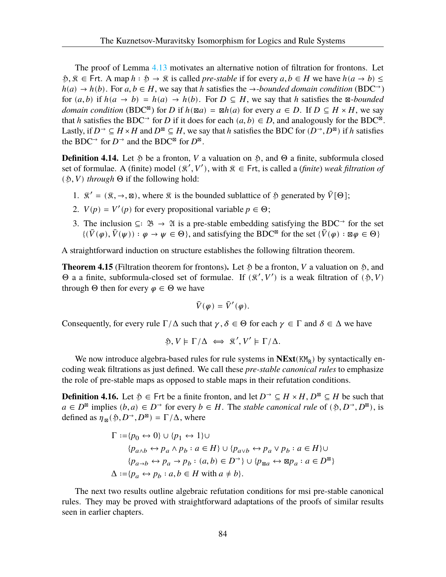The proof of Lemma [4.13](#page-87-0) motivates an alternative notion of filtration for frontons. Let  $\mathfrak{H}, \mathfrak{K} \in \mathsf{Frt}.$  A map  $h : \mathfrak{H} \to \mathfrak{K}$  is called *pre-stable* if for every  $a, b \in H$  we have  $h(a \to b) \leq$  $h(a) \to h(b)$ . For  $a, b \in H$ , we say that h satisfies the  $\to$ -bounded domain condition (BDC<sup> $\to$ </sup>) for  $(a, b)$  if  $h(a \to b) = h(a) \to h(b)$ . For  $D \subseteq H$ , we say that h satisfies the  $\boxtimes$ -bounded *domain condition* (BDC<sup>⊠</sup>) for *D* if  $h(\boxtimes a) = \boxtimes h(a)$  for every  $a \in D$ . If  $D \subseteq H \times H$ , we say that h satisfies the BDC<sup>→</sup> for D if it does for each  $(a, b) \in D$ , and analogously for the BDC<sup>®</sup>. Lastly, if  $D^{\rightarrow} \subseteq H \times H$  and  $D^{\boxtimes} \subseteq H$ , we say that h satisfies the BDC for  $(D^{\rightarrow}, D^{\boxtimes})$  if h satisfies the BDC<sup>→</sup> for  $D^{\rightarrow}$  and the BDC<sup>⊠</sup> for  $D^{\boxtimes}$ .

**Definition 4.14.** Let  $\hat{p}$  be a fronton, *V* a valuation on  $\hat{p}$ , and  $\Theta$  a finite, subformula closed set of formulae. A (finite) model  $(\hat{\mathcal{R}}', V')$ , with  $\hat{\mathcal{R}} \in \textsf{Frt}$ , is called a (*finite*) *weak filtration of*  $(\mathfrak{H}, V)$  *through*  $\Theta$  if the following hold:

- 1.  $\mathbb{R}' = (\mathbb{R}, \rightarrow, \mathbb{Z})$ , where  $\mathbb{R}$  is the bounded sublattice of  $\mathbb{S}$  generated by  $\overline{V}[\Theta]$ ;
- 2.  $V(p) = V'(p)$  for every propositional variable  $p \in \Theta$ ;
- 3. The inclusion ⊆∶  $\mathfrak{B} \to \mathfrak{A}$  is a pre-stable embedding satisfying the BDC<sup>→</sup> for the set  $\{(\bar{V}(\varphi), \bar{V}(\psi)) : \varphi \to \psi \in \Theta\}$ , and satisfying the BDC<sup>⊠</sup> for the set  $\{\bar{V}(\varphi) : \boxtimes \varphi \in \Theta\}$

A straightforward induction on structure establishes the following filtration theorem.

**Theorem 4.15** (Filtration theorem for frontons). Let  $\mathfrak{H}$  be a fronton, *V* a valuation on  $\mathfrak{H}$ , and  $\Theta$  a a finite, subformula-closed set of formulae. If  $(\mathcal{R}', V')$  is a weak filtration of  $(\mathfrak{H}, V)$ through  $\Theta$  then for every  $\varphi \in \Theta$  we have

$$
\bar{V}(\varphi) = \bar{V}'(\varphi).
$$

Consequently, for every rule  $\Gamma/\Delta$  such that  $\gamma, \delta \in \Theta$  for each  $\gamma \in \Gamma$  and  $\delta \in \Delta$  we have

$$
\mathfrak{H}, V \models \Gamma/\Delta \iff \mathfrak{K}', V' \models \Gamma/\Delta.
$$

We now introduce algebra-based rules for rule systems in  $NExt(KM_R)$  by syntactically encoding weak filtrations as just defined. We call these *pre-stable canonical rules* to emphasize the role of pre-stable maps as opposed to stable maps in their refutation conditions.

**Definition 4.16.** Let  $\mathfrak{H} \in \mathsf{F}$ rt be a finite fronton, and let  $D \to \subseteq H \times H$ ,  $D^{\boxtimes} \subseteq H$  be such that  $a \in D^{\boxtimes}$  implies  $(b, a) \in D^{\rightarrow}$  for every  $b \in H$ . The *stable canonical rule* of  $(\mathfrak{H}, D^{\rightarrow}, D^{\boxtimes})$ , is defined as  $\eta_{\infty}(\mathfrak{H}, D^{\rightarrow}, D^{\boxtimes}) = \Gamma/\Delta$ , where

$$
\Gamma := \{p_0 \leftrightarrow 0\} \cup \{p_1 \leftrightarrow 1\} \cup
$$
  
\n
$$
\{p_{a \wedge b} \leftrightarrow p_a \wedge p_b : a \in H\} \cup \{p_{a \vee b} \leftrightarrow p_a \vee p_b : a \in H\} \cup
$$
  
\n
$$
\{p_{a \to b} \leftrightarrow p_a \to p_b : (a, b) \in D^{\rightarrow}\} \cup \{p_{\boxtimes a} \leftrightarrow \boxtimes p_a : a \in D^{\boxtimes}\}
$$
  
\n
$$
\Delta := \{p_a \leftrightarrow p_b : a, b \in H \text{ with } a \neq b\}.
$$

The next two results outline algebraic refutation conditions for msi pre-stable canonical rules. They may be proved with straightforward adaptations of the proofs of similar results seen in earlier chapters.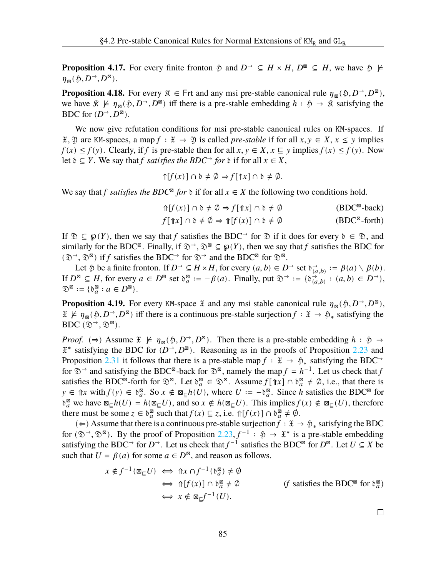**Proposition 4.17.** For every finite fronton  $\tilde{p}$  and  $D^{\rightarrow} \subseteq H \times H$ ,  $D^{\boxtimes} \subseteq H$ , we have  $\tilde{p} \not\models$  $\eta_{\boxtimes}(\mathfrak{H}, D^{\rightarrow}, D^{\boxtimes}).$ 

**Proposition 4.18.** For every  $\hat{\mathbf{x}} \in \text{Frt}$  and any msi pre-stable canonical rule  $\eta_{\mathbf{x}}(\mathfrak{H}, D^{\rightarrow}, D^{\mathbf{x}})$ , we have  $\hat{x} \not\models \eta_{\hat{\mathbb{R}}}(\hat{y}, D^{\rightarrow}, D^{\hat{\mathbb{R}}})$  iff there is a pre-stable embedding  $h : \hat{y} \rightarrow \hat{x}$  satisfying the BDC for  $(D^{\rightarrow}, D^{\boxtimes})$ .

We now give refutation conditions for msi pre-stable canonical rules on KM-spaces. If  $\mathfrak{X}, \mathfrak{Y}$  are KM-spaces, a map  $f : \mathfrak{X} \to \mathfrak{Y}$  is called *pre-stable* if for all  $x, y \in X, x \leq y$  implies  $f(x) \leq f(y)$ . Clearly, if f is pre-stable then for all  $x, y \in X$ ,  $x \subseteq y$  implies  $f(x) \leq f(y)$ . Now let  $\delta \subseteq Y$ . We say that *f satisfies the BDC*<sup>→</sup> *for*  $\delta$  if for all  $x \in X$ ,

$$
\uparrow[f(x)] \cap \mathfrak{d} \neq \emptyset \Rightarrow f[\uparrow x] \cap \mathfrak{d} \neq \emptyset.
$$

We say that *f satisfies the BDC*<sup>⊠</sup> *for*  $\delta$  if for all  $x \in X$  the following two conditions hold.

$$
\Uparrow[f(x)] \cap \mathfrak{d} \neq \emptyset \Rightarrow f[\Uparrow x] \cap \mathfrak{d} \neq \emptyset
$$
 (BDC<sup>∞</sup>-back)

$$
f[\Uparrow x] \cap \mathfrak{d} \neq \emptyset \Rightarrow \Uparrow [f(x)] \cap \mathfrak{d} \neq \emptyset
$$
 (BDC<sup>∞</sup>-forth)

If  $\mathcal{D} \subseteq \mathcal{D}(Y)$ , then we say that f satisfies the BDC<sup>→</sup> for  $\mathcal{D}$  if it does for every  $\mathcal{D} \in \mathcal{D}$ , and similarly for the BDC<sup>⊠</sup>. Finally, if  $\mathfrak{D}^{\rightarrow}$ ,  $\mathfrak{D}^{\boxtimes} \subseteq \wp(Y)$ , then we say that f satisfies the BDC for  $(\mathfrak{D}^{\rightarrow}, \mathfrak{D}^{\boxtimes})$  if f satisfies the BDC $\rightarrow$  for  $\mathfrak{D}^{\rightarrow}$  and the BDC<sup> $\boxtimes$ </sup> for  $\mathfrak{D}^{\boxtimes}$ .

Let  $\mathfrak H$  be a finite fronton. If  $D^{\rightarrow} \subseteq H \times H$ , for every  $(a, b) \in D^{\rightarrow}$  set  $\mathfrak d_{(a, b)}^{\rightarrow} := \beta(a) \setminus \beta(b)$ . If  $D^{\boxtimes} \subseteq H$ , for every  $a \in D^{\boxtimes}$  set  $\delta_a^{\boxtimes} := -\beta(a)$ . Finally, put  $\mathfrak{D}^{\rightarrow} := {\delta_{(a,b)}^{\rightarrow} : (a,b) \in D^{\rightarrow}}$ ,  $\mathfrak{D}^{\boxtimes} := \{ \mathfrak{d}^{\boxtimes}_a : a \in D^{\boxtimes} \}.$ 

<span id="page-89-0"></span>**Proposition 4.19.** For every KM-space  $\tilde{x}$  and any msi stable canonical rule  $\eta_{\text{N}}(\tilde{y}, D^{\rightarrow}, D^{\mathbb{N}})$ ,  $\mathfrak{X} \not\models \eta_{\boxtimes}(\mathfrak{H}, D^{\rightarrow}, D^{\boxtimes})$  iff there is a continuous pre-stable surjection  $f : \mathfrak{X} \to \mathfrak{H}_*$  satisfying the BDC  $(\mathfrak{D}^{\rightarrow}, \mathfrak{D}^{\boxtimes})$ .

*Proof.* (⇒) Assume  $\mathfrak{X} \not\models \eta_{\boxtimes}(\mathfrak{H}, D^{\rightarrow}, D^{\boxtimes})$ . Then there is a pre-stable embedding  $h : \mathfrak{H} \rightarrow$  $\mathfrak{X}^*$  satisfying the BDC for  $(D^{\rightarrow}, D^{\boxtimes})$ . Reasoning as in the proofs of Proposition [2.23](#page-27-0) and Proposition [2.31](#page-29-0) it follows that there is a pre-stable map  $f : \mathfrak{X} \to \mathfrak{H}_*$  satisfying the BDC<sup>→</sup> for  $\mathfrak{D}^{\rightarrow}$  and satisfying the BDC<sup>⊠</sup>-back for  $\mathfrak{D}^{\boxtimes}$ , namely the map  $f = h^{-1}$ . Let us check that f satisfies the BDC<sup> $\infty$ </sup>-forth for  $\mathcal{D}^{\infty}$ . Let  $\delta_a^{\infty} \in \mathcal{D}^{\infty}$ . Assume  $f[\hat{\pi}x] \cap \delta_a^{\infty} \neq \emptyset$ , i.e., that there is  $y \in \mathbb{R}^x$  with  $f(y) \in \mathfrak{d}_a^{\boxtimes}$ . So  $x \notin \mathbb{Z}_{\subseteq} h(U)$ , where  $U := -\mathfrak{d}_a^{\boxtimes}$ . Since h satisfies the BDC<sup> $\boxtimes$ </sup> for  $\delta_a^{\boxtimes}$  we have  $\mathbb{Z}_{\subseteq} h(U) = h(\mathbb{Z}_{\subseteq} U)$ , and so  $x \notin h(\mathbb{Z}_{\subseteq} U)$ . This implies  $f(x) \notin \mathbb{Z}_{\subseteq} (U)$ , therefore there must be some  $z \in \delta_a^{\boxtimes}$  such that  $f(x) \sqsubseteq z$ , i.e.  $\int [f(x)] \cap \delta_a^{\boxtimes} \neq \emptyset$ .

(∈) Assume that there is a continuous pre-stable surjection  $f : \mathfrak{X} \to \mathfrak{H}_*$  satisfying the BDC for  $(\mathfrak{D}^{\rightarrow}, \mathfrak{D}^{\boxtimes})$ . By the proof of Proposition [2.23,](#page-27-0)  $f^{-1} : \mathfrak{H} \to \mathfrak{X}^*$  is a pre-stable embedding satisfying the BDC<sup>→</sup> for  $D^{\rightarrow}$ . Let us check that  $f^{-1}$  satisfies the BDC<sup>⊠</sup> for  $D^{\boxtimes}$ . Let  $U \subseteq X$  be such that  $U = \beta(a)$  for some  $a \in D^{\boxtimes}$ , and reason as follows.

$$
x \notin f^{-1}(\boxtimes_{\sqsubseteq} U) \iff \Uparrow x \cap f^{-1}(\mathfrak{d}_a^{\boxtimes}) \neq \emptyset
$$
  
\n
$$
\iff \Uparrow [f(x)] \cap \mathfrak{d}_a^{\boxtimes} \neq \emptyset \qquad \qquad (f \text{ satisfies the BDC}^{\boxtimes} \text{ for } \mathfrak{d}_a^{\boxtimes})
$$
  
\n
$$
\iff x \notin \boxtimes_{\sqsubseteq} f^{-1}(U).
$$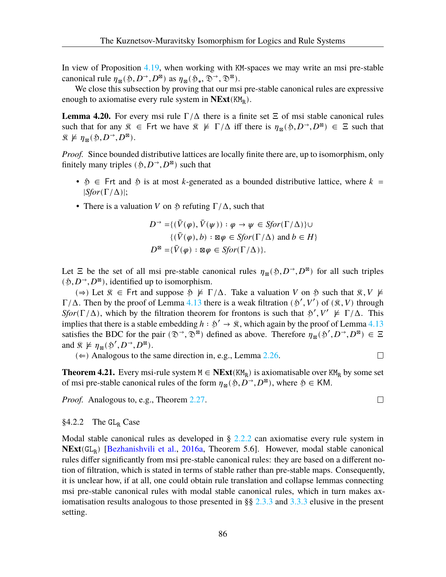In view of Proposition [4.19,](#page-89-0) when working with KM-spaces we may write an msi pre-stable canonical rule  $\eta_{\boxtimes}(\mathfrak{H}, D^{\rightarrow}, D^{\boxtimes})$  as  $\eta_{\boxtimes}(\mathfrak{H}_*, \mathfrak{D}^{\rightarrow}, \mathfrak{D}^{\boxtimes})$ .

We close this subsection by proving that our msi pre-stable canonical rules are expressive enough to axiomatise every rule system in **NExt**(KM<sub>R</sub>).

**Lemma 4.20.** For every msi rule  $\Gamma/\Delta$  there is a finite set  $\Xi$  of msi stable canonical rules such that for any  $\hat{x} \in \text{Frt}$  we have  $\hat{x} \not\models \Gamma/\Delta$  iff there is  $\eta_{\mathbb{B}}(\mathfrak{H}, D^{\rightarrow}, D^{\mathbb{B}}) \in \Xi$  such that  $\mathfrak{K} \not\models \eta_{\boxtimes}(\mathfrak{H}, D^{\rightarrow}, D^{\boxtimes}).$ 

*Proof.* Since bounded distributive lattices are locally finite there are, up to isomorphism, only finitely many triples  $(\mathfrak{H}, D^{\rightarrow}, D^{\boxtimes})$  such that

- $\mathfrak{H} \in$  Frt and  $\mathfrak{H}$  is at most k-generated as a bounded distributive lattice, where  $k =$ |*Sfor*(Γ/Δ)|;
- There is a valuation V on  $\mathfrak H$  refuting  $\Gamma/\Delta$ , such that

$$
D^{\rightarrow} = \{ (\bar{V}(\varphi), \bar{V}(\psi)) : \varphi \rightarrow \psi \in S \text{for}(\Gamma/\Delta) \} \cup \{ (\bar{V}(\varphi), b) : \boxtimes \varphi \in S \text{for}(\Gamma/\Delta) \text{ and } b \in H \} D^{\boxtimes} = \{ \bar{V}(\varphi) : \boxtimes \varphi \in S \text{for}(\Gamma/\Delta) \}.
$$

Let  $\Xi$  be the set of all msi pre-stable canonical rules  $\eta_{\mathcal{B}}(\mathfrak{H}, D^{\rightarrow}, D^{\mathcal{B}})$  for all such triples  $(\mathfrak{H}, D^{\rightarrow}, D^{\boxtimes})$ , identified up to isomorphism.

( $\Rightarrow$ ) Let  $\hat{\mathcal{R}} \in$  Frt and suppose  $\hat{\mathcal{P}} \not\models \Gamma/\Delta$ . Take a valuation V on  $\hat{\mathcal{P}}$  such that  $\hat{\mathcal{R}}, V \not\models$  $\Gamma/\Delta$ . Then by the proof of Lemma [4.13](#page-87-0) there is a weak filtration ( $\mathfrak{H}', V'$ ) of ( $\mathfrak{F}, V$ ) through *Sfor*( $\Gamma/\Delta$ ), which by the filtration theorem for frontons is such that  $\mathfrak{H}'$ ,  $V' \not\vDash \Gamma/\Delta$ . This implies that there is a stable embedding  $h : \mathcal{D}' \to \mathcal{R}$ , which again by the proof of Lemma [4.13](#page-87-0) satisfies the BDC for the pair  $(\mathcal{D}^{\rightarrow}, \mathcal{D}^{\boxtimes})$  defined as above. Therefore  $\eta_{\boxtimes}(\mathcal{D}', D^{\rightarrow}, D^{\boxtimes}) \in \Xi$ and  $\mathcal{R} \not\models \eta_{\mathcal{B}}(\mathcal{D}', D^{\rightarrow}, D^{\mathcal{B}})$ .

 $(\Leftarrow)$  Analogous to the same direction in, e.g., Lemma [2.26](#page-28-0).

**Theorem 4.21.** Every msi-rule system  $M \in \text{NExt}(KM_R)$  is axiomatisable over  $KM_R$  by some set of msi pre-stable canonical rules of the form  $\eta_{\mathbb{R}}(\mathfrak{H}, D^{\rightarrow}, D^{\mathbb{R}})$ , where  $\mathfrak{H} \in KM$ .

*Proof.* Analogous to, e.g., Theorem [2.27](#page-29-1).

### §4.2.2 The  $GL_R$  Case

Modal stable canonical rules as developed in  $\S 2.2.2$  $\S 2.2.2$  can axiomatise every rule system in **NExt**(GL<sub>R</sub>) [\[Bezhanishvili et al.](#page-107-0), [2016a,](#page-107-0) Theorem 5.6]. However, modal stable canonical rules differ significantly from msi pre-stable canonical rules: they are based on a different notion of filtration, which is stated in terms of stable rather than pre-stable maps. Consequently, it is unclear how, if at all, one could obtain rule translation and collapse lemmas connecting msi pre-stable canonical rules with modal stable canonical rules, which in turn makes ax-iomatisation results analogous to those presented in §§ [2.3.3](#page-39-0) and [3.3.3](#page-71-0) elusive in the present setting.

 $\Box$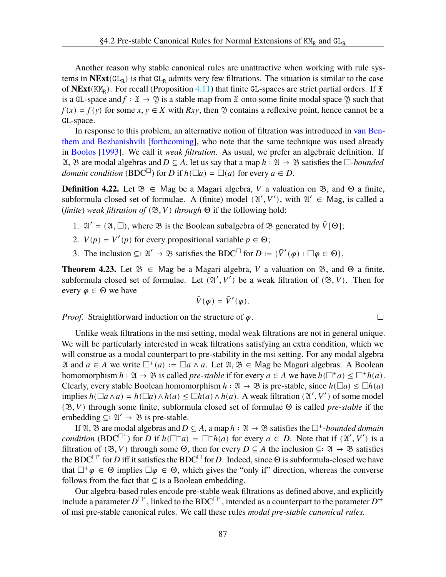Another reason why stable canonical rules are unattractive when working with rule systems in  $NExt(GL_R)$  is that  $GL_R$  admits very few filtrations. The situation is similar to the case of **NExt**( $KM_R$ ). For recall (Proposition [4.11](#page-85-4)) that finite GL-spaces are strict partial orders. If  $\mathfrak X$ is a GL-space and  $f : \mathfrak{X} \to \mathfrak{Y}$  is a stable map from  $\mathfrak{X}$  onto some finite modal space  $\mathfrak{Y}$  such that  $f(x) = f(y)$  for some  $x, y \in X$  with  $Rxy$ , then  $\mathfrak Y$  contains a reflexive point, hence cannot be a GL-space.

In response to this problem, an alternative notion of filtration was introduced in [van Ben](#page-109-7)[them and Bezhanishvili](#page-109-7) [\[forthcoming](#page-109-7)], who note that the same technique was used already in [Boolos](#page-107-3) [\[1993](#page-107-3)]. We call it *weak filtration*. As usual, we prefer an algebraic definition. If  $\mathfrak{A}, \mathfrak{B}$  are modal algebras and  $D \subseteq A$ , let us say that a map  $h : \mathfrak{A} \to \mathfrak{B}$  satisfies the  $\square$ -*bounded domain condition* (BDC<sup> $\Box$ </sup>) for *D* if  $h(\Box a) = \Box(a)$  for every  $a \in D$ .

**Definition 4.22.** Let  $\mathcal{B} \in \mathbb{M}$  as  $\mathcal{B}$  be a Magari algebra,  $V$  a valuation on  $\mathcal{B}$ , and  $\Theta$  a finite, subformula closed set of formulae. A (finite) model  $(\mathfrak{A}', V')$ , with  $\mathfrak{A}' \in \mathsf{Mag}$ , is called a (*finite*) *weak filtration of*  $(\mathfrak{B}, V)$  *through*  $\Theta$  if the following hold:

- 1.  $\mathfrak{A}' = (\mathfrak{A}, \square)$ , where  $\mathfrak{B}$  is the Boolean subalgebra of  $\mathfrak{B}$  generated by  $\overline{V}[\Theta]$ ;
- 2.  $V(p) = V'(p)$  for every propositional variable  $p \in \Theta$ ;
- 3. The inclusion  $\subseteq: \mathfrak{A}' \to \mathfrak{B}$  satisfies the BDC<sup> $\Box$ </sup> for  $D := \{ \overline{V}'(\varphi) : \Box \varphi \in \Theta \}.$

**Theorem 4.23.** Let  $\mathcal{B} \in \mathbb{M}$  as be a Magari algebra, V a valuation on  $\mathcal{B}$ , and  $\Theta$  a finite, subformula closed set of formulae. Let  $(\mathfrak{A}', V')$  be a weak filtration of  $(\mathfrak{B}, V)$ . Then for every  $\varphi \in \Theta$  we have

$$
\bar{V}(\varphi)=\bar{V}'(\varphi).
$$

*Proof.* Straightforward induction on the structure of  $\varphi$ .

Unlike weak filtrations in the msi setting, modal weak filtrations are not in general unique. We will be particularly interested in weak filtrations satisfying an extra condition, which we will construe as a modal counterpart to pre-stability in the msi setting. For any modal algebra  $\mathfrak A$  and  $a \in A$  we write  $\Box^+(a) := \Box a \land a$ . Let  $\mathfrak A, \mathfrak B \in \mathsf{Mag}$  be Magari algebras. A Boolean homomorphism  $h : \mathfrak{A} \to \mathfrak{B}$  is called *pre-stable* if for every  $a \in A$  we have  $h(\Box^+ a) \leq \Box^+ h(a)$ . Clearly, every stable Boolean homomorphism  $h : \mathfrak{A} \to \mathfrak{B}$  is pre-stable, since  $h(\Box a) \leq \Box h(a)$ implies  $h(\Box a \land a) = h(\Box a) \land h(a) \le \Box h(a) \land h(a)$ . A weak filtration  $(\mathfrak{A}', V')$  of some model  $(\mathfrak{B}, V)$  through some finite, subformula closed set of formulae  $\Theta$  is called *pre-stable* if the embedding  $\subseteq$ :  $\mathfrak{A}' \rightarrow \mathfrak{B}$  is pre-stable.

If  $\mathfrak{A}, \mathfrak{B}$  are modal algebras and  $D \subseteq A$ , a map  $h : \mathfrak{A} \to \mathfrak{B}$  satisfies the  $\Box^+$ *-bounded domain condition* (BDC<sup> $\Box^+$ </sup>) for D if  $h(\Box^+ a) = \Box^+ h(a)$  for every  $a \in D$ . Note that if  $(\mathfrak{A}', V')$  is a filtration of ( $\mathfrak{B}, V$ ) through some  $\Theta$ , then for every  $D \subseteq A$  the inclusion  $\subseteq: \mathfrak{A} \to \mathfrak{B}$  satisfies the BDC<sup> $\Box^+$ </sup> for D iff it satisfies the BDC<sup> $\Box$ </sup> for D. Indeed, since  $\Theta$  is subformula-closed we have that  $\Box^+\varphi \in \Theta$  implies  $\Box \varphi \in \Theta$ , which gives the "only if" direction, whereas the converse follows from the fact that  $\subseteq$  is a Boolean embedding.

Our algebra-based rules encode pre-stable weak filtrations as defined above, and explicitly include a parameter  $D^{\Box^+}$ , linked to the BDC $^{\Box^+}$ , intended as a counterpart to the parameter  $D^{\Box^+}$ of msi pre-stable canonical rules. We call these rules *modal pre-stable canonical rules.*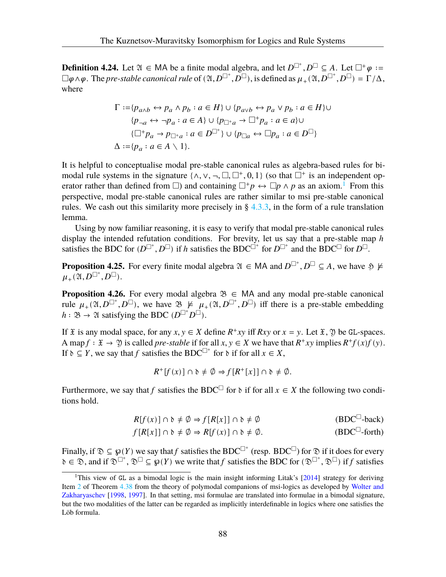**Definition 4.24.** Let  $\mathfrak{A} \in \mathsf{MA}$  be a finite modal algebra, and let  $D^{\Box^+}, D^{\Box} \subseteq A$ . Let  $\Box^+ \varphi :=$  $\Box\varphi\wedge\varphi$ . The *pre-stable canonical rule* of  $(\mathfrak{A}, D^{\Box^+}, D^{\Box})$ , is defined as  $\mu_+(\mathfrak{A}, D^{\Box^+}, D^{\Box}) = \Gamma/\Delta$ , where

$$
\Gamma := \{ p_{a \wedge b} \leftrightarrow p_a \wedge p_b : a \in H \} \cup \{ p_{a \vee b} \leftrightarrow p_a \vee p_b : a \in H \} \cup
$$
  
\n
$$
\{ p_{\neg a} \leftrightarrow \neg p_a : a \in A \} \cup \{ p_{\Box^+ a} \to \Box^+ p_a : a \in a \} \cup
$$
  
\n
$$
\{ \Box^+ p_a \to p_{\Box^+ a} : a \in D^{\Box^+} \} \cup \{ p_{\Box a} \leftrightarrow \Box p_a : a \in D^{\Box} \}
$$
  
\n
$$
\Delta := \{ p_a : a \in A \setminus 1 \}.
$$

It is helpful to conceptualise modal pre-stable canonical rules as algebra-based rules for bimodal rule systems in the signature  $\{\wedge, \vee, \neg, \Box, \Box^+, 0, 1\}$  (so that  $\Box^+$  is an independent operator rather than defined from  $\Box$ ) and containing  $\Box^+ p \leftrightarrow \Box p \wedge p$  as an axiom.<sup>1</sup> From this perspective, modal pre-stable canonical rules are rather similar to msi pre-stable canonical rules. We cash out this similarity more precisely in  $\S$  [4.3.3,](#page-99-0) in the form of a rule translation lemma.

Using by now familiar reasoning, it is easy to verify that modal pre-stable canonical rules display the intended refutation conditions. For brevity, let us say that a pre-stable map  $h$ satisfies the BDC for  $(D^{\Box^+}, D^{\Box})$  if h satisfies the BDC $^{\Box^+}$  for  $D^{\Box^+}$  and the BDC $^{\Box}$  for  $D^{\Box}$ .

**Proposition 4.25.** For every finite modal algebra  $\mathfrak{A} \in MA$  and  $D^{\square^+}$ ,  $D^{\square} \subseteq A$ , we have  $\mathfrak{H} \not\models$  $\mu_+(\mathfrak{A},D^{\square^+},D^{\square}).$ 

**Proposition 4.26.** For every modal algebra  $\mathcal{B} \in MA$  and any modal pre-stable canonical rule  $\mu_+(\mathfrak{A}, D^{\square^+}, D^{\square})$ , we have  $\mathfrak{B} \not\models \mu_+(\mathfrak{A}, D^{\square^+}, D^{\square})$  iff there is a pre-stable embedding  $h : \mathfrak{B} \to \mathfrak{A}$  satisfying the BDC  $(D^{\Box^+} D^{\Box}).$ 

If  $\mathfrak X$  is any modal space, for any  $x, y \in X$  define  $R^+xy$  iff  $Rxy$  or  $x = y$ . Let  $\mathfrak X$ ,  $\mathfrak Y$  be GL-spaces. A map  $f : \mathfrak{X} \to \mathfrak{Y}$  is called *pre-stable* if for all  $x, y \in X$  we have that  $R^+xy$  implies  $R^+f(x)f(y)$ . If  $\delta \subseteq Y$ , we say that f satisfies the BDC<sup> $\Box$ +</sup> for  $\delta$  if for all  $x \in X$ ,

$$
R^+[f(x)] \cap \mathfrak{d} \neq \emptyset \Rightarrow f[R^+[x]] \cap \mathfrak{d} \neq \emptyset.
$$

Furthermore, we say that f satisfies the BDC<sup> $\Box$ </sup> for  $\delta$  if for all  $x \in X$  the following two conditions hold.

$$
R[f(x)] \cap \delta \neq \emptyset \Rightarrow f[R[x]] \cap \delta \neq \emptyset
$$
 (BDC<sup>□</sup>-back)

$$
f[R[x]] \cap \mathfrak{d} \neq \emptyset \Rightarrow R[f(x)] \cap \mathfrak{d} \neq \emptyset. \tag{BDC}^{\square}\text{-forth}
$$

Finally, if  $\mathfrak{D} \subseteq \wp(Y)$  we say that f satisfies the BDC<sup> $\Box^+$ </sup> (resp. BDC<sup> $\Box$ </sup>) for  $\mathfrak{D}$  if it does for every  $\delta \in \mathcal{D}$ , and if  $\mathcal{D}^{\square^+}$ ,  $\mathcal{D}^{\square} \subseteq \mathcal{G}(Y)$  we write that f satisfies the BDC for  $(\mathcal{D}^{\square^+}, \mathcal{D}^{\square})$  if f satisfies

<sup>&</sup>lt;sup>1</sup>This view of GL as a bimodal logic is the main insight informing Litak's  $[2014]$  $[2014]$  strategy for deriving Item [2](#page-97-0) of Theorem [4.38](#page-97-1) from the theory of polymodal companions of msi-logics as developed by [Wolter and](#page-110-0) [Zakharyaschev](#page-110-0) [[1998,](#page-110-0) [1997](#page-109-0)]. In that setting, msi formulae are translated into formulae in a bimodal signature, but the two modalities of the latter can be regarded as implicitly interdefinable in logics where one satisfies the Löb formula.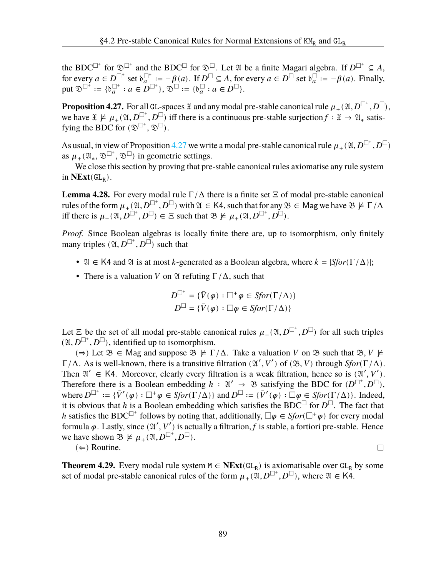the BDC<sup> $\Box^+$ </sup> for  $\mathfrak{D}^{\Box^+}$  and the BDC<sup> $\Box$ </sup> for  $\mathfrak{D}^{\Box}$ . Let  $\mathfrak A$  be a finite Magari algebra. If  $D^{\Box^+} \subseteq A$ , for every  $a \in D^{\square^+}$  set  $\delta_a^{\square^+} := -\beta(a)$ . If  $D^{\square} \subseteq A$ , for every  $a \in D^{\square}$  set  $\delta_a^{\square} := -\beta(a)$ . Finally, put  $\mathfrak{D}^{\square^+} := \{ \mathfrak{d}_a^{\square^+} : a \in D^{\square^+} \}, \mathfrak{D}^{\square} := \{ \mathfrak{d}_a^{\square} : a \in D^{\square} \}.$ 

<span id="page-93-1"></span>**Proposition 4.27.** For all GL-spaces  $\mathfrak X$  and any modal pre-stable canonical rule  $\mu_+(\mathfrak A, D^{\Box^+}, D^{\Box}),$ we have  $\mathfrak{X} \not\models \mu_+(\mathfrak{A}, D^{\square^+}, D^{\square})$  iff there is a continuous pre-stable surjection  $f : \mathfrak{X} \to \mathfrak{A}_*$  satisfying the BDC for  $(\mathfrak{D}^{\Box^+}, \mathfrak{D}^{\Box})$ .

As usual, in view of Proposition [4.27](#page-93-1) we write a modal pre-stable canonical rule  $\mu_+(\mathfrak{A},D^{\Box^+},D^{\Box})$ as  $\mu_+(\mathfrak{A}_*,\mathfrak{D}^{\square^+},\mathfrak{D}^{\square})$  in geometric settings.

We close this section by proving that pre-stable canonical rules axiomatise any rule system in  $NExt(GL_R)$ .

**Lemma 4.28.** For every modal rule  $\Gamma/\Delta$  there is a finite set  $\Xi$  of modal pre-stable canonical rules of the form  $\mu_+(\mathfrak{A}, D^{\square^+}, D^{\square})$  with  $\mathfrak{A} \in K4$ , such that for any  $\mathfrak{B} \in \mathsf{Mag}$  we have  $\mathfrak{B} \not\models \Gamma/\Delta$ iff there is  $\mu_+(\mathfrak{A}, D^{\square^+}, D^{\square}) \in \Xi$  such that  $\mathfrak{B} \not\models \mu_+(\mathfrak{A}, D^{\square^+}, D^{\square})$ .

*Proof.* Since Boolean algebras is locally finite there are, up to isomorphism, only finitely many triples  $(\mathfrak{A}, D^{\square^+}, D^{\square})$  such that

- $\mathfrak{A} \in \mathsf{K4}$  and  $\mathfrak{A}$  is at most *k*-generated as a Boolean algebra, where  $k = |Sfor(\Gamma/\Delta)|$ ;
- There is a valuation V on  $\mathfrak A$  refuting  $\Gamma/\Delta$ , such that

$$
D^{\Box^+} = \{ \bar{V}(\varphi) : \Box^+ \varphi \in S \text{for} (\Gamma / \Delta) \}
$$
  

$$
D^{\Box} = \{ \bar{V}(\varphi) : \Box \varphi \in S \text{for} (\Gamma / \Delta) \}
$$

Let  $\Xi$  be the set of all modal pre-stable canonical rules  $\mu_+(\mathfrak{A}, D^{\square^+}, D^{\square})$  for all such triples  $(2\mathfrak{l}, D^{\square^+}, D^{\square})$ , identified up to isomorphism.

( $\Rightarrow$ ) Let  $\mathfrak{B} \in \mathbb{M}$  ag and suppose  $\mathfrak{B} \not\models \Gamma/\Delta$ . Take a valuation V on  $\mathfrak{B}$  such that  $\mathfrak{B}, V \not\models \Gamma/\Delta$ . Γ/Δ. As is well-known, there is a transitive filtration  $(\mathfrak{A}', V')$  of  $(\mathfrak{B}, V)$  through *Sfor*(Γ/Δ). Then  $\mathfrak{A}' \in \mathsf{K4}$ . Moreover, clearly every filtration is a weak filtration, hence so is  $(\mathfrak{A}', V')$ . Therefore there is a Boolean embedding  $h : \mathfrak{A}' \to \mathfrak{B}$  satisfying the BDC for  $(D^{\Box^+}, D^{\Box}),$ where  $D^{\square^+} := {\{\overline{V}'(\varphi) : \square^+ \varphi \in Sfor(\Gamma/\Delta) \}}$  and  $D^{\square} := {\{\overline{V}'(\varphi) : \square \varphi \in Sfor(\Gamma/\Delta) \}}$ . Indeed, it is obvious that h is a Boolean embedding which satisfies the BDC<sup> $\Box$ </sup> for  $D^{\Box}$ . The fact that h satisfies the BDC<sup> $\Box^+$ </sup> follows by noting that, additionally,  $\Box \varphi \in Sfor(\Box^+\varphi)$  for every modal formula  $\varphi$ . Lastly, since  $(\mathfrak{A}', V')$  is actually a filtration, f is stable, a fortiori pre-stable. Hence we have shown  $\mathfrak{B} \not\models \mu_+(\mathfrak{A}, D^{\square^+}, D^{\square}).$ 

 $(\Leftarrow)$  Routine.

 $\Box$ 

<span id="page-93-2"></span><span id="page-93-0"></span>**Theorem 4.29.** Every modal rule system  $M \in \text{NExt}(\text{GL}_R)$  is axiomatisable over  $\text{GL}_R$  by some set of modal pre-stable canonical rules of the form  $\mu_+(\mathfrak{A}, D^{\square^+}, D^{\square})$ , where  $\mathfrak{A} \in K$ 4.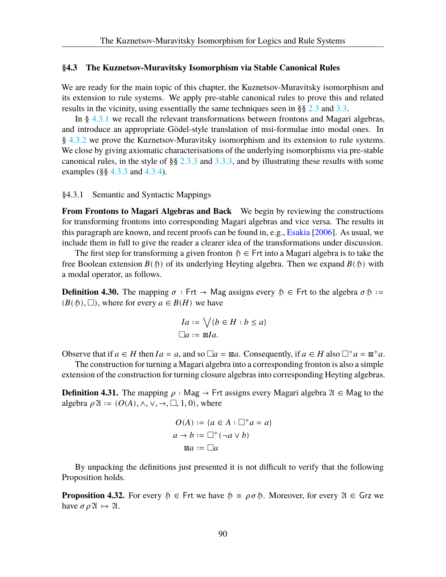# **§4.3 The Kuznetsov-Muravitsky Isomorphism via Stable Canonical Rules**

We are ready for the main topic of this chapter, the Kuznetsov-Muravitsky isomorphism and its extension to rule systems. We apply pre-stable canonical rules to prove this and related results in the vicinity, using essentially the same techniques seen in §§ [2.3](#page-31-0) and [3.3](#page-66-0).

In § [4.3.1](#page-94-0) we recall the relevant transformations between frontons and Magari algebras, and introduce an appropriate Gödel-style translation of msi-formulae into modal ones. In § [4.3.2](#page-96-0) we prove the Kuznetsov-Muravitsky isomorphism and its extension to rule systems. We close by giving axiomatic characterisations of the underlying isomorphisms via pre-stable canonical rules, in the style of §§ [2.3.3](#page-39-0) and [3.3.3,](#page-71-0) and by illustrating these results with some examples ( $\S$ § [4.3.3](#page-99-0) and [4.3.4\)](#page-103-0).

<span id="page-94-0"></span>§4.3.1 Semantic and Syntactic Mappings

**From Frontons to Magari Algebras and Back** We begin by reviewing the constructions for transforming frontons into corresponding Magari algebras and vice versa. The results in this paragraph are known, and recent proofs can be found in, e.g., [Esakia](#page-108-1) [\[2006](#page-108-1)]. As usual, we include them in full to give the reader a clearer idea of the transformations under discussion.

The first step for transforming a given fronton  $\mathfrak{H} \in$  Frt into a Magari algebra is to take the free Boolean extension  $B($  \$  $)$  of its underlying Heyting algebra. Then we expand  $B($  \$  $)$  with a modal operator, as follows.

**Definition 4.30.** The mapping  $\sigma$ : Frt  $\rightarrow$  Mag assigns every  $\mathfrak{H} \in$  Frt to the algebra  $\sigma \mathfrak{H}$ :=  $(B(\mathfrak{H}), \Box)$ , where for every  $a \in B(H)$  we have

$$
Ia := \bigvee \{b \in H : b \le a\}
$$
  

$$
\Box a := \mathbb{Z}Ia.
$$

Observe that if  $a \in H$  then  $Ia = a$ , and so  $\Box a = \boxtimes a$ . Consequently, if  $a \in H$  also  $\Box^+ a = \boxtimes^+ a$ .

The construction for turning a Magari algebra into a corresponding fronton is also a simple extension of the construction for turning closure algebras into corresponding Heyting algebras.

**Definition 4.31.** The mapping  $\rho$  : Mag → Frt assigns every Magari algebra  $\mathfrak{A} \in \mathsf{Mag}$  to the algebra  $\rho \mathfrak{A} := (O(A), \wedge, \vee, \rightarrow, \square, 1, 0)$ , where

$$
O(A) := \{a \in A : \Box^+ a = a\}
$$

$$
a \to b := \Box^+ (\neg a \lor b)
$$

$$
\boxtimes a := \Box a
$$

By unpacking the definitions just presented it is not difficult to verify that the following Proposition holds.

<span id="page-94-1"></span>**Proposition 4.32.** For every  $\mathfrak{H} \in \mathsf{Frt}$  we have  $\mathfrak{H} \cong \rho \sigma \mathfrak{H}$ . Moreover, for every  $\mathfrak{A} \in \mathsf{Grz}$  we have  $\sigma \rho \mathfrak{A} \rightarrow \mathfrak{A}$ .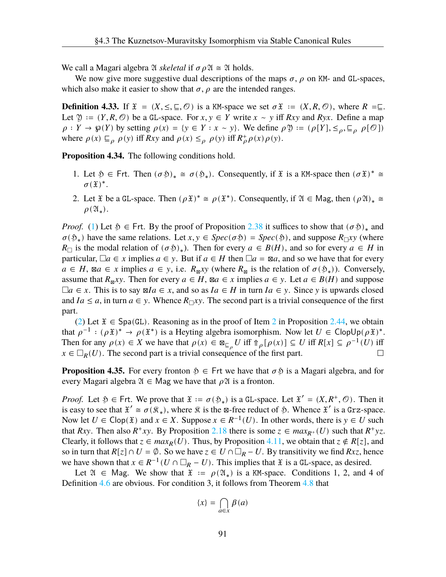We call a Magari algebra  $\mathfrak A$  *skeletal* if  $\sigma \rho \mathfrak A \cong \mathfrak A$  holds.

We now give more suggestive dual descriptions of the maps  $\sigma$ ,  $\rho$  on KM- and GL-spaces, which also make it easier to show that  $\sigma$ ,  $\rho$  are the intended ranges.

**Definition 4.33.** If  $\mathfrak{X} = (X, \leq, \subseteq, \mathcal{O})$  is a KM-space we set  $\sigma \mathfrak{X} := (X, R, \mathcal{O})$ , where  $R = \sqsubseteq$ . Let  $\mathfrak{Y} := (Y, R, \mathcal{O})$  be a GL-space. For  $x, y \in Y$  write  $x \sim y$  iff  $Rxy$  and  $Ryx$ . Define a map  $\rho: Y \to \mathfrak{g}(Y)$  by setting  $\rho(x) = \{y \in Y : x \sim y\}$ . We define  $\rho \mathfrak{Y} := (\rho[Y], \leq_{\rho}, \sqsubseteq_{\rho} \rho[\mathcal{O}])$ where  $\rho(x) \sqsubseteq_{\rho} \rho(y)$  iff  $Rxy$  and  $\rho(x) \leq_{\rho} \rho(y)$  iff  $R^+_{\rho} \rho(x) \rho(y)$ .

<span id="page-95-2"></span>**Proposition 4.34.** The following conditions hold.

- <span id="page-95-0"></span>1. Let  $\mathfrak{H} \in \text{Frt. Then } (\sigma \mathfrak{H})_* \cong \sigma(\mathfrak{H}_*)$ . Consequently, if  $\mathfrak{X}$  is a KM-space then  $(\sigma \mathfrak{X})^* \cong$  $\sigma(\mathfrak{X})^*$ .
- <span id="page-95-1"></span>2. Let  $\mathfrak X$  be a GL-space. Then  $(\rho \mathfrak X)^* \cong \rho(\mathfrak X^*)$ . Consequently, if  $\mathfrak A \in \mathsf{Mag}$ , then  $(\rho \mathfrak A)_* \cong$  $\rho(\mathfrak{A}_*).$

*Proof.* ([1\)](#page-95-0) Let  $\mathfrak{H} \in \text{Frt}$ . By the proof of Proposition [2.38](#page-32-1) it suffices to show that  $(\sigma \mathfrak{H})_*$  and  $\sigma(\mathfrak{H}_*)$  have the same relations. Let  $x, y \in Spec(\sigma \mathfrak{H}) = Spec(\mathfrak{H})$ , and suppose  $R_{\Box}xy$  (where  $R_{\Box}$  is the modal relation of  $(\sigma \mathfrak{H})_*$ ). Then for every  $a \in B(H)$ , and so for every  $a \in H$  in particular,  $\Box a \in x$  implies  $a \in y$ . But if  $a \in H$  then  $\Box a = \boxtimes a$ , and so we have that for every  $a \in H$ ,  $\boxtimes a \in x$  implies  $a \in y$ , i.e.  $R_{\boxtimes} xy$  (where  $R_{\boxtimes}$  is the relation of  $\sigma(\mathfrak{H}_*))$ . Conversely, assume that  $R_{\mathbb{R}}$ *xy*. Then for every  $a \in H$ ,  $\mathbb{R}a \in x$  implies  $a \in y$ . Let  $a \in B(H)$  and suppose  $\Box a \in x$ . This is to say  $\Box a \in x$ , and so as  $Ia \in H$  in turn  $Ia \in y$ . Since y is upwards closed and  $I_a \le a$ , in turn  $a \in y$ . Whence  $R_{\Box} xy$ . The second part is a trivial consequence of the first part.

([2\)](#page-95-1) Let  $\mathfrak{X} \in \text{Spa}(\mathbb{G})$ . Reasoning as in the proof of Item [2](#page-34-0) in Proposition [2.44](#page-33-0), we obtain that  $\rho^{-1} : (\rho \mathfrak{X})^* \to \rho(\mathfrak{X}^*)$  is a Heyting algebra isomorphism. Now let  $U \in \mathsf{ClopUp}(\rho \mathfrak{X})^*$ . Then for any  $\rho(x) \in X$  we have that  $\rho(x) \in \mathbb{Z}_{\mathbb{Z}_p} U$  iff  $\mathbb{G}_{\rho}[\rho(x)] \subseteq U$  iff  $R[x] \subseteq \rho^{-1}(U)$  iff  $x \in \Box_R(U)$ . The second part is a trivial consequence of the first part.  $\Box$ 

**Proposition 4.35.** For every fronton  $\mathfrak{H} \in$  Frt we have that  $\sigma \mathfrak{H}$  is a Magari algebra, and for every Magari algebra  $\mathfrak{A} \in \mathsf{Mag}$  we have that  $\rho \mathfrak{A}$  is a fronton.

*Proof.* Let  $\mathfrak{H} \in \text{Frt. We prove that } \mathfrak{X} := \sigma(\mathfrak{H}_*)$  is a GL-space. Let  $\mathfrak{X}' = (X, R^+, \mathcal{O})$ . Then it is easy to see that  $\mathfrak{X}' \cong \sigma(\mathfrak{K}_*)$ , where  $\mathfrak{K}$  is the  $\mathfrak{B}$ -free reduct of  $\mathfrak{H}$ . Whence  $\mathfrak{X}'$  is a Grz-space. Now let  $U \in \text{Clop}(\mathfrak{X})$  and  $x \in X$ . Suppose  $x \in R^{-1}(U)$ . In other words, there is  $y \in U$  such that Rxy. Then also  $R^+xy$ . By Proposition [2.18](#page-25-0) there is some  $z \in max_{R^+}(U)$  such that  $R^+yz$ . Clearly, it follows that  $z \in max_R(U)$ . Thus, by Proposition [4.11](#page-85-4), we obtain that  $z \notin R[z]$ , and so in turn that  $R[z] \cap U = \emptyset$ . So we have  $z \in U \cap \square_R - U$ . By transitivity we find  $Rxz$ , hence we have shown that  $x \in R^{-1}(U \cap \Box_R - U)$ . This implies that  $\tilde{x}$  is a GL-space, as desired.

Let  $\mathfrak{A} \in \mathbb{M}$  ag. We show that  $\mathfrak{X} := \rho(\mathfrak{A}_*)$  is a KM-space. Conditions 1, 2, and 4 of Definition [4.6](#page-82-3) are obvious. For condition 3, it follows from Theorem [4.8](#page-83-1) that

$$
\{x\} = \bigcap_{a \in x} \beta(a)
$$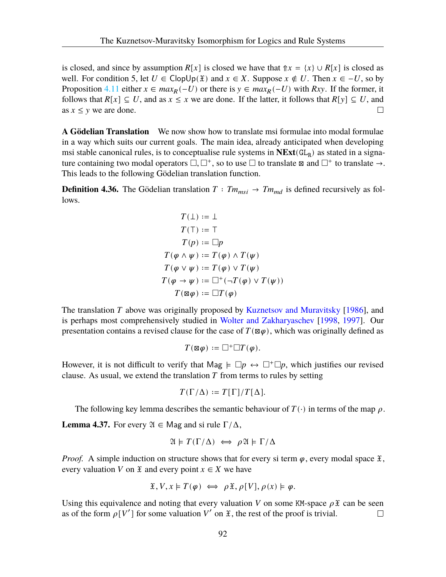is closed, and since by assumption  $R[x]$  is closed we have that  $\Uparrow x = \{x\} \cup R[x]$  is closed as well. For condition 5, let  $U \in \text{Clop}(\mathfrak{X})$  and  $x \in X$ . Suppose  $x \notin U$ . Then  $x \in -U$ , so by Proposition [4.11](#page-85-4) either  $x \in max_R(-U)$  or there is  $y \in max_R(-U)$  with  $Rxy$ . If the former, it follows that  $R[x] \subseteq U$ , and as  $x \le x$  we are done. If the latter, it follows that  $R[y] \subseteq U$ , and as  $x \leq y$  we are done.  $\Box$ 

**A Gödelian Translation** We now show how to translate msi formulae into modal formulae in a way which suits our current goals. The main idea, already anticipated when developing msi stable canonical rules, is to conceptualise rule systems in  $NExt(\text{GL}_R)$  as stated in a signature containing two modal operators  $\Box$ ,  $\Box^+$ , so to use  $\Box$  to translate  $\boxtimes$  and  $\Box^+$  to translate  $\rightarrow$ . This leads to the following Gödelian translation function.

**Definition 4.36.** The Gödelian translation  $T : Tm_{msi} \rightarrow Tm_{md}$  is defined recursively as follows.

$$
T(\bot) := \bot
$$
  
\n
$$
T(\top) := \top
$$
  
\n
$$
T(p) := \square p
$$
  
\n
$$
T(\varphi \land \psi) := T(\varphi) \land T(\psi)
$$
  
\n
$$
T(\varphi \lor \psi) := T(\varphi) \lor T(\psi)
$$
  
\n
$$
T(\varphi \to \psi) := \square^+ (\neg T(\varphi) \lor T(\psi))
$$
  
\n
$$
T(\boxtimes \varphi) := \square T(\varphi)
$$

The translation  $T$  above was originally proposed by [Kuznetsov and Muravitsky](#page-108-0) [\[1986](#page-108-0)], and is perhaps most comprehensively studied in [Wolter and Zakharyaschev](#page-110-0) [[1998,](#page-110-0) [1997](#page-109-0)]. Our presentation contains a revised clause for the case of  $T(\boxtimes \varphi)$ , which was originally defined as

$$
T(\boxtimes\varphi):=\Box^+\Box T(\varphi).
$$

However, it is not difficult to verify that Mag  $\models \Box p \leftrightarrow \Box^+ \Box p$ , which justifies our revised clause. As usual, we extend the translation  $T$  from terms to rules by setting

$$
T(\Gamma/\Delta):=T[\Gamma]/T[\Delta].
$$

The following key lemma describes the semantic behaviour of  $T(\cdot)$  in terms of the map  $\rho$ .

<span id="page-96-1"></span>**Lemma 4.37.** For every  $\mathfrak{A} \in \mathsf{Mag}$  and si rule  $\Gamma/\Delta$ ,

$$
\mathfrak{A} \models T(\Gamma/\Delta) \iff \rho \mathfrak{A} \models \Gamma/\Delta
$$

*Proof.* A simple induction on structure shows that for every si term  $\varphi$ , every modal space  $\mathfrak{X}$ , every valuation V on  $\mathfrak X$  and every point  $x \in X$  we have

$$
\mathfrak{X}, V, x \models T(\varphi) \iff \rho \mathfrak{X}, \rho[V], \rho(x) \models \varphi.
$$

<span id="page-96-0"></span>Using this equivalence and noting that every valuation V on some KM-space  $\rho \mathfrak{X}$  can be seen as of the form  $\rho[V']$  for some valuation V' on  $\mathfrak X$ , the rest of the proof is trivial.  $\Box$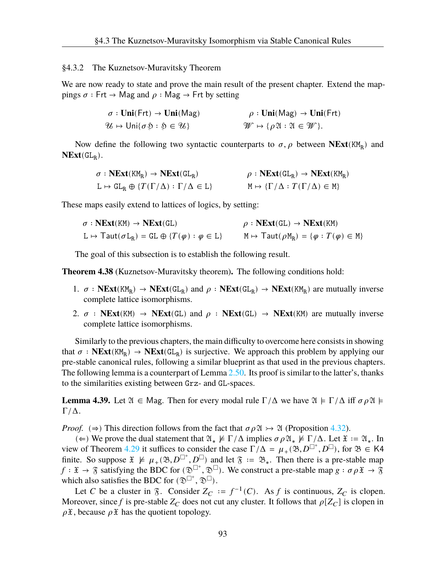# §4.3.2 The Kuznetsov-Muravitsky Theorem

We are now ready to state and prove the main result of the present chapter. Extend the mappings *σ* : Frt → Mag and  $ρ$  : Mag → Frt by setting

$$
\sigma: \text{Uni(Frt)} \to \text{Uni(Mag)} \qquad \rho: \text{Uni(Mag)} \to \text{Uni(Frt)}
$$
  

$$
\mathcal{U} \mapsto \text{Uni}\{\sigma \mathfrak{H} : \mathfrak{H} \in \mathcal{U}\}
$$
  

$$
\mathcal{W} \mapsto \{\rho \mathfrak{A} : \mathfrak{A} \in \mathcal{W}\}.
$$

Now define the following two syntactic counterparts to  $\sigma$ ,  $\rho$  between **NExt**(KM<sub>R</sub>) and  $NExt(GL_R)$ .

| $\sigma$ : NExt(KM <sub>R</sub> ) $\rightarrow$ NExt(GL <sub>R</sub> ) | $\rho : \text{NExt}(\text{GL}_B) \to \text{NExt}(\text{KM}_B)$ |
|------------------------------------------------------------------------|----------------------------------------------------------------|
| $L \mapsto GL_R \oplus \{T(\Gamma/\Delta) : \Gamma/\Delta \in L\}$     | $M \mapsto {\Gamma/\Delta} : T(\Gamma/\Delta) \in M$           |

These maps easily extend to lattices of logics, by setting:

| $\sigma$ : NExt(KM) $\rightarrow$ NExt(GL)                                              | $\rho : \textbf{NExt}(\texttt{GL}) \to \textbf{NExt}(\texttt{KM})$   |
|-----------------------------------------------------------------------------------------|----------------------------------------------------------------------|
| $L \mapsto \text{Taut}(\sigma L_{\text{R}}) = GL \oplus \{T(\varphi) : \varphi \in L\}$ | $M \mapsto \text{Taut}(\rho M_R) = \{ \varphi : T(\varphi) \in M \}$ |

The goal of this subsection is to establish the following result.

<span id="page-97-3"></span><span id="page-97-1"></span>**Theorem 4.38** (Kuznetsov-Muravitsky theorem)**.** The following conditions hold:

- 1.  $\sigma$  : **NExt**(KM<sub>R</sub>)  $\rightarrow$  **NExt**(GL<sub>R</sub>) and  $\rho$  : **NExt**(GL<sub>R</sub>)  $\rightarrow$  **NExt**(KM<sub>R</sub>) are mutually inverse complete lattice isomorphisms.
- <span id="page-97-0"></span>2.  $\sigma$  **: NExt**(KM)  $\rightarrow$  **NExt**(GL) and  $\rho$  **: NExt**(GL)  $\rightarrow$  **NExt**(KM) are mutually inverse complete lattice isomorphisms.

Similarly to the previous chapters, the main difficulty to overcome here consists in showing that  $\sigma$  : **NExt**(KM<sub>R</sub>)  $\rightarrow$  **NExt**(GL<sub>R</sub>) is surjective. We approach this problem by applying our pre-stable canonical rules, following a similar blueprint as that used in the previous chapters. The following lemma is a counterpart of Lemma [2.50.](#page-36-0) Its proof is similar to the latter's, thanks to the similarities existing between Grz- and GL-spaces.

<span id="page-97-2"></span>**Lemma 4.39.** Let  $\mathfrak{A} \in \mathbb{M}$  ag. Then for every modal rule  $\Gamma/\Delta$  we have  $\mathfrak{A} \models \Gamma/\Delta$  iff  $\sigma \rho \mathfrak{A} \models$  $\Gamma/\Delta$ .

*Proof.* ( $\Rightarrow$ ) This direction follows from the fact that  $\sigma \rho \mathfrak{A} \rightarrow \mathfrak{A}$  (Proposition [4.32\)](#page-94-1).

(∈) We prove the dual statement that  $\mathfrak{A}_* \not\models \Gamma/\Delta$  implies  $\sigma \rho \mathfrak{A}_* \not\models \Gamma/\Delta$ . Let  $\mathfrak{X} := \mathfrak{A}_*$ . In view of Theorem [4.29](#page-93-2) it suffices to consider the case  $\Gamma/\Delta = \mu_+(28, D^{\square^+}, D^{\square})$ , for  $28 \in K4$ finite. So suppose  $\mathfrak{X} \not\models \mu_+(\mathfrak{B}, D^{\square^+}, D^{\square})$  and let  $\mathfrak{F} := \mathfrak{B}_*$ . Then there is a pre-stable map  $f: \mathfrak{X} \to \mathfrak{F}$  satisfying the BDC for  $(\mathfrak{D}^{\Box^+}, \mathfrak{D}^{\Box})$ . We construct a pre-stable map  $g: \sigma \rho \mathfrak{X} \to \mathfrak{F}$ which also satisfies the BDC for  $(\mathfrak{D}^{\Box^+}, \mathfrak{D}^{\Box})$ .

Let C be a cluster in  $\S$ . Consider  $Z_C := f^{-1}(C)$ . As f is continuous,  $Z_C$  is clopen. Moreover, since f is pre-stable  $Z_C$  does not cut any cluster. It follows that  $\rho[Z_C]$  is clopen in  $\rho \mathfrak{X}$ , because  $\rho \mathfrak{X}$  has the quotient topology.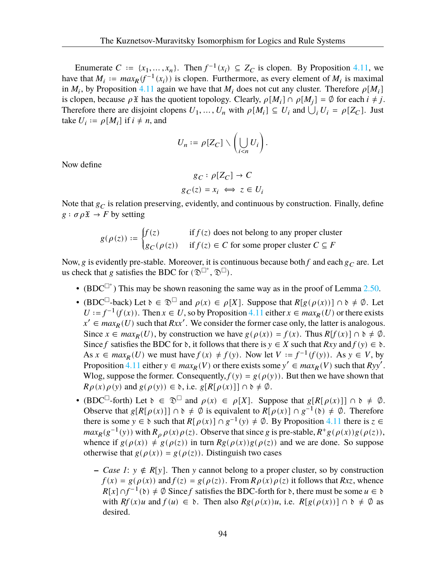Enumerate  $C := \{x_1, ..., x_n\}$ . Then  $f^{-1}(x_i) \subseteq Z_C$  is clopen. By Proposition [4.11](#page-85-4), we have that  $M_i := max_R(f^{-1}(x_i))$  is clopen. Furthermore, as every element of  $M_i$  is maximal in  $M_i$ , by Proposition [4.11](#page-85-4) again we have that  $M_i$  does not cut any cluster. Therefore  $\rho[M_i]$ is clopen, because  $\rho \mathfrak{X}$  has the quotient topology. Clearly,  $\rho[M_i] \cap \rho[M_j] = \emptyset$  for each  $i \neq j$ . Therefore there are disjoint clopens  $U_1, ..., U_n$  with  $\rho[M_i] \subseteq U_i$  and  $\bigcup_i U_i = \rho[Z_C]$ . Just take  $U_i := \rho[M_i]$  if  $i \neq n$ , and

$$
U_n := \rho[Z_C] \setminus \left(\bigcup_{i < n} U_i\right).
$$

Now define

$$
g_C: \rho[Z_C] \to C
$$

$$
g_C(z) = x_i \iff z \in U_i
$$

Note that  $g_C$  is relation preserving, evidently, and continuous by construction. Finally, define  $g : \sigma \rho \mathfrak{X} \to F$  by setting

$$
g(\rho(z)) := \begin{cases} f(z) & \text{if } f(z) \text{ does not belong to any proper cluster} \\ g_C(\rho(z)) & \text{if } f(z) \in C \text{ for some proper cluster } C \subseteq F \end{cases}
$$

Now, g is evidently pre-stable. Moreover, it is continuous because both f and each  $g_C$  are. Let us check that g satisfies the BDC for  $(\mathfrak{D}^{\Box^+}, \mathfrak{D}^{\Box})$ .

- (BDC $\Box$ <sup>+</sup>) This may be shown reasoning the same way as in the proof of Lemma [2.50](#page-36-0).
- (BDC<sup> $\Box$ </sup>-back) Let  $\delta \in \mathfrak{D}^{\Box}$  and  $\rho(x) \in \rho[X]$ . Suppose that  $R[g(\rho(x))] \cap \delta \neq \emptyset$ . Let  $U := f^{-1}(f(x))$ . Then  $x \in U$ , so by Proposition [4.11](#page-85-4) either  $x \in max_R(U)$  or there exists  $x' \in max_R(U)$  such that  $Rxx'$ . We consider the former case only, the latter is analogous. Since  $x \in max_R(U)$ , by construction we have  $g(\rho(x)) = f(x)$ . Thus  $R[f(x)] \cap \delta \neq \emptyset$ . Since f satisfies the BDC for  $\delta$ , it follows that there is  $y \in X$  such that  $Rxy$  and  $f(y) \in \delta$ . As  $x \in max_R(U)$  we must have  $f(x) \neq f(y)$ . Now let  $V := f^{-1}(f(y))$ . As  $y \in V$ , by Proposition [4.11](#page-85-4) either  $y \in max_R(V)$  or there exists some  $y' \in max_R(V)$  such that  $Ryy'$ . Wlog, suppose the former. Consequently,  $f(y) = g(\rho(y))$ . But then we have shown that  $R \rho(x) \rho(y)$  and  $g(\rho(y)) \in \mathfrak{d}$ , i.e.  $g[R[\rho(x)]] \cap \mathfrak{d} \neq \emptyset$ .
- (BDC<sup> $\Box$ </sup>-forth) Let  $\delta \in \mathfrak{D}^{\Box}$  and  $\rho(x) \in \rho[X]$ . Suppose that  $g[R[\rho(x)]] \cap \delta \neq \emptyset$ . Observe that  $g[R[\rho(x)]] \cap \delta \neq \emptyset$  is equivalent to  $R[\rho(x)] \cap g^{-1}(\delta) \neq \emptyset$ . Therefore there is some  $y \in \mathfrak{d}$  such that  $R[\rho(x)] \cap g^{-1}(y) \neq \emptyset$ . By Proposition [4.11](#page-85-4) there is  $z \in \mathfrak{d}$  $max_R(g^{-1}(y))$  with  $R_\rho \rho(x)\rho(z)$ . Observe that since g is pre-stable,  $R^+g(\rho(x))g(\rho(z))$ , whence if  $g(\rho(x)) \neq g(\rho(z))$  in turn  $Rg(\rho(x))g(\rho(z))$  and we are done. So suppose otherwise that  $g(\rho(x)) = g(\rho(z))$ . Distinguish two cases
	- **−** *Case 1*:  $y \notin R[y]$ . Then y cannot belong to a proper cluster, so by construction  $f(x) = g(\rho(x))$  and  $f(z) = g(\rho(z))$ . From  $R \rho(x) \rho(z)$  it follows that  $Rxz$ , whence  $R[x] \cap f^{-1}(\mathfrak{d}) \neq \emptyset$  Since f satisfies the BDC-forth for  $\mathfrak{d}$ , there must be some  $u \in \mathfrak{d}$ with  $Rf(x)u$  and  $f(u) \in \mathfrak{d}$ . Then also  $Rg(\rho(x))u$ , i.e.  $R[g(\rho(x))] \cap \mathfrak{d} \neq \emptyset$  as desired.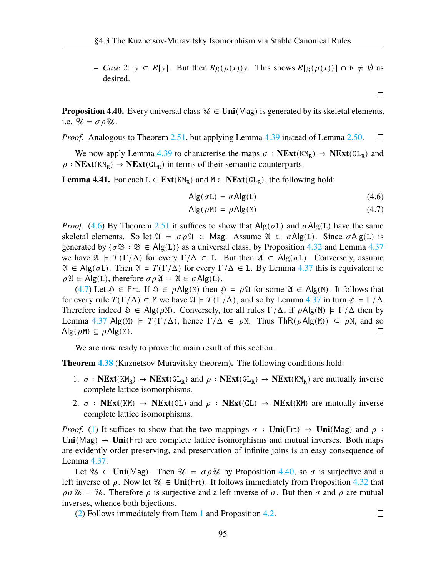**–** *Case* 2:  $y \in R[y]$ . But then  $Rg(\rho(x))y$ . This shows  $R[g(\rho(x))] \cap \emptyset \neq \emptyset$  as desired.

<span id="page-99-2"></span><span id="page-99-1"></span> $\Box$ 

 $\Box$ 

<span id="page-99-3"></span>**Proposition 4.40.** Every universal class  $\mathcal{U} \in \text{Uni}(Mag)$  is generated by its skeletal elements, i.e.  $\mathcal{U} = \sigma \rho \mathcal{U}$ .

*Proof.* Analogous to Theorem [2.51](#page-37-0), but applying Lemma [4.39](#page-97-2) instead of Lemma [2.50](#page-36-0).  $\Box$ 

We now apply Lemma [4.39](#page-97-2) to characterise the maps  $\sigma : \text{NExt}(KM_R) \to \text{NExt}(GL_R)$  and  $\rho$ : **NExt**(KM<sub>R</sub>)  $\rightarrow$  **NExt**(GL<sub>R</sub>) in terms of their semantic counterparts.

**Lemma 4.41.** For each  $L \in \text{Ext}(KM_R)$  and  $M \in \text{NExt}(GL_R)$ , the following hold:

$$
Alg(\sigma L) = \sigma Alg(L) \qquad (4.6)
$$

$$
Alg(\rho M) = \rho Alg(M)
$$
 (4.7)

*Proof.* ([4.6\)](#page-99-1) By Theorem [2.51](#page-37-0) it suffices to show that  $\text{Alg}(\sigma L)$  and  $\sigma \text{Alg}(L)$  have the same skeletal elements. So let  $\mathfrak{A} = \sigma \rho \mathfrak{A} \in \mathsf{Mag}$ . Assume  $\mathfrak{A} \in \sigma \mathsf{Alg}(L)$ . Since  $\sigma \mathsf{Alg}(L)$  is generated by  $\{\sigma \mathfrak{B} : \mathfrak{B} \in \mathsf{Alg}(L)\}\$ as a universal class, by Proposition [4.32](#page-94-1) and Lemma [4.37](#page-96-1) we have  $\mathfrak{A} \models T(\Gamma/\Delta)$  for every  $\Gamma/\Delta \in L$ . But then  $\mathfrak{A} \in Alg(\sigma L)$ . Conversely, assume  $\mathfrak{A} \in \mathsf{Alg}(\sigma L)$ . Then  $\mathfrak{A} \models T(\Gamma/\Delta)$  for every  $\Gamma/\Delta \in L$ . By Lemma [4.37](#page-96-1) this is equivalent to  $\rho \mathfrak{A} \in \mathsf{Alg}(L)$ , therefore  $\sigma \rho \mathfrak{A} = \mathfrak{A} \in \sigma \mathsf{Alg}(L)$ .

([4.7\)](#page-99-2) Let  $\mathfrak{H} \in \text{Frt.}$  If  $\mathfrak{H} \in \rho \text{Alg(M)}$  then  $\mathfrak{H} = \rho \mathfrak{A}$  for some  $\mathfrak{A} \in \text{Alg(M)}$ . It follows that for every rule  $T(\Gamma/\Delta) \in M$  we have  $\mathfrak{A} \models T(\Gamma/\Delta)$ , and so by Lemma [4.37](#page-96-1) in turn  $\mathfrak{H} \models \Gamma/\Delta$ . Therefore indeed  $\mathfrak{H} \in \mathsf{Alg}(\rho \mathsf{M})$ . Conversely, for all rules  $\Gamma/\Delta$ , if  $\rho \mathsf{Alg}(\mathsf{M}) \models \Gamma/\Delta$  then by Lemma [4.37](#page-96-1) Alg(M)  $\models T(\Gamma/\Delta)$ , hence  $\Gamma/\Delta \in \rho M$ . Thus ThR( $\rho$ Alg(M))  $\subseteq \rho M$ , and so  $\mathsf{Alg}(\rho \mathsf{M}) \subseteq \rho \mathsf{Alg}(\mathsf{M}).$  $\Box$ 

We are now ready to prove the main result of this section.

**Theorem [4.38](#page-97-1)** (Kuznetsov-Muravitsky theorem)**.** The following conditions hold:

- 1.  $\sigma$  : **NExt**(KM<sub>R</sub>)  $\rightarrow$  **NExt**(GL<sub>R</sub>) and  $\rho$  : **NExt**(GL<sub>R</sub>)  $\rightarrow$  **NExt**(KM<sub>R</sub>) are mutually inverse complete lattice isomorphisms.
- 2.  $\sigma$  **: NExt**(KM)  $\rightarrow$  **NExt**(GL) and  $\rho$  **: NExt**(GL)  $\rightarrow$  **NExt**(KM) are mutually inverse complete lattice isomorphisms.

*Proof.* ([1\)](#page-97-3) It suffices to show that the two mappings  $\sigma :$  **Uni**(Frt)  $\rightarrow$  **Uni**(Mag) and  $\rho$ :  $\text{Uni}(\text{Mag}) \rightarrow \text{Uni}(\text{Frt})$  are complete lattice isomorphisms and mutual inverses. Both maps are evidently order preserving, and preservation of infinite joins is an easy consequence of Lemma [4.37](#page-96-1).

Let  $\mathcal{U} \in$  **Uni**(Mag). Then  $\mathcal{U} = \sigma \rho \mathcal{U}$  by Proposition [4.40,](#page-99-3) so  $\sigma$  is surjective and a left inverse of  $\rho$ . Now let  $\mathcal{U} \in \text{Uni(Frt)}$ . It follows immediately from Proposition [4.32](#page-94-1) that  $\rho \sigma \mathcal{U} = \mathcal{U}$ . Therefore  $\rho$  is surjective and a left inverse of  $\sigma$ . But then  $\sigma$  and  $\rho$  are mutual inverses, whence both bijections.

<span id="page-99-0"></span>([2\)](#page-97-0) Follows immediately from Item [1](#page-97-3) and Proposition [4.2](#page-81-0).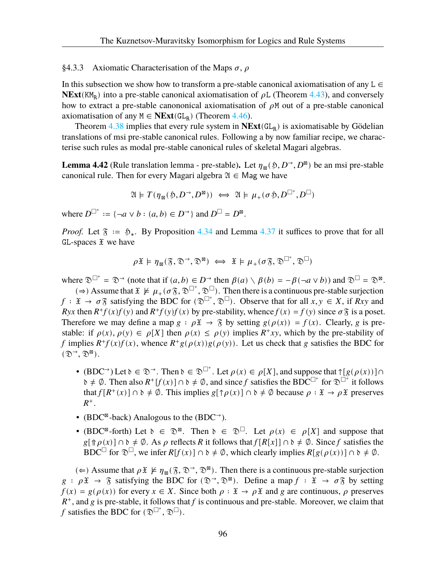# §4.3.3 Axiomatic Characterisation of the Maps  $\sigma$ ,  $\rho$

In this subsection we show how to transform a pre-stable canonical axiomatisation of any  $L \in$ **NExt**( $KM_R$ ) into a pre-stable canonical axiomatisation of  $\rho L$  (Theorem [4.43\)](#page-101-0), and conversely how to extract a pre-stable canononical axiomatisation of  $\rho M$  out of a pre-stable canonical axiomatisation of any  $M \in \text{NExt}(\text{GL}_R)$  (Theorem [4.46\)](#page-102-0).

Theorem [4.38](#page-97-1) implies that every rule system in  $NExt(GL_R)$  is axiomatisable by Gödelian translations of msi pre-stable canonical rules. Following a by now familiar recipe, we characterise such rules as modal pre-stable canonical rules of skeletal Magari algebras.

**Lemma 4.42** (Rule translation lemma - pre-stable). Let  $\eta_{\text{R}}(\S, D^{\rightarrow}, D^{\boxtimes})$  be an msi pre-stable canonical rule. Then for every Magari algebra  $\mathfrak{A} \in \mathsf{Mag}$  we have

$$
\mathfrak{A}\models T(\eta_{\boxtimes}(\mathfrak{H},D^{\rightarrow},D^{\boxtimes}))\iff \mathfrak{A}\models \mu_+(\sigma\mathfrak{H},D^{\Box^+},D^{\Box})
$$

where  $D^{\Box^+} := \{ \neg a \lor b : (a, b) \in D^{\rightarrow} \}$  and  $D^{\Box} = D^{\boxtimes}$ .

*Proof.* Let  $\mathfrak{F} := \mathfrak{H}_*$ . By Proposition [4.34](#page-95-2) and Lemma [4.37](#page-96-1) it suffices to prove that for all  $GL$ -spaces  $\mathfrak X$  we have

$$
\rho \mathfrak{X}\models \eta_\boxtimes(\mathfrak{F},\mathfrak{D}^\rightarrow,\mathfrak{D}^\boxtimes)\iff \mathfrak{X}\models \mu_+(\sigma\mathfrak{F},\mathfrak{D}^{\Box^+},\mathfrak{D}^{\Box})
$$

where  $\mathfrak{D}^{\Box^+} = \mathfrak{D}^{\rightarrow}$  (note that if  $(a, b) \in D^{\rightarrow}$  then  $\beta(a) \setminus \beta(b) = -\beta(\neg a \vee b)$ ) and  $\mathfrak{D}^{\Box} = \mathfrak{D}^{\boxtimes}$ .

(⇒) Assume that  $\mathfrak{X} \not\models \mu_+(\sigma \mathfrak{F}, \mathfrak{D}^{\Box^+}, \mathfrak{D}^{\Box})$ . Then there is a continuous pre-stable surjection  $f: \mathfrak{X} \to \sigma \mathfrak{F}$  satisfying the BDC for  $(\mathfrak{D}^{\Box^+}, \mathfrak{D}^{\Box})$ . Observe that for all  $x, y \in X$ , if  $Rxy$  and Ryx then  $R^+f(x)f(y)$  and  $R^+f(y)f(x)$  by pre-stability, whence  $f(x) = f(y)$  since  $\sigma \mathfrak{F}$  is a poset. Therefore we may define a map  $g : \rho \mathfrak{X} \to \mathfrak{F}$  by setting  $g(\rho(x)) = f(x)$ . Clearly, g is prestable: if  $\rho(x), \rho(y) \in \rho[X]$  then  $\rho(x) \le \rho(y)$  implies  $R^+xy$ , which by the pre-stability of f implies  $R^+f(x)f(x)$ , whence  $R^+g(\rho(x))g(\rho(y))$ . Let us check that g satisfies the BDC for  $(\mathfrak{D}^{\rightarrow}, \mathfrak{D}^{\boxtimes}).$ 

- (BDC<sup>→</sup>) Let  $\delta \in \mathfrak{D}^{\rightarrow}$ . Then  $\delta \in \mathfrak{D}^{\square^+}$ . Let  $\rho(x) \in \rho[X]$ , and suppose that  $\uparrow[g(\rho(x))] \cap$  $\delta \neq \emptyset$ . Then also  $R^+[f(x)] \cap \delta \neq \emptyset$ , and since f satisfies the BDC<sup> $\Box^+$ </sup> for  $\mathfrak{D}^{\Box^+}$  it follows that  $f[R^+(x)] \cap \mathfrak{d} \neq \emptyset$ . This implies  $g[\uparrow \rho(x)] \cap \mathfrak{d} \neq \emptyset$  because  $\rho : \mathfrak{X} \to \rho \mathfrak{X}$  preserves  $R^+$ .
- (BDC⊠-back) Analogous to the (BDC→).
- (BDC<sup>\{{\pi}{8}</sup>-forth) Let  $\delta \in \mathfrak{D}^{\boxtimes}$ . Then  $\delta \in \mathfrak{D}^{\square}$ . Let  $\rho(x) \in \rho[X]$  and suppose that  $g[\hat{\phi}(x)] \cap \delta \neq \emptyset$ . As  $\rho$  reflects R it follows that  $f[R[x]] \cap \delta \neq \emptyset$ . Since f satisfies the BDC<sup> $\Box$ </sup> for  $\mathfrak{D}^{\Box}$ , we infer  $R[f(x)] \cap \mathfrak{d} \neq \emptyset$ , which clearly implies  $R[g(\rho(x))] \cap \mathfrak{d} \neq \emptyset$ .

(←) Assume that  $\rho$   $\mathfrak{X} \not\models \eta_{\mathfrak{A}}(\mathfrak{F}, \mathfrak{D}^{\rightarrow}, \mathfrak{D}^{\mathfrak{A}})$ . Then there is a continuous pre-stable surjection  $g : \rho \mathfrak{X} \to \mathfrak{F}$  satisfying the BDC for  $(\mathfrak{D}^{\rightarrow}, \mathfrak{D}^{\boxtimes})$ . Define a map  $f : \mathfrak{X} \to \sigma \mathfrak{F}$  by setting  $f(x) = g(\rho(x))$  for every  $x \in X$ . Since both  $\rho : \mathfrak{X} \to \rho \mathfrak{X}$  and g are continuous,  $\rho$  preserves  $R^+$ , and g is pre-stable, it follows that f is continuous and pre-stable. Moreover, we claim that f satisfies the BDC for  $(\mathfrak{D}^{\Box^+}, \mathfrak{D}^{\Box})$ .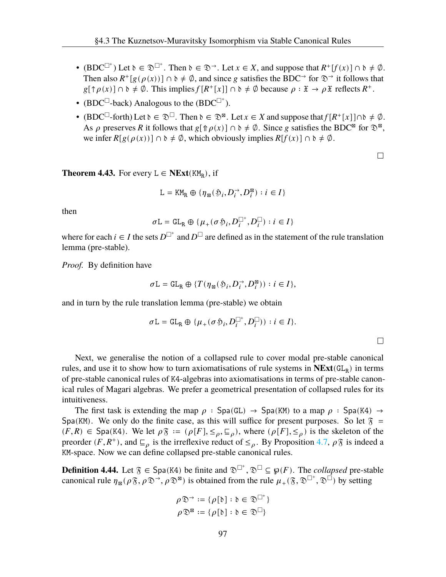- (BDC<sup> $\Box^+$ </sup>) Let  $\delta \in \mathfrak{D}^{\Box^+}$ . Then  $\delta \in \mathfrak{D}^{\rightarrow}$ . Let  $x \in X$ , and suppose that  $R^+[f(x)] \cap \delta \neq \emptyset$ . Then also  $R^+[g(\rho(x))] \cap \delta \neq \emptyset$ , and since g satisfies the BDC<sup>→</sup> for  $\mathfrak{D}^{\rightarrow}$  it follows that  $g[\uparrow \rho(x)] \cap \emptyset \neq \emptyset$ . This implies  $f[R^+[x]] \cap \emptyset \neq \emptyset$  because  $\rho : \mathfrak{X} \to \rho \mathfrak{X}$  reflects  $R^+$ .
- (BDC $\Box$ -back) Analogous to the (BDC $\Box$ <sup>+</sup>).
- (BDC<sup> $\Box$ </sup>-forth) Let  $\delta \in \mathcal{D}^{\Box}$ . Then  $\delta \in \mathcal{D}^{\boxtimes}$ . Let  $x \in X$  and suppose that  $f[R^+[x]] \cap \delta \neq \emptyset$ . As  $\rho$  preserves R it follows that  $g[\Uparrow \rho(x)] \cap \Uparrow \neq \emptyset$ . Since g satisfies the BDC<sup>⊠</sup> for  $\mathcal{D}^{\boxtimes}$ , we infer  $R[g(\rho(x))] \cap \delta \neq \emptyset$ , which obviously implies  $R[f(x)] \cap \delta \neq \emptyset$ .

 $\Box$ 

<span id="page-101-0"></span>**Theorem 4.43.** For every  $L \in \text{NExt}(KM_R)$ , if

$$
\mathbf{L} = \mathsf{KM}_{\mathbf{R}} \oplus \{\boldsymbol{\eta}_{\mathbf{B}}(\mathfrak{H}_i, D_i^{\rightarrow}, D_i^{\mathbf{B}}): i \in I\}
$$

then

$$
\sigma\mathbf{L} = \mathrm{GL}_{\mathrm{R}} \oplus \{\mu_+(\sigma\mathfrak{H}_i,D_i^{\square^+},D_i^{\square}): i \in I\}
$$

where for each  $i \in I$  the sets  $D^{\Box^+}$  and  $D^{\Box}$  are defined as in the statement of the rule translation lemma (pre-stable).

*Proof.* By definition have

$$
\sigma\mathbf{L}=\mathrm{GL}_{\mathrm{R}}\oplus\{T(\boldsymbol{\eta}_{\boxtimes}(\mathfrak{H}_i,D_i^{\rightarrow},D_i^{\boxtimes})) : i\in I\},
$$

and in turn by the rule translation lemma (pre-stable) we obtain

$$
\sigma L = GL_R \oplus \{ \mu_+(\sigma \mathfrak{H}_i, D_i^{\square^+}, D_i^{\square}) \} : i \in I \}.
$$

 $\Box$ 

Next, we generalise the notion of a collapsed rule to cover modal pre-stable canonical rules, and use it to show how to turn axiomatisations of rule systems in  $NExt(GL_R)$  in terms of pre-stable canonical rules of K4-algebras into axiomatisations in terms of pre-stable canonical rules of Magari algebras. We prefer a geometrical presentation of collapsed rules for its intuitiveness.

The first task is extending the map  $\rho : Spa(GL) \rightarrow Spa(KM)$  to a map  $\rho : Spa(K4) \rightarrow$ Spa(KM). We only do the finite case, as this will suffice for present purposes. So let  $\bar{x}$  =  $(F, R) \in \text{Spa}(K4)$ . We let  $\rho \mathfrak{F} := (\rho[F], \leq_{\rho}, \sqsubseteq_{\rho})$ , where  $(\rho[F], \leq_{\rho})$  is the skeleton of the preorder  $(F, R^+)$ , and  $\sqsubseteq_{\rho}$  is the irreflexive reduct of  $\leq_{\rho}$ . By Proposition [4.7,](#page-83-0)  $\rho \mathfrak{F}$  is indeed a KM-space. Now we can define collapsed pre-stable canonical rules.

**Definition 4.44.** Let  $\mathfrak{F} \in \text{Spa}(K4)$  be finite and  $\mathfrak{D}^{\square^+}$ ,  $\mathfrak{D}^{\square} \subseteq \mathfrak{g}(F)$ . The *collapsed* pre-stable canonical rule  $\eta_{\mathbb{B}}(\rho \mathfrak{F}, \rho \mathfrak{D}^{\Rightarrow}, \rho \mathfrak{D}^{\mathbb{B}})$  is obtained from the rule  $\mu_+(\mathfrak{F}, \mathfrak{D}^{\Box^+}, \mathfrak{D}^{\Box})$  by setting

$$
\rho \mathfrak{D}^{\rightarrow} := \{ \rho[\mathfrak{d}] : \mathfrak{d} \in \mathfrak{D}^{\square^+} \}
$$

$$
\rho \mathfrak{D}^{\boxtimes} := \{ \rho[\mathfrak{d}] : \mathfrak{d} \in \mathfrak{D}^{\square} \}
$$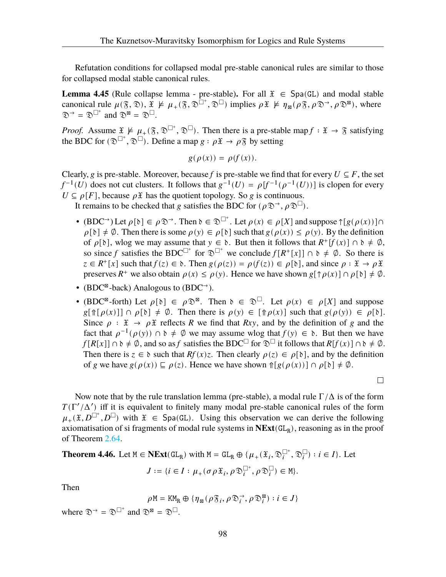Refutation conditions for collapsed modal pre-stable canonical rules are similar to those for collapsed modal stable canonical rules.

**Lemma 4.45** (Rule collapse lemma - pre-stable). For all  $\mathfrak{X} \in \text{Spa}(GL)$  and modal stable canonical rule  $\mu(\mathfrak{F}, \mathfrak{D}), \mathfrak{X} \not\models \mu_+(\mathfrak{F}, \mathfrak{D}^{\square^+}, \mathfrak{D}^{\square})$  implies  $\rho \mathfrak{X} \not\models \eta_{\mathfrak{A}}(\rho \mathfrak{F}, \rho \mathfrak{D}^{\rightarrow}, \rho \mathfrak{D}^{\mathfrak{A}})$ , where  $\mathfrak{D}^{\rightarrow} = \mathfrak{D}^{\square^+}$  and  $\mathfrak{D}^{\boxtimes} = \mathfrak{D}^{\square}$ .

*Proof.* Assume  $\mathfrak{X} \not\models \mu_+(\mathfrak{F}, \mathfrak{D}^{\Box^+}, \mathfrak{D}^{\Box})$ . Then there is a pre-stable map  $f : \mathfrak{X} \to \mathfrak{F}$  satisfying the BDC for  $(\mathfrak{D}^{\Box^+}, \mathfrak{D}^{\Box})$ . Define a map  $g : \rho \mathfrak{X} \to \rho \mathfrak{F}$  by setting

$$
g(\rho(x)) = \rho(f(x)).
$$

Clearly, g is pre-stable. Moreover, because f is pre-stable we find that for every  $U \subseteq F$ , the set  $f^{-1}(U)$  does not cut clusters. It follows that  $g^{-1}(U) = \rho[f^{-1}(\rho^{-1}(U))]$  is clopen for every  $U \subseteq \rho[F]$ , because  $\rho \mathfrak{X}$  has the quotient topology. So g is continuous.

It remains to be checked that g satisfies the BDC for ( $\rho \mathfrak{D}^{\rightarrow}$ ,  $\rho \mathfrak{D}^{\square}$ ).

- (BDC<sup>→</sup>) Let  $\rho[\delta] \in \rho \mathfrak{D}^{\rightarrow}$ . Then  $\delta \in \mathfrak{D}^{\square^+}$ . Let  $\rho(x) \in \rho[X]$  and suppose  $\uparrow[g(\rho(x))] \cap$  $\rho[\delta] \neq \emptyset$ . Then there is some  $\rho(y) \in \rho[\delta]$  such that  $g(\rho(x)) \leq \rho(y)$ . By the definition of  $\rho[\delta]$ , wlog we may assume that  $y \in \delta$ . But then it follows that  $R^+[f(x)] \cap \delta \neq \emptyset$ , so since f satisfies the BDC<sup> $\Box$ +</sup> for  $\mathfrak{D}^{\Box}$ <sup>+</sup> we conclude  $f[R^+[x]] \cap \mathfrak{d} \neq \emptyset$ . So there is  $z \in R^+[x]$  such that  $f(z) \in \mathfrak{d}$ . Then  $g(\rho(z)) = \rho(f(z)) \in \rho[\mathfrak{d}]$ , and since  $\rho : \mathfrak{X} \to \rho \mathfrak{X}$ preserves  $R^+$  we also obtain  $\rho(x) \le \rho(y)$ . Hence we have shown  $g[\uparrow \rho(x)] \cap \rho[\uparrow] \ne \emptyset$ .
- (BDC<sup> $\text{A}$ </sup>-back) Analogous to (BDC<sup>→</sup>).
- (BDC<sup>\{{\pi}{8}-forth} Let  $\rho[\delta] \in \rho \mathfrak{D}^{\boxtimes}$ . Then  $\delta \in \mathfrak{D}^{\square}$ . Let  $\rho(x) \in \rho[X]$  and suppose</sup>  $g[\hat{\phi}[\rho(x)]] \cap \rho[\delta] \neq \emptyset$ . Then there is  $\rho(y) \in [\hat{\phi}(\rho(x))]$  such that  $g(\rho(y)) \in \rho[\delta]$ . Since  $\rho : \mathfrak{X} \to \rho \mathfrak{X}$  reflects R we find that Rxy, and by the definition of g and the fact that  $\rho^{-1}(\rho(y)) \cap \delta \neq \emptyset$  we may assume wlog that  $f(y) \in \delta$ . But then we have  $f[R[x]] \cap \delta \neq \emptyset$ , and so as f satisfies the BDC<sup> $\Box$ </sup> for  $\mathfrak{D}^{\Box}$  it follows that  $R[f(x)] \cap \delta \neq \emptyset$ . Then there is  $z \in \mathfrak{d}$  such that  $Rf(x)z$ . Then clearly  $\rho(z) \in \rho[\mathfrak{d}]$ , and by the definition of g we have  $g(\rho(x)) \sqsubseteq \rho(z)$ . Hence we have shown  $\int [g(\rho(x))] \cap \rho[\delta] \neq \emptyset$ .

Now note that by the rule translation lemma (pre-stable), a modal rule  $\Gamma/\Delta$  is of the form  $T(\Gamma'/\Delta')$  iff it is equivalent to finitely many modal pre-stable canonical rules of the form  $\mu_+(\mathfrak{X}, D^{\square^+}, D^{\square})$  with  $\mathfrak{X} \in \text{Spa}(GL)$ . Using this observation we can derive the following axiomatisation of si fragments of modal rule systems in  $NExt(GL_R)$ , reasoning as in the proof of Theorem [2.64](#page-44-0).

<span id="page-102-0"></span>**Theorem 4.46.** Let  $M \in \mathbf{NExt}(\mathrm{GL}_R)$  with  $M = \mathrm{GL}_R \oplus \{ \mu_+(\mathfrak{X}_i, \mathfrak{D}_i^{\square^+}, \mathfrak{D}_i^{\square}) : i \in I \}$ . Let

$$
J := \{ i \in I : \mu_+(\sigma \rho \mathfrak{X}_i, \rho \mathfrak{D}_i^{\square^+}, \rho \mathfrak{D}_i^{\square}) \in M \}.
$$

Then

$$
\rho \texttt{M} = \texttt{KM}_\texttt{R} \oplus \{\eta_\texttt{B}(\rho \mathfrak{F}_i, \rho \mathfrak{D}_i^\rightarrow, \rho \mathfrak{D}_i^\texttt{M}) : i \in J\}
$$

where  $\mathfrak{D}^{\rightarrow} = \mathfrak{D}^{\square^+}$  and  $\mathfrak{D}^{\boxtimes} = \mathfrak{D}^{\square}$ .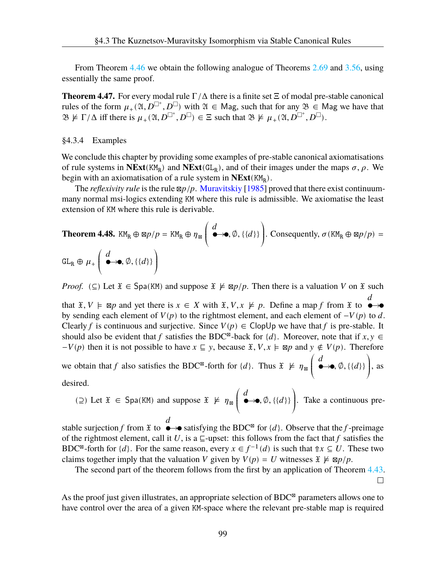From Theorem [4.46](#page-102-0) we obtain the following analogue of Theorems [2.69](#page-46-0) and [3.56,](#page-74-4) using essentially the same proof.

**Theorem 4.47.** For every modal rule  $\Gamma/\Delta$  there is a finite set  $\Xi$  of modal pre-stable canonical rules of the form  $\mu_+(\mathfrak{A}, D^{\square^+}, D^{\square})$  with  $\mathfrak{A} \in M$  and  $\mathfrak{A}$  such that for any  $\mathfrak{B} \in M$  and we have that  $\mathfrak{B} \not\models \Gamma/\Delta$  iff there is  $\mu_+(\mathfrak{A}, D^{\square^+}, D^{\square}) \in \Xi$  such that  $\mathfrak{B} \not\models \mu_+(\mathfrak{A}, D^{\square^+}, D^{\square})$ .

## <span id="page-103-0"></span>§4.3.4 Examples

We conclude this chapter by providing some examples of pre-stable canonical axiomatisations of rule systems in  $NExt(KM_R)$  and  $NExt(GL_R)$ , and of their images under the maps  $\sigma$ ,  $\rho$ . We begin with an axiomatisation of a rule system in **NExt**(KM<sub>R</sub>).

The *reflexivity rule* is the rule  $\mathbb{Z}_p/p$ . [Muravitskiy](#page-109-8) [[1985\]](#page-109-8) proved that there exist continuummany normal msi-logics extending KM where this rule is admissible. We axiomatise the least extension of KM where this rule is derivable.

**Theorem 4.48.** 
$$
\text{KM}_R \oplus \text{sp}/p = \text{KM}_R \oplus \eta_{\boxtimes} \left( \stackrel{d}{\bullet} \rightarrow \bullet, \emptyset, \{\{d\}\}\right)
$$
. Consequently,  $\sigma(\text{KM}_R \oplus \text{sp}/p) =$   
 $\text{GL}_R \oplus \mu_+ \left( \stackrel{d}{\bullet} \rightarrow \bullet, \emptyset, \{\{d\}\}\right)$ 

*Proof.* (⊆) Let  $\mathfrak{X} \in \text{Spa}(KM)$  and suppose  $\mathfrak{X} \not\models \boxtimes p/p$ . Then there is a valuation V on  $\mathfrak{X}$  such

that  $\mathfrak{X}, V \models \boxtimes p$  and yet there is  $x \in X$  with  $\mathfrak{X}, V, x \not\models p$ . Define a map f from  $\mathfrak{X}$  to  $\overline{d}$ by sending each element of  $V(p)$  to the rightmost element, and each element of  $-V(p)$  to d. Clearly f is continuous and surjective. Since  $V(p) \in \text{ClopUp}$  we have that f is pre-stable. It should also be evident that f satisfies the BDC<sup>⊠</sup>-back for  $\{d\}$ . Moreover, note that if  $x, y \in$  $-V(p)$  then it is not possible to have  $x \subseteq y$ , because  $\mathfrak{X}, V, x \models \boxtimes p$  and  $y \notin V(p)$ . Therefore

we obtain that f also satisfies the BDC<sup> $\infty$ </sup>-forth for  $\{d\}$ . Thus  $\mathfrak{X} \not\models \eta_{\mathfrak{B}}$  $\overline{A}$  $\left(\begin{matrix} d \ \bullet \to \bullet, \emptyset, \{\{d\}\}\end{matrix}\right)$  $\overline{J}$ , as desired.

(2) Let  $\mathfrak{X}$  ∈ Spa(KM) and suppose  $\mathfrak{X} \not\models \eta_{\mathfrak{A}}$  $\overline{I}$  $\left(\begin{matrix} d \ \bullet \to \bullet, \emptyset, \{\{d\}\}\end{matrix}\right)$ ⎠ . Take a continuous pre- $\boldsymbol{d}$ 

stable surjection f from  $\mathfrak X$  to  $\bullet \rightarrow \bullet$  satisfying the BDC<sup>⊠</sup> for  $\{d\}$ . Observe that the f-preimage of the rightmost element, call it U, is a  $\sqsubseteq$ -upset: this follows from the fact that f satisfies the BDC<sup>⊠</sup>-forth for  $\{d\}$ . For the same reason, every  $x \in f^{-1}(d)$  is such that  $\Uparrow x \subseteq U$ . These two claims together imply that the valuation V given by  $V(p) = U$  witnesses  $\mathfrak{X} \not\models \mathfrak{D}/p$ .

The second part of the theorem follows from the first by an application of Theorem [4.43](#page-101-0).  $\Box$ 

As the proof just given illustrates, an appropriate selection of BDC<sup>⊠</sup> parameters allows one to have control over the area of a given KM-space where the relevant pre-stable map is required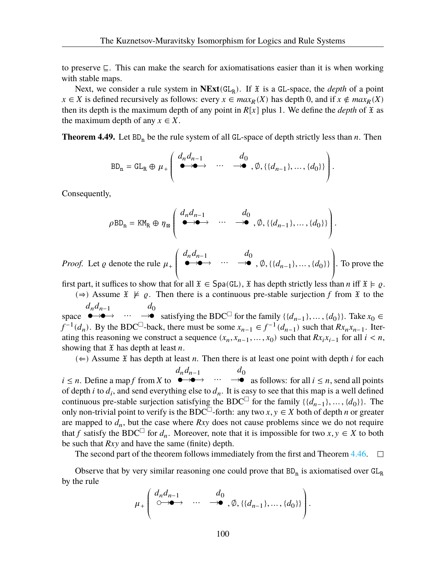to preserve ⊑. This can make the search for axiomatisations easier than it is when working with stable maps.

Next, we consider a rule system in  $NExt(GL_R)$ . If  $\mathfrak X$  is a GL-space, the *depth* of a point  $x \in X$  is defined recursively as follows: every  $x \in max_R(X)$  has depth 0, and if  $x \notin max_R(X)$ then its depth is the maximum depth of any point in  $R[x]$  plus 1. We define the *depth* of  $\tilde{x}$  as the maximum depth of any  $x \in X$ .

<span id="page-104-0"></span>**Theorem 4.49.** Let  $BD_n$  be the rule system of all GL-space of depth strictly less than n. Then

$$
BD_n = GL_R \oplus \mu_+ \left( \begin{array}{ccc} d_n d_{n-1} & d_0 \\ \bullet \to \bullet & \cdots & \to \bullet \\ \end{array}, \emptyset, \{ \{d_{n-1} \}, \dots, \{d_0 \} \} \right)
$$

.

Consequently,

$$
\rho BD_n = KM_R \oplus \eta_B \left( \begin{array}{cccc} d_n d_{n-1} & d_0 & \\ \bullet \rightarrow \bullet & \cdots & \rightarrow \bullet \\ \end{array}, \emptyset, \{ \{d_{n-1}\}, \ldots, \{d_0\} \} \right).
$$

*Proof.* Let  $\varrho$  denote the rule  $\mu_{+}$  $\tilde{\mathcal{L}}$  $d_n d_{n-1}$   $d_0$  $, \emptyset, \{ \{d_{n-1}\}, \dots, \{d_0\} \}$  $\int$ . To prove the

first part, it suffices to show that for all  $\mathfrak{X} \in \text{Spa}(GL)$ ,  $\mathfrak{X}$  has depth strictly less than *n* iff  $\mathfrak{X} \models \varrho$ .

(⇒) Assume  $\mathfrak{X} \not\models \varrho$ . Then there is a continuous pre-stable surjection f from  $\mathfrak{X}$  to the  $d_0$ 

space  $\longleftrightarrow$   $d_n d_{n-1}$   $\dots$   $d_0$  satisfying the BDC<sup> $\Box$ </sup> for the family {{ $d_{n-1}$ }, ..., { $d_0$ }}. Take  $x_0 \in$  $f^{-1}(d_n)$ . By the BDC<sup> $\Box$ </sup>-back, there must be some  $x_{n-1} \in f^{-1}(d_{n-1})$  such that  $Rx_nx_{n-1}$ . Iterating this reasoning we construct a sequence  $(x_n, x_{n-1}, \dots, x_0)$  such that  $Rx_i x_{i-1}$  for all  $i < n$ , showing that  $\mathfrak X$  has depth at least *n*.

 $(\Leftarrow)$  Assume  $\mathfrak X$  has depth at least n. Then there is at least one point with depth *i* for each

 $i \leq n$ . Define a map f from X to  $\overset{d_n d_{n-1}}{\longrightarrow} \cdots \overset{d_0}{\longrightarrow}$ as follows: for all  $i \leq n$ , send all points of depth *i* to  $d_i$ , and send everything else to  $d_n$ . It is easy to see that this map is a well defined continuous pre-stable surjection satisfying the BDC<sup> $\Box$ </sup> for the family  $\{\{d_{n-1}\}, \dots, \{d_0\}\}\.$  The only non-trivial point to verify is the BDC<sup> $\Box$ </sup>-forth: any two  $x, y \in X$  both of depth *n* or greater are mapped to  $d_n$ , but the case where  $Rxy$  does not cause problems since we do not require that f satisfy the BDC<sup> $\Box$ </sup> for  $d_n$ . Moreover, note that it is impossible for two  $x, y \in X$  to both be such that  $Rxy$  and have the same (finite) depth.

The second part of the theorem follows immediately from the first and Theorem [4.46.](#page-102-0)  $\Box$ 

Observe that by very similar reasoning one could prove that  $BD_n$  is axiomatised over  $GL_R$ by the rule

$$
\mu_{+}\left(\begin{array}{cccc}\nd_n d_{n-1} & & d_0 \\
\circ & & \to & \cdots & \to & \phi, \{\{d_{n-1}\}, \ldots, \{d_0\}\}\n\end{array}\right).
$$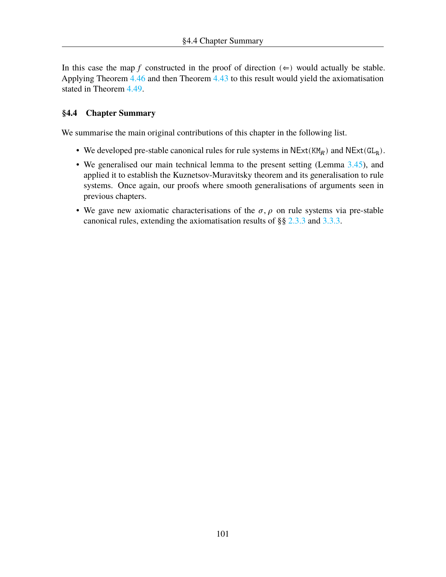In this case the map f constructed in the proof of direction  $(\Leftarrow)$  would actually be stable. Applying Theorem [4.46](#page-102-0) and then Theorem [4.43](#page-101-0) to this result would yield the axiomatisation stated in Theorem [4.49](#page-104-0).

# **§4.4 Chapter Summary**

We summarise the main original contributions of this chapter in the following list.

- We developed pre-stable canonical rules for rule systems in  $NExt(KM_R)$  and  $NExt(GL_R)$ .
- We generalised our main technical lemma to the present setting (Lemma [3.45](#page-69-0)), and applied it to establish the Kuznetsov-Muravitsky theorem and its generalisation to rule systems. Once again, our proofs where smooth generalisations of arguments seen in previous chapters.
- We gave new axiomatic characterisations of the  $\sigma$ ,  $\rho$  on rule systems via pre-stable canonical rules, extending the axiomatisation results of §§ [2.3.3](#page-39-0) and [3.3.3](#page-71-0).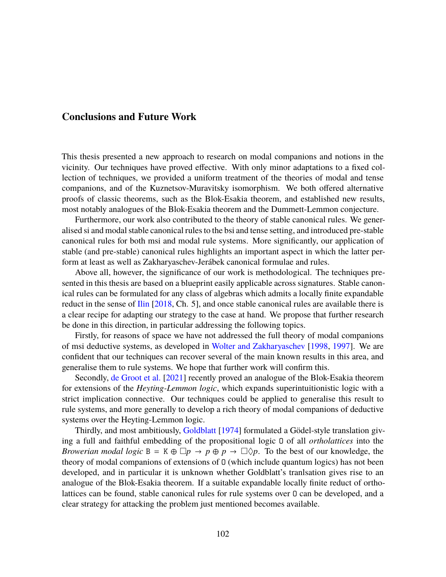# **Conclusions and Future Work**

This thesis presented a new approach to research on modal companions and notions in the vicinity. Our techniques have proved effective. With only minor adaptations to a fixed collection of techniques, we provided a uniform treatment of the theories of modal and tense companions, and of the Kuznetsov-Muravitsky isomorphism. We both offered alternative proofs of classic theorems, such as the Blok-Esakia theorem, and established new results, most notably analogues of the Blok-Esakia theorem and the Dummett-Lemmon conjecture.

Furthermore, our work also contributed to the theory of stable canonical rules. We generalised si and modal stable canonical rules to the bsi and tense setting, and introduced pre-stable canonical rules for both msi and modal rule systems. More significantly, our application of stable (and pre-stable) canonical rules highlights an important aspect in which the latter perform at least as well as Zakharyaschev-Jerábek canonical formulae and rules.

Above all, however, the significance of our work is methodological. The techniques presented in this thesis are based on a blueprint easily applicable across signatures. Stable canonical rules can be formulated for any class of algebras which admits a locally finite expandable reduct in the sense of [Ilin](#page-108-6) [\[2018](#page-108-6), Ch. 5], and once stable canonical rules are available there is a clear recipe for adapting our strategy to the case at hand. We propose that further research be done in this direction, in particular addressing the following topics.

Firstly, for reasons of space we have not addressed the full theory of modal companions of msi deductive systems, as developed in [Wolter and Zakharyaschev](#page-110-0) [\[1998](#page-110-0), [1997\]](#page-109-0). We are confident that our techniques can recover several of the main known results in this area, and generalise them to rule systems. We hope that further work will confirm this.

Secondly, [de Groot et al.](#page-107-4) [[2021\]](#page-107-4) recently proved an analogue of the Blok-Esakia theorem for extensions of the *Heyting-Lemmon logic*, which expands superintuitionistic logic with a strict implication connective. Our techniques could be applied to generalise this result to rule systems, and more generally to develop a rich theory of modal companions of deductive systems over the Heyting-Lemmon logic.

Thirdly, and most ambitiously, [Goldblatt](#page-108-7) [[1974\]](#page-108-7) formulated a Gödel-style translation giving a full and faithful embedding of the propositional logic O of all *ortholattices* into the *Browerian modal logic*  $B = K \oplus \Box p \rightarrow p \oplus p \rightarrow \Box \Diamond p$ . To the best of our knowledge, the theory of modal companions of extensions of O (which include quantum logics) has not been developed, and in particular it is unknown whether Goldblatt's tranlsation gives rise to an analogue of the Blok-Esakia theorem. If a suitable expandable locally finite reduct of ortholattices can be found, stable canonical rules for rule systems over O can be developed, and a clear strategy for attacking the problem just mentioned becomes available.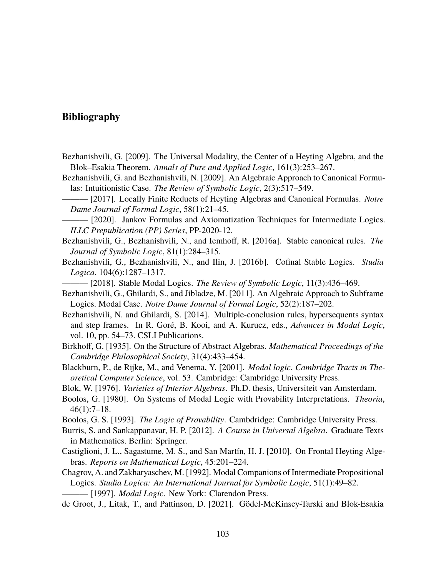# **Bibliography**

- Bezhanishvili, G. [2009]. The Universal Modality, the Center of a Heyting Algebra, and the Blok–Esakia Theorem. *Annals of Pure and Applied Logic*, 161(3):253–267.
- Bezhanishvili, G. and Bezhanishvili, N. [2009]. An Algebraic Approach to Canonical Formulas: Intuitionistic Case. *The Review of Symbolic Logic*, 2(3):517–549.
- ——— [2017]. Locally Finite Reducts of Heyting Algebras and Canonical Formulas. *Notre Dame Journal of Formal Logic*, 58(1):21–45.
- $-$  [2020]. Jankov Formulas and Axiomatization Techniques for Intermediate Logics. *ILLC Prepublication (PP) Series*, PP-2020-12.
- <span id="page-107-0"></span>Bezhanishvili, G., Bezhanishvili, N., and Iemhoff, R. [2016a]. Stable canonical rules. *The Journal of Symbolic Logic*, 81(1):284–315.
- Bezhanishvili, G., Bezhanishvili, N., and Ilin, J. [2016b]. Cofinal Stable Logics. *Studia Logica*, 104(6):1287–1317.
	- ——— [2018]. Stable Modal Logics. *The Review of Symbolic Logic*, 11(3):436–469.
- Bezhanishvili, G., Ghilardi, S., and Jibladze, M. [2011]. An Algebraic Approach to Subframe Logics. Modal Case. *Notre Dame Journal of Formal Logic*, 52(2):187–202.
- Bezhanishvili, N. and Ghilardi, S. [2014]. Multiple-conclusion rules, hypersequents syntax and step frames. In R. Goré, B. Kooi, and A. Kurucz, eds., *Advances in Modal Logic*, vol. 10, pp. 54–73. CSLI Publications.
- Birkhoff, G. [1935]. On the Structure of Abstract Algebras. *Mathematical Proceedings of the Cambridge Philosophical Society*, 31(4):433–454.
- Blackburn, P., de Rijke, M., and Venema, Y. [2001]. *Modal logic*, *Cambridge Tracts in Theoretical Computer Science*, vol. 53. Cambridge: Cambridge University Press.
- Blok, W. [1976]. *Varieties of Interior Algebras*. Ph.D. thesis, Universiteit van Amsterdam.
- <span id="page-107-2"></span>Boolos, G. [1980]. On Systems of Modal Logic with Provability Interpretations. *Theoria*, 46(1):7–18.
- <span id="page-107-3"></span>Boolos, G. S. [1993]. *The Logic of Provability*. Cambdridge: Cambridge University Press.
- Burris, S. and Sankappanavar, H. P. [2012]. *A Course in Universal Algebra*. Graduate Texts in Mathematics. Berlin: Springer.
- <span id="page-107-1"></span>Castiglioni, J. L., Sagastume, M. S., and San Martín, H. J. [2010]. On Frontal Heyting Algebras. *Reports on Mathematical Logic*, 45:201–224.
- Chagrov, A. and Zakharyaschev, M. [1992]. Modal Companions of Intermediate Propositional Logics. *Studia Logica: An International Journal for Symbolic Logic*, 51(1):49–82.

<span id="page-107-4"></span>——— [1997]. *Modal Logic*. New York: Clarendon Press.

de Groot, J., Litak, T., and Pattinson, D. [2021]. Gödel-McKinsey-Tarski and Blok-Esakia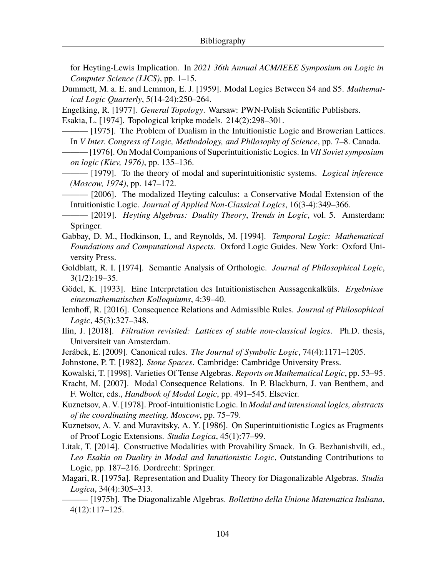for Heyting-Lewis Implication. In *2021 36th Annual ACM/IEEE Symposium on Logic in Computer Science (LICS)*, pp. 1–15.

Dummett, M. a. E. and Lemmon, E. J. [1959]. Modal Logics Between S4 and S5. *Mathematical Logic Quarterly*, 5(14-24):250–264.

Engelking, R. [1977]. *General Topology*. Warsaw: PWN-Polish Scientific Publishers.

Esakia, L. [1974]. Topological kripke models. 214(2):298–301.

 $-$  [1975]. The Problem of Dualism in the Intuitionistic Logic and Browerian Lattices. In *V Inter. Congress of Logic, Methodology, and Philosophy of Science*, pp. 7–8. Canada.

——— [1976]. On Modal Companions of Superintuitionistic Logics. In *VII Soviet symposium on logic (Kiev, 1976)*, pp. 135–136.

——— [1979]. To the theory of modal and superintuitionistic systems. *Logical inference (Moscow, 1974)*, pp. 147–172.

——— [2006]. The modalized Heyting calculus: a Conservative Modal Extension of the Intuitionistic Logic. *Journal of Applied Non-Classical Logics*, 16(3-4):349–366.

——— [2019]. *Heyting Algebras: Duality Theory*, *Trends in Logic*, vol. 5. Amsterdam: Springer.

Gabbay, D. M., Hodkinson, I., and Reynolds, M. [1994]. *Temporal Logic: Mathematical Foundations and Computational Aspects*. Oxford Logic Guides. New York: Oxford University Press.

Goldblatt, R. I. [1974]. Semantic Analysis of Orthologic. *Journal of Philosophical Logic*, 3(1/2):19–35.

Gödel, K. [1933]. Eine Interpretation des Intuitionistischen Aussagenkalküls. *Ergebnisse einesmathematischen Kolloquiums*, 4:39–40.

- Iemhoff, R. [2016]. Consequence Relations and Admissible Rules. *Journal of Philosophical Logic*, 45(3):327–348.
- Ilin, J. [2018]. *Filtration revisited: Lattices of stable non-classical logics*. Ph.D. thesis, Universiteit van Amsterdam.
- Jerábek, E. [2009]. Canonical rules. *The Journal of Symbolic Logic*, 74(4):1171–1205.
- Johnstone, P. T. [1982]. *Stone Spaces*. Cambridge: Cambridge University Press.
- Kowalski, T. [1998]. Varieties Of Tense Algebras. *Reports on Mathematical Logic*, pp. 53–95.
- Kracht, M. [2007]. Modal Consequence Relations. In P. Blackburn, J. van Benthem, and F. Wolter, eds., *Handbook of Modal Logic*, pp. 491–545. Elsevier.
- Kuznetsov, A. V. [1978]. Proof-intuitionistic Logic. In *Modal and intensional logics, abstracts of the coordinating meeting, Moscow*, pp. 75–79.

Kuznetsov, A. V. and Muravitsky, A. Y. [1986]. On Superintuitionistic Logics as Fragments of Proof Logic Extensions. *Studia Logica*, 45(1):77–99.

- Litak, T. [2014]. Constructive Modalities with Provability Smack. In G. Bezhanishvili, ed., *Leo Esakia on Duality in Modal and Intuitionistic Logic*, Outstanding Contributions to Logic, pp. 187–216. Dordrecht: Springer.
- Magari, R. [1975a]. Representation and Duality Theory for Diagonalizable Algebras. *Studia Logica*, 34(4):305–313.

——— [1975b]. The Diagonalizable Algebras. *Bollettino della Unione Matematica Italiana*, 4(12):117–125.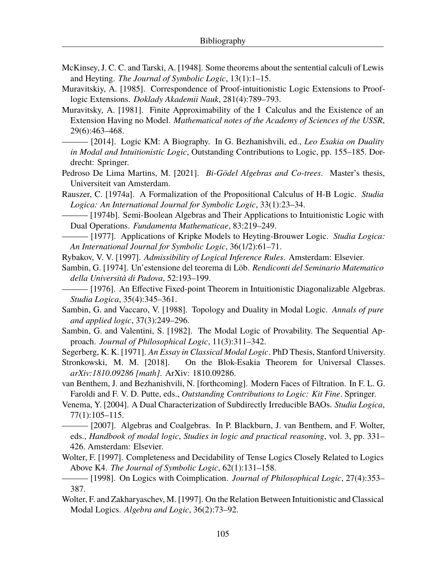- McKinsey, J. C. C. and Tarski, A. [1948]. Some theorems about the sentential calculi of Lewis and Heyting. *The Journal of Symbolic Logic*, 13(1):1–15.
- Muravitskiy, A. [1985]. Correspondence of Proof-intuitionistic Logic Extensions to Prooflogic Extensions. *Doklady Akademii Nauk*, 281(4):789–793.
- Muravitsky, A. [1981]. Finite Approximability of the I Calculus and the Existence of an Extension Having no Model. *Mathematical notes of the Academy of Sciences of the USSR*, 29(6):463–468.
- ——— [2014]. Logic KM: A Biography. In G. Bezhanishvili, ed., *Leo Esakia on Duality in Modal and Intuitionistic Logic*, Outstanding Contributions to Logic, pp. 155–185. Dordrecht: Springer.
- Pedroso De Lima Martins, M. [2021]. *Bi-Gödel Algebras and Co-trees*. Master's thesis, Universiteit van Amsterdam.
- Rauszer, C. [1974a]. A Formalization of the Propositional Calculus of H-B Logic. *Studia Logica: An International Journal for Symbolic Logic*, 33(1):23–34.
- $-[1974b]$ . Semi-Boolean Algebras and Their Applications to Intuitionistic Logic with Dual Operations. *Fundamenta Mathematicae*, 83:219–249.
- ——— [1977]. Applications of Kripke Models to Heyting-Brouwer Logic. *Studia Logica: An International Journal for Symbolic Logic*, 36(1/2):61–71.
- Rybakov, V. V. [1997]. *Admissibility of Logical Inference Rules*. Amsterdam: Elsevier.
- Sambin, G. [1974]. Un'estensione del teorema di Löb. *Rendiconti del Seminario Matematico della Università di Padova*, 52:193–199.

- Sambin, G. and Vaccaro, V. [1988]. Topology and Duality in Modal Logic. *Annals of pure and applied logic*, 37(3):249–296.
- Sambin, G. and Valentini, S. [1982]. The Modal Logic of Provability. The Sequential Approach. *Journal of Philosophical Logic*, 11(3):311–342.

Segerberg, K. K. [1971]. *An Essay in Classical Modal Logic*. PhD Thesis, Stanford University.

- Stronkowski, M. M. [2018]. On the Blok-Esakia Theorem for Universal Classes. *arXiv:1810.09286 [math]*. ArXiv: 1810.09286.
- van Benthem, J. and Bezhanishvili, N. [forthcoming]. Modern Faces of Filtration. In F. L. G. Faroldi and F. V. D. Putte, eds., *Outstanding Contributions to Logic: Kit Fine*. Springer.
- Venema, Y. [2004]. A Dual Characterization of Subdirectly Irreducible BAOs. *Studia Logica*, 77(1):105–115.
- ——— [2007]. Algebras and Coalgebras. In P. Blackburn, J. van Benthem, and F. Wolter, eds., *Handbook of modal logic*, *Studies in logic and practical reasoning*, vol. 3, pp. 331– 426. Amsterdam: Elsevier.
- Wolter, F. [1997]. Completeness and Decidability of Tense Logics Closely Related to Logics Above K4. *The Journal of Symbolic Logic*, 62(1):131–158.
- ——— [1998]. On Logics with Coimplication. *Journal of Philosophical Logic*, 27(4):353– 387.
- Wolter, F. and Zakharyaschev, M. [1997]. On the Relation Between Intuitionistic and Classical Modal Logics. *Algebra and Logic*, 36(2):73–92.

<sup>— [1976].</sup> An Effective Fixed-point Theorem in Intuitionistic Diagonalizable Algebras. *Studia Logica*, 35(4):345–361.